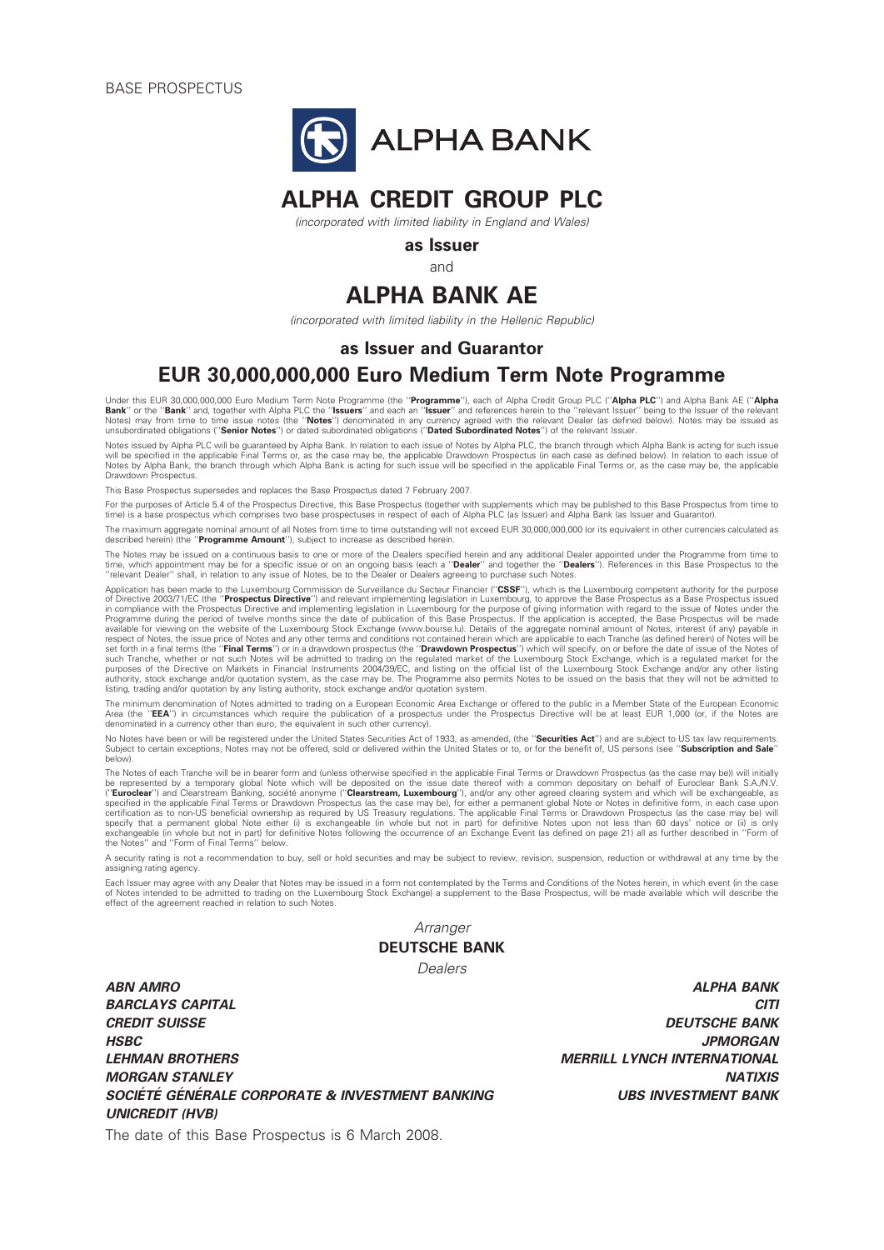BASE PROSPECTUS



# ALPHA CREDIT GROUP PLC

(incorporated with limited liability in England and Wales)

as Issuer

and

# ALPHA BANK AE

(incorporated with limited liability in the Hellenic Republic)

#### as Issuer and Guarantor

## EUR 30,000,000,000 Euro Medium Term Note Programme

Under this EUR 30,000,000,000 Euro Medium Term Note Programme (the "Programme"), each of Alpha Credit Group PLC ("Alpha PLC") and Alpha Bank AE ("Alpha **Bank**'' or the '**'Bank**'' and, together with Alpha PLC the '**'Issuers**'' and each an ''**Issuer**'' and references herein to the ''relevant Issuer'' being to the Issuer of the relevant<br>Notes) may from time to time issue not

Notes issued by Alpha PLC will be guaranteed by Alpha Bank. In relation to each issue of Notes by Alpha PLC, the branch through which Alpha Bank is acting for such issue will be specified in the applicable Final Terms or, as the case may be, the applicable Drawdown Prospectus (in each case as defined below). In relation to each issue of Notes by Alpha Bank, the branch through which Alpha Bank is acting for such issue will be specified in the applicable Final Terms or, as the case may be, the applicable Drawdown Prospectus.

This Base Prospectus supersedes and replaces the Base Prospectus dated 7 February 2007.

For the purposes of Article 5.4 of the Prospectus Directive, this Base Prospectus (together with supplements which may be published to this Base Prospectus from time to a base prospectus which comprises two base prospectuses in respect of each of Alpha PLC (as Issuer) and Alpha Bank (as Issuer and Guarantor).

The maximum aggregate nominal amount of all Notes from time to time outstanding will not exceed EUR 30,000,000,000 (or its equivalent in other currencies calculated as described herein) (the "Programme Amount"), subject to increase as described herein.

The Notes may be issued on a continuous basis to one or more of the Dealers specified herein and any additional Dealer appointed under the Programme from time to time, which appointment may be for a specific issue or on an ongoing basis (each a "**Dealer**" and together the "**Dealers**"). References in this Base Prospectus to the<br>''relevant Dealer'' shall, in relation to any issue of

Application has been made to the Luxembourg Commission de Surveillance du Secteur Financier ("CSSF"), which is the Luxembourg competent authority for the purpose of Directive 2003/71/EC (the "**Prospectus Directive**") and relevant implementing legislation in Luxembourg, to approve the Base Prospectus as a Base Prospectus issued<br>in compliance with the Prospectus Directive and impleme Programme during the period of twelve months since the date of publication of this Base Prospectus. If the application is accepted, the Base Prospectus will be made<br>available for viewing on the website of the Luxembourg St respect of Notes, the issue price of Notes and any other terms and conditions not contained herein which are applicable to each Tranche (as defined herein) of Notes will be set forth in a final terms (the "**Final Terms**") or in a drawdown prospectus (the "**Drawdown Prospectus**") which will specify, on or before the date of issue of the Notes of<br>such Tranche, whether or not such Notes will be purposes of the Directive on Markets in Financial Instruments 2004/39/EC, and listing on the official list of the Luxembourg Stock Exchange and/or any other listing<br>authority, stock exchange and/or quotation system, as the listing, trading and/or quotation by any listing authority, stock exchange and/or quotation system.

The minimum denomination of Notes admitted to trading on a European Economic Area Exchange or offered to the public in a Member State of the European Economic<br>Area (the '**'EEA'**') in circumstances which require the publica denominated in a currency other than euro, the equivalent in such other currency).

No Notes have been or will be registered under the United States Securities Act of 1933, as amended, (the "Securities Act") and are subject to US tax law requirements. Subject to certain exceptions. Notes may not be offered, sold or delivered within the United States or to, or for the benefit of. US persons (see "Subscription and Sale" below).

The Notes of each Tranche will be in bearer form and (unless otherwise specified in the applicable Final Terms or Drawdown Prospectus (as the case may be)) will initially<br>be represented by a temporary global Note which wil ("**Euroclear**") and Clearstream Banking, société anonyme ("**Clearstream, Luxembourg**"), and/or any other agreed clearing system and which will be exchangeable, as<br>specified in the applicable Final Terms or Drament and the specify that a permanent global Note either (i) is exchangeable (in whole but not in part) for definitive Notes upon not less than 60 days' notice or (ii) is only<br>exchangeable (in whole but not in part) for definitive Note

A security rating is not a recommendation to buy, sell or hold securities and may be subject to review, revision, suspension, reduction or withdrawal at any time by the assigning rating agency.

Each Issuer may agree with any Dealer that Notes may be issued in a form not contemplated by the Terms and Conditions of the Notes herein, in which event (in the case of Notes intended to be admitted to trading on the Luxembourg Stock Exchange) a supplement to the Base Prospectus, will be made available which will describe the effect of the agreement reached in relation to such Notes.

> **Arranger** DEUTSCHE BANK

> > Dealers

ABN AMRO ALPHA BANK BARCLAYS CAPITAL CITIES AND RESERVE TO A SERVER A SERVER OF THE SERVER OF THE SERVER OF THE SERVER OF THE SERVER OF THE SERVER OF THE SERVER OF THE SERVER OF THE SERVER OF THE SERVER OF THE SERVER OF THE SERVER OF THE SERV CREDIT SUISSE DEUTSCHE BANK HSBC JPMORGAN LEHMAN BROTHERS MERRILL LYNCH INTERNATIONAL MORGAN STANLEY NATIONAL SERVICE SERVICE SERVICE SERVICE SERVICE SERVICE SERVICE SERVICE SERVICE SERVICE SERVICE SOCIÉTÉ GÉNÉRALE CORPORATE & INVESTMENT BANKING UBS INVESTMENT BANK UNICREDIT (HVB)

The date of this Base Prospectus is 6 March 2008.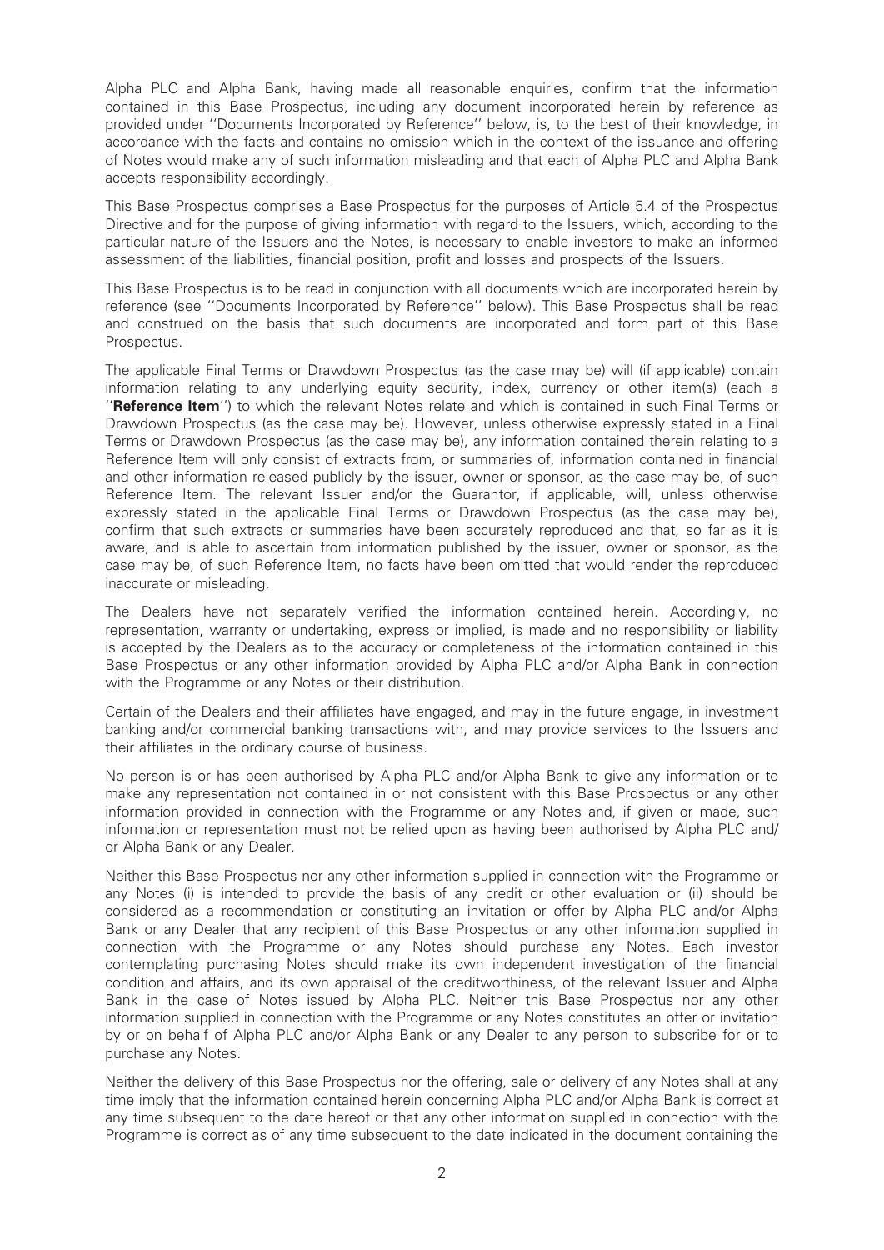Alpha PLC and Alpha Bank, having made all reasonable enquiries, confirm that the information contained in this Base Prospectus, including any document incorporated herein by reference as provided under ''Documents Incorporated by Reference'' below, is, to the best of their knowledge, in accordance with the facts and contains no omission which in the context of the issuance and offering of Notes would make any of such information misleading and that each of Alpha PLC and Alpha Bank accepts responsibility accordingly.

This Base Prospectus comprises a Base Prospectus for the purposes of Article 5.4 of the Prospectus Directive and for the purpose of giving information with regard to the Issuers, which, according to the particular nature of the Issuers and the Notes, is necessary to enable investors to make an informed assessment of the liabilities, financial position, profit and losses and prospects of the Issuers.

This Base Prospectus is to be read in conjunction with all documents which are incorporated herein by reference (see ''Documents Incorporated by Reference'' below). This Base Prospectus shall be read and construed on the basis that such documents are incorporated and form part of this Base Prospectus.

The applicable Final Terms or Drawdown Prospectus (as the case may be) will (if applicable) contain information relating to any underlying equity security, index, currency or other item(s) (each a "Reference Item") to which the relevant Notes relate and which is contained in such Final Terms or Drawdown Prospectus (as the case may be). However, unless otherwise expressly stated in a Final Terms or Drawdown Prospectus (as the case may be), any information contained therein relating to a Reference Item will only consist of extracts from, or summaries of, information contained in financial and other information released publicly by the issuer, owner or sponsor, as the case may be, of such Reference Item. The relevant Issuer and/or the Guarantor, if applicable, will, unless otherwise expressly stated in the applicable Final Terms or Drawdown Prospectus (as the case may be), confirm that such extracts or summaries have been accurately reproduced and that, so far as it is aware, and is able to ascertain from information published by the issuer, owner or sponsor, as the case may be, of such Reference Item, no facts have been omitted that would render the reproduced inaccurate or misleading.

The Dealers have not separately verified the information contained herein. Accordingly, no representation, warranty or undertaking, express or implied, is made and no responsibility or liability is accepted by the Dealers as to the accuracy or completeness of the information contained in this Base Prospectus or any other information provided by Alpha PLC and/or Alpha Bank in connection with the Programme or any Notes or their distribution.

Certain of the Dealers and their affiliates have engaged, and may in the future engage, in investment banking and/or commercial banking transactions with, and may provide services to the Issuers and their affiliates in the ordinary course of business.

No person is or has been authorised by Alpha PLC and/or Alpha Bank to give any information or to make any representation not contained in or not consistent with this Base Prospectus or any other information provided in connection with the Programme or any Notes and, if given or made, such information or representation must not be relied upon as having been authorised by Alpha PLC and/ or Alpha Bank or any Dealer.

Neither this Base Prospectus nor any other information supplied in connection with the Programme or any Notes (i) is intended to provide the basis of any credit or other evaluation or (ii) should be considered as a recommendation or constituting an invitation or offer by Alpha PLC and/or Alpha Bank or any Dealer that any recipient of this Base Prospectus or any other information supplied in connection with the Programme or any Notes should purchase any Notes. Each investor contemplating purchasing Notes should make its own independent investigation of the financial condition and affairs, and its own appraisal of the creditworthiness, of the relevant Issuer and Alpha Bank in the case of Notes issued by Alpha PLC. Neither this Base Prospectus nor any other information supplied in connection with the Programme or any Notes constitutes an offer or invitation by or on behalf of Alpha PLC and/or Alpha Bank or any Dealer to any person to subscribe for or to purchase any Notes.

Neither the delivery of this Base Prospectus nor the offering, sale or delivery of any Notes shall at any time imply that the information contained herein concerning Alpha PLC and/or Alpha Bank is correct at any time subsequent to the date hereof or that any other information supplied in connection with the Programme is correct as of any time subsequent to the date indicated in the document containing the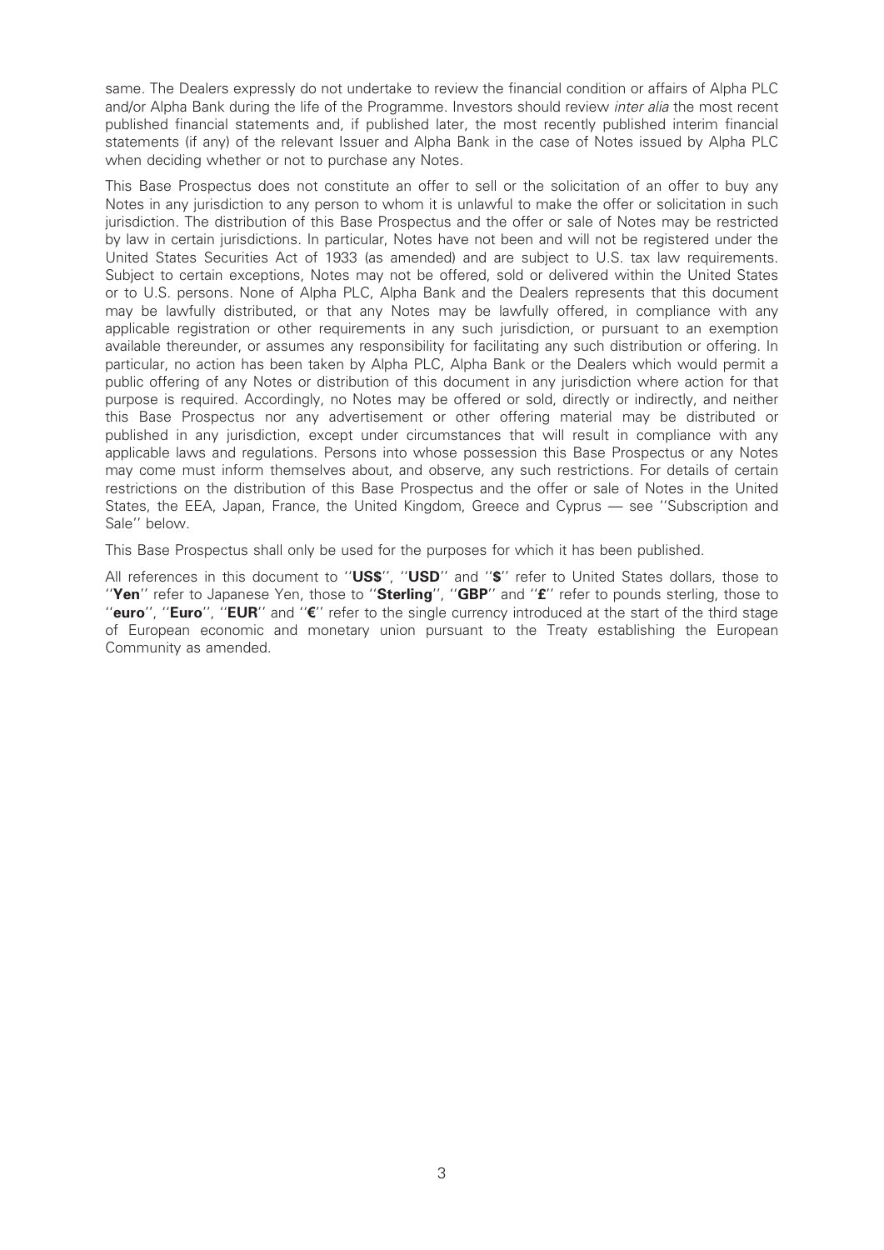same. The Dealers expressly do not undertake to review the financial condition or affairs of Alpha PLC and/or Alpha Bank during the life of the Programme. Investors should review *inter alia* the most recent published financial statements and, if published later, the most recently published interim financial statements (if any) of the relevant Issuer and Alpha Bank in the case of Notes issued by Alpha PLC when deciding whether or not to purchase any Notes.

This Base Prospectus does not constitute an offer to sell or the solicitation of an offer to buy any Notes in any jurisdiction to any person to whom it is unlawful to make the offer or solicitation in such jurisdiction. The distribution of this Base Prospectus and the offer or sale of Notes may be restricted by law in certain jurisdictions. In particular, Notes have not been and will not be registered under the United States Securities Act of 1933 (as amended) and are subject to U.S. tax law requirements. Subject to certain exceptions, Notes may not be offered, sold or delivered within the United States or to U.S. persons. None of Alpha PLC, Alpha Bank and the Dealers represents that this document may be lawfully distributed, or that any Notes may be lawfully offered, in compliance with any applicable registration or other requirements in any such jurisdiction, or pursuant to an exemption available thereunder, or assumes any responsibility for facilitating any such distribution or offering. In particular, no action has been taken by Alpha PLC, Alpha Bank or the Dealers which would permit a public offering of any Notes or distribution of this document in any jurisdiction where action for that purpose is required. Accordingly, no Notes may be offered or sold, directly or indirectly, and neither this Base Prospectus nor any advertisement or other offering material may be distributed or published in any jurisdiction, except under circumstances that will result in compliance with any applicable laws and regulations. Persons into whose possession this Base Prospectus or any Notes may come must inform themselves about, and observe, any such restrictions. For details of certain restrictions on the distribution of this Base Prospectus and the offer or sale of Notes in the United States, the EEA, Japan, France, the United Kingdom, Greece and Cyprus - see "Subscription and Sale'' below.

This Base Prospectus shall only be used for the purposes for which it has been published.

All references in this document to "US\$", "USD" and "\$" refer to United States dollars, those to "Yen" refer to Japanese Yen, those to "Sterling", "GBP" and "£" refer to pounds sterling, those to "euro", "Euro", "EUR" and " $\varepsilon$ " refer to the single currency introduced at the start of the third stage of European economic and monetary union pursuant to the Treaty establishing the European Community as amended.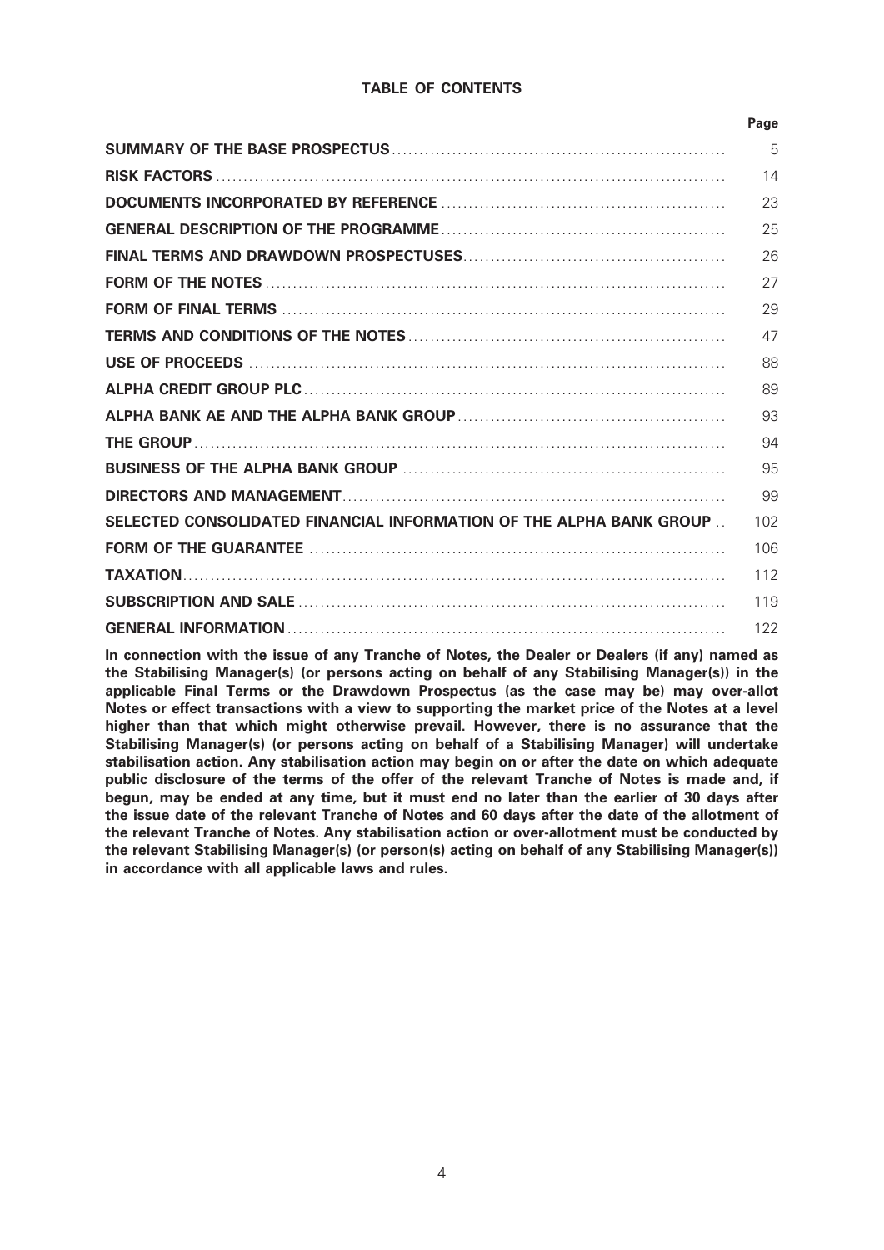### TABLE OF CONTENTS

|                                                                     | Page |
|---------------------------------------------------------------------|------|
|                                                                     | 5    |
|                                                                     | 14   |
|                                                                     | 23   |
|                                                                     | 25   |
|                                                                     | 26   |
|                                                                     | 27   |
|                                                                     | 29   |
|                                                                     | 47   |
|                                                                     | 88   |
|                                                                     | 89   |
|                                                                     | 93   |
|                                                                     | 94   |
|                                                                     | 95   |
|                                                                     | 99   |
| SELECTED CONSOLIDATED FINANCIAL INFORMATION OF THE ALPHA BANK GROUP | 102  |
|                                                                     | 106  |
|                                                                     | 112  |
|                                                                     | 119  |
|                                                                     | 122  |

In connection with the issue of any Tranche of Notes, the Dealer or Dealers (if any) named as the Stabilising Manager(s) (or persons acting on behalf of any Stabilising Manager(s)) in the applicable Final Terms or the Drawdown Prospectus (as the case may be) may over-allot Notes or effect transactions with a view to supporting the market price of the Notes at a level higher than that which might otherwise prevail. However, there is no assurance that the Stabilising Manager(s) (or persons acting on behalf of a Stabilising Manager) will undertake stabilisation action. Any stabilisation action may begin on or after the date on which adequate public disclosure of the terms of the offer of the relevant Tranche of Notes is made and, if begun, may be ended at any time, but it must end no later than the earlier of 30 days after the issue date of the relevant Tranche of Notes and 60 days after the date of the allotment of the relevant Tranche of Notes. Any stabilisation action or over-allotment must be conducted by the relevant Stabilising Manager(s) (or person(s) acting on behalf of any Stabilising Manager(s)) in accordance with all applicable laws and rules.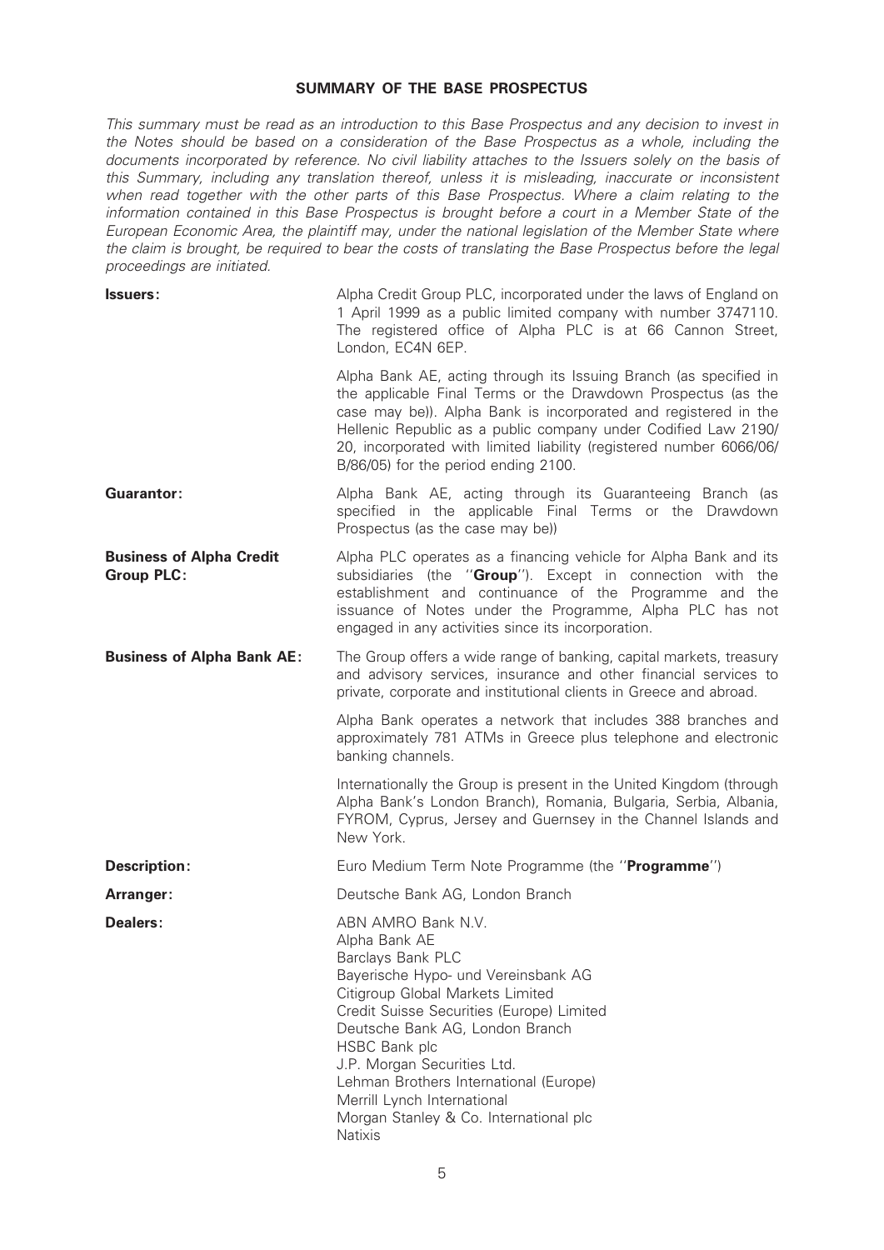#### SUMMARY OF THE BASE PROSPECTUS

This summary must be read as an introduction to this Base Prospectus and any decision to invest in the Notes should be based on a consideration of the Base Prospectus as a whole, including the documents incorporated by reference. No civil liability attaches to the Issuers solely on the basis of this Summary, including any translation thereof, unless it is misleading, inaccurate or inconsistent when read together with the other parts of this Base Prospectus. Where a claim relating to the information contained in this Base Prospectus is brought before a court in a Member State of the European Economic Area, the plaintiff may, under the national legislation of the Member State where the claim is brought, be required to bear the costs of translating the Base Prospectus before the legal proceedings are initiated.

| <b>Issuers:</b>                                      | Alpha Credit Group PLC, incorporated under the laws of England on<br>1 April 1999 as a public limited company with number 3747110.<br>The registered office of Alpha PLC is at 66 Cannon Street,<br>London, EC4N 6EP.                                                                                                                                                                                    |
|------------------------------------------------------|----------------------------------------------------------------------------------------------------------------------------------------------------------------------------------------------------------------------------------------------------------------------------------------------------------------------------------------------------------------------------------------------------------|
|                                                      | Alpha Bank AE, acting through its Issuing Branch (as specified in<br>the applicable Final Terms or the Drawdown Prospectus (as the<br>case may be)). Alpha Bank is incorporated and registered in the<br>Hellenic Republic as a public company under Codified Law 2190/<br>20, incorporated with limited liability (registered number 6066/06/<br>B/86/05) for the period ending 2100.                   |
| Guarantor:                                           | Alpha Bank AE, acting through its Guaranteeing Branch (as<br>specified in the applicable Final Terms or the Drawdown<br>Prospectus (as the case may be))                                                                                                                                                                                                                                                 |
| <b>Business of Alpha Credit</b><br><b>Group PLC:</b> | Alpha PLC operates as a financing vehicle for Alpha Bank and its<br>subsidiaries (the "Group"). Except in connection with<br>the<br>establishment and continuance of the Programme and<br>the<br>issuance of Notes under the Programme, Alpha PLC has not<br>engaged in any activities since its incorporation.                                                                                          |
| <b>Business of Alpha Bank AE:</b>                    | The Group offers a wide range of banking, capital markets, treasury<br>and advisory services, insurance and other financial services to<br>private, corporate and institutional clients in Greece and abroad.                                                                                                                                                                                            |
|                                                      | Alpha Bank operates a network that includes 388 branches and<br>approximately 781 ATMs in Greece plus telephone and electronic<br>banking channels.                                                                                                                                                                                                                                                      |
|                                                      | Internationally the Group is present in the United Kingdom (through<br>Alpha Bank's London Branch), Romania, Bulgaria, Serbia, Albania,<br>FYROM, Cyprus, Jersey and Guernsey in the Channel Islands and<br>New York.                                                                                                                                                                                    |
| <b>Description:</b>                                  | Euro Medium Term Note Programme (the " <b>Programme</b> ")                                                                                                                                                                                                                                                                                                                                               |
| Arranger:                                            | Deutsche Bank AG, London Branch                                                                                                                                                                                                                                                                                                                                                                          |
| Dealers:                                             | ABN AMRO Bank N.V.<br>Alpha Bank AE<br>Barclays Bank PLC<br>Bayerische Hypo- und Vereinsbank AG<br>Citigroup Global Markets Limited<br>Credit Suisse Securities (Europe) Limited<br>Deutsche Bank AG, London Branch<br>HSBC Bank plc<br>J.P. Morgan Securities Ltd.<br>Lehman Brothers International (Europe)<br>Merrill Lynch International<br>Morgan Stanley & Co. International plc<br><b>Natixis</b> |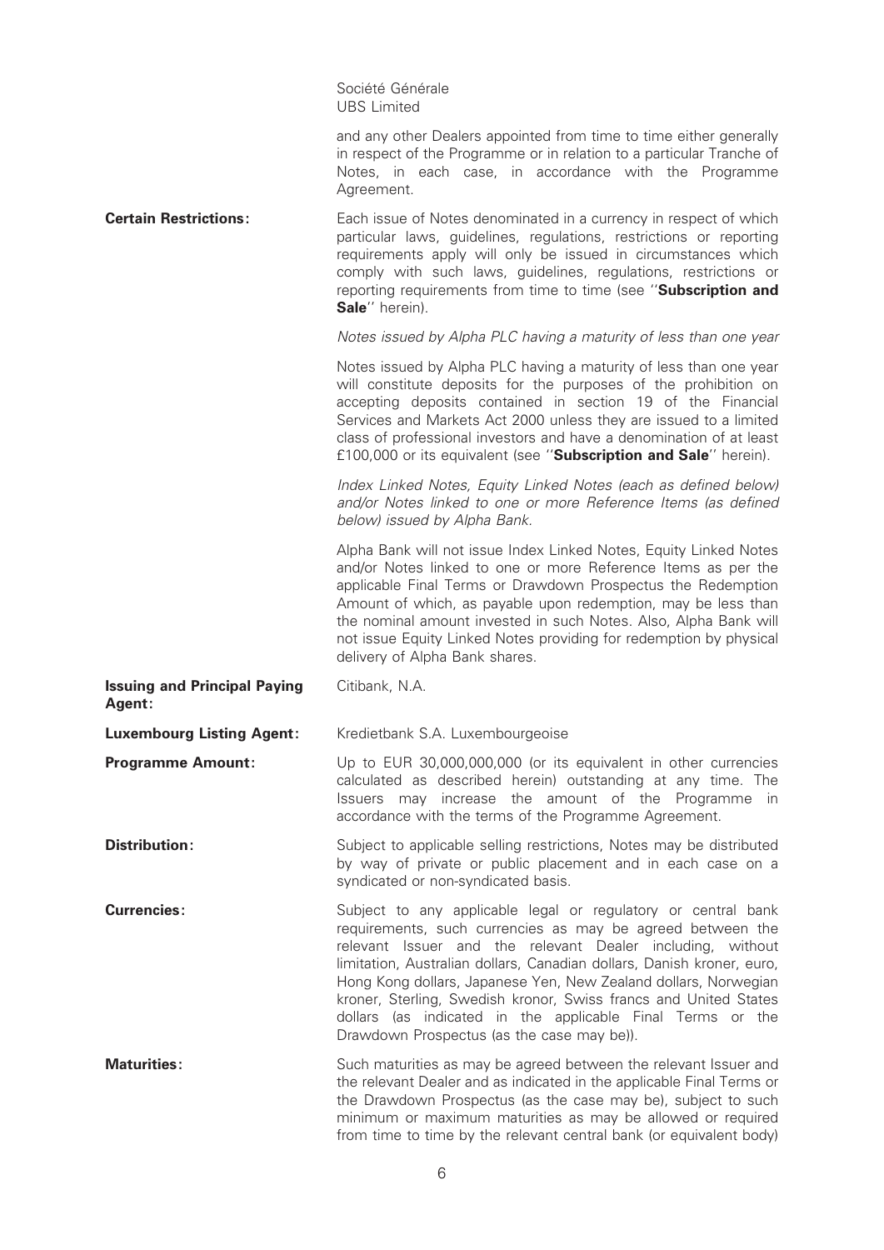Société Générale UBS Limited

|                                               | and any other Dealers appointed from time to time either generally<br>in respect of the Programme or in relation to a particular Tranche of<br>Notes, in each case, in accordance with the Programme<br>Agreement.                                                                                                                                                                                                                                                                                                     |
|-----------------------------------------------|------------------------------------------------------------------------------------------------------------------------------------------------------------------------------------------------------------------------------------------------------------------------------------------------------------------------------------------------------------------------------------------------------------------------------------------------------------------------------------------------------------------------|
| <b>Certain Restrictions:</b>                  | Each issue of Notes denominated in a currency in respect of which<br>particular laws, guidelines, regulations, restrictions or reporting<br>requirements apply will only be issued in circumstances which<br>comply with such laws, guidelines, regulations, restrictions or<br>reporting requirements from time to time (see "Subscription and<br>Sale" herein).                                                                                                                                                      |
|                                               | Notes issued by Alpha PLC having a maturity of less than one year                                                                                                                                                                                                                                                                                                                                                                                                                                                      |
|                                               | Notes issued by Alpha PLC having a maturity of less than one year<br>will constitute deposits for the purposes of the prohibition on<br>accepting deposits contained in section 19 of the Financial<br>Services and Markets Act 2000 unless they are issued to a limited<br>class of professional investors and have a denomination of at least<br>£100,000 or its equivalent (see "Subscription and Sale" herein).                                                                                                    |
|                                               | Index Linked Notes, Equity Linked Notes (each as defined below)<br>and/or Notes linked to one or more Reference Items (as defined<br>below) issued by Alpha Bank.                                                                                                                                                                                                                                                                                                                                                      |
|                                               | Alpha Bank will not issue Index Linked Notes, Equity Linked Notes<br>and/or Notes linked to one or more Reference Items as per the<br>applicable Final Terms or Drawdown Prospectus the Redemption<br>Amount of which, as payable upon redemption, may be less than<br>the nominal amount invested in such Notes. Also, Alpha Bank will<br>not issue Equity Linked Notes providing for redemption by physical<br>delivery of Alpha Bank shares.                                                                        |
| <b>Issuing and Principal Paying</b><br>Agent: | Citibank, N.A.                                                                                                                                                                                                                                                                                                                                                                                                                                                                                                         |
| <b>Luxembourg Listing Agent:</b>              | Kredietbank S.A. Luxembourgeoise                                                                                                                                                                                                                                                                                                                                                                                                                                                                                       |
| <b>Programme Amount:</b>                      | Up to EUR 30,000,000,000 (or its equivalent in other currencies<br>calculated as described herein) outstanding at any time. The<br>Issuers may increase the amount of the Programme in<br>accordance with the terms of the Programme Agreement.                                                                                                                                                                                                                                                                        |
| <b>Distribution:</b>                          | Subject to applicable selling restrictions, Notes may be distributed<br>by way of private or public placement and in each case on a<br>syndicated or non-syndicated basis.                                                                                                                                                                                                                                                                                                                                             |
| <b>Currencies:</b>                            | Subject to any applicable legal or regulatory or central bank<br>requirements, such currencies as may be agreed between the<br>relevant Issuer and the relevant Dealer including, without<br>limitation, Australian dollars, Canadian dollars, Danish kroner, euro,<br>Hong Kong dollars, Japanese Yen, New Zealand dollars, Norwegian<br>kroner, Sterling, Swedish kronor, Swiss francs and United States<br>dollars (as indicated in the applicable Final Terms or the<br>Drawdown Prospectus (as the case may be)). |
| <b>Maturities:</b>                            | Such maturities as may be agreed between the relevant Issuer and<br>the relevant Dealer and as indicated in the applicable Final Terms or<br>the Drawdown Prospectus (as the case may be), subject to such<br>minimum or maximum maturities as may be allowed or required<br>from time to time by the relevant central bank (or equivalent body)                                                                                                                                                                       |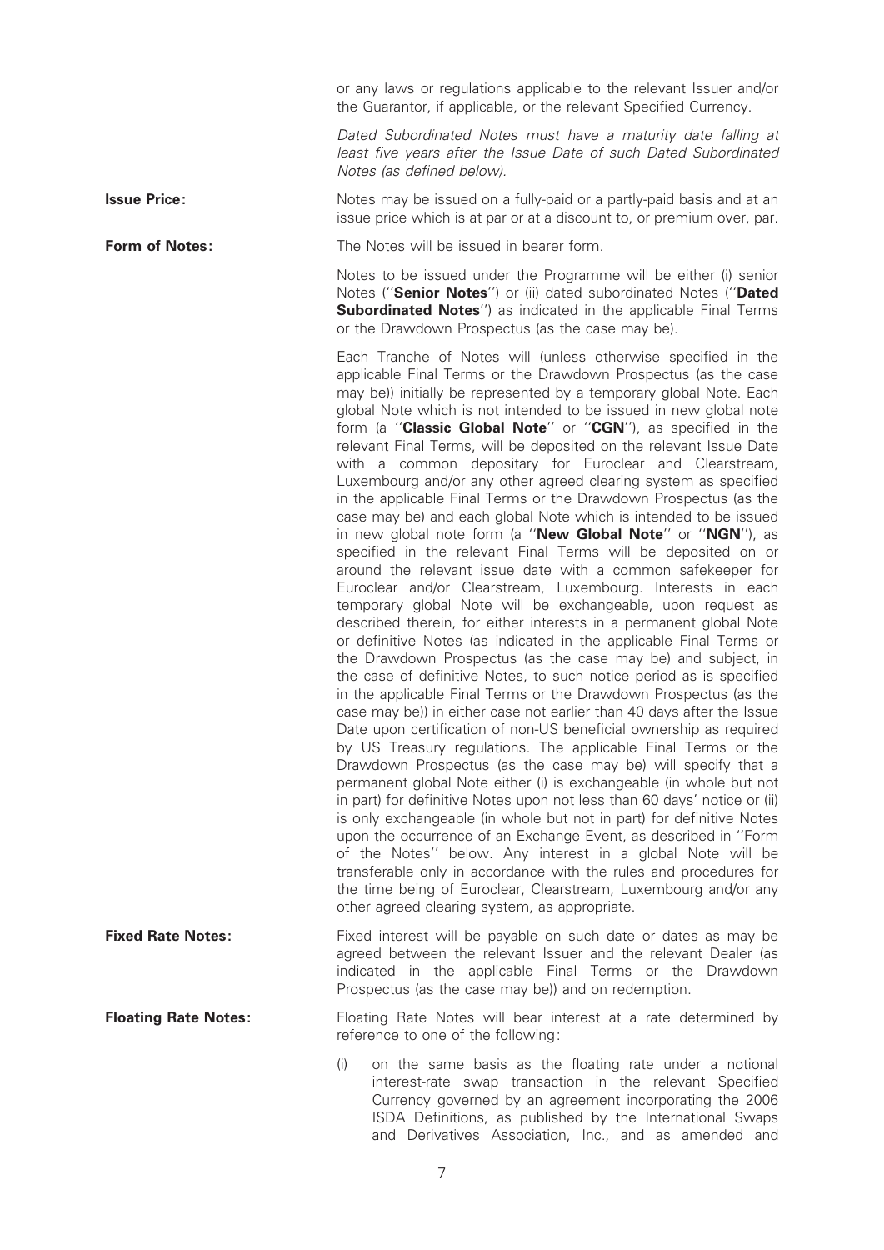or any laws or regulations applicable to the relevant Issuer and/or the Guarantor, if applicable, or the relevant Specified Currency.

Dated Subordinated Notes must have a maturity date falling at least five years after the Issue Date of such Dated Subordinated Notes (as defined below).

issue price which is at par or at a discount to, or premium over, par.

**Issue Price:** Notes may be issued on a fully-paid or a partly-paid basis and at an

**Form of Notes:** The Notes will be issued in bearer form.

Notes to be issued under the Programme will be either (i) senior Notes ("Senior Notes") or (ii) dated subordinated Notes ("Dated Subordinated Notes") as indicated in the applicable Final Terms or the Drawdown Prospectus (as the case may be).

Each Tranche of Notes will (unless otherwise specified in the applicable Final Terms or the Drawdown Prospectus (as the case may be)) initially be represented by a temporary global Note. Each global Note which is not intended to be issued in new global note form (a "Classic Global Note" or "CGN"), as specified in the relevant Final Terms, will be deposited on the relevant Issue Date with a common depositary for Euroclear and Clearstream, Luxembourg and/or any other agreed clearing system as specified in the applicable Final Terms or the Drawdown Prospectus (as the case may be) and each global Note which is intended to be issued in new global note form (a "New Global Note" or "NGN"), as specified in the relevant Final Terms will be deposited on or around the relevant issue date with a common safekeeper for Euroclear and/or Clearstream, Luxembourg. Interests in each temporary global Note will be exchangeable, upon request as described therein, for either interests in a permanent global Note or definitive Notes (as indicated in the applicable Final Terms or the Drawdown Prospectus (as the case may be) and subject, in the case of definitive Notes, to such notice period as is specified in the applicable Final Terms or the Drawdown Prospectus (as the case may be)) in either case not earlier than 40 days after the Issue Date upon certification of non-US beneficial ownership as required by US Treasury regulations. The applicable Final Terms or the Drawdown Prospectus (as the case may be) will specify that a permanent global Note either (i) is exchangeable (in whole but not in part) for definitive Notes upon not less than 60 days' notice or (ii) is only exchangeable (in whole but not in part) for definitive Notes upon the occurrence of an Exchange Event, as described in ''Form of the Notes'' below. Any interest in a global Note will be transferable only in accordance with the rules and procedures for the time being of Euroclear, Clearstream, Luxembourg and/or any other agreed clearing system, as appropriate.

**Fixed Rate Notes:** Fixed interest will be payable on such date or dates as may be agreed between the relevant Issuer and the relevant Dealer (as indicated in the applicable Final Terms or the Drawdown Prospectus (as the case may be)) and on redemption.

**Floating Rate Notes:** Floating Rate Notes will bear interest at a rate determined by reference to one of the following:

> $(i)$  on the same basis as the floating rate under a notional interest-rate swap transaction in the relevant Specified Currency governed by an agreement incorporating the 2006 ISDA Definitions, as published by the International Swaps and Derivatives Association, Inc., and as amended and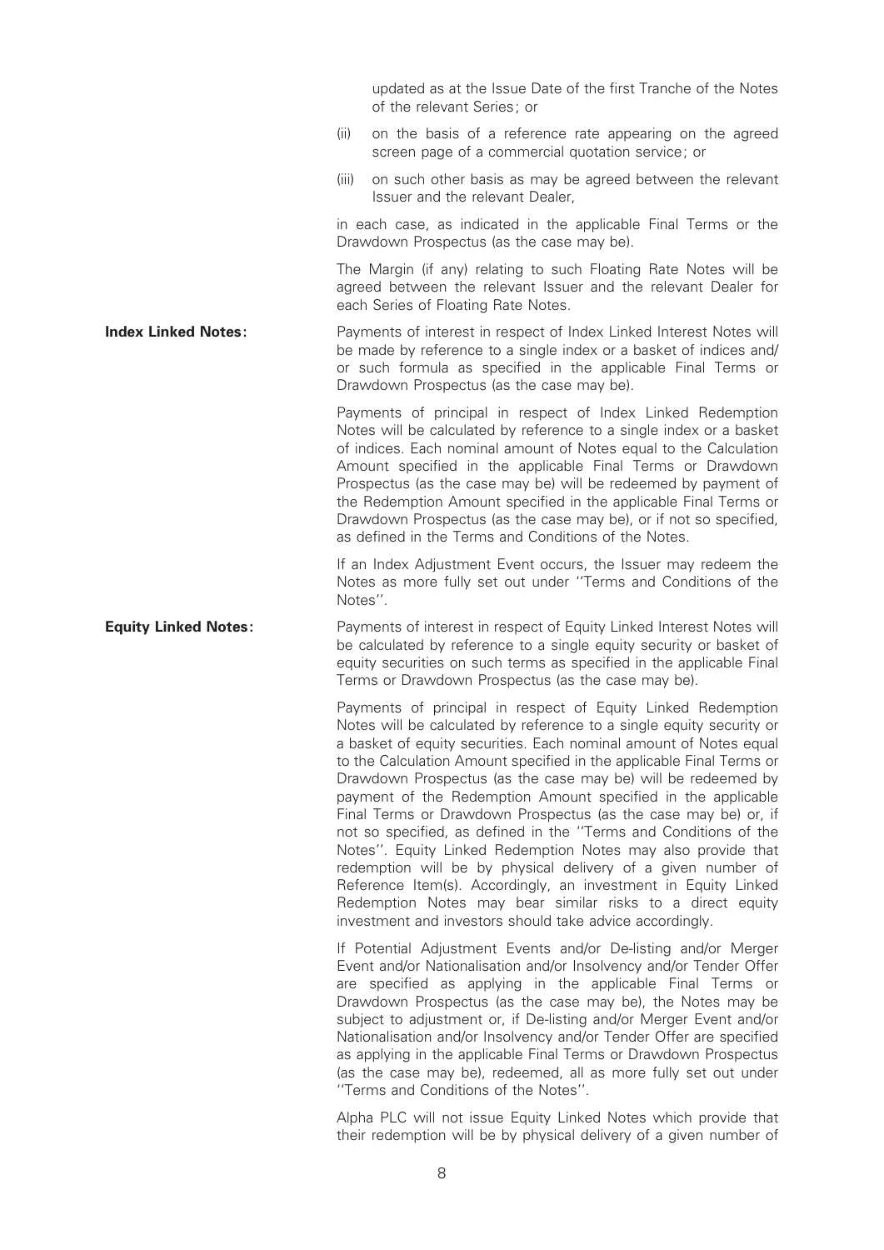updated as at the Issue Date of the first Tranche of the Notes of the relevant Series; or

- (ii) on the basis of a reference rate appearing on the agreed screen page of a commercial quotation service; or
- (iii) on such other basis as may be agreed between the relevant Issuer and the relevant Dealer,

in each case, as indicated in the applicable Final Terms or the Drawdown Prospectus (as the case may be).

The Margin (if any) relating to such Floating Rate Notes will be agreed between the relevant Issuer and the relevant Dealer for each Series of Floating Rate Notes.

Index Linked Notes: Payments of interest in respect of Index Linked Interest Notes will be made by reference to a single index or a basket of indices and/ or such formula as specified in the applicable Final Terms or Drawdown Prospectus (as the case may be).

> Payments of principal in respect of Index Linked Redemption Notes will be calculated by reference to a single index or a basket of indices. Each nominal amount of Notes equal to the Calculation Amount specified in the applicable Final Terms or Drawdown Prospectus (as the case may be) will be redeemed by payment of the Redemption Amount specified in the applicable Final Terms or Drawdown Prospectus (as the case may be), or if not so specified, as defined in the Terms and Conditions of the Notes.

> If an Index Adjustment Event occurs, the Issuer may redeem the Notes as more fully set out under ''Terms and Conditions of the Notes''.

**Equity Linked Notes:** Payments of interest in respect of Equity Linked Interest Notes will be calculated by reference to a single equity security or basket of equity securities on such terms as specified in the applicable Final Terms or Drawdown Prospectus (as the case may be).

> Payments of principal in respect of Equity Linked Redemption Notes will be calculated by reference to a single equity security or a basket of equity securities. Each nominal amount of Notes equal to the Calculation Amount specified in the applicable Final Terms or Drawdown Prospectus (as the case may be) will be redeemed by payment of the Redemption Amount specified in the applicable Final Terms or Drawdown Prospectus (as the case may be) or, if not so specified, as defined in the "Terms and Conditions of the Notes''. Equity Linked Redemption Notes may also provide that redemption will be by physical delivery of a given number of Reference Item(s). Accordingly, an investment in Equity Linked Redemption Notes may bear similar risks to a direct equity investment and investors should take advice accordingly.

> If Potential Adjustment Events and/or De-listing and/or Merger Event and/or Nationalisation and/or Insolvency and/or Tender Offer are specified as applying in the applicable Final Terms or Drawdown Prospectus (as the case may be), the Notes may be subject to adjustment or, if De-listing and/or Merger Event and/or Nationalisation and/or Insolvency and/or Tender Offer are specified as applying in the applicable Final Terms or Drawdown Prospectus (as the case may be), redeemed, all as more fully set out under ''Terms and Conditions of the Notes''.

> Alpha PLC will not issue Equity Linked Notes which provide that their redemption will be by physical delivery of a given number of

8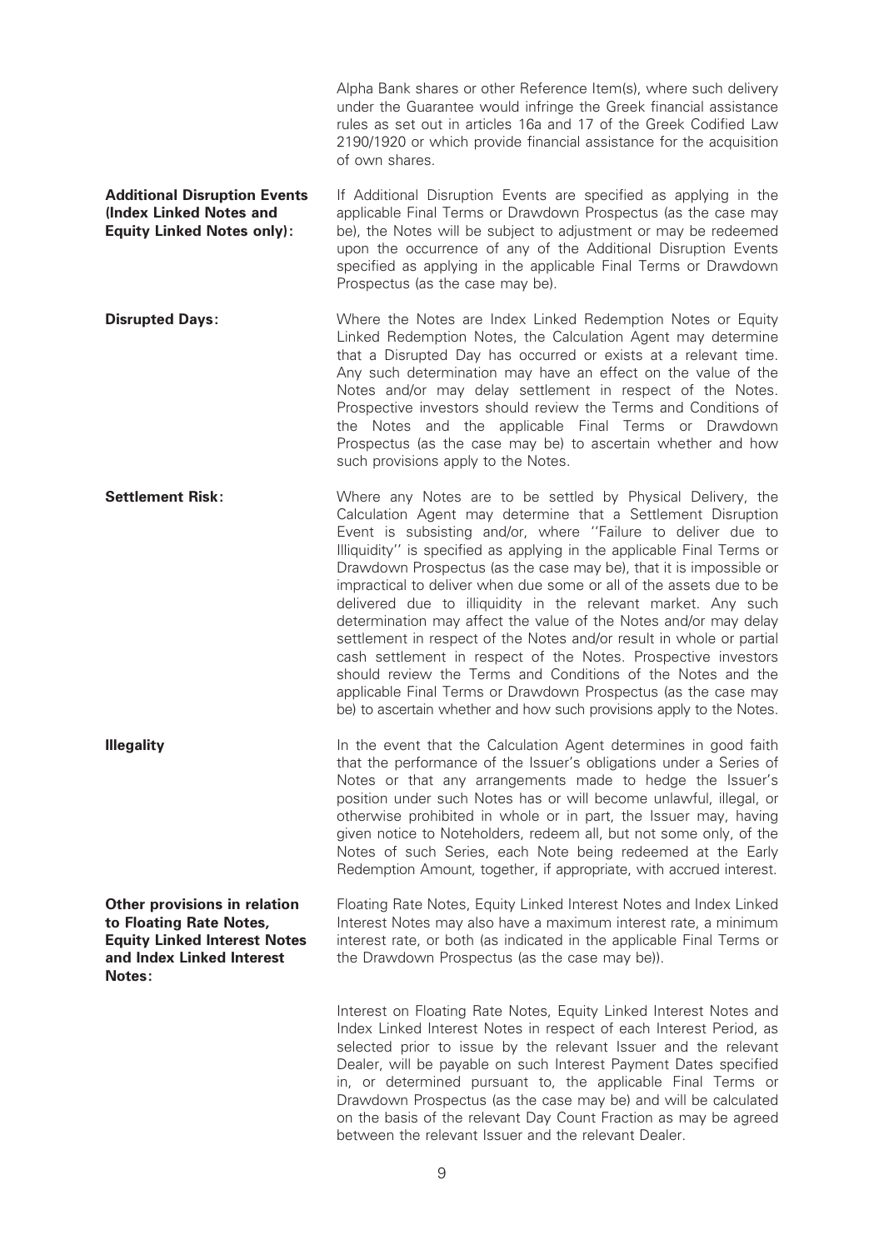|                                                                                                                                       | Alpha Bank shares or other Reference Item(s), where such delivery<br>under the Guarantee would infringe the Greek financial assistance<br>rules as set out in articles 16a and 17 of the Greek Codified Law<br>2190/1920 or which provide financial assistance for the acquisition<br>of own shares.                                                                                                                                                                                                                                                                                                                                                                                                                                                                                                                                                                                                       |
|---------------------------------------------------------------------------------------------------------------------------------------|------------------------------------------------------------------------------------------------------------------------------------------------------------------------------------------------------------------------------------------------------------------------------------------------------------------------------------------------------------------------------------------------------------------------------------------------------------------------------------------------------------------------------------------------------------------------------------------------------------------------------------------------------------------------------------------------------------------------------------------------------------------------------------------------------------------------------------------------------------------------------------------------------------|
| <b>Additional Disruption Events</b><br>(Index Linked Notes and<br><b>Equity Linked Notes only):</b>                                   | If Additional Disruption Events are specified as applying in the<br>applicable Final Terms or Drawdown Prospectus (as the case may<br>be), the Notes will be subject to adjustment or may be redeemed<br>upon the occurrence of any of the Additional Disruption Events<br>specified as applying in the applicable Final Terms or Drawdown<br>Prospectus (as the case may be).                                                                                                                                                                                                                                                                                                                                                                                                                                                                                                                             |
| <b>Disrupted Days:</b>                                                                                                                | Where the Notes are Index Linked Redemption Notes or Equity<br>Linked Redemption Notes, the Calculation Agent may determine<br>that a Disrupted Day has occurred or exists at a relevant time.<br>Any such determination may have an effect on the value of the<br>Notes and/or may delay settlement in respect of the Notes.<br>Prospective investors should review the Terms and Conditions of<br>the Notes and the applicable Final Terms or Drawdown<br>Prospectus (as the case may be) to ascertain whether and how<br>such provisions apply to the Notes.                                                                                                                                                                                                                                                                                                                                            |
| <b>Settlement Risk:</b>                                                                                                               | Where any Notes are to be settled by Physical Delivery, the<br>Calculation Agent may determine that a Settlement Disruption<br>Event is subsisting and/or, where "Failure to deliver due to<br>Illiquidity" is specified as applying in the applicable Final Terms or<br>Drawdown Prospectus (as the case may be), that it is impossible or<br>impractical to deliver when due some or all of the assets due to be<br>delivered due to illiquidity in the relevant market. Any such<br>determination may affect the value of the Notes and/or may delay<br>settlement in respect of the Notes and/or result in whole or partial<br>cash settlement in respect of the Notes. Prospective investors<br>should review the Terms and Conditions of the Notes and the<br>applicable Final Terms or Drawdown Prospectus (as the case may<br>be) to ascertain whether and how such provisions apply to the Notes. |
| <b>Illegality</b>                                                                                                                     | In the event that the Calculation Agent determines in good faith<br>that the performance of the Issuer's obligations under a Series of<br>Notes or that any arrangements made to hedge the Issuer's<br>position under such Notes has or will become unlawful, illegal, or<br>otherwise prohibited in whole or in part, the Issuer may, having<br>given notice to Noteholders, redeem all, but not some only, of the<br>Notes of such Series, each Note being redeemed at the Early<br>Redemption Amount, together, if appropriate, with accrued interest.                                                                                                                                                                                                                                                                                                                                                  |
| Other provisions in relation<br>to Floating Rate Notes,<br><b>Equity Linked Interest Notes</b><br>and Index Linked Interest<br>Notes: | Floating Rate Notes, Equity Linked Interest Notes and Index Linked<br>Interest Notes may also have a maximum interest rate, a minimum<br>interest rate, or both (as indicated in the applicable Final Terms or<br>the Drawdown Prospectus (as the case may be)).                                                                                                                                                                                                                                                                                                                                                                                                                                                                                                                                                                                                                                           |
|                                                                                                                                       | Interest on Floating Rate Notes, Equity Linked Interest Notes and<br>Index Linked Interest Notes in respect of each Interest Period, as<br>selected prior to issue by the relevant Issuer and the relevant<br>Dealer, will be payable on such Interest Payment Dates specified<br>in, or determined pursuant to, the applicable Final Terms or<br>Drawdown Prospectus (as the case may be) and will be calculated<br>on the basis of the relevant Day Count Fraction as may be agreed<br>between the relevant Issuer and the relevant Dealer.                                                                                                                                                                                                                                                                                                                                                              |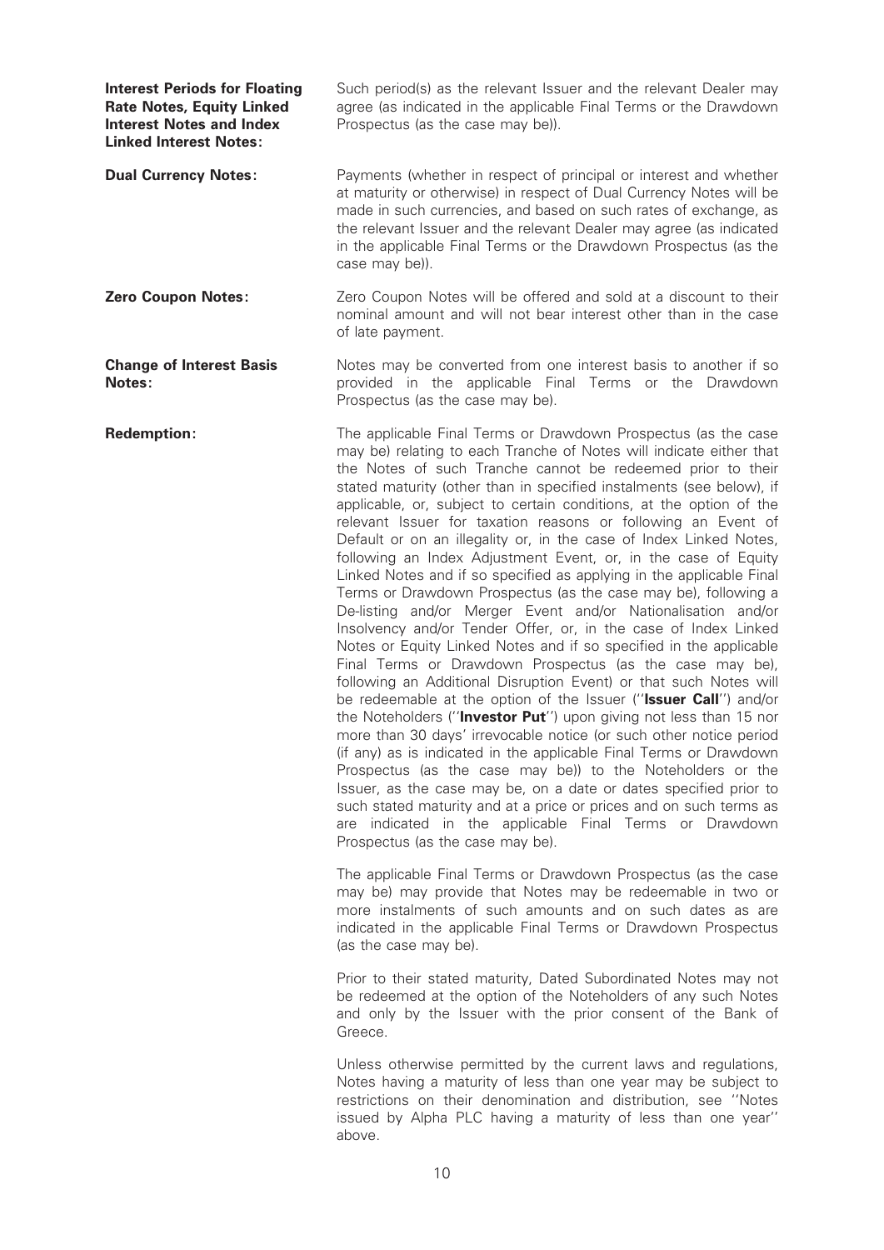| <b>Interest Periods for Floating</b><br><b>Rate Notes, Equity Linked</b><br><b>Interest Notes and Index</b><br><b>Linked Interest Notes:</b> | Such period(s) as the relevant Issuer and the relevant Dealer may<br>agree (as indicated in the applicable Final Terms or the Drawdown<br>Prospectus (as the case may be)).                                                                                                                                                                                                                                                                                                                                                                                                                                                                                                                                                                                                                                                                                                                                                                                                                                                                                                                                                                                                                                                                                                                                                                                                                                                                                                                                                                                                                                                                   |
|----------------------------------------------------------------------------------------------------------------------------------------------|-----------------------------------------------------------------------------------------------------------------------------------------------------------------------------------------------------------------------------------------------------------------------------------------------------------------------------------------------------------------------------------------------------------------------------------------------------------------------------------------------------------------------------------------------------------------------------------------------------------------------------------------------------------------------------------------------------------------------------------------------------------------------------------------------------------------------------------------------------------------------------------------------------------------------------------------------------------------------------------------------------------------------------------------------------------------------------------------------------------------------------------------------------------------------------------------------------------------------------------------------------------------------------------------------------------------------------------------------------------------------------------------------------------------------------------------------------------------------------------------------------------------------------------------------------------------------------------------------------------------------------------------------|
| <b>Dual Currency Notes:</b>                                                                                                                  | Payments (whether in respect of principal or interest and whether<br>at maturity or otherwise) in respect of Dual Currency Notes will be<br>made in such currencies, and based on such rates of exchange, as<br>the relevant Issuer and the relevant Dealer may agree (as indicated<br>in the applicable Final Terms or the Drawdown Prospectus (as the<br>case may be)).                                                                                                                                                                                                                                                                                                                                                                                                                                                                                                                                                                                                                                                                                                                                                                                                                                                                                                                                                                                                                                                                                                                                                                                                                                                                     |
| <b>Zero Coupon Notes:</b>                                                                                                                    | Zero Coupon Notes will be offered and sold at a discount to their<br>nominal amount and will not bear interest other than in the case<br>of late payment.                                                                                                                                                                                                                                                                                                                                                                                                                                                                                                                                                                                                                                                                                                                                                                                                                                                                                                                                                                                                                                                                                                                                                                                                                                                                                                                                                                                                                                                                                     |
| <b>Change of Interest Basis</b><br>Notes:                                                                                                    | Notes may be converted from one interest basis to another if so<br>provided in the applicable Final Terms or the Drawdown<br>Prospectus (as the case may be).                                                                                                                                                                                                                                                                                                                                                                                                                                                                                                                                                                                                                                                                                                                                                                                                                                                                                                                                                                                                                                                                                                                                                                                                                                                                                                                                                                                                                                                                                 |
| <b>Redemption:</b>                                                                                                                           | The applicable Final Terms or Drawdown Prospectus (as the case<br>may be) relating to each Tranche of Notes will indicate either that<br>the Notes of such Tranche cannot be redeemed prior to their<br>stated maturity (other than in specified instalments (see below), if<br>applicable, or, subject to certain conditions, at the option of the<br>relevant Issuer for taxation reasons or following an Event of<br>Default or on an illegality or, in the case of Index Linked Notes,<br>following an Index Adjustment Event, or, in the case of Equity<br>Linked Notes and if so specified as applying in the applicable Final<br>Terms or Drawdown Prospectus (as the case may be), following a<br>De-listing and/or Merger Event and/or Nationalisation and/or<br>Insolvency and/or Tender Offer, or, in the case of Index Linked<br>Notes or Equity Linked Notes and if so specified in the applicable<br>Final Terms or Drawdown Prospectus (as the case may be),<br>following an Additional Disruption Event) or that such Notes will<br>be redeemable at the option of the Issuer ("Issuer Call") and/or<br>the Noteholders ("Investor Put") upon giving not less than 15 nor<br>more than 30 days' irrevocable notice (or such other notice period<br>(if any) as is indicated in the applicable Final Terms or Drawdown<br>Prospectus (as the case may be)) to the Noteholders or the<br>Issuer, as the case may be, on a date or dates specified prior to<br>such stated maturity and at a price or prices and on such terms as<br>are indicated in the applicable Final Terms or Drawdown<br>Prospectus (as the case may be). |
|                                                                                                                                              | The applicable Final Terms or Drawdown Prospectus (as the case<br>may be) may provide that Notes may be redeemable in two or<br>more instalments of such amounts and on such dates as are<br>indicated in the applicable Final Terms or Drawdown Prospectus<br>(as the case may be).                                                                                                                                                                                                                                                                                                                                                                                                                                                                                                                                                                                                                                                                                                                                                                                                                                                                                                                                                                                                                                                                                                                                                                                                                                                                                                                                                          |
|                                                                                                                                              | Prior to their stated maturity, Dated Subordinated Notes may not<br>be redeemed at the option of the Noteholders of any such Notes<br>and only by the Issuer with the prior consent of the Bank of<br>Greece.                                                                                                                                                                                                                                                                                                                                                                                                                                                                                                                                                                                                                                                                                                                                                                                                                                                                                                                                                                                                                                                                                                                                                                                                                                                                                                                                                                                                                                 |
|                                                                                                                                              | Unless otherwise permitted by the current laws and regulations,<br>Notes having a maturity of less than one year may be subject to<br>restrictions on their denomination and distribution, see "Notes<br>issued by Alpha PLC having a maturity of less than one year"                                                                                                                                                                                                                                                                                                                                                                                                                                                                                                                                                                                                                                                                                                                                                                                                                                                                                                                                                                                                                                                                                                                                                                                                                                                                                                                                                                         |

above.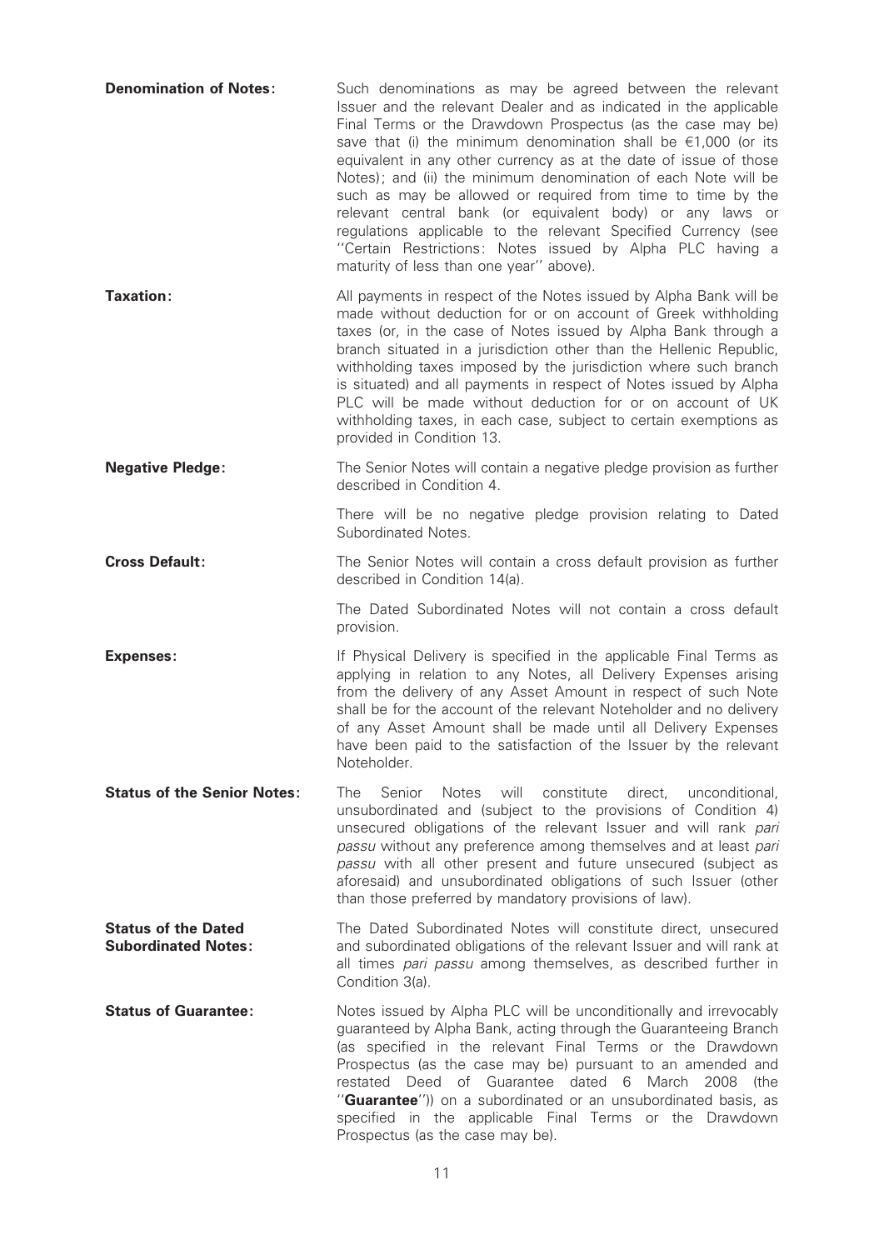| <b>Denomination of Notes:</b>                            | Such denominations as may be agreed between the relevant<br>Issuer and the relevant Dealer and as indicated in the applicable<br>Final Terms or the Drawdown Prospectus (as the case may be)<br>save that (i) the minimum denomination shall be $\epsilon$ 1,000 (or its<br>equivalent in any other currency as at the date of issue of those<br>Notes); and (ii) the minimum denomination of each Note will be<br>such as may be allowed or required from time to time by the<br>relevant central bank (or equivalent body) or any laws or<br>regulations applicable to the relevant Specified Currency (see<br>"Certain Restrictions: Notes issued by Alpha PLC having a<br>maturity of less than one year" above). |
|----------------------------------------------------------|-----------------------------------------------------------------------------------------------------------------------------------------------------------------------------------------------------------------------------------------------------------------------------------------------------------------------------------------------------------------------------------------------------------------------------------------------------------------------------------------------------------------------------------------------------------------------------------------------------------------------------------------------------------------------------------------------------------------------|
| Taxation:                                                | All payments in respect of the Notes issued by Alpha Bank will be<br>made without deduction for or on account of Greek withholding<br>taxes (or, in the case of Notes issued by Alpha Bank through a<br>branch situated in a jurisdiction other than the Hellenic Republic,<br>withholding taxes imposed by the jurisdiction where such branch<br>is situated) and all payments in respect of Notes issued by Alpha<br>PLC will be made without deduction for or on account of UK<br>withholding taxes, in each case, subject to certain exemptions as<br>provided in Condition 13.                                                                                                                                   |
| <b>Negative Pledge:</b>                                  | The Senior Notes will contain a negative pledge provision as further<br>described in Condition 4.                                                                                                                                                                                                                                                                                                                                                                                                                                                                                                                                                                                                                     |
|                                                          | There will be no negative pledge provision relating to Dated<br>Subordinated Notes.                                                                                                                                                                                                                                                                                                                                                                                                                                                                                                                                                                                                                                   |
| <b>Cross Default:</b>                                    | The Senior Notes will contain a cross default provision as further<br>described in Condition 14(a).                                                                                                                                                                                                                                                                                                                                                                                                                                                                                                                                                                                                                   |
|                                                          | The Dated Subordinated Notes will not contain a cross default<br>provision.                                                                                                                                                                                                                                                                                                                                                                                                                                                                                                                                                                                                                                           |
| <b>Expenses:</b>                                         | If Physical Delivery is specified in the applicable Final Terms as<br>applying in relation to any Notes, all Delivery Expenses arising<br>from the delivery of any Asset Amount in respect of such Note<br>shall be for the account of the relevant Noteholder and no delivery<br>of any Asset Amount shall be made until all Delivery Expenses<br>have been paid to the satisfaction of the Issuer by the relevant<br>Noteholder.                                                                                                                                                                                                                                                                                    |
| <b>Status of the Senior Notes:</b>                       | The<br>Senior<br>Notes<br>will<br>constitute<br>direct,<br>unconditional,<br>unsubordinated and (subject to the provisions of Condition 4)<br>unsecured obligations of the relevant Issuer and will rank pari<br>passu without any preference among themselves and at least pari<br>passu with all other present and future unsecured (subject as<br>aforesaid) and unsubordinated obligations of such Issuer (other<br>than those preferred by mandatory provisions of law).                                                                                                                                                                                                                                         |
| <b>Status of the Dated</b><br><b>Subordinated Notes:</b> | The Dated Subordinated Notes will constitute direct, unsecured<br>and subordinated obligations of the relevant Issuer and will rank at<br>all times pari passu among themselves, as described further in<br>Condition 3(a).                                                                                                                                                                                                                                                                                                                                                                                                                                                                                           |
| <b>Status of Guarantee:</b>                              | Notes issued by Alpha PLC will be unconditionally and irrevocably<br>guaranteed by Alpha Bank, acting through the Guaranteeing Branch<br>(as specified in the relevant Final Terms or the Drawdown<br>Prospectus (as the case may be) pursuant to an amended and<br>Deed of Guarantee dated<br>March<br>restated<br>6<br>2008<br>(the<br>"Guarantee")) on a subordinated or an unsubordinated basis, as<br>specified in the applicable Final Terms or the Drawdown<br>Prospectus (as the case may be).                                                                                                                                                                                                                |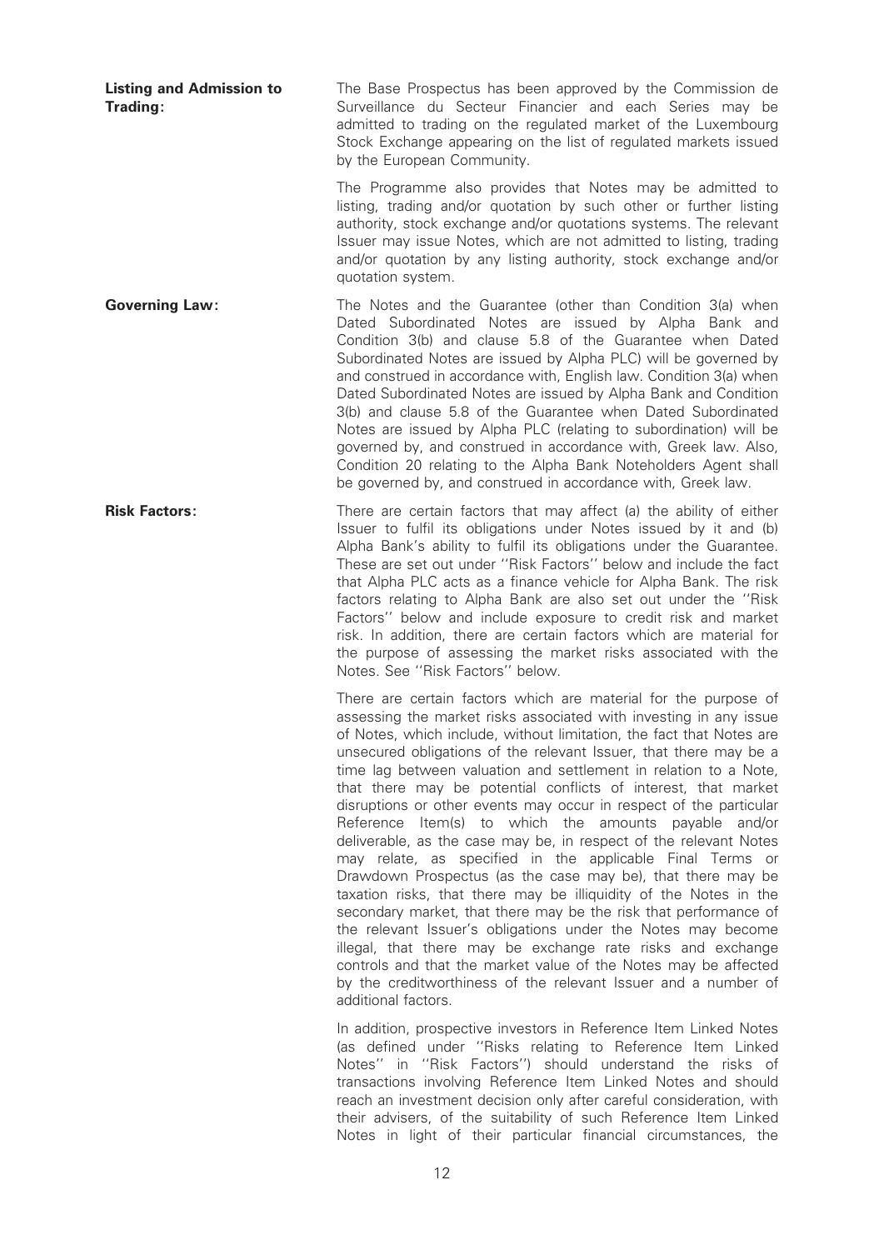Listing and Admission to Trading: The Base Prospectus has been approved by the Commission de Surveillance du Secteur Financier and each Series may be admitted to trading on the regulated market of the Luxembourg Stock Exchange appearing on the list of regulated markets issued by the European Community. The Programme also provides that Notes may be admitted to listing, trading and/or quotation by such other or further listing authority, stock exchange and/or quotations systems. The relevant Issuer may issue Notes, which are not admitted to listing, trading and/or quotation by any listing authority, stock exchange and/or quotation system. Governing Law: The Notes and the Guarantee (other than Condition 3(a) when Dated Subordinated Notes are issued by Alpha Bank and Condition 3(b) and clause 5.8 of the Guarantee when Dated Subordinated Notes are issued by Alpha PLC) will be governed by and construed in accordance with, English law. Condition 3(a) when Dated Subordinated Notes are issued by Alpha Bank and Condition 3(b) and clause 5.8 of the Guarantee when Dated Subordinated Notes are issued by Alpha PLC (relating to subordination) will be governed by, and construed in accordance with, Greek law. Also, Condition 20 relating to the Alpha Bank Noteholders Agent shall be governed by, and construed in accordance with, Greek law. **Risk Factors:** There are certain factors that may affect (a) the ability of either Issuer to fulfil its obligations under Notes issued by it and (b) Alpha Bank's ability to fulfil its obligations under the Guarantee. These are set out under ''Risk Factors'' below and include the fact that Alpha PLC acts as a finance vehicle for Alpha Bank. The risk factors relating to Alpha Bank are also set out under the ''Risk Factors'' below and include exposure to credit risk and market risk. In addition, there are certain factors which are material for the purpose of assessing the market risks associated with the Notes. See ''Risk Factors'' below. There are certain factors which are material for the purpose of assessing the market risks associated with investing in any issue of Notes, which include, without limitation, the fact that Notes are unsecured obligations of the relevant Issuer, that there may be a time lag between valuation and settlement in relation to a Note, that there may be potential conflicts of interest, that market disruptions or other events may occur in respect of the particular Reference Item(s) to which the amounts payable and/or deliverable, as the case may be, in respect of the relevant Notes may relate, as specified in the applicable Final Terms or Drawdown Prospectus (as the case may be), that there may be taxation risks, that there may be illiquidity of the Notes in the secondary market, that there may be the risk that performance of the relevant Issuer's obligations under the Notes may become illegal, that there may be exchange rate risks and exchange controls and that the market value of the Notes may be affected by the creditworthiness of the relevant Issuer and a number of additional factors. In addition, prospective investors in Reference Item Linked Notes

(as defined under "Risks relating to Reference Item Linked Notes'' in ''Risk Factors'') should understand the risks of transactions involving Reference Item Linked Notes and should reach an investment decision only after careful consideration, with their advisers, of the suitability of such Reference Item Linked Notes in light of their particular financial circumstances, the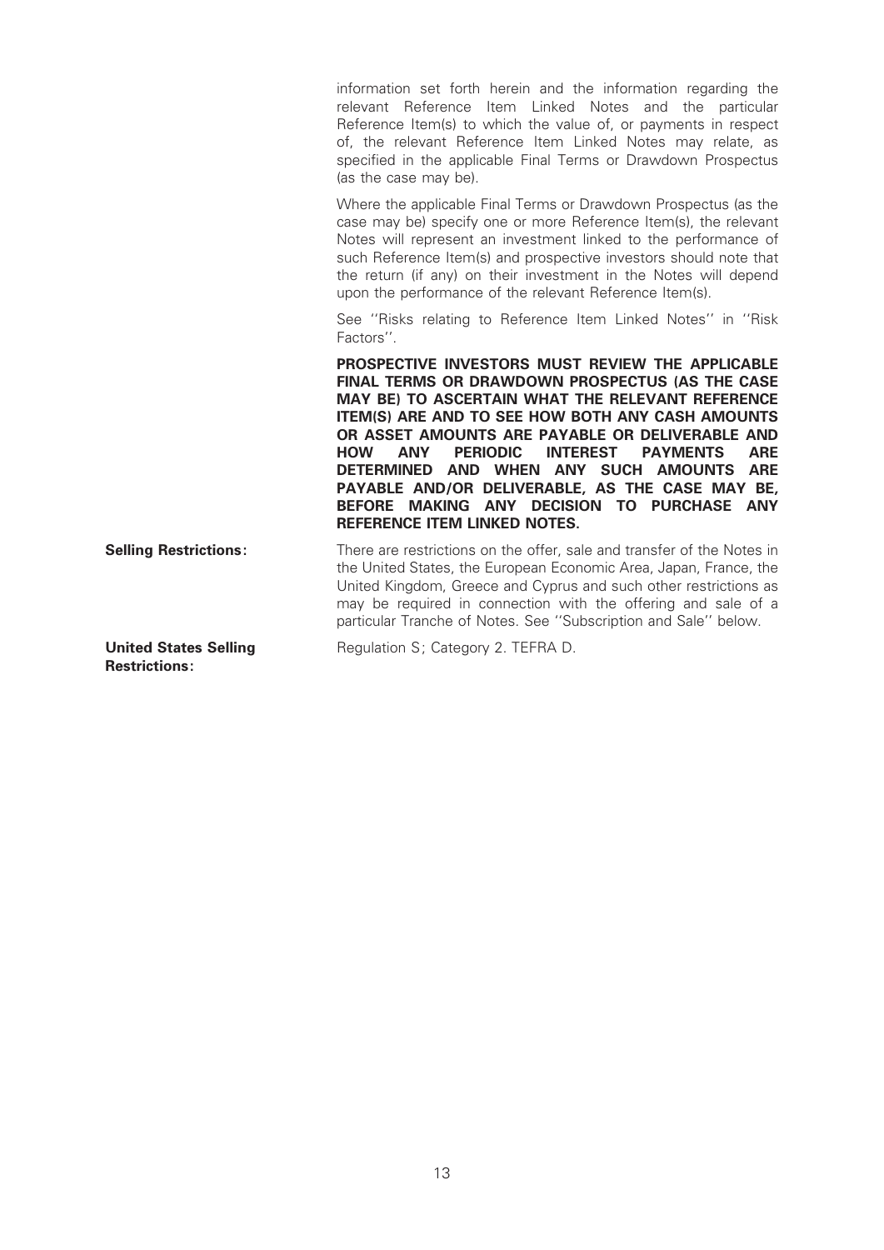information set forth herein and the information regarding the relevant Reference Item Linked Notes and the particular Reference Item(s) to which the value of, or payments in respect of, the relevant Reference Item Linked Notes may relate, as specified in the applicable Final Terms or Drawdown Prospectus (as the case may be).

Where the applicable Final Terms or Drawdown Prospectus (as the case may be) specify one or more Reference Item(s), the relevant Notes will represent an investment linked to the performance of such Reference Item(s) and prospective investors should note that the return (if any) on their investment in the Notes will depend upon the performance of the relevant Reference Item(s).

See ''Risks relating to Reference Item Linked Notes'' in ''Risk Factors''.

PROSPECTIVE INVESTORS MUST REVIEW THE APPLICABLE FINAL TERMS OR DRAWDOWN PROSPECTUS (AS THE CASE MAY BE) TO ASCERTAIN WHAT THE RELEVANT REFERENCE ITEM(S) ARE AND TO SEE HOW BOTH ANY CASH AMOUNTS OR ASSET AMOUNTS ARE PAYABLE OR DELIVERABLE AND<br>HOW ANY PERIODIC INTEREST PAYMENTS ARE HOW ANY PERIODIC INTEREST PAYMENTS ARE DETERMINED AND WHEN ANY SUCH AMOUNTS ARE PAYABLE AND/OR DELIVERABLE, AS THE CASE MAY BE, BEFORE MAKING ANY DECISION TO PURCHASE ANY REFERENCE ITEM LINKED NOTES.

**Selling Restrictions:** There are restrictions on the offer, sale and transfer of the Notes in the United States, the European Economic Area, Japan, France, the United Kingdom, Greece and Cyprus and such other restrictions as may be required in connection with the offering and sale of a particular Tranche of Notes. See ''Subscription and Sale'' below.

United States Selling Restrictions:

Regulation S; Category 2. TEFRA D.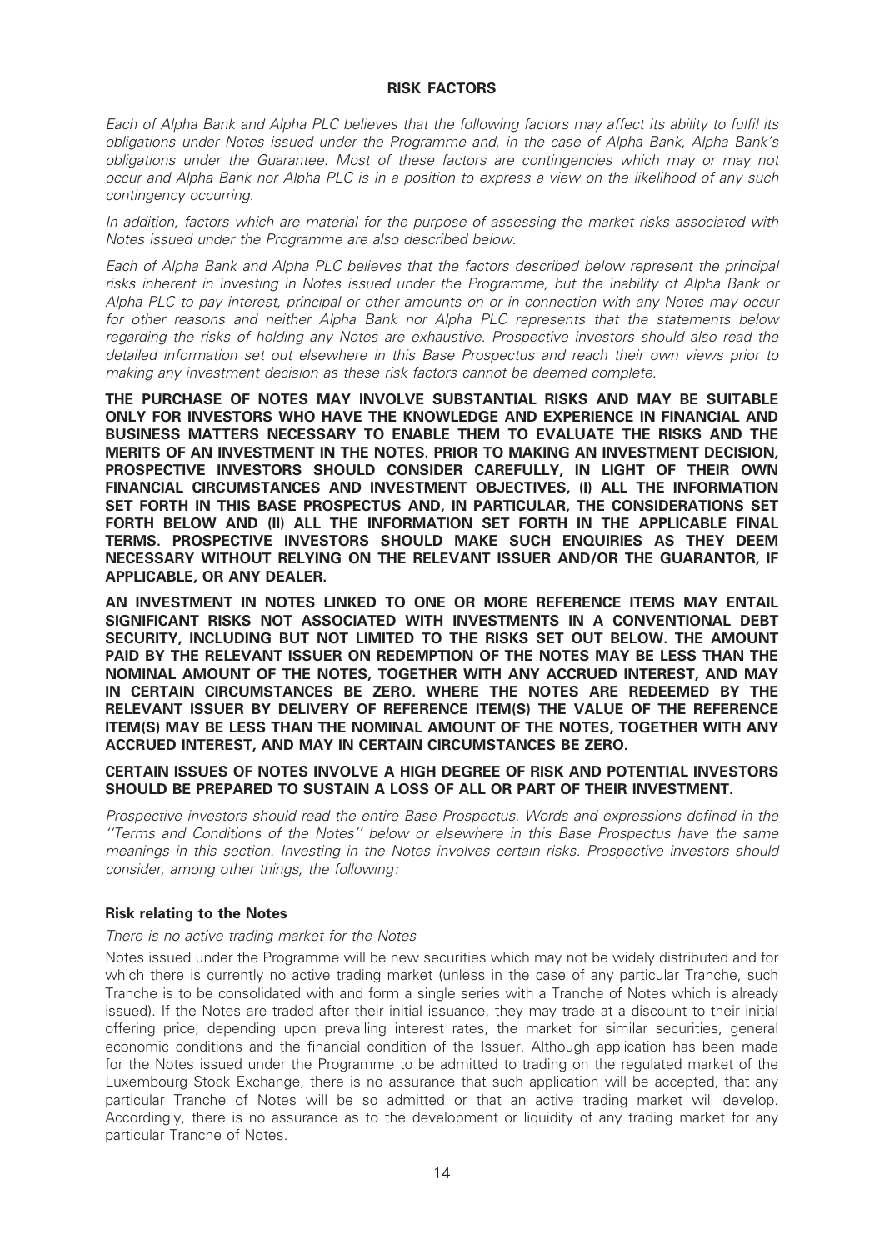#### RISK FACTORS

Each of Alpha Bank and Alpha PLC believes that the following factors may affect its ability to ful¢l its obligations under Notes issued under the Programme and, in the case of Alpha Bank, Alpha Bank's obligations under the Guarantee. Most of these factors are contingencies which may or may not occur and Alpha Bank nor Alpha PLC is in a position to express a view on the likelihood of any such contingency occurring.

In addition, factors which are material for the purpose of assessing the market risks associated with Notes issued under the Programme are also described below.

Each of Alpha Bank and Alpha PLC believes that the factors described below represent the principal risks inherent in investing in Notes issued under the Programme, but the inability of Alpha Bank or Alpha PLC to pay interest, principal or other amounts on or in connection with any Notes may occur for other reasons and neither Alpha Bank nor Alpha PLC represents that the statements below regarding the risks of holding any Notes are exhaustive. Prospective investors should also read the detailed information set out elsewhere in this Base Prospectus and reach their own views prior to making any investment decision as these risk factors cannot be deemed complete.

THE PURCHASE OF NOTES MAY INVOLVE SUBSTANTIAL RISKS AND MAY BE SUITABLE ONLY FOR INVESTORS WHO HAVE THE KNOWLEDGE AND EXPERIENCE IN FINANCIAL AND BUSINESS MATTERS NECESSARY TO ENABLE THEM TO EVALUATE THE RISKS AND THE MERITS OF AN INVESTMENT IN THE NOTES. PRIOR TO MAKING AN INVESTMENT DECISION, PROSPECTIVE INVESTORS SHOULD CONSIDER CAREFULLY, IN LIGHT OF THEIR OWN FINANCIAL CIRCUMSTANCES AND INVESTMENT OBJECTIVES, (I) ALL THE INFORMATION SET FORTH IN THIS BASE PROSPECTUS AND, IN PARTICULAR, THE CONSIDERATIONS SET FORTH BELOW AND (II) ALL THE INFORMATION SET FORTH IN THE APPLICABLE FINAL TERMS. PROSPECTIVE INVESTORS SHOULD MAKE SUCH ENQUIRIES AS THEY DEEM NECESSARY WITHOUT RELYING ON THE RELEVANT ISSUER AND/OR THE GUARANTOR, IF APPLICABLE, OR ANY DEALER.

AN INVESTMENT IN NOTES LINKED TO ONE OR MORE REFERENCE ITEMS MAY ENTAIL SIGNIFICANT RISKS NOT ASSOCIATED WITH INVESTMENTS IN A CONVENTIONAL DEBT SECURITY, INCLUDING BUT NOT LIMITED TO THE RISKS SET OUT BELOW. THE AMOUNT PAID BY THE RELEVANT ISSUER ON REDEMPTION OF THE NOTES MAY BE LESS THAN THE NOMINAL AMOUNT OF THE NOTES, TOGETHER WITH ANY ACCRUED INTEREST, AND MAY IN CERTAIN CIRCUMSTANCES BE ZERO. WHERE THE NOTES ARE REDEEMED BY THE RELEVANT ISSUER BY DELIVERY OF REFERENCE ITEM(S) THE VALUE OF THE REFERENCE ITEM(S) MAY BE LESS THAN THE NOMINAL AMOUNT OF THE NOTES, TOGETHER WITH ANY ACCRUED INTEREST, AND MAY IN CERTAIN CIRCUMSTANCES BE ZERO.

#### CERTAIN ISSUES OF NOTES INVOLVE A HIGH DEGREE OF RISK AND POTENTIAL INVESTORS SHOULD BE PREPARED TO SUSTAIN A LOSS OF ALL OR PART OF THEIR INVESTMENT.

Prospective investors should read the entire Base Prospectus. Words and expressions defined in the ''Terms and Conditions of the Notes'' below or elsewhere in this Base Prospectus have the same meanings in this section. Investing in the Notes involves certain risks. Prospective investors should consider, among other things, the following:

### Risk relating to the Notes

#### There is no active trading market for the Notes

Notes issued under the Programme will be new securities which may not be widely distributed and for which there is currently no active trading market (unless in the case of any particular Tranche, such Tranche is to be consolidated with and form a single series with a Tranche of Notes which is already issued). If the Notes are traded after their initial issuance, they may trade at a discount to their initial offering price, depending upon prevailing interest rates, the market for similar securities, general economic conditions and the financial condition of the Issuer. Although application has been made for the Notes issued under the Programme to be admitted to trading on the regulated market of the Luxembourg Stock Exchange, there is no assurance that such application will be accepted, that any particular Tranche of Notes will be so admitted or that an active trading market will develop. Accordingly, there is no assurance as to the development or liquidity of any trading market for any particular Tranche of Notes.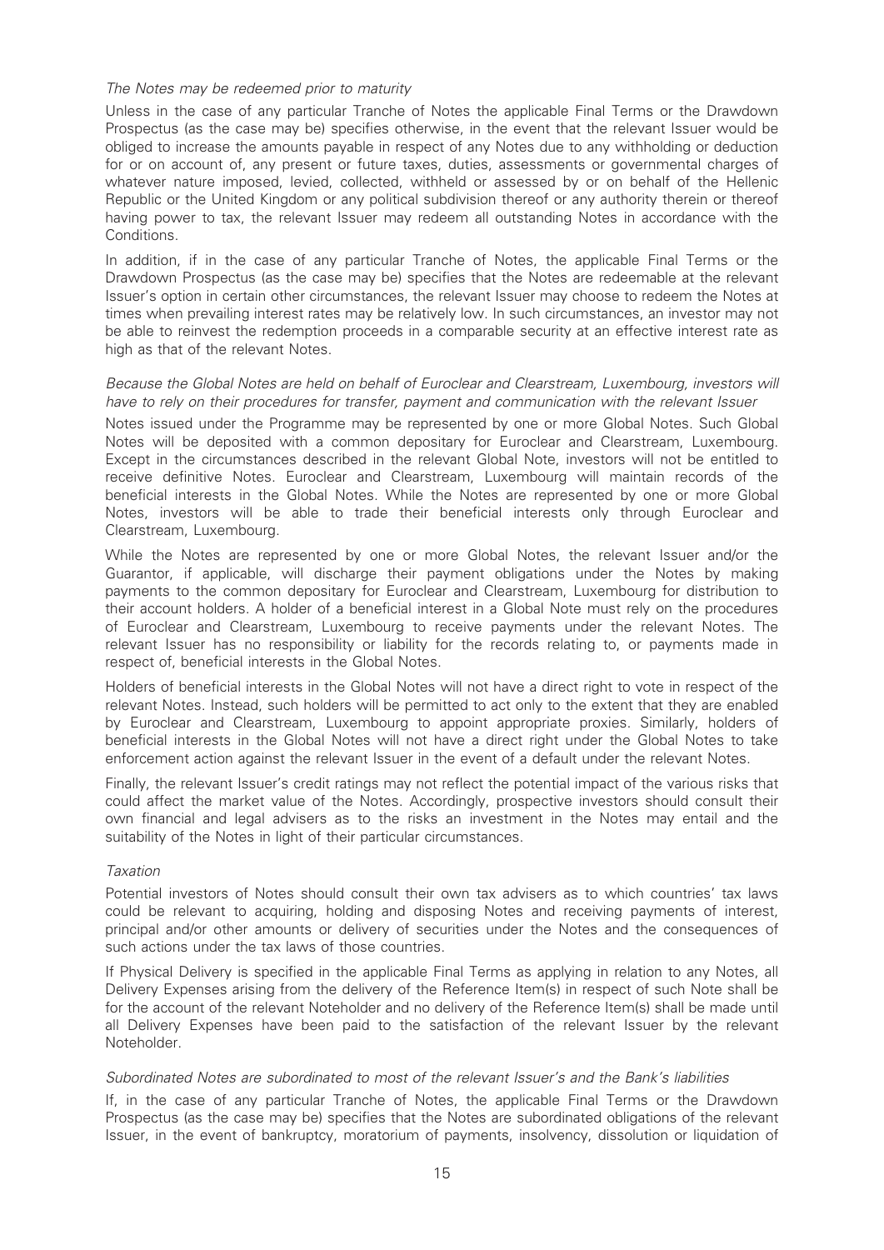#### The Notes may be redeemed prior to maturity

Unless in the case of any particular Tranche of Notes the applicable Final Terms or the Drawdown Prospectus (as the case may be) specifies otherwise, in the event that the relevant Issuer would be obliged to increase the amounts payable in respect of any Notes due to any withholding or deduction for or on account of, any present or future taxes, duties, assessments or governmental charges of whatever nature imposed, levied, collected, withheld or assessed by or on behalf of the Hellenic Republic or the United Kingdom or any political subdivision thereof or any authority therein or thereof having power to tax, the relevant Issuer may redeem all outstanding Notes in accordance with the Conditions.

In addition, if in the case of any particular Tranche of Notes, the applicable Final Terms or the Drawdown Prospectus (as the case may be) specifies that the Notes are redeemable at the relevant Issuer's option in certain other circumstances, the relevant Issuer may choose to redeem the Notes at times when prevailing interest rates may be relatively low. In such circumstances, an investor may not be able to reinvest the redemption proceeds in a comparable security at an effective interest rate as high as that of the relevant Notes.

#### Because the Global Notes are held on behalf of Euroclear and Clearstream, Luxembourg, investors will have to rely on their procedures for transfer, payment and communication with the relevant Issuer

Notes issued under the Programme may be represented by one or more Global Notes. Such Global Notes will be deposited with a common depositary for Euroclear and Clearstream, Luxembourg. Except in the circumstances described in the relevant Global Note, investors will not be entitled to receive definitive Notes. Euroclear and Clearstream, Luxembourg will maintain records of the beneficial interests in the Global Notes. While the Notes are represented by one or more Global Notes, investors will be able to trade their beneficial interests only through Euroclear and Clearstream, Luxembourg.

While the Notes are represented by one or more Global Notes, the relevant Issuer and/or the Guarantor, if applicable, will discharge their payment obligations under the Notes by making payments to the common depositary for Euroclear and Clearstream, Luxembourg for distribution to their account holders. A holder of a beneficial interest in a Global Note must rely on the procedures of Euroclear and Clearstream, Luxembourg to receive payments under the relevant Notes. The relevant Issuer has no responsibility or liability for the records relating to, or payments made in respect of, beneficial interests in the Global Notes.

Holders of beneficial interests in the Global Notes will not have a direct right to vote in respect of the relevant Notes. Instead, such holders will be permitted to act only to the extent that they are enabled by Euroclear and Clearstream, Luxembourg to appoint appropriate proxies. Similarly, holders of beneficial interests in the Global Notes will not have a direct right under the Global Notes to take enforcement action against the relevant Issuer in the event of a default under the relevant Notes.

Finally, the relevant Issuer's credit ratings may not reflect the potential impact of the various risks that could affect the market value of the Notes. Accordingly, prospective investors should consult their own financial and legal advisers as to the risks an investment in the Notes may entail and the suitability of the Notes in light of their particular circumstances.

#### Taxation

Potential investors of Notes should consult their own tax advisers as to which countries' tax laws could be relevant to acquiring, holding and disposing Notes and receiving payments of interest, principal and/or other amounts or delivery of securities under the Notes and the consequences of such actions under the tax laws of those countries.

If Physical Delivery is specified in the applicable Final Terms as applying in relation to any Notes, all Delivery Expenses arising from the delivery of the Reference Item(s) in respect of such Note shall be for the account of the relevant Noteholder and no delivery of the Reference Item(s) shall be made until all Delivery Expenses have been paid to the satisfaction of the relevant Issuer by the relevant Noteholder.

### Subordinated Notes are subordinated to most of the relevant Issuer's and the Bank's liabilities

If, in the case of any particular Tranche of Notes, the applicable Final Terms or the Drawdown Prospectus (as the case may be) specifies that the Notes are subordinated obligations of the relevant Issuer, in the event of bankruptcy, moratorium of payments, insolvency, dissolution or liquidation of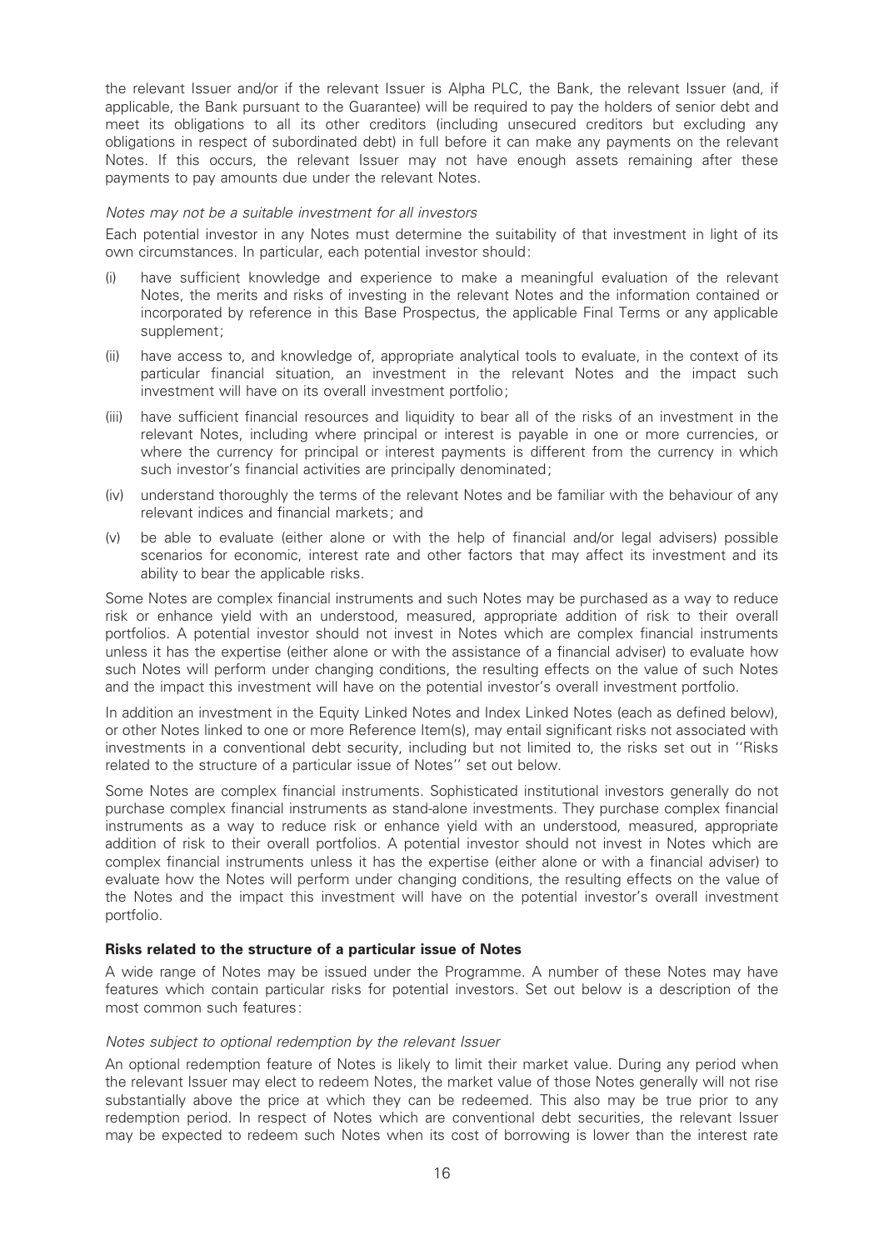the relevant Issuer and/or if the relevant Issuer is Alpha PLC, the Bank, the relevant Issuer (and, if applicable, the Bank pursuant to the Guarantee) will be required to pay the holders of senior debt and meet its obligations to all its other creditors (including unsecured creditors but excluding any obligations in respect of subordinated debt) in full before it can make any payments on the relevant Notes. If this occurs, the relevant Issuer may not have enough assets remaining after these payments to pay amounts due under the relevant Notes.

#### Notes may not be a suitable investment for all investors

Each potential investor in any Notes must determine the suitability of that investment in light of its own circumstances. In particular, each potential investor should:

- (i) have sufficient knowledge and experience to make a meaningful evaluation of the relevant Notes, the merits and risks of investing in the relevant Notes and the information contained or incorporated by reference in this Base Prospectus, the applicable Final Terms or any applicable supplement;
- (ii) have access to, and knowledge of, appropriate analytical tools to evaluate, in the context of its particular financial situation, an investment in the relevant Notes and the impact such investment will have on its overall investment portfolio;
- (iii) have sufficient financial resources and liquidity to bear all of the risks of an investment in the relevant Notes, including where principal or interest is payable in one or more currencies, or where the currency for principal or interest payments is different from the currency in which such investor's financial activities are principally denominated;
- (iv) understand thoroughly the terms of the relevant Notes and be familiar with the behaviour of any relevant indices and financial markets; and
- $(v)$  be able to evaluate (either alone or with the help of financial and/or legal advisers) possible scenarios for economic, interest rate and other factors that may affect its investment and its ability to bear the applicable risks.

Some Notes are complex financial instruments and such Notes may be purchased as a way to reduce risk or enhance yield with an understood, measured, appropriate addition of risk to their overall portfolios. A potential investor should not invest in Notes which are complex financial instruments unless it has the expertise (either alone or with the assistance of a financial adviser) to evaluate how such Notes will perform under changing conditions, the resulting effects on the value of such Notes and the impact this investment will have on the potential investor's overall investment portfolio.

In addition an investment in the Equity Linked Notes and Index Linked Notes (each as defined below), or other Notes linked to one or more Reference Item(s), may entail significant risks not associated with investments in a conventional debt security, including but not limited to, the risks set out in ''Risks related to the structure of a particular issue of Notes'' set out below.

Some Notes are complex financial instruments. Sophisticated institutional investors generally do not purchase complex financial instruments as stand-alone investments. They purchase complex financial instruments as a way to reduce risk or enhance yield with an understood, measured, appropriate addition of risk to their overall portfolios. A potential investor should not invest in Notes which are complex financial instruments unless it has the expertise (either alone or with a financial adviser) to evaluate how the Notes will perform under changing conditions, the resulting effects on the value of the Notes and the impact this investment will have on the potential investor's overall investment portfolio.

#### Risks related to the structure of a particular issue of Notes

A wide range of Notes may be issued under the Programme. A number of these Notes may have features which contain particular risks for potential investors. Set out below is a description of the most common such features:

#### Notes subject to optional redemption by the relevant Issuer

An optional redemption feature of Notes is likely to limit their market value. During any period when the relevant Issuer may elect to redeem Notes, the market value of those Notes generally will not rise substantially above the price at which they can be redeemed. This also may be true prior to any redemption period. In respect of Notes which are conventional debt securities, the relevant Issuer may be expected to redeem such Notes when its cost of borrowing is lower than the interest rate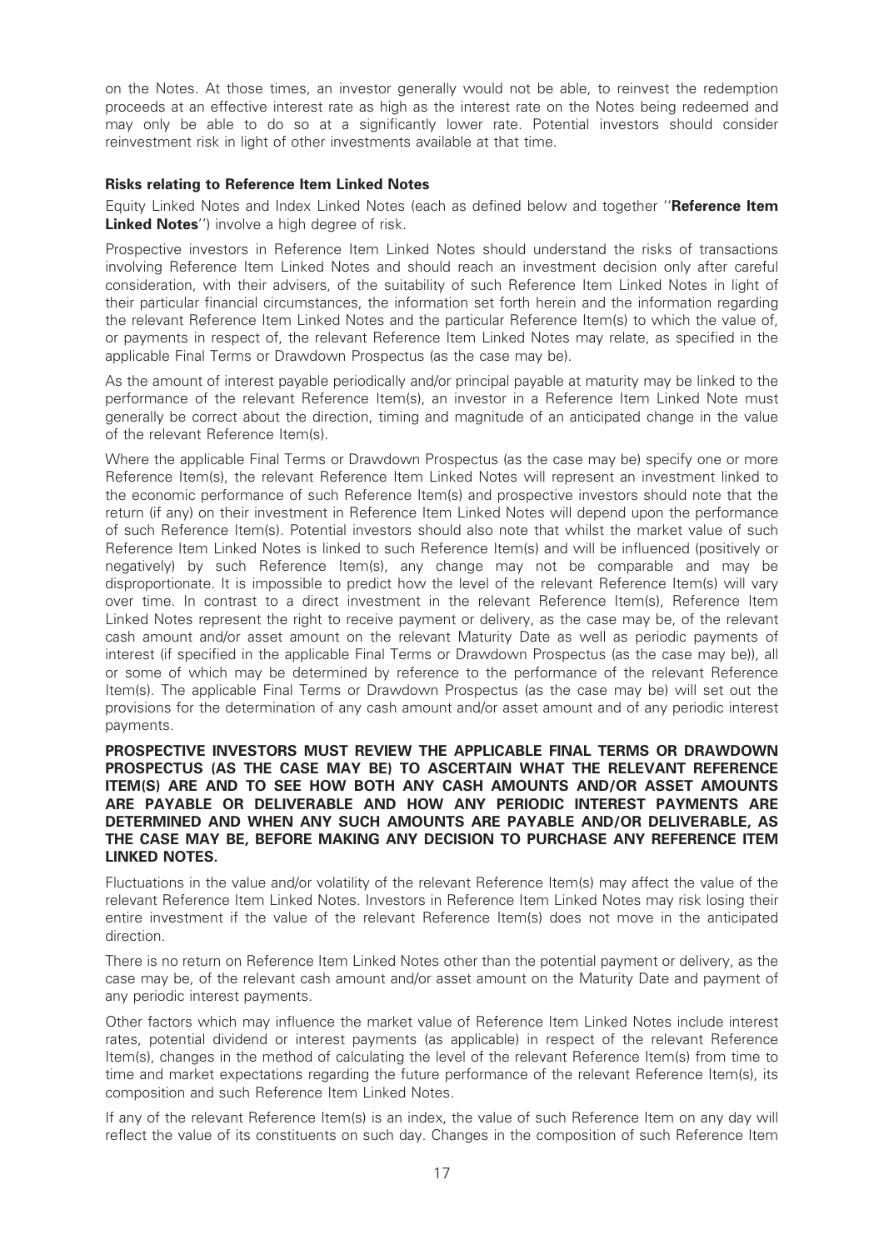on the Notes. At those times, an investor generally would not be able, to reinvest the redemption proceeds at an effective interest rate as high as the interest rate on the Notes being redeemed and may only be able to do so at a significantly lower rate. Potential investors should consider reinvestment risk in light of other investments available at that time.

#### Risks relating to Reference Item Linked Notes

Equity Linked Notes and Index Linked Notes (each as defined below and together "Reference Item Linked Notes") involve a high degree of risk.

Prospective investors in Reference Item Linked Notes should understand the risks of transactions involving Reference Item Linked Notes and should reach an investment decision only after careful consideration, with their advisers, of the suitability of such Reference Item Linked Notes in light of their particular financial circumstances, the information set forth herein and the information regarding the relevant Reference Item Linked Notes and the particular Reference Item(s) to which the value of, or payments in respect of, the relevant Reference Item Linked Notes may relate, as specified in the applicable Final Terms or Drawdown Prospectus (as the case may be).

As the amount of interest payable periodically and/or principal payable at maturity may be linked to the performance of the relevant Reference Item(s), an investor in a Reference Item Linked Note must generally be correct about the direction, timing and magnitude of an anticipated change in the value of the relevant Reference Item(s).

Where the applicable Final Terms or Drawdown Prospectus (as the case may be) specify one or more Reference Item(s), the relevant Reference Item Linked Notes will represent an investment linked to the economic performance of such Reference Item(s) and prospective investors should note that the return (if any) on their investment in Reference Item Linked Notes will depend upon the performance of such Reference Item(s). Potential investors should also note that whilst the market value of such Reference Item Linked Notes is linked to such Reference Item(s) and will be influenced (positively or negatively) by such Reference Item(s), any change may not be comparable and may be disproportionate. It is impossible to predict how the level of the relevant Reference Item(s) will vary over time. In contrast to a direct investment in the relevant Reference Item(s), Reference Item Linked Notes represent the right to receive payment or delivery, as the case may be, of the relevant cash amount and/or asset amount on the relevant Maturity Date as well as periodic payments of interest (if specified in the applicable Final Terms or Drawdown Prospectus (as the case may be)), all or some of which may be determined by reference to the performance of the relevant Reference Item(s). The applicable Final Terms or Drawdown Prospectus (as the case may be) will set out the provisions for the determination of any cash amount and/or asset amount and of any periodic interest payments.

#### PROSPECTIVE INVESTORS MUST REVIEW THE APPLICABLE FINAL TERMS OR DRAWDOWN PROSPECTUS (AS THE CASE MAY BE) TO ASCERTAIN WHAT THE RELEVANT REFERENCE ITEM(S) ARE AND TO SEE HOW BOTH ANY CASH AMOUNTS AND/OR ASSET AMOUNTS ARE PAYABLE OR DELIVERABLE AND HOW ANY PERIODIC INTEREST PAYMENTS ARE DETERMINED AND WHEN ANY SUCH AMOUNTS ARE PAYABLE AND/OR DELIVERABLE, AS THE CASE MAY BE, BEFORE MAKING ANY DECISION TO PURCHASE ANY REFERENCE ITEM LINKED NOTES.

Fluctuations in the value and/or volatility of the relevant Reference Item(s) may affect the value of the relevant Reference Item Linked Notes. Investors in Reference Item Linked Notes may risk losing their entire investment if the value of the relevant Reference Item(s) does not move in the anticipated direction.

There is no return on Reference Item Linked Notes other than the potential payment or delivery, as the case may be, of the relevant cash amount and/or asset amount on the Maturity Date and payment of any periodic interest payments.

Other factors which may influence the market value of Reference Item Linked Notes include interest rates, potential dividend or interest payments (as applicable) in respect of the relevant Reference Item(s), changes in the method of calculating the level of the relevant Reference Item(s) from time to time and market expectations regarding the future performance of the relevant Reference Item(s), its composition and such Reference Item Linked Notes.

If any of the relevant Reference Item(s) is an index, the value of such Reference Item on any day will reflect the value of its constituents on such day. Changes in the composition of such Reference Item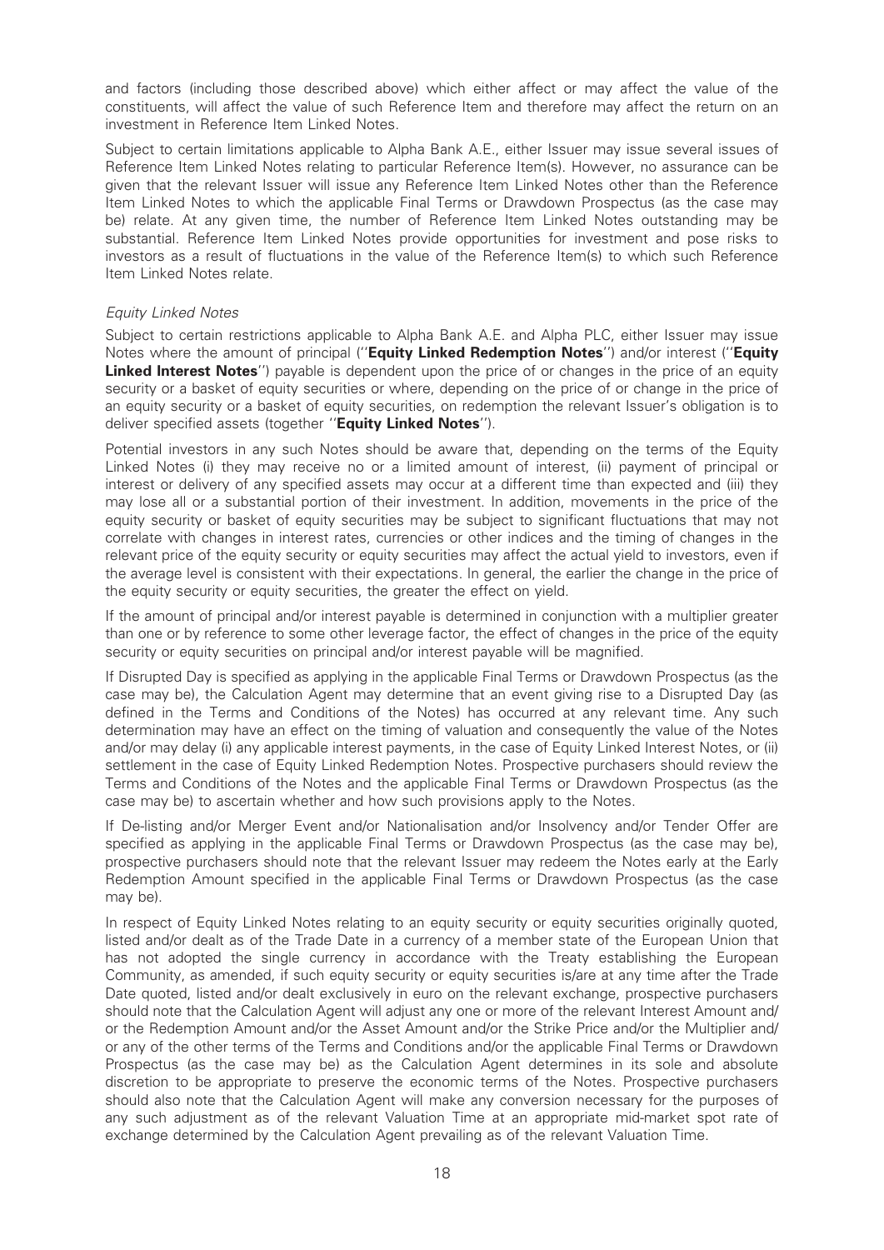and factors (including those described above) which either affect or may affect the value of the constituents, will affect the value of such Reference Item and therefore may affect the return on an investment in Reference Item Linked Notes.

Subject to certain limitations applicable to Alpha Bank A.E., either Issuer may issue several issues of Reference Item Linked Notes relating to particular Reference Item(s). However, no assurance can be given that the relevant Issuer will issue any Reference Item Linked Notes other than the Reference Item Linked Notes to which the applicable Final Terms or Drawdown Prospectus (as the case may be) relate. At any given time, the number of Reference Item Linked Notes outstanding may be substantial. Reference Item Linked Notes provide opportunities for investment and pose risks to investors as a result of fluctuations in the value of the Reference Item(s) to which such Reference Item Linked Notes relate.

### Equity Linked Notes

Subject to certain restrictions applicable to Alpha Bank A.E. and Alpha PLC, either Issuer may issue Notes where the amount of principal ("Equity Linked Redemption Notes") and/or interest ("Equity **Linked Interest Notes''**) payable is dependent upon the price of or changes in the price of an equity security or a basket of equity securities or where, depending on the price of or change in the price of an equity security or a basket of equity securities, on redemption the relevant Issuer's obligation is to deliver specified assets (together "Equity Linked Notes").

Potential investors in any such Notes should be aware that, depending on the terms of the Equity Linked Notes (i) they may receive no or a limited amount of interest, (ii) payment of principal or interest or delivery of any specified assets may occur at a different time than expected and (iii) they may lose all or a substantial portion of their investment. In addition, movements in the price of the equity security or basket of equity securities may be subject to significant fluctuations that may not correlate with changes in interest rates, currencies or other indices and the timing of changes in the relevant price of the equity security or equity securities may affect the actual yield to investors, even if the average level is consistent with their expectations. In general, the earlier the change in the price of the equity security or equity securities, the greater the effect on yield.

If the amount of principal and/or interest payable is determined in conjunction with a multiplier greater than one or by reference to some other leverage factor, the effect of changes in the price of the equity security or equity securities on principal and/or interest payable will be magnified.

If Disrupted Day is specified as applying in the applicable Final Terms or Drawdown Prospectus (as the case may be), the Calculation Agent may determine that an event giving rise to a Disrupted Day (as defined in the Terms and Conditions of the Notes) has occurred at any relevant time. Any such determination may have an effect on the timing of valuation and consequently the value of the Notes and/or may delay (i) any applicable interest payments, in the case of Equity Linked Interest Notes, or (ii) settlement in the case of Equity Linked Redemption Notes. Prospective purchasers should review the Terms and Conditions of the Notes and the applicable Final Terms or Drawdown Prospectus (as the case may be) to ascertain whether and how such provisions apply to the Notes.

If De-listing and/or Merger Event and/or Nationalisation and/or Insolvency and/or Tender Offer are specified as applying in the applicable Final Terms or Drawdown Prospectus (as the case may be), prospective purchasers should note that the relevant Issuer may redeem the Notes early at the Early Redemption Amount specified in the applicable Final Terms or Drawdown Prospectus (as the case may be).

In respect of Equity Linked Notes relating to an equity security or equity securities originally quoted, listed and/or dealt as of the Trade Date in a currency of a member state of the European Union that has not adopted the single currency in accordance with the Treaty establishing the European Community, as amended, if such equity security or equity securities is/are at any time after the Trade Date quoted, listed and/or dealt exclusively in euro on the relevant exchange, prospective purchasers should note that the Calculation Agent will adjust any one or more of the relevant Interest Amount and/ or the Redemption Amount and/or the Asset Amount and/or the Strike Price and/or the Multiplier and/ or any of the other terms of the Terms and Conditions and/or the applicable Final Terms or Drawdown Prospectus (as the case may be) as the Calculation Agent determines in its sole and absolute discretion to be appropriate to preserve the economic terms of the Notes. Prospective purchasers should also note that the Calculation Agent will make any conversion necessary for the purposes of any such adjustment as of the relevant Valuation Time at an appropriate mid-market spot rate of exchange determined by the Calculation Agent prevailing as of the relevant Valuation Time.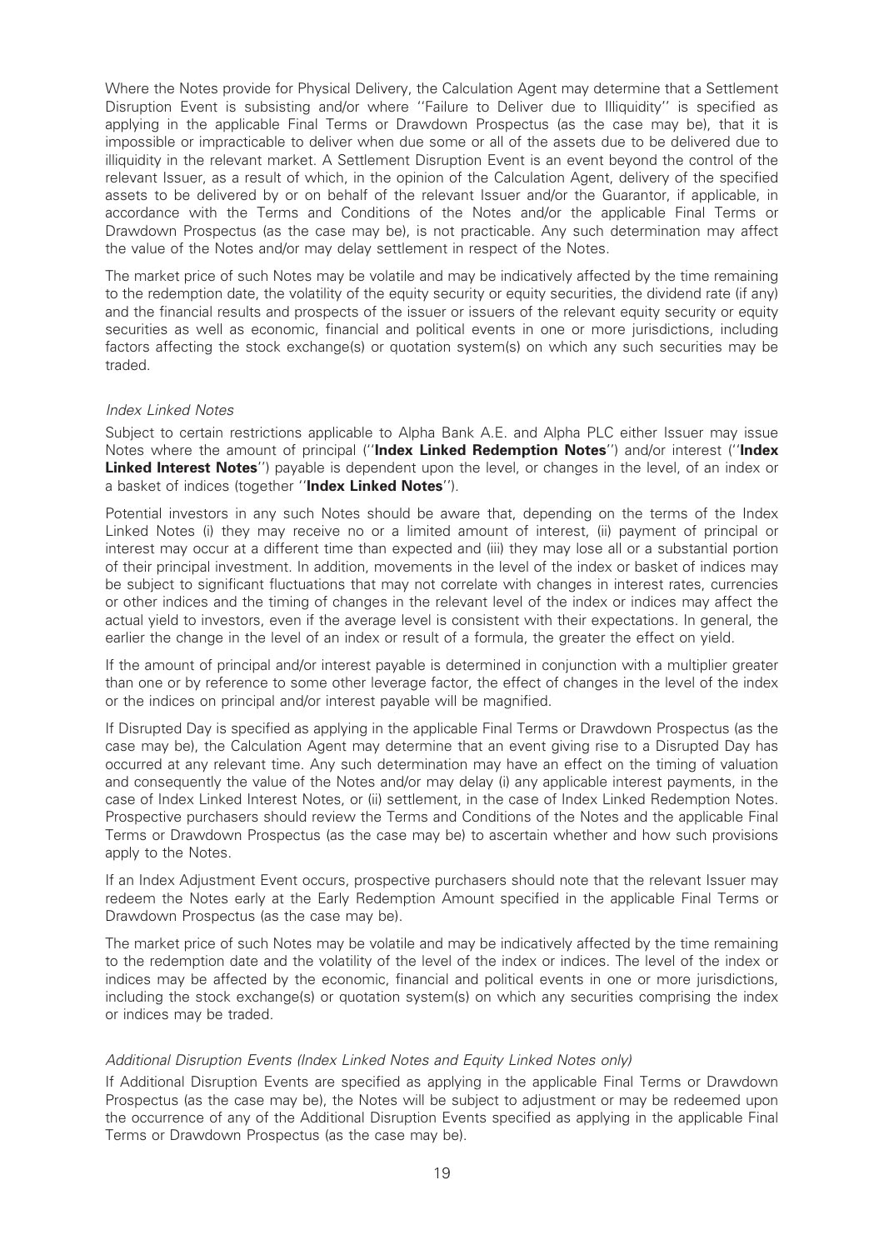Where the Notes provide for Physical Delivery, the Calculation Agent may determine that a Settlement Disruption Event is subsisting and/or where "Failure to Deliver due to Illiquidity" is specified as applying in the applicable Final Terms or Drawdown Prospectus (as the case may be), that it is impossible or impracticable to deliver when due some or all of the assets due to be delivered due to illiquidity in the relevant market. A Settlement Disruption Event is an event beyond the control of the relevant Issuer, as a result of which, in the opinion of the Calculation Agent, delivery of the specified assets to be delivered by or on behalf of the relevant Issuer and/or the Guarantor, if applicable, in accordance with the Terms and Conditions of the Notes and/or the applicable Final Terms or Drawdown Prospectus (as the case may be), is not practicable. Any such determination may affect the value of the Notes and/or may delay settlement in respect of the Notes.

The market price of such Notes may be volatile and may be indicatively affected by the time remaining to the redemption date, the volatility of the equity security or equity securities, the dividend rate (if any) and the financial results and prospects of the issuer or issuers of the relevant equity security or equity securities as well as economic, financial and political events in one or more jurisdictions, including factors affecting the stock exchange(s) or quotation system(s) on which any such securities may be traded.

#### Index Linked Notes

Subject to certain restrictions applicable to Alpha Bank A.E. and Alpha PLC either Issuer may issue Notes where the amount of principal ("Index Linked Redemption Notes") and/or interest ("Index Linked Interest Notes") payable is dependent upon the level, or changes in the level, of an index or a basket of indices (together "Index Linked Notes").

Potential investors in any such Notes should be aware that, depending on the terms of the Index Linked Notes (i) they may receive no or a limited amount of interest, (ii) payment of principal or interest may occur at a different time than expected and (iii) they may lose all or a substantial portion of their principal investment. In addition, movements in the level of the index or basket of indices may be subject to significant fluctuations that may not correlate with changes in interest rates, currencies or other indices and the timing of changes in the relevant level of the index or indices may affect the actual yield to investors, even if the average level is consistent with their expectations. In general, the earlier the change in the level of an index or result of a formula, the greater the effect on yield.

If the amount of principal and/or interest payable is determined in conjunction with a multiplier greater than one or by reference to some other leverage factor, the effect of changes in the level of the index or the indices on principal and/or interest payable will be magnified.

If Disrupted Day is specified as applying in the applicable Final Terms or Drawdown Prospectus (as the case may be), the Calculation Agent may determine that an event giving rise to a Disrupted Day has occurred at any relevant time. Any such determination may have an effect on the timing of valuation and consequently the value of the Notes and/or may delay (i) any applicable interest payments, in the case of Index Linked Interest Notes, or (ii) settlement, in the case of Index Linked Redemption Notes. Prospective purchasers should review the Terms and Conditions of the Notes and the applicable Final Terms or Drawdown Prospectus (as the case may be) to ascertain whether and how such provisions apply to the Notes.

If an Index Adjustment Event occurs, prospective purchasers should note that the relevant Issuer may redeem the Notes early at the Early Redemption Amount specified in the applicable Final Terms or Drawdown Prospectus (as the case may be).

The market price of such Notes may be volatile and may be indicatively affected by the time remaining to the redemption date and the volatility of the level of the index or indices. The level of the index or indices may be affected by the economic, financial and political events in one or more jurisdictions, including the stock exchange(s) or quotation system(s) on which any securities comprising the index or indices may be traded.

### Additional Disruption Events (Index Linked Notes and Equity Linked Notes only)

If Additional Disruption Events are specified as applying in the applicable Final Terms or Drawdown Prospectus (as the case may be), the Notes will be subject to adjustment or may be redeemed upon the occurrence of any of the Additional Disruption Events specified as applying in the applicable Final Terms or Drawdown Prospectus (as the case may be).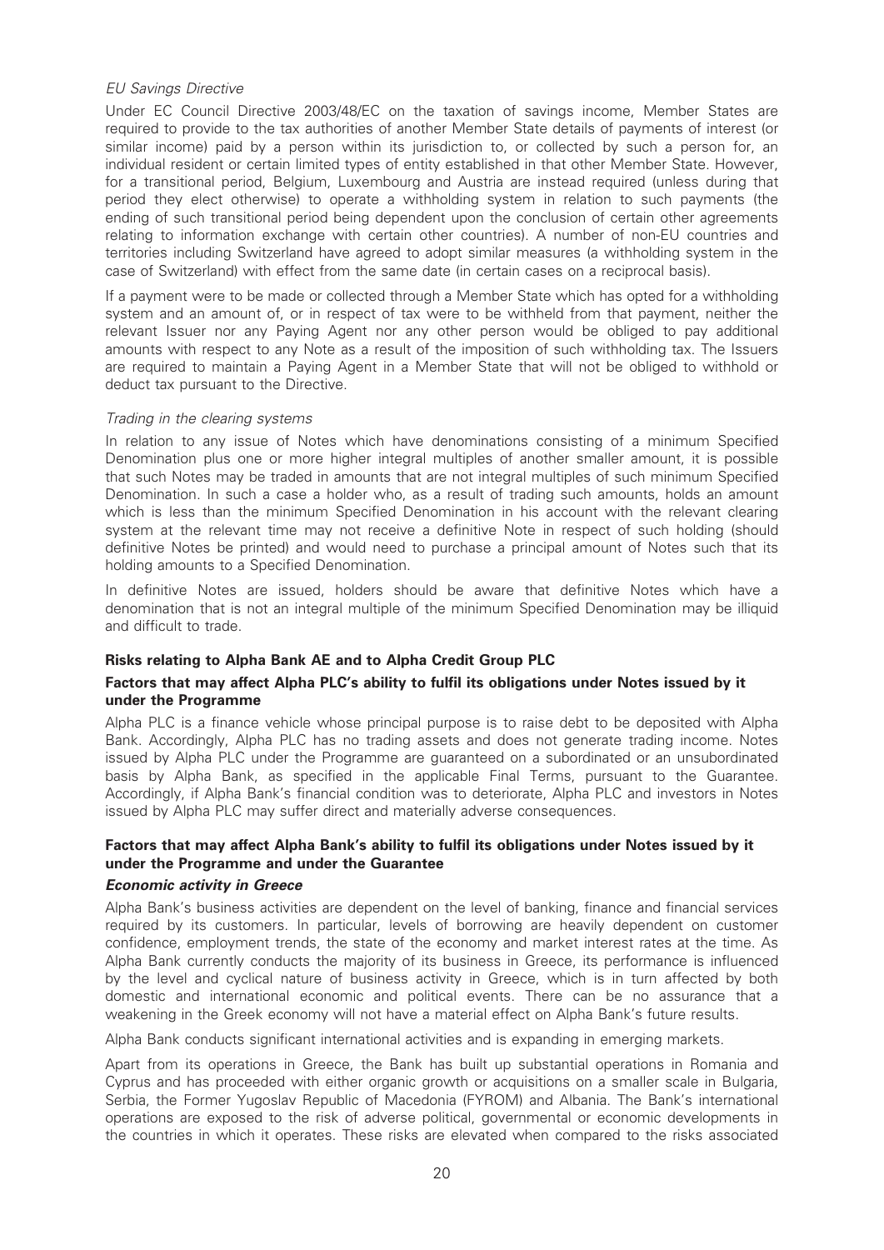#### EU Savings Directive

Under EC Council Directive 2003/48/EC on the taxation of savings income, Member States are required to provide to the tax authorities of another Member State details of payments of interest (or similar income) paid by a person within its jurisdiction to, or collected by such a person for, an individual resident or certain limited types of entity established in that other Member State. However, for a transitional period, Belgium, Luxembourg and Austria are instead required (unless during that period they elect otherwise) to operate a withholding system in relation to such payments (the ending of such transitional period being dependent upon the conclusion of certain other agreements relating to information exchange with certain other countries). A number of non-EU countries and territories including Switzerland have agreed to adopt similar measures (a withholding system in the case of Switzerland) with effect from the same date (in certain cases on a reciprocal basis).

If a payment were to be made or collected through a Member State which has opted for a withholding system and an amount of, or in respect of tax were to be withheld from that payment, neither the relevant Issuer nor any Paying Agent nor any other person would be obliged to pay additional amounts with respect to any Note as a result of the imposition of such withholding tax. The Issuers are required to maintain a Paying Agent in a Member State that will not be obliged to withhold or deduct tax pursuant to the Directive.

#### Trading in the clearing systems

In relation to any issue of Notes which have denominations consisting of a minimum Specified Denomination plus one or more higher integral multiples of another smaller amount, it is possible that such Notes may be traded in amounts that are not integral multiples of such minimum Specified Denomination. In such a case a holder who, as a result of trading such amounts, holds an amount which is less than the minimum Specified Denomination in his account with the relevant clearing system at the relevant time may not receive a definitive Note in respect of such holding (should definitive Notes be printed) and would need to purchase a principal amount of Notes such that its holding amounts to a Specified Denomination.

In definitive Notes are issued, holders should be aware that definitive Notes which have a denomination that is not an integral multiple of the minimum Specified Denomination may be illiquid and difficult to trade.

### Risks relating to Alpha Bank AE and to Alpha Credit Group PLC

### Factors that may affect Alpha PLC's ability to fulfil its obligations under Notes issued by it under the Programme

Alpha PLC is a finance vehicle whose principal purpose is to raise debt to be deposited with Alpha Bank. Accordingly, Alpha PLC has no trading assets and does not generate trading income. Notes issued by Alpha PLC under the Programme are guaranteed on a subordinated or an unsubordinated basis by Alpha Bank, as specified in the applicable Final Terms, pursuant to the Guarantee. Accordingly, if Alpha Bank's financial condition was to deteriorate, Alpha PLC and investors in Notes issued by Alpha PLC may suffer direct and materially adverse consequences.

### Factors that may affect Alpha Bank's ability to fulfil its obligations under Notes issued by it under the Programme and under the Guarantee

#### Economic activity in Greece

Alpha Bank's business activities are dependent on the level of banking, finance and financial services required by its customers. In particular, levels of borrowing are heavily dependent on customer confidence, employment trends, the state of the economy and market interest rates at the time. As Alpha Bank currently conducts the majority of its business in Greece, its performance is influenced by the level and cyclical nature of business activity in Greece, which is in turn affected by both domestic and international economic and political events. There can be no assurance that a weakening in the Greek economy will not have a material effect on Alpha Bank's future results.

Alpha Bank conducts significant international activities and is expanding in emerging markets.

Apart from its operations in Greece, the Bank has built up substantial operations in Romania and Cyprus and has proceeded with either organic growth or acquisitions on a smaller scale in Bulgaria, Serbia, the Former Yugoslav Republic of Macedonia (FYROM) and Albania. The Bank's international operations are exposed to the risk of adverse political, governmental or economic developments in the countries in which it operates. These risks are elevated when compared to the risks associated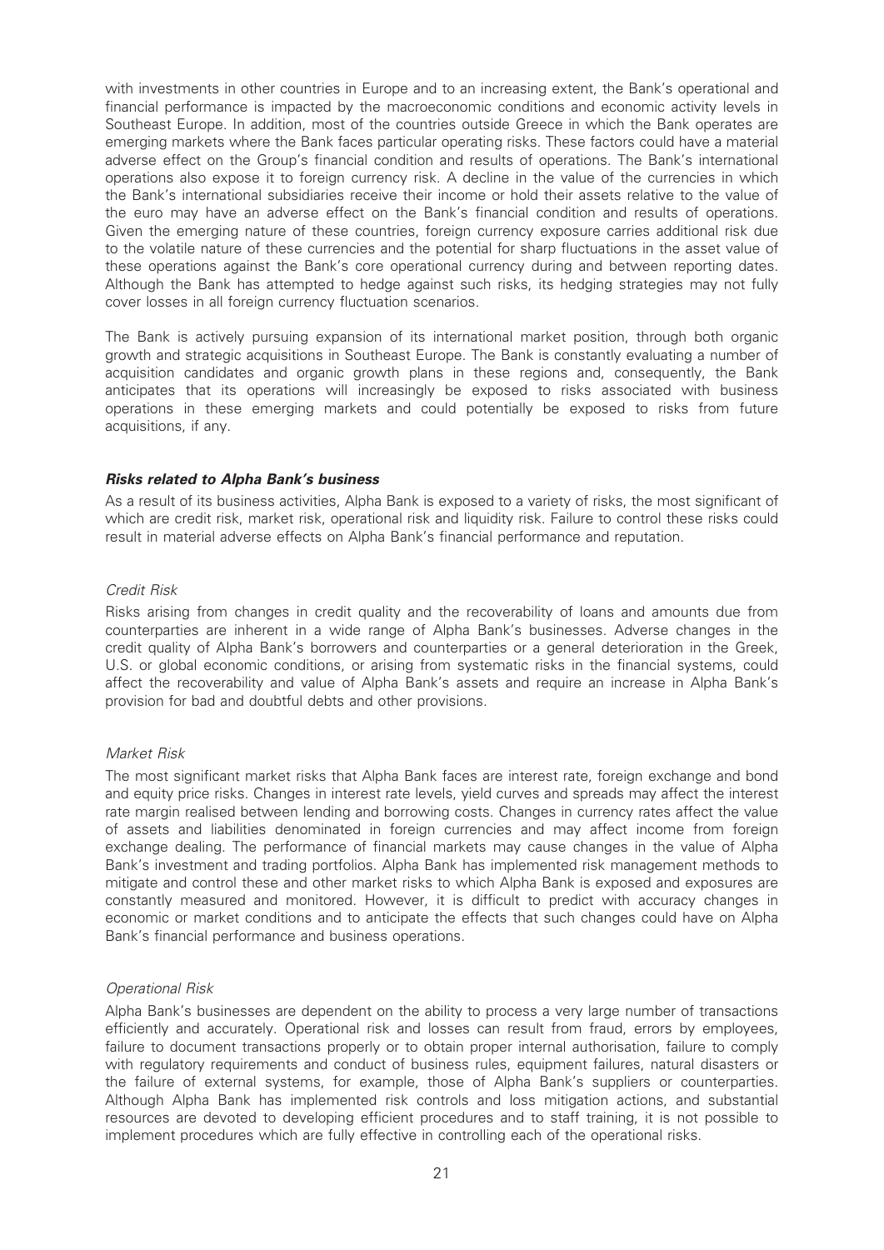with investments in other countries in Europe and to an increasing extent, the Bank's operational and financial performance is impacted by the macroeconomic conditions and economic activity levels in Southeast Europe. In addition, most of the countries outside Greece in which the Bank operates are emerging markets where the Bank faces particular operating risks. These factors could have a material adverse effect on the Group's financial condition and results of operations. The Bank's international operations also expose it to foreign currency risk. A decline in the value of the currencies in which the Bank's international subsidiaries receive their income or hold their assets relative to the value of the euro may have an adverse effect on the Bank's financial condition and results of operations. Given the emerging nature of these countries, foreign currency exposure carries additional risk due to the volatile nature of these currencies and the potential for sharp fluctuations in the asset value of these operations against the Bank's core operational currency during and between reporting dates. Although the Bank has attempted to hedge against such risks, its hedging strategies may not fully cover losses in all foreign currency fluctuation scenarios.

The Bank is actively pursuing expansion of its international market position, through both organic growth and strategic acquisitions in Southeast Europe. The Bank is constantly evaluating a number of acquisition candidates and organic growth plans in these regions and, consequently, the Bank anticipates that its operations will increasingly be exposed to risks associated with business operations in these emerging markets and could potentially be exposed to risks from future acquisitions, if any.

#### Risks related to Alpha Bank's business

As a result of its business activities, Alpha Bank is exposed to a variety of risks, the most significant of which are credit risk, market risk, operational risk and liquidity risk. Failure to control these risks could result in material adverse effects on Alpha Bank's financial performance and reputation.

#### Credit Risk

Risks arising from changes in credit quality and the recoverability of loans and amounts due from counterparties are inherent in a wide range of Alpha Bank's businesses. Adverse changes in the credit quality of Alpha Bank's borrowers and counterparties or a general deterioration in the Greek, U.S. or global economic conditions, or arising from systematic risks in the financial systems, could affect the recoverability and value of Alpha Bank's assets and require an increase in Alpha Bank's provision for bad and doubtful debts and other provisions.

### Market Risk

The most significant market risks that Alpha Bank faces are interest rate, foreign exchange and bond and equity price risks. Changes in interest rate levels, yield curves and spreads may affect the interest rate margin realised between lending and borrowing costs. Changes in currency rates affect the value of assets and liabilities denominated in foreign currencies and may affect income from foreign exchange dealing. The performance of financial markets may cause changes in the value of Alpha Bank's investment and trading portfolios. Alpha Bank has implemented risk management methods to mitigate and control these and other market risks to which Alpha Bank is exposed and exposures are constantly measured and monitored. However, it is difficult to predict with accuracy changes in economic or market conditions and to anticipate the effects that such changes could have on Alpha Bank's financial performance and business operations.

#### Operational Risk

Alpha Bank's businesses are dependent on the ability to process a very large number of transactions efficiently and accurately. Operational risk and losses can result from fraud, errors by employees, failure to document transactions properly or to obtain proper internal authorisation, failure to comply with regulatory requirements and conduct of business rules, equipment failures, natural disasters or the failure of external systems, for example, those of Alpha Bank's suppliers or counterparties. Although Alpha Bank has implemented risk controls and loss mitigation actions, and substantial resources are devoted to developing efficient procedures and to staff training, it is not possible to implement procedures which are fully effective in controlling each of the operational risks.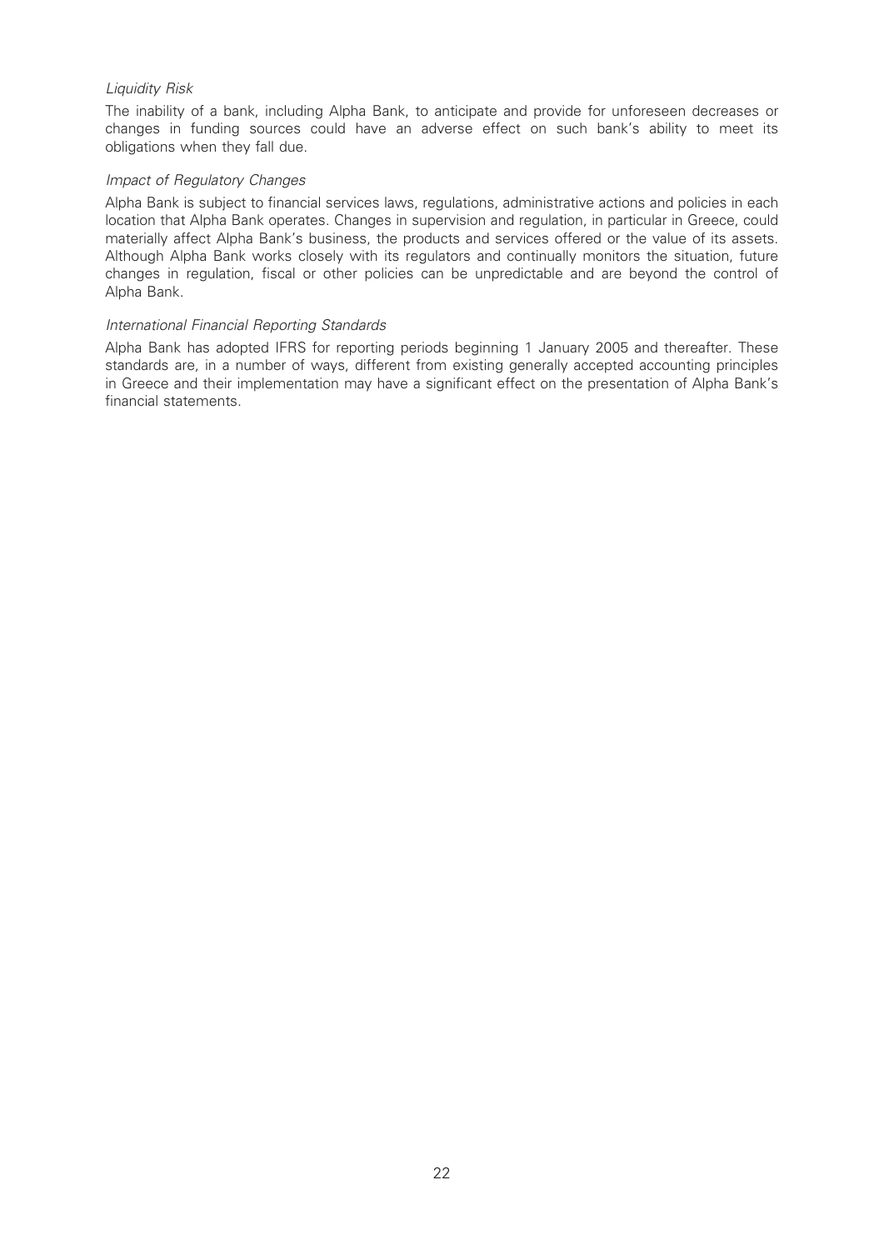#### Liquidity Risk

The inability of a bank, including Alpha Bank, to anticipate and provide for unforeseen decreases or changes in funding sources could have an adverse effect on such bank's ability to meet its obligations when they fall due.

#### Impact of Regulatory Changes

Alpha Bank is subject to financial services laws, regulations, administrative actions and policies in each location that Alpha Bank operates. Changes in supervision and regulation, in particular in Greece, could materially affect Alpha Bank's business, the products and services offered or the value of its assets. Although Alpha Bank works closely with its regulators and continually monitors the situation, future changes in regulation, fiscal or other policies can be unpredictable and are beyond the control of Alpha Bank.

#### International Financial Reporting Standards

Alpha Bank has adopted IFRS for reporting periods beginning 1 January 2005 and thereafter. These standards are, in a number of ways, different from existing generally accepted accounting principles in Greece and their implementation may have a significant effect on the presentation of Alpha Bank's financial statements.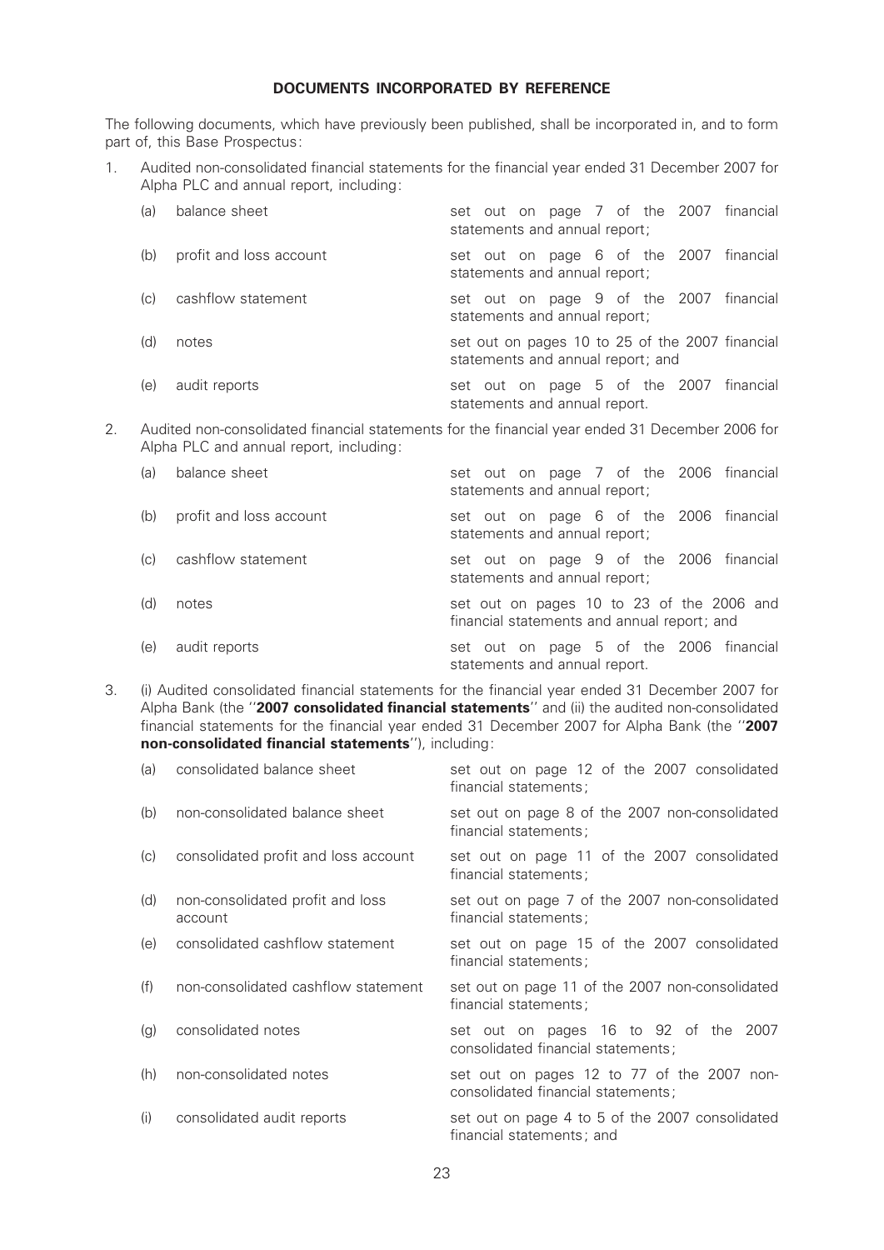#### DOCUMENTS INCORPORATED BY REFERENCE

The following documents, which have previously been published, shall be incorporated in, and to form part of, this Base Prospectus:

1. Audited non-consolidated financial statements for the financial year ended 31 December 2007 for Alpha PLC and annual report, including:

| (a) | balance sheet           | set out on page 7 of the 2007 financial<br>statements and annual report;             |
|-----|-------------------------|--------------------------------------------------------------------------------------|
| (b) | profit and loss account | set out on page 6 of the 2007 financial<br>statements and annual report;             |
| (C) | cashflow statement      | set out on page 9 of the 2007 financial<br>statements and annual report;             |
| (d) | notes                   | set out on pages 10 to 25 of the 2007 financial<br>statements and annual report; and |
| (e) | audit reports           | set out on page 5 of the 2007 financial<br>statements and annual report.             |

2. Audited non-consolidated financial statements for the financial year ended 31 December 2006 for Alpha PLC and annual report, including:

| (a) | balance sheet           | set out on page 7 of the 2006 financial<br>statements and annual report;                 |
|-----|-------------------------|------------------------------------------------------------------------------------------|
| (b) | profit and loss account | set out on page 6 of the 2006 financial<br>statements and annual report;                 |
| (C) | cashflow statement      | set out on page 9 of the 2006 financial<br>statements and annual report;                 |
| (d) | notes                   | set out on pages 10 to 23 of the 2006 and<br>financial statements and annual report; and |
| (e) | audit reports           | set out on page 5 of the 2006 financial<br>statements and annual report.                 |

3. (i) Audited consolidated financial statements for the financial year ended 31 December 2007 for Alpha Bank (the "2007 consolidated financial statements" and (ii) the audited non-consolidated financial statements for the financial year ended 31 December 2007 for Alpha Bank (the "2007 non-consolidated financial statements"), including:

| (a) | consolidated balance sheet                  | set out on page 12 of the 2007 consolidated<br>financial statements;             |
|-----|---------------------------------------------|----------------------------------------------------------------------------------|
| (b) | non-consolidated balance sheet              | set out on page 8 of the 2007 non-consolidated<br>financial statements;          |
| (c) | consolidated profit and loss account        | set out on page 11 of the 2007 consolidated<br>financial statements;             |
| (d) | non-consolidated profit and loss<br>account | set out on page 7 of the 2007 non-consolidated<br>financial statements;          |
| (e) | consolidated cashflow statement             | set out on page 15 of the 2007 consolidated<br>financial statements;             |
| (f) | non-consolidated cashflow statement         | set out on page 11 of the 2007 non-consolidated<br>financial statements;         |
| (g) | consolidated notes                          | set out on pages 16 to 92 of the 2007<br>consolidated financial statements;      |
| (h) | non-consolidated notes                      | set out on pages 12 to 77 of the 2007 non-<br>consolidated financial statements; |
| (i) | consolidated audit reports                  | set out on page 4 to 5 of the 2007 consolidated<br>financial statements; and     |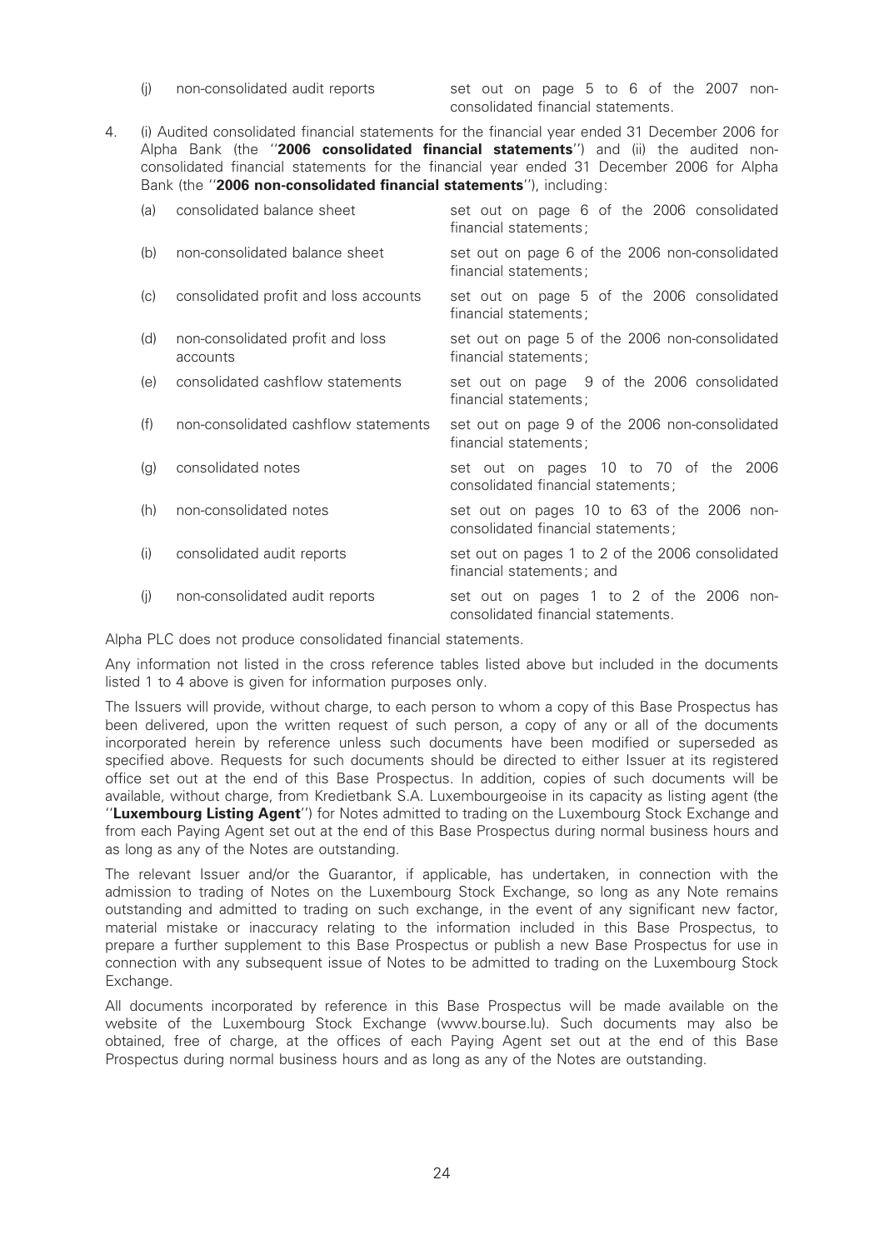(j) non-consolidated audit reports set out on page 5 to 6 of the 2007 nonconsolidated ¢nancial statements.

4. (i) Audited consolidated financial statements for the financial year ended 31 December 2006 for Alpha Bank (the "2006 consolidated financial statements") and (ii) the audited nonconsolidated financial statements for the financial year ended 31 December 2006 for Alpha Bank (the "2006 non-consolidated financial statements"), including:

| (a) | consolidated balance sheet                   | set out on page 6 of the 2006 consolidated<br>financial statements;              |
|-----|----------------------------------------------|----------------------------------------------------------------------------------|
| (b) | non-consolidated balance sheet               | set out on page 6 of the 2006 non-consolidated<br>financial statements;          |
| (C) | consolidated profit and loss accounts        | set out on page 5 of the 2006 consolidated<br>financial statements;              |
| (d) | non-consolidated profit and loss<br>accounts | set out on page 5 of the 2006 non-consolidated<br>financial statements;          |
| (e) | consolidated cashflow statements             | set out on page 9 of the 2006 consolidated<br>financial statements;              |
| (f) | non-consolidated cashflow statements         | set out on page 9 of the 2006 non-consolidated<br>financial statements;          |
| (g) | consolidated notes                           | set out on pages 10 to 70 of the 2006<br>consolidated financial statements;      |
| (h) | non-consolidated notes                       | set out on pages 10 to 63 of the 2006 non-<br>consolidated financial statements; |
| (i) | consolidated audit reports                   | set out on pages 1 to 2 of the 2006 consolidated<br>financial statements; and    |
| (j) | non-consolidated audit reports               | set out on pages 1 to 2 of the 2006 non-<br>consolidated financial statements.   |

Alpha PLC does not produce consolidated financial statements.

Any information not listed in the cross reference tables listed above but included in the documents listed 1 to 4 above is given for information purposes only.

The Issuers will provide, without charge, to each person to whom a copy of this Base Prospectus has been delivered, upon the written request of such person, a copy of any or all of the documents incorporated herein by reference unless such documents have been modified or superseded as specified above. Requests for such documents should be directed to either Issuer at its registered office set out at the end of this Base Prospectus. In addition, copies of such documents will be available, without charge, from Kredietbank S.A. Luxembourgeoise in its capacity as listing agent (the "Luxembourg Listing Agent") for Notes admitted to trading on the Luxembourg Stock Exchange and from each Paying Agent set out at the end of this Base Prospectus during normal business hours and as long as any of the Notes are outstanding.

The relevant Issuer and/or the Guarantor, if applicable, has undertaken, in connection with the admission to trading of Notes on the Luxembourg Stock Exchange, so long as any Note remains outstanding and admitted to trading on such exchange, in the event of any significant new factor, material mistake or inaccuracy relating to the information included in this Base Prospectus, to prepare a further supplement to this Base Prospectus or publish a new Base Prospectus for use in connection with any subsequent issue of Notes to be admitted to trading on the Luxembourg Stock Exchange.

All documents incorporated by reference in this Base Prospectus will be made available on the website of the Luxembourg Stock Exchange (www.bourse.lu). Such documents may also be obtained, free of charge, at the offices of each Paving Agent set out at the end of this Base Prospectus during normal business hours and as long as any of the Notes are outstanding.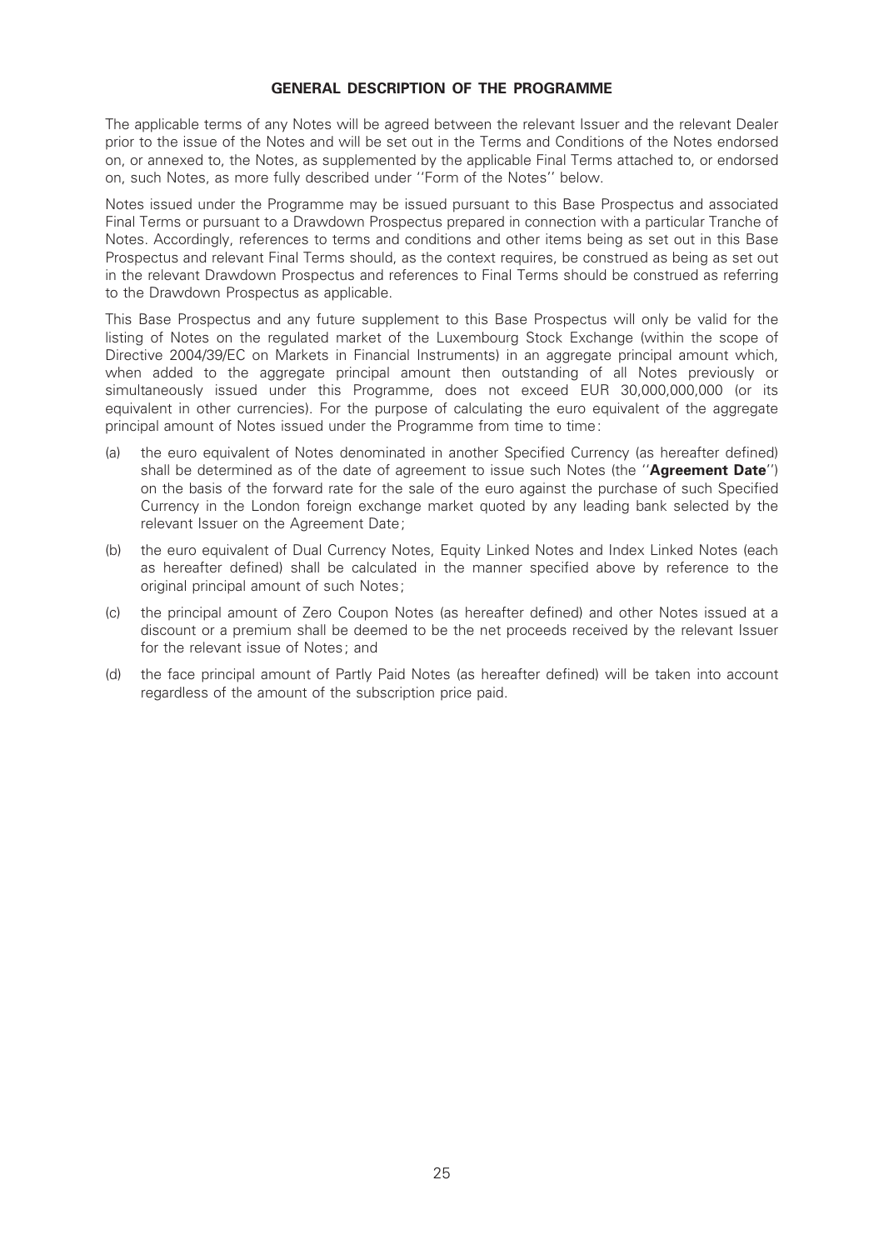#### GENERAL DESCRIPTION OF THE PROGRAMME

The applicable terms of any Notes will be agreed between the relevant Issuer and the relevant Dealer prior to the issue of the Notes and will be set out in the Terms and Conditions of the Notes endorsed on, or annexed to, the Notes, as supplemented by the applicable Final Terms attached to, or endorsed on, such Notes, as more fully described under ''Form of the Notes'' below.

Notes issued under the Programme may be issued pursuant to this Base Prospectus and associated Final Terms or pursuant to a Drawdown Prospectus prepared in connection with a particular Tranche of Notes. Accordingly, references to terms and conditions and other items being as set out in this Base Prospectus and relevant Final Terms should, as the context requires, be construed as being as set out in the relevant Drawdown Prospectus and references to Final Terms should be construed as referring to the Drawdown Prospectus as applicable.

This Base Prospectus and any future supplement to this Base Prospectus will only be valid for the listing of Notes on the regulated market of the Luxembourg Stock Exchange (within the scope of Directive 2004/39/EC on Markets in Financial Instruments) in an aggregate principal amount which, when added to the aggregate principal amount then outstanding of all Notes previously or simultaneously issued under this Programme, does not exceed EUR 30,000,000,000 (or its equivalent in other currencies). For the purpose of calculating the euro equivalent of the aggregate principal amount of Notes issued under the Programme from time to time:

- (a) the euro equivalent of Notes denominated in another Specified Currency (as hereafter defined) shall be determined as of the date of agreement to issue such Notes (the "Agreement Date") on the basis of the forward rate for the sale of the euro against the purchase of such Specified Currency in the London foreign exchange market quoted by any leading bank selected by the relevant Issuer on the Agreement Date;
- (b) the euro equivalent of Dual Currency Notes, Equity Linked Notes and Index Linked Notes (each as hereafter defined) shall be calculated in the manner specified above by reference to the original principal amount of such Notes;
- (c) the principal amount of Zero Coupon Notes (as hereafter de¢ned) and other Notes issued at a discount or a premium shall be deemed to be the net proceeds received by the relevant Issuer for the relevant issue of Notes; and
- (d) the face principal amount of Partly Paid Notes (as hereafter de¢ned) will be taken into account regardless of the amount of the subscription price paid.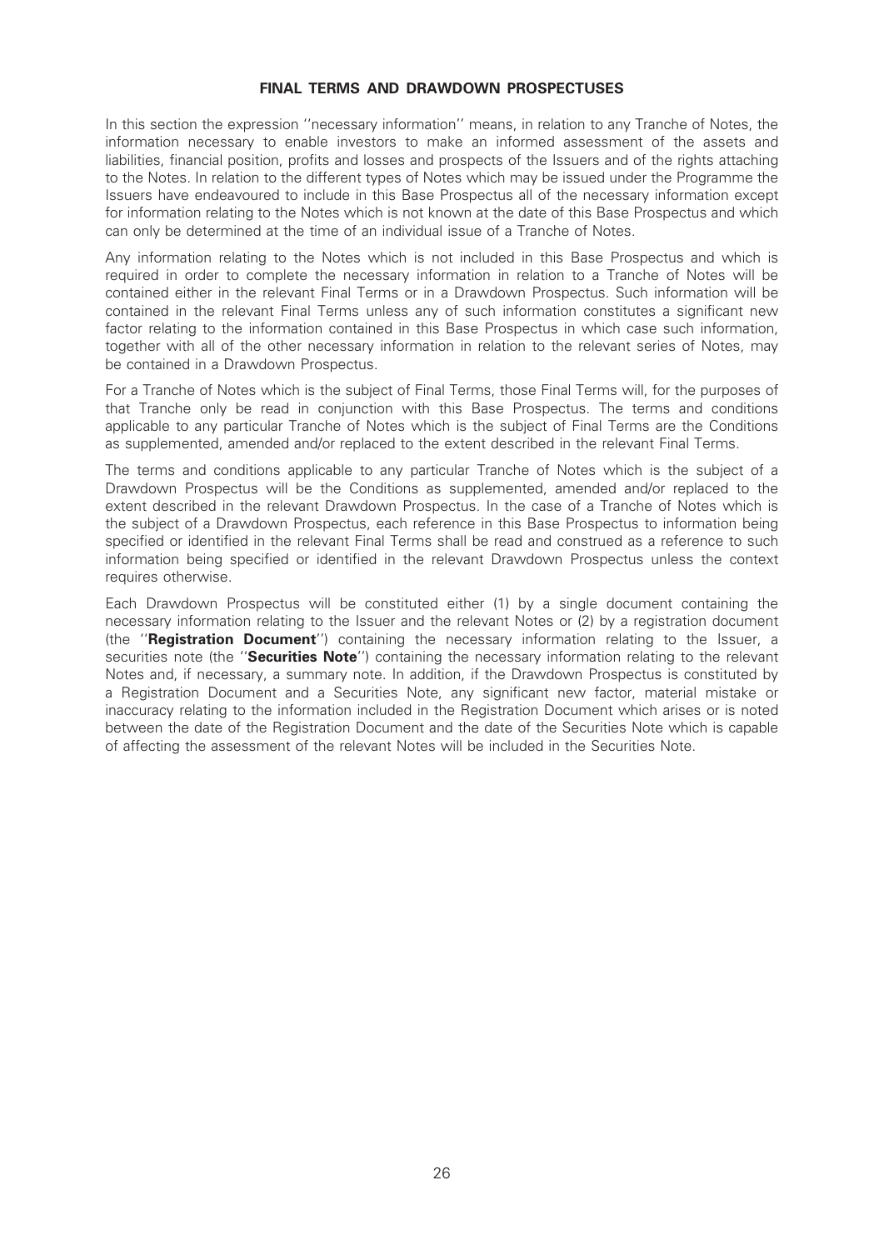#### FINAL TERMS AND DRAWDOWN PROSPECTUSES

In this section the expression ''necessary information'' means, in relation to any Tranche of Notes, the information necessary to enable investors to make an informed assessment of the assets and liabilities, financial position, profits and losses and prospects of the Issuers and of the rights attaching to the Notes. In relation to the different types of Notes which may be issued under the Programme the Issuers have endeavoured to include in this Base Prospectus all of the necessary information except for information relating to the Notes which is not known at the date of this Base Prospectus and which can only be determined at the time of an individual issue of a Tranche of Notes.

Any information relating to the Notes which is not included in this Base Prospectus and which is required in order to complete the necessary information in relation to a Tranche of Notes will be contained either in the relevant Final Terms or in a Drawdown Prospectus. Such information will be contained in the relevant Final Terms unless any of such information constitutes a significant new factor relating to the information contained in this Base Prospectus in which case such information, together with all of the other necessary information in relation to the relevant series of Notes, may be contained in a Drawdown Prospectus.

For a Tranche of Notes which is the subject of Final Terms, those Final Terms will, for the purposes of that Tranche only be read in conjunction with this Base Prospectus. The terms and conditions applicable to any particular Tranche of Notes which is the subject of Final Terms are the Conditions as supplemented, amended and/or replaced to the extent described in the relevant Final Terms.

The terms and conditions applicable to any particular Tranche of Notes which is the subject of a Drawdown Prospectus will be the Conditions as supplemented, amended and/or replaced to the extent described in the relevant Drawdown Prospectus. In the case of a Tranche of Notes which is the subject of a Drawdown Prospectus, each reference in this Base Prospectus to information being specified or identified in the relevant Final Terms shall be read and construed as a reference to such information being specified or identified in the relevant Drawdown Prospectus unless the context requires otherwise.

Each Drawdown Prospectus will be constituted either (1) by a single document containing the necessary information relating to the Issuer and the relevant Notes or (2) by a registration document (the "Registration Document") containing the necessary information relating to the Issuer, a securities note (the "Securities Note") containing the necessary information relating to the relevant Notes and, if necessary, a summary note. In addition, if the Drawdown Prospectus is constituted by a Registration Document and a Securities Note, any significant new factor, material mistake or inaccuracy relating to the information included in the Registration Document which arises or is noted between the date of the Registration Document and the date of the Securities Note which is capable of affecting the assessment of the relevant Notes will be included in the Securities Note.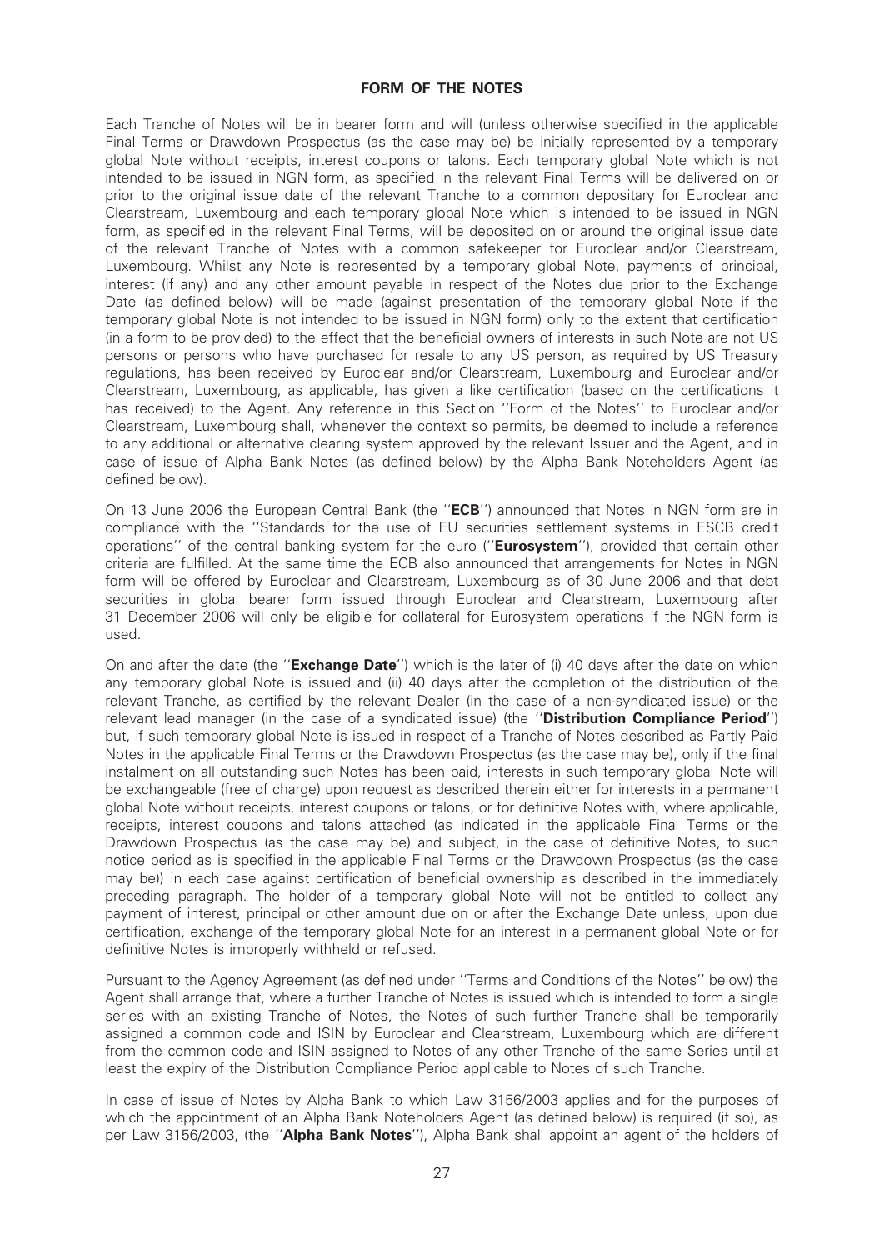#### FORM OF THE NOTES

Each Tranche of Notes will be in bearer form and will (unless otherwise specified in the applicable Final Terms or Drawdown Prospectus (as the case may be) be initially represented by a temporary global Note without receipts, interest coupons or talons. Each temporary global Note which is not intended to be issued in NGN form, as specified in the relevant Final Terms will be delivered on or prior to the original issue date of the relevant Tranche to a common depositary for Euroclear and Clearstream, Luxembourg and each temporary global Note which is intended to be issued in NGN form, as specified in the relevant Final Terms, will be deposited on or around the original issue date of the relevant Tranche of Notes with a common safekeeper for Euroclear and/or Clearstream, Luxembourg. Whilst any Note is represented by a temporary global Note, payments of principal, interest (if any) and any other amount payable in respect of the Notes due prior to the Exchange Date (as defined below) will be made (against presentation of the temporary global Note if the temporary global Note is not intended to be issued in NGN form) only to the extent that certification (in a form to be provided) to the effect that the beneficial owners of interests in such Note are not US persons or persons who have purchased for resale to any US person, as required by US Treasury regulations, has been received by Euroclear and/or Clearstream, Luxembourg and Euroclear and/or Clearstream, Luxembourg, as applicable, has given a like certification (based on the certifications it has received) to the Agent. Any reference in this Section ''Form of the Notes'' to Euroclear and/or Clearstream, Luxembourg shall, whenever the context so permits, be deemed to include a reference to any additional or alternative clearing system approved by the relevant Issuer and the Agent, and in case of issue of Alpha Bank Notes (as defined below) by the Alpha Bank Noteholders Agent (as defined below).

On 13 June 2006 the European Central Bank (the "ECB") announced that Notes in NGN form are in compliance with the ''Standards for the use of EU securities settlement systems in ESCB credit operations" of the central banking system for the euro ("**Eurosystem**"), provided that certain other criteria are fulfilled. At the same time the ECB also announced that arrangements for Notes in NGN form will be offered by Euroclear and Clearstream, Luxembourg as of 30 June 2006 and that debt securities in global bearer form issued through Euroclear and Clearstream, Luxembourg after 31 December 2006 will only be eligible for collateral for Eurosystem operations if the NGN form is used.

On and after the date (the "**Exchange Date**") which is the later of (i) 40 days after the date on which any temporary global Note is issued and (ii) 40 days after the completion of the distribution of the relevant Tranche, as certified by the relevant Dealer (in the case of a non-syndicated issue) or the relevant lead manager (in the case of a syndicated issue) (the "Distribution Compliance Period") but, if such temporary global Note is issued in respect of a Tranche of Notes described as Partly Paid Notes in the applicable Final Terms or the Drawdown Prospectus (as the case may be), only if the final instalment on all outstanding such Notes has been paid, interests in such temporary global Note will be exchangeable (free of charge) upon request as described therein either for interests in a permanent global Note without receipts, interest coupons or talons, or for definitive Notes with, where applicable, receipts, interest coupons and talons attached (as indicated in the applicable Final Terms or the Drawdown Prospectus (as the case may be) and subject, in the case of definitive Notes, to such notice period as is specified in the applicable Final Terms or the Drawdown Prospectus (as the case may be)) in each case against certification of beneficial ownership as described in the immediately preceding paragraph. The holder of a temporary global Note will not be entitled to collect any payment of interest, principal or other amount due on or after the Exchange Date unless, upon due certification, exchange of the temporary global Note for an interest in a permanent global Note or for definitive Notes is improperly withheld or refused.

Pursuant to the Agency Agreement (as defined under "Terms and Conditions of the Notes" below) the Agent shall arrange that, where a further Tranche of Notes is issued which is intended to form a single series with an existing Tranche of Notes, the Notes of such further Tranche shall be temporarily assigned a common code and ISIN by Euroclear and Clearstream, Luxembourg which are different from the common code and ISIN assigned to Notes of any other Tranche of the same Series until at least the expiry of the Distribution Compliance Period applicable to Notes of such Tranche.

In case of issue of Notes by Alpha Bank to which Law 3156/2003 applies and for the purposes of which the appointment of an Alpha Bank Noteholders Agent (as defined below) is required (if so), as per Law 3156/2003, (the "Alpha Bank Notes"), Alpha Bank shall appoint an agent of the holders of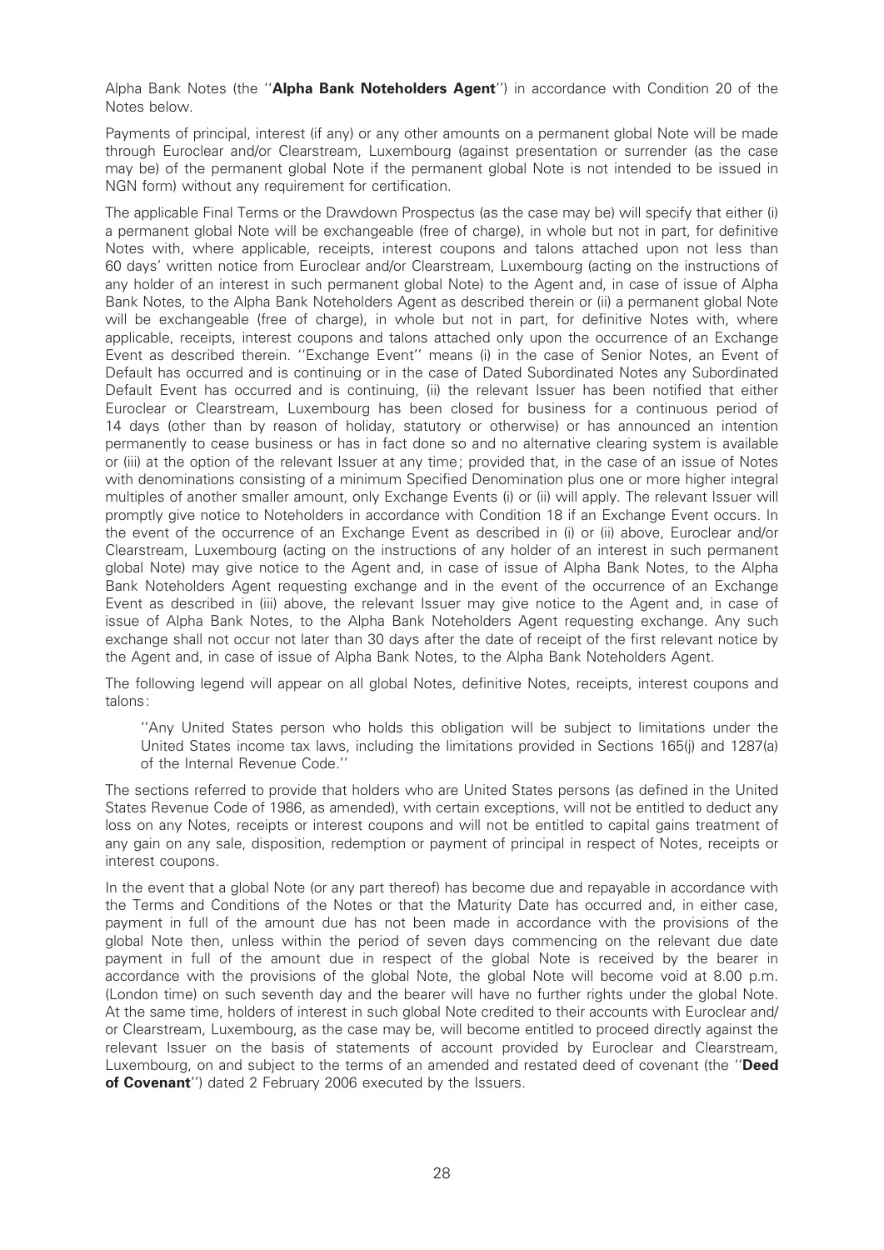Alpha Bank Notes (the "Alpha Bank Noteholders Agent") in accordance with Condition 20 of the Notes below.

Payments of principal, interest (if any) or any other amounts on a permanent global Note will be made through Euroclear and/or Clearstream, Luxembourg (against presentation or surrender (as the case may be) of the permanent global Note if the permanent global Note is not intended to be issued in NGN form) without any requirement for certification.

The applicable Final Terms or the Drawdown Prospectus (as the case may be) will specify that either (i) a permanent global Note will be exchangeable (free of charge), in whole but not in part, for definitive Notes with, where applicable, receipts, interest coupons and talons attached upon not less than 60 days' written notice from Euroclear and/or Clearstream, Luxembourg (acting on the instructions of any holder of an interest in such permanent global Note) to the Agent and, in case of issue of Alpha Bank Notes, to the Alpha Bank Noteholders Agent as described therein or (ii) a permanent global Note will be exchangeable (free of charge), in whole but not in part, for definitive Notes with, where applicable, receipts, interest coupons and talons attached only upon the occurrence of an Exchange Event as described therein. ''Exchange Event'' means (i) in the case of Senior Notes, an Event of Default has occurred and is continuing or in the case of Dated Subordinated Notes any Subordinated Default Event has occurred and is continuing, (ii) the relevant Issuer has been notified that either Euroclear or Clearstream, Luxembourg has been closed for business for a continuous period of 14 days (other than by reason of holiday, statutory or otherwise) or has announced an intention permanently to cease business or has in fact done so and no alternative clearing system is available or (iii) at the option of the relevant Issuer at any time; provided that, in the case of an issue of Notes with denominations consisting of a minimum Specified Denomination plus one or more higher integral multiples of another smaller amount, only Exchange Events (i) or (ii) will apply. The relevant Issuer will promptly give notice to Noteholders in accordance with Condition 18 if an Exchange Event occurs. In the event of the occurrence of an Exchange Event as described in (i) or (ii) above, Euroclear and/or Clearstream, Luxembourg (acting on the instructions of any holder of an interest in such permanent global Note) may give notice to the Agent and, in case of issue of Alpha Bank Notes, to the Alpha Bank Noteholders Agent requesting exchange and in the event of the occurrence of an Exchange Event as described in (iii) above, the relevant Issuer may give notice to the Agent and, in case of issue of Alpha Bank Notes, to the Alpha Bank Noteholders Agent requesting exchange. Any such exchange shall not occur not later than 30 days after the date of receipt of the first relevant notice by the Agent and, in case of issue of Alpha Bank Notes, to the Alpha Bank Noteholders Agent.

The following legend will appear on all global Notes, definitive Notes, receipts, interest coupons and talons:

''Any United States person who holds this obligation will be subject to limitations under the United States income tax laws, including the limitations provided in Sections 165(j) and 1287(a) of the Internal Revenue Code.''

The sections referred to provide that holders who are United States persons (as defined in the United States Revenue Code of 1986, as amended), with certain exceptions, will not be entitled to deduct any loss on any Notes, receipts or interest coupons and will not be entitled to capital gains treatment of any gain on any sale, disposition, redemption or payment of principal in respect of Notes, receipts or interest coupons.

In the event that a global Note (or any part thereof) has become due and repayable in accordance with the Terms and Conditions of the Notes or that the Maturity Date has occurred and, in either case, payment in full of the amount due has not been made in accordance with the provisions of the global Note then, unless within the period of seven days commencing on the relevant due date payment in full of the amount due in respect of the global Note is received by the bearer in accordance with the provisions of the global Note, the global Note will become void at 8.00 p.m. (London time) on such seventh day and the bearer will have no further rights under the global Note. At the same time, holders of interest in such global Note credited to their accounts with Euroclear and/ or Clearstream, Luxembourg, as the case may be, will become entitled to proceed directly against the relevant Issuer on the basis of statements of account provided by Euroclear and Clearstream, Luxembourg, on and subject to the terms of an amended and restated deed of covenant (the "Deed of Covenant'') dated 2 February 2006 executed by the Issuers.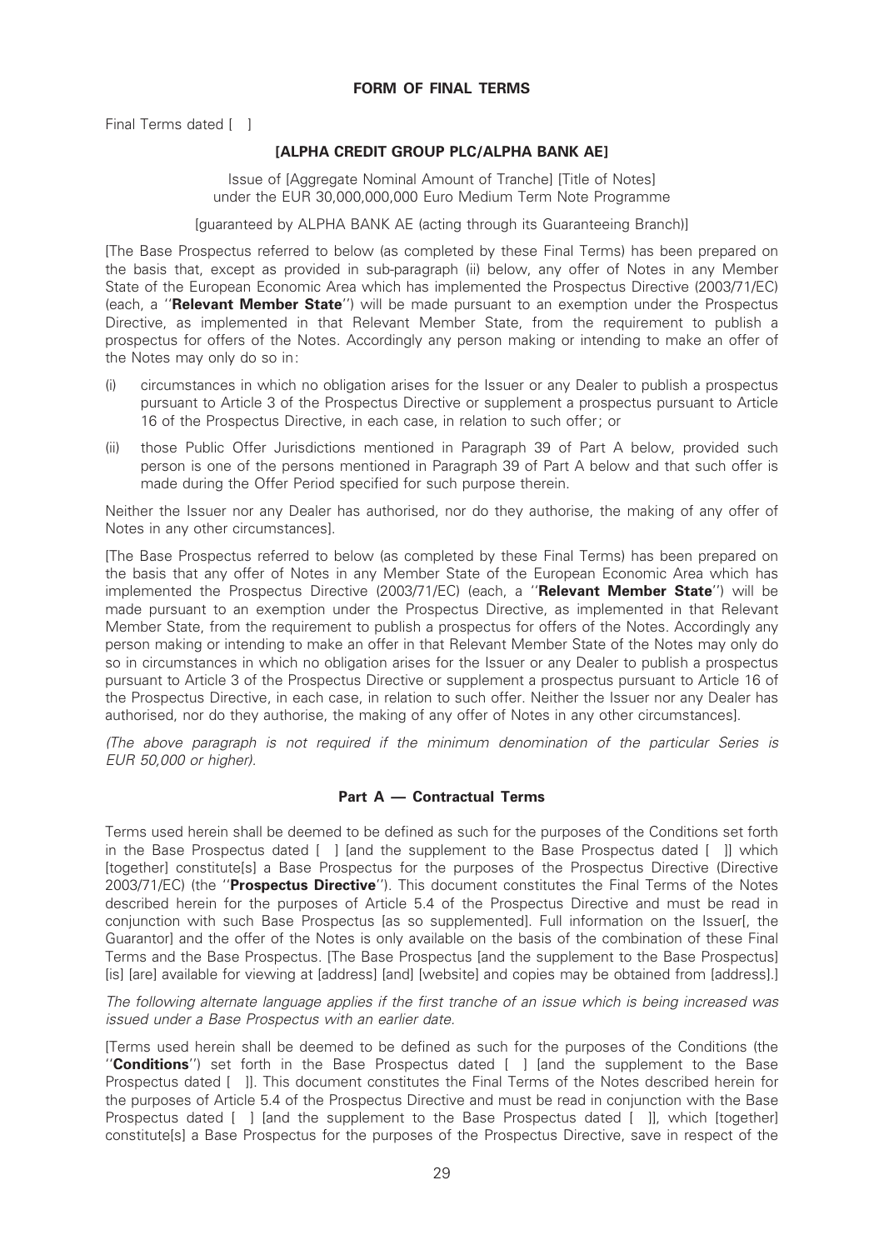Final Terms dated [ ]

### [ALPHA CREDIT GROUP PLC/ALPHA BANK AE]

Issue of [Aggregate Nominal Amount of Tranche] [Title of Notes] under the EUR 30,000,000,000 Euro Medium Term Note Programme

[guaranteed by ALPHA BANK AE (acting through its Guaranteeing Branch)]

[The Base Prospectus referred to below (as completed by these Final Terms) has been prepared on the basis that, except as provided in sub-paragraph (ii) below, any offer of Notes in any Member State of the European Economic Area which has implemented the Prospectus Directive (2003/71/EC) (each, a ''Relevant Member State'') will be made pursuant to an exemption under the Prospectus Directive, as implemented in that Relevant Member State, from the requirement to publish a prospectus for offers of the Notes. Accordingly any person making or intending to make an offer of the Notes may only do so in:

- (i) circumstances in which no obligation arises for the Issuer or any Dealer to publish a prospectus pursuant to Article 3 of the Prospectus Directive or supplement a prospectus pursuant to Article 16 of the Prospectus Directive, in each case, in relation to such offer; or
- (ii) those Public Offer Jurisdictions mentioned in Paragraph 39 of Part A below, provided such person is one of the persons mentioned in Paragraph 39 of Part A below and that such offer is made during the Offer Period specified for such purpose therein.

Neither the Issuer nor any Dealer has authorised, nor do they authorise, the making of any offer of Notes in any other circumstances].

[The Base Prospectus referred to below (as completed by these Final Terms) has been prepared on the basis that any offer of Notes in any Member State of the European Economic Area which has implemented the Prospectus Directive (2003/71/EC) (each, a "Relevant Member State") will be made pursuant to an exemption under the Prospectus Directive, as implemented in that Relevant Member State, from the requirement to publish a prospectus for offers of the Notes. Accordingly any person making or intending to make an offer in that Relevant Member State of the Notes may only do so in circumstances in which no obligation arises for the Issuer or any Dealer to publish a prospectus pursuant to Article 3 of the Prospectus Directive or supplement a prospectus pursuant to Article 16 of the Prospectus Directive, in each case, in relation to such offer. Neither the Issuer nor any Dealer has authorised, nor do they authorise, the making of any offer of Notes in any other circumstances].

(The above paragraph is not required if the minimum denomination of the particular Series is EUR 50,000 or higher).

### Part  $A -$  Contractual Terms

Terms used herein shall be deemed to be defined as such for the purposes of the Conditions set forth in the Base Prospectus dated [ ] [and the supplement to the Base Prospectus dated [ ]] which [together] constitute[s] a Base Prospectus for the purposes of the Prospectus Directive (Directive 2003/71/EC) (the "Prospectus Directive"). This document constitutes the Final Terms of the Notes described herein for the purposes of Article 5.4 of the Prospectus Directive and must be read in conjunction with such Base Prospectus [as so supplemented]. Full information on the Issuer[, the Guarantor] and the offer of the Notes is only available on the basis of the combination of these Final Terms and the Base Prospectus. [The Base Prospectus [and the supplement to the Base Prospectus] [is] [are] available for viewing at [address] [and] [website] and copies may be obtained from [address].]

The following alternate language applies if the first tranche of an issue which is being increased was issued under a Base Prospectus with an earlier date.

[Terms used herein shall be deemed to be de¢ned as such for the purposes of the Conditions (the "Conditions") set forth in the Base Prospectus dated [ ] [and the supplement to the Base Prospectus dated [ ]]. This document constitutes the Final Terms of the Notes described herein for the purposes of Article 5.4 of the Prospectus Directive and must be read in conjunction with the Base Prospectus dated [ ] [and the supplement to the Base Prospectus dated [ ]], which [together] constitute[s] a Base Prospectus for the purposes of the Prospectus Directive, save in respect of the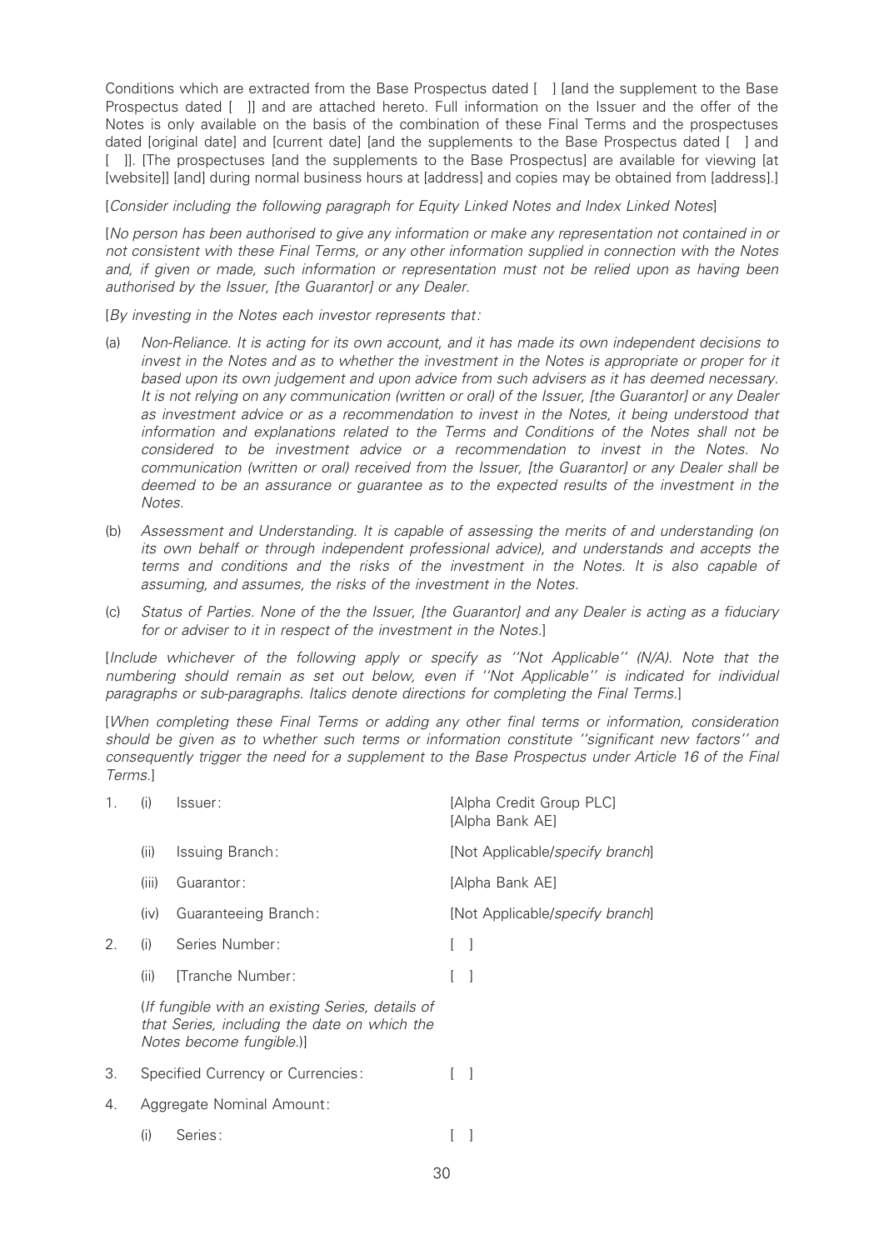Conditions which are extracted from the Base Prospectus dated [ ] [and the supplement to the Base Prospectus dated [ ]] and are attached hereto. Full information on the Issuer and the offer of the Notes is only available on the basis of the combination of these Final Terms and the prospectuses dated [original date] and [current date] [and the supplements to the Base Prospectus dated [ ] and [ I]. [The prospectuses [and the supplements to the Base Prospectus] are available for viewing [at [website]] [and] during normal business hours at [address] and copies may be obtained from [address].]

[Consider including the following paragraph for Equity Linked Notes and Index Linked Notes]

[No person has been authorised to give any information or make any representation not contained in or not consistent with these Final Terms, or any other information supplied in connection with the Notes and, if given or made, such information or representation must not be relied upon as having been authorised by the Issuer, [the Guarantor] or any Dealer.

[By investing in the Notes each investor represents that:

- (a) Non-Reliance. It is acting for its own account, and it has made its own independent decisions to invest in the Notes and as to whether the investment in the Notes is appropriate or proper for it based upon its own judgement and upon advice from such advisers as it has deemed necessary. It is not relying on any communication (written or oral) of the Issuer, [the Guarantor] or any Dealer as investment advice or as a recommendation to invest in the Notes, it being understood that information and explanations related to the Terms and Conditions of the Notes shall not be considered to be investment advice or a recommendation to invest in the Notes. No communication (written or oral) received from the Issuer, [the Guarantor] or any Dealer shall be deemed to be an assurance or guarantee as to the expected results of the investment in the Notes.
- (b) Assessment and Understanding. It is capable of assessing the merits of and understanding (on its own behalf or through independent professional advice), and understands and accepts the terms and conditions and the risks of the investment in the Notes. It is also capable of assuming, and assumes, the risks of the investment in the Notes.
- $(c)$  Status of Parties. None of the the Issuer, [the Guarantor] and any Dealer is acting as a fiduciary for or adviser to it in respect of the investment in the Notes.]

[Include whichever of the following apply or specify as ''Not Applicable'' (N/A). Note that the numbering should remain as set out below, even if ''Not Applicable'' is indicated for individual paragraphs or sub-paragraphs. Italics denote directions for completing the Final Terms.]

[When completing these Final Terms or adding any other final terms or information, consideration should be given as to whether such terms or information constitute "significant new factors" and consequently trigger the need for a supplement to the Base Prospectus under Article 16 of the Final Terms.]

| 1. | (i)   | Issuer:                                                                                                                      | [Alpha Credit Group PLC]<br>[Alpha Bank AE] |
|----|-------|------------------------------------------------------------------------------------------------------------------------------|---------------------------------------------|
|    | (ii)  | Issuing Branch:                                                                                                              | [Not Applicable/specify branch]             |
|    | (iii) | Guarantor:                                                                                                                   | [Alpha Bank AE]                             |
|    | (iv)  | Guaranteeing Branch:                                                                                                         | [Not Applicable/specify branch]             |
| 2. | (i)   | Series Number:                                                                                                               |                                             |
|    | (ii)  | <b>ITranche Number:</b>                                                                                                      |                                             |
|    |       | (If fungible with an existing Series, details of<br>that Series, including the date on which the<br>Notes become fungible.)] |                                             |
| 3. |       | Specified Currency or Currencies:                                                                                            |                                             |
| 4. |       | Aggregate Nominal Amount:                                                                                                    |                                             |
|    | (i)   | Series:                                                                                                                      |                                             |
|    |       |                                                                                                                              |                                             |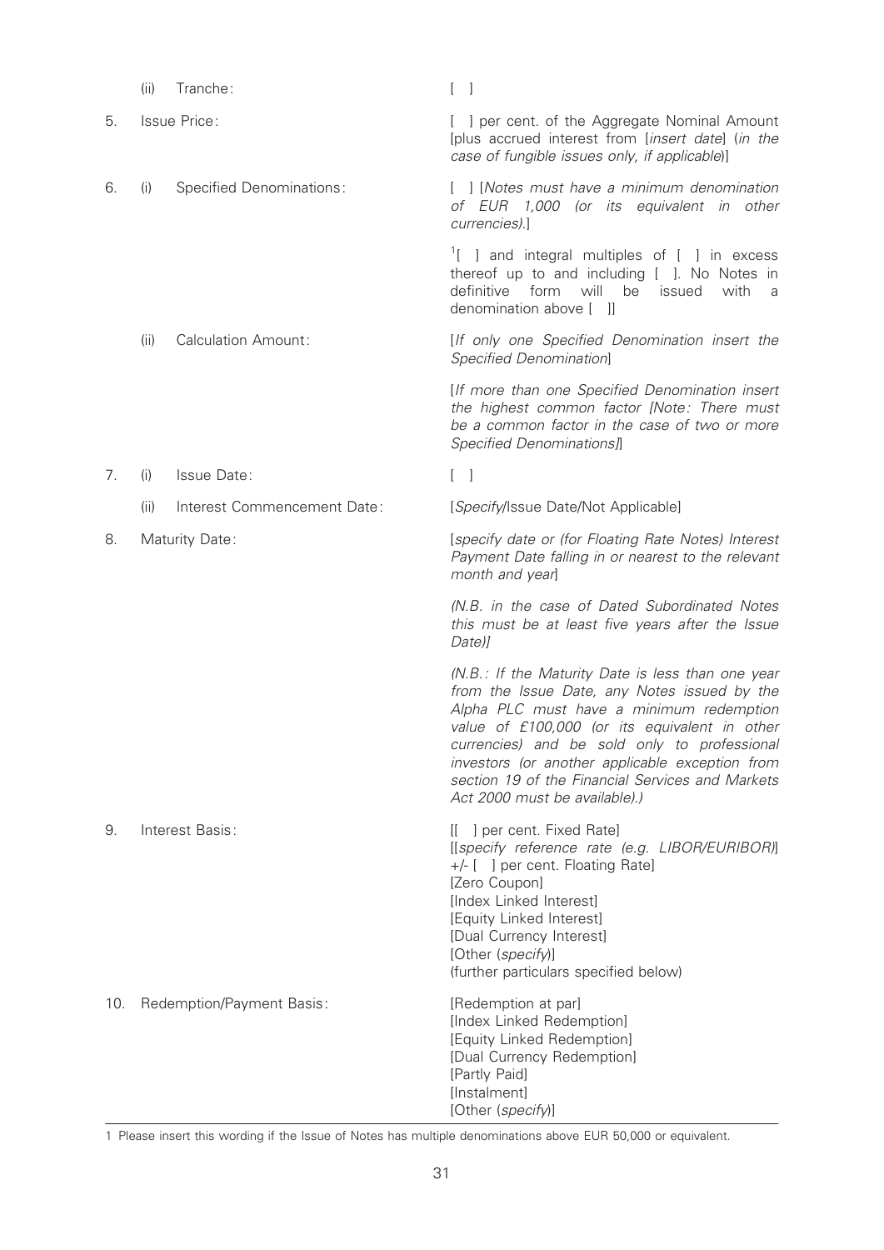|     | (ii) | Tranche:                        | L<br>$\overline{\phantom{0}}$                                                                                                                                                                                                                                                                                                                                                          |
|-----|------|---------------------------------|----------------------------------------------------------------------------------------------------------------------------------------------------------------------------------------------------------------------------------------------------------------------------------------------------------------------------------------------------------------------------------------|
| 5.  |      | Issue Price:                    | I per cent. of the Aggregate Nominal Amount<br>[plus accrued interest from [insert date] (in the<br>case of fungible issues only, if applicable)]                                                                                                                                                                                                                                      |
| 6.  | (i)  | <b>Specified Denominations:</b> | [ ] [Notes must have a minimum denomination<br>of EUR 1,000 (or its equivalent in other<br>currencies).]                                                                                                                                                                                                                                                                               |
|     |      |                                 | $\frac{1}{1}$ and integral multiples of [ ] in excess<br>thereof up to and including [ ]. No Notes in<br>definitive form<br>will<br>be<br>issued<br>with<br>a<br>denomination above [ ]]                                                                                                                                                                                               |
|     | (ii) | <b>Calculation Amount:</b>      | [If only one Specified Denomination insert the<br>Specified Denomination]                                                                                                                                                                                                                                                                                                              |
|     |      |                                 | [If more than one Specified Denomination insert<br>the highest common factor [Note: There must<br>be a common factor in the case of two or more<br>Specified Denominations]]                                                                                                                                                                                                           |
| 7.  | (i)  | Issue Date:                     | $\begin{bmatrix} 1 \end{bmatrix}$                                                                                                                                                                                                                                                                                                                                                      |
|     | (ii) | Interest Commencement Date:     | [Specify/Issue Date/Not Applicable]                                                                                                                                                                                                                                                                                                                                                    |
| 8.  |      | Maturity Date:                  | [specify date or (for Floating Rate Notes) Interest<br>Payment Date falling in or nearest to the relevant<br>month and year]                                                                                                                                                                                                                                                           |
|     |      |                                 | (N.B. in the case of Dated Subordinated Notes<br>this must be at least five years after the Issue<br>Date)]                                                                                                                                                                                                                                                                            |
|     |      |                                 | (N.B.: If the Maturity Date is less than one year<br>from the Issue Date, any Notes issued by the<br>Alpha PLC must have a minimum redemption<br>value of £100,000 (or its equivalent in other<br>currencies) and be sold only to professional<br>investors (or another applicable exception from<br>section 19 of the Financial Services and Markets<br>Act 2000 must be available).) |
| 9.  |      | Interest Basis:                 | [[ ] per cent. Fixed Rate]<br>[[specify reference rate (e.g. LIBOR/EURIBOR)]<br>+/- [ ] per cent. Floating Rate]<br>[Zero Coupon]<br>[Index Linked Interest]<br>[Equity Linked Interest]<br>[Dual Currency Interest]<br>[Other (specify)]<br>(further particulars specified below)                                                                                                     |
| 10. |      | Redemption/Payment Basis:       | [Redemption at par]<br>[Index Linked Redemption]<br>[Equity Linked Redemption]<br>[Dual Currency Redemption]<br>[Partly Paid]<br>[Instalment]<br>[Other (specify)]                                                                                                                                                                                                                     |

1 Please insert this wording if the Issue of Notes has multiple denominations above EUR 50,000 or equivalent.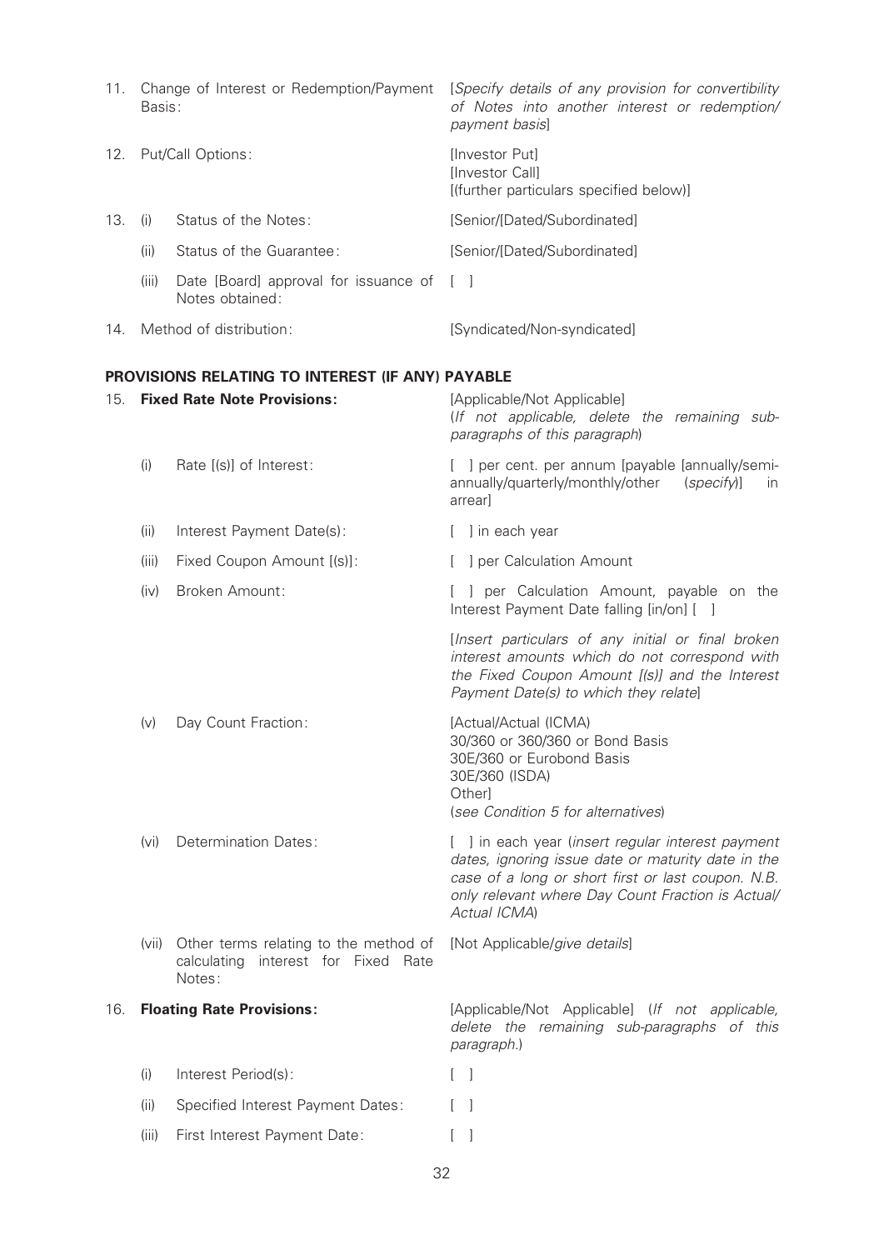| 11. | Change of Interest or Redemption/Payment<br>Basis: |                                                              | [Specify details of any provision for convertibility<br>of Notes into another interest or redemption/<br>payment basis] |
|-----|----------------------------------------------------|--------------------------------------------------------------|-------------------------------------------------------------------------------------------------------------------------|
|     | 12. Put/Call Options:                              |                                                              | <b>Investor Putl</b><br><b>Ilnvestor Call1</b><br>[(further particulars specified below)]                               |
| 13. | (1)                                                | Status of the Notes:                                         | [Senior/[Dated/Subordinated]                                                                                            |
|     | (11)                                               | Status of the Guarantee:                                     | [Senior/[Dated/Subordinated]                                                                                            |
|     | (iii)                                              | Date [Board] approval for issuance of [ ]<br>Notes obtained: |                                                                                                                         |

## 14. Method of distribution: [Syndicated/Non-syndicated]

## PROVISIONS RELATING TO INTEREST (IF ANY) PAYABLE

| 15. | <b>Fixed Rate Note Provisions:</b> |                                                                                           | [Applicable/Not Applicable]<br>(If not applicable, delete the remaining sub-<br>paragraphs of this paragraph)                                                                                                                      |
|-----|------------------------------------|-------------------------------------------------------------------------------------------|------------------------------------------------------------------------------------------------------------------------------------------------------------------------------------------------------------------------------------|
|     | (i)                                | Rate [(s)] of Interest:                                                                   | [ ] per cent. per annum [payable [annually/semi-<br>annually/quarterly/monthly/other<br>(specify)]<br>in.<br>arrear]                                                                                                               |
|     | (ii)                               | Interest Payment Date(s):                                                                 | [ ] in each year                                                                                                                                                                                                                   |
|     | (iii)                              | Fixed Coupon Amount [(s)]:                                                                | [ ] per Calculation Amount                                                                                                                                                                                                         |
|     | (iv)                               | Broken Amount:                                                                            | [ ] per Calculation Amount, payable on the<br>Interest Payment Date falling [in/on] [ ]                                                                                                                                            |
|     |                                    |                                                                                           | [Insert particulars of any initial or final broken<br>interest amounts which do not correspond with<br>the Fixed Coupon Amount [(s)] and the Interest<br>Payment Date(s) to which they relate]                                     |
|     | (v)                                | Day Count Fraction:                                                                       | [Actual/Actual (ICMA)<br>30/360 or 360/360 or Bond Basis<br>30E/360 or Eurobond Basis<br>30E/360 (ISDA)<br>Other]<br>(see Condition 5 for alternatives)                                                                            |
|     | (v <sub>i</sub> )                  | Determination Dates:                                                                      | [ ] in each year (insert regular interest payment<br>dates, ignoring issue date or maturity date in the<br>case of a long or short first or last coupon. N.B.<br>only relevant where Day Count Fraction is Actual/<br>Actual ICMA) |
|     | (vii)                              | Other terms relating to the method of<br>calculating<br>interest for Fixed Rate<br>Notes: | [Not Applicable/give details]                                                                                                                                                                                                      |
| 16. |                                    | <b>Floating Rate Provisions:</b>                                                          | [Applicable/Not Applicable] (If not applicable,<br>delete the remaining sub-paragraphs of this<br>paragraph.)                                                                                                                      |
|     | (i)                                | Interest Period(s):                                                                       | $[\ ]$                                                                                                                                                                                                                             |
|     | (ii)                               | Specified Interest Payment Dates:                                                         | $\Box$                                                                                                                                                                                                                             |
|     | (iii)                              | First Interest Payment Date:                                                              | $\Box$                                                                                                                                                                                                                             |
|     |                                    |                                                                                           |                                                                                                                                                                                                                                    |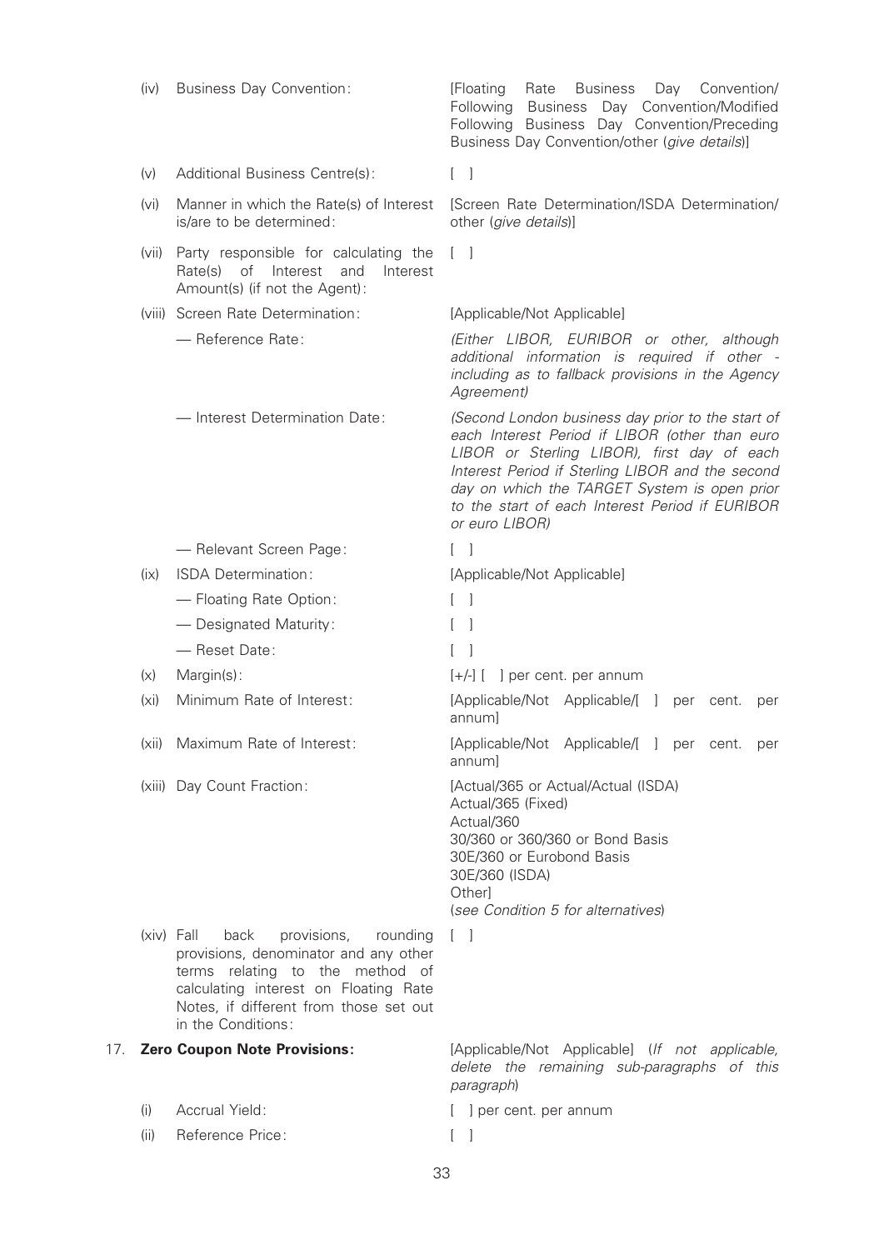|     | (iv)              | <b>Business Day Convention:</b>                                                                                                                                                                                                      | <b>Business</b><br>Day Convention/<br>[Floating]<br>Rate<br>Following<br><b>Business</b><br>Day Convention/Modified<br>Following Business Day Convention/Preceding<br>Business Day Convention/other (give details)]                                                                                                         |
|-----|-------------------|--------------------------------------------------------------------------------------------------------------------------------------------------------------------------------------------------------------------------------------|-----------------------------------------------------------------------------------------------------------------------------------------------------------------------------------------------------------------------------------------------------------------------------------------------------------------------------|
|     | (v)               | Additional Business Centre(s):                                                                                                                                                                                                       | $\begin{bmatrix} 1 \end{bmatrix}$                                                                                                                                                                                                                                                                                           |
|     | (vi)              | Manner in which the Rate(s) of Interest<br>is/are to be determined:                                                                                                                                                                  | [Screen Rate Determination/ISDA Determination/<br>other (give details)]                                                                                                                                                                                                                                                     |
|     | (vii)             | Party responsible for calculating the<br>Rate(s) of Interest and<br>Interest<br>Amount(s) (if not the Agent):                                                                                                                        | $\begin{bmatrix} 1 & 1 \end{bmatrix}$                                                                                                                                                                                                                                                                                       |
|     |                   | (viii) Screen Rate Determination:                                                                                                                                                                                                    | [Applicable/Not Applicable]                                                                                                                                                                                                                                                                                                 |
|     |                   | - Reference Rate:                                                                                                                                                                                                                    | (Either LIBOR, EURIBOR or other, although<br>additional information is required if other -<br>including as to fallback provisions in the Agency<br>Agreement)                                                                                                                                                               |
|     |                   | - Interest Determination Date:                                                                                                                                                                                                       | (Second London business day prior to the start of<br>each Interest Period if LIBOR (other than euro<br>LIBOR or Sterling LIBOR), first day of each<br>Interest Period if Sterling LIBOR and the second<br>day on which the TARGET System is open prior<br>to the start of each Interest Period if EURIBOR<br>or euro LIBOR) |
|     |                   | - Relevant Screen Page:                                                                                                                                                                                                              | $\begin{bmatrix} 1 \end{bmatrix}$                                                                                                                                                                                                                                                                                           |
|     | (ix)              | ISDA Determination:                                                                                                                                                                                                                  | [Applicable/Not Applicable]                                                                                                                                                                                                                                                                                                 |
|     |                   | - Floating Rate Option:                                                                                                                                                                                                              | $\begin{bmatrix} 1 \end{bmatrix}$                                                                                                                                                                                                                                                                                           |
|     |                   | - Designated Maturity:                                                                                                                                                                                                               |                                                                                                                                                                                                                                                                                                                             |
|     |                   | - Reset Date:                                                                                                                                                                                                                        |                                                                                                                                                                                                                                                                                                                             |
|     | (x)               | Margin(s):                                                                                                                                                                                                                           | $[+/]$ $[$ $]$ per cent. per annum                                                                                                                                                                                                                                                                                          |
|     | (x <sub>i</sub> ) | Minimum Rate of Interest:                                                                                                                                                                                                            | [Applicable/Not Applicable/[ ]<br>per<br>cent.<br>per<br>annum]                                                                                                                                                                                                                                                             |
|     |                   | (xii) Maximum Rate of Interest:                                                                                                                                                                                                      | [Applicable/Not Applicable/[ ] per cent. per<br>annum                                                                                                                                                                                                                                                                       |
|     |                   | (xiii) Day Count Fraction:                                                                                                                                                                                                           | [Actual/365 or Actual/Actual (ISDA)<br>Actual/365 (Fixed)<br>Actual/360<br>30/360 or 360/360 or Bond Basis<br>30E/360 or Eurobond Basis<br>30E/360 (ISDA)<br>Other]<br>(see Condition 5 for alternatives)                                                                                                                   |
|     |                   | $(xiv)$ Fall<br>provisions,<br>back<br>rounding<br>provisions, denominator and any other<br>terms relating to the method of<br>calculating interest on Floating Rate<br>Notes, if different from those set out<br>in the Conditions: | $\Box$                                                                                                                                                                                                                                                                                                                      |
| 17. |                   | <b>Zero Coupon Note Provisions:</b>                                                                                                                                                                                                  | [Applicable/Not Applicable] (If not applicable,<br>delete the remaining sub-paragraphs of this<br>paragraph)                                                                                                                                                                                                                |
|     | (i)               | Accrual Yield:                                                                                                                                                                                                                       | [ ] per cent. per annum                                                                                                                                                                                                                                                                                                     |
|     | (ii)              | Reference Price:                                                                                                                                                                                                                     | $\begin{bmatrix} \end{bmatrix}$                                                                                                                                                                                                                                                                                             |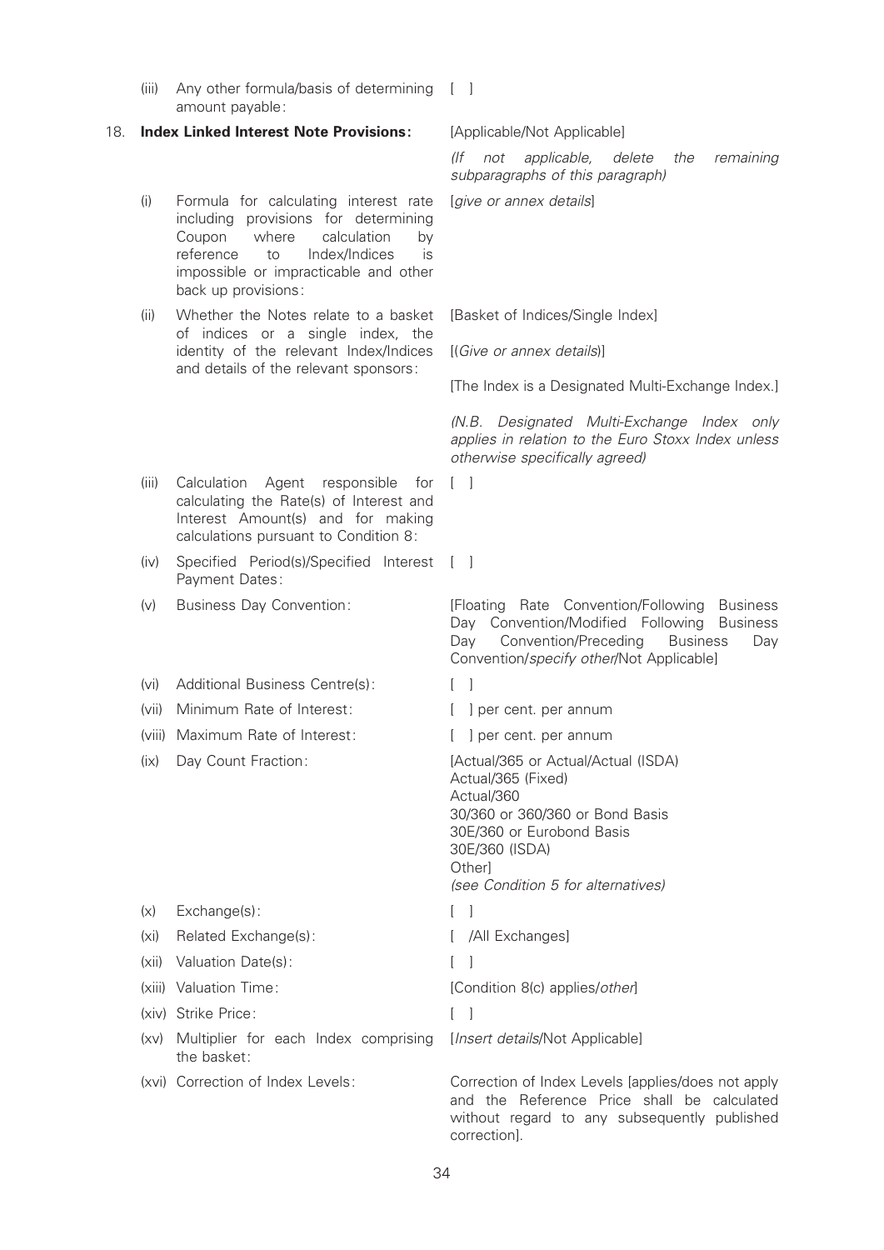(iii) Any other formula/basis of determining [ ] amount payable:

#### 18. Index Linked Interest Note Provisions: [Applicable/Not Applicable]

- (i) Formula for calculating interest rate including provisions for determining Coupon where calculation by reference to Index/Indices is impossible or impracticable and other back up provisions:
- (ii) Whether the Notes relate to a basket of indices or a single index, the identity of the relevant Index/Indices and details of the relevant sponsors:

(If not applicable, delete the remaining subparagraphs of this paragraph)

[give or annex details]

[Basket of Indices/Single Index]

[(Give or annex details)]

[The Index is a Designated Multi-Exchange Index.]

(N.B. Designated Multi-Exchange Index only applies in relation to the Euro Stoxx Index unless otherwise specifically agreed)

- (iii) Calculation Agent responsible for calculating the Rate(s) of Interest and Interest Amount(s) and for making calculations pursuant to Condition 8:
- (iv) Specified Period(s)/Specified Interest [ ] Payment Dates:
- 
- (vi) Additional Business Centre(s): [ ]
- (vii) Minimum Rate of Interest: [ ] per cent. per annum
- (viii) Maximum Rate of Interest: [ ] per cent. per annum

(xv) Multiplier for each Index comprising

the basket:

- (v) Business Day Convention: [Floating Rate Convention/Following Business Day Convention/Modified Following Business Day Convention/Preceding Business Day Convention/specify other/Not Applicable]
	-

 $\lceil$   $\rceil$ 

- 
- 

(ix) Day Count Fraction: [Actual/365 or Actual/Actual (ISDA) Actual/365 (Fixed) Actual/360 30/360 or 360/360 or Bond Basis 30E/360 or Eurobond Basis 30E/360 (ISDA) **Otherl** (see Condition 5 for alternatives) (x) Exchange(s): [ ] (xi) Related Exchange(s): [ /All Exchanges] (xii) Valuation Date(s): [ ]

(xiii) Valuation Time:  $[Condition 8(c) applies/other]$ 

(xiv) Strike Price: [ ]

[Insert details/Not Applicable]

(xvi) Correction of Index Levels: Correction of Index Levels [applies/does not apply and the Reference Price shall be calculated without regard to any subsequently published correction].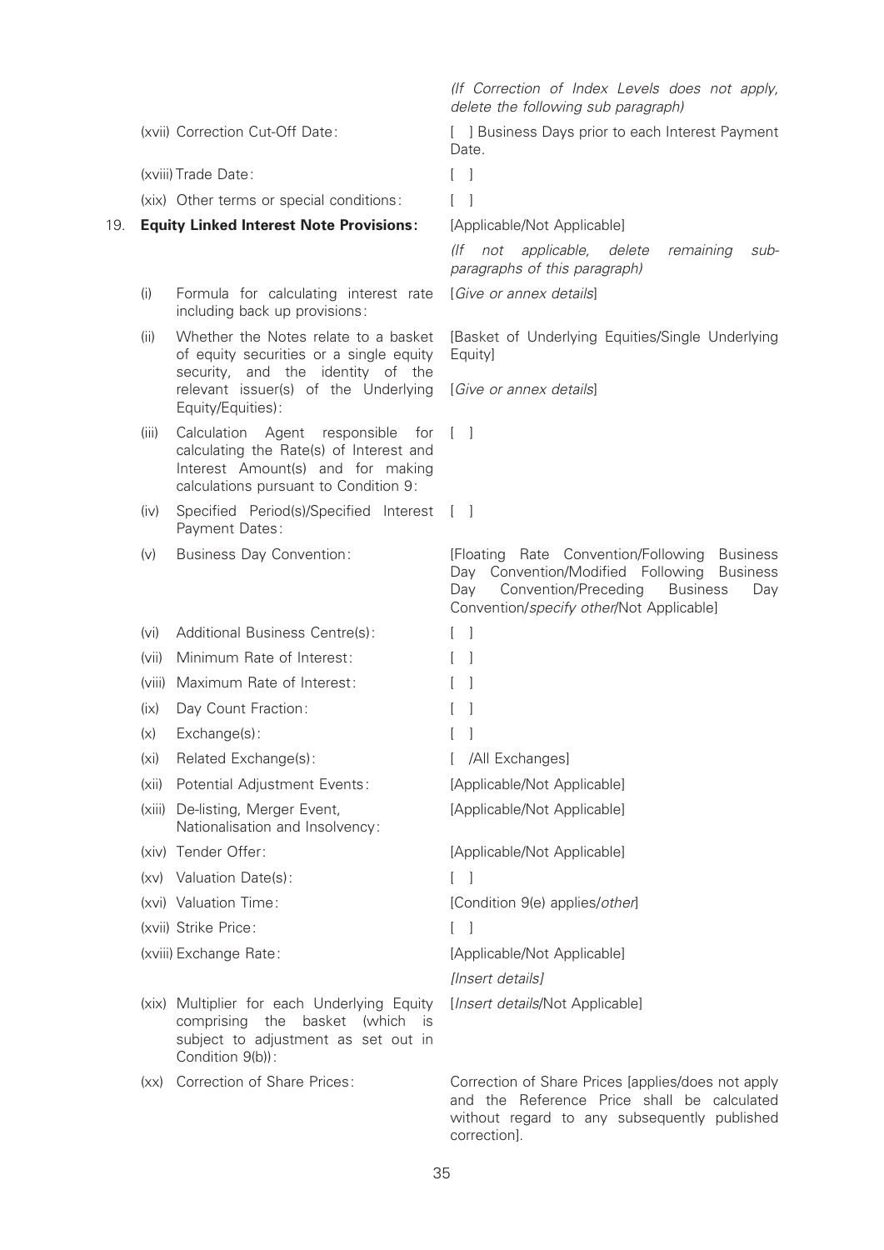|     |                   |                                                                                                                                                                             | (If Correction of Index Levels does not apply,<br>delete the following sub paragraph)                                                                                                                               |
|-----|-------------------|-----------------------------------------------------------------------------------------------------------------------------------------------------------------------------|---------------------------------------------------------------------------------------------------------------------------------------------------------------------------------------------------------------------|
|     |                   | (xvii) Correction Cut-Off Date:                                                                                                                                             | [ ] Business Days prior to each Interest Payment<br>Date.                                                                                                                                                           |
|     |                   | (xviii) Trade Date:                                                                                                                                                         | $\begin{array}{ccc} \end{array}$                                                                                                                                                                                    |
|     |                   | (xix) Other terms or special conditions:                                                                                                                                    | $\lceil$                                                                                                                                                                                                            |
| 19. |                   | <b>Equity Linked Interest Note Provisions:</b>                                                                                                                              | [Applicable/Not Applicable]                                                                                                                                                                                         |
|     |                   |                                                                                                                                                                             | (If not applicable, delete<br>remaining<br>sub-<br>paragraphs of this paragraph)                                                                                                                                    |
|     | (i)               | Formula for calculating interest rate<br>including back up provisions:                                                                                                      | [Give or annex details]                                                                                                                                                                                             |
|     | (ii)              | Whether the Notes relate to a basket<br>of equity securities or a single equity<br>security, and the identity of the                                                        | [Basket of Underlying Equities/Single Underlying<br>Equity]                                                                                                                                                         |
|     |                   | relevant issuer(s) of the Underlying<br>Equity/Equities):                                                                                                                   | [Give or annex details]                                                                                                                                                                                             |
|     | (iii)             | Calculation Agent responsible for<br>calculating the Rate(s) of Interest and<br>Interest Amount(s) and for making<br>calculations pursuant to Condition 9:                  | $\begin{bmatrix} 1 & 1 \end{bmatrix}$                                                                                                                                                                               |
|     | (iv)              | Specified Period(s)/Specified Interest [ ]<br>Payment Dates:                                                                                                                |                                                                                                                                                                                                                     |
|     | (v)               | <b>Business Day Convention:</b>                                                                                                                                             | [Floating Rate Convention/Following<br><b>Business</b><br>Day Convention/Modified Following<br><b>Business</b><br>Convention/Preceding<br>Day<br><b>Business</b><br>Day<br>Convention/specify other/Not Applicable] |
|     | (vi)              | Additional Business Centre(s):                                                                                                                                              | $\begin{bmatrix} 1 \end{bmatrix}$                                                                                                                                                                                   |
|     | (vii)             | Minimum Rate of Interest:                                                                                                                                                   |                                                                                                                                                                                                                     |
|     |                   | (viii) Maximum Rate of Interest:                                                                                                                                            | $\mathbf{I}$                                                                                                                                                                                                        |
|     | (ix)              | Day Count Fraction:                                                                                                                                                         | $\mathbf{I}$                                                                                                                                                                                                        |
|     | (x)               | Exchange(s):                                                                                                                                                                |                                                                                                                                                                                                                     |
|     | (x <sub>i</sub> ) | Related Exchange(s):                                                                                                                                                        | /All Exchanges]                                                                                                                                                                                                     |
|     | (xii)             | Potential Adjustment Events:                                                                                                                                                | [Applicable/Not Applicable]                                                                                                                                                                                         |
|     |                   | (xiii) De-listing, Merger Event,<br>Nationalisation and Insolvency:                                                                                                         | [Applicable/Not Applicable]                                                                                                                                                                                         |
|     |                   | (xiv) Tender Offer:                                                                                                                                                         | [Applicable/Not Applicable]                                                                                                                                                                                         |
|     |                   | (xv) Valuation Date(s):                                                                                                                                                     | $\lceil$ 1                                                                                                                                                                                                          |
|     |                   | (xvi) Valuation Time:                                                                                                                                                       | [Condition 9(e) applies/other]                                                                                                                                                                                      |
|     |                   | (xvii) Strike Price:                                                                                                                                                        | $\begin{bmatrix} 1 & 1 \end{bmatrix}$                                                                                                                                                                               |
|     |                   | (xviii) Exchange Rate:                                                                                                                                                      | [Applicable/Not Applicable]<br>[Insert details]                                                                                                                                                                     |
|     |                   | (xix) Multiplier for each Underlying Equity<br>comprising the<br>basket<br>(which<br>$\overline{\phantom{a}}$ IS<br>subject to adjustment as set out in<br>Condition 9(b)): | [Insert details/Not Applicable]                                                                                                                                                                                     |
|     |                   | (xx) Correction of Share Prices:                                                                                                                                            | Correction of Share Prices [applies/does not apply<br>and the Reference Price shall be calculated                                                                                                                   |

correction].

without regard to any subsequently published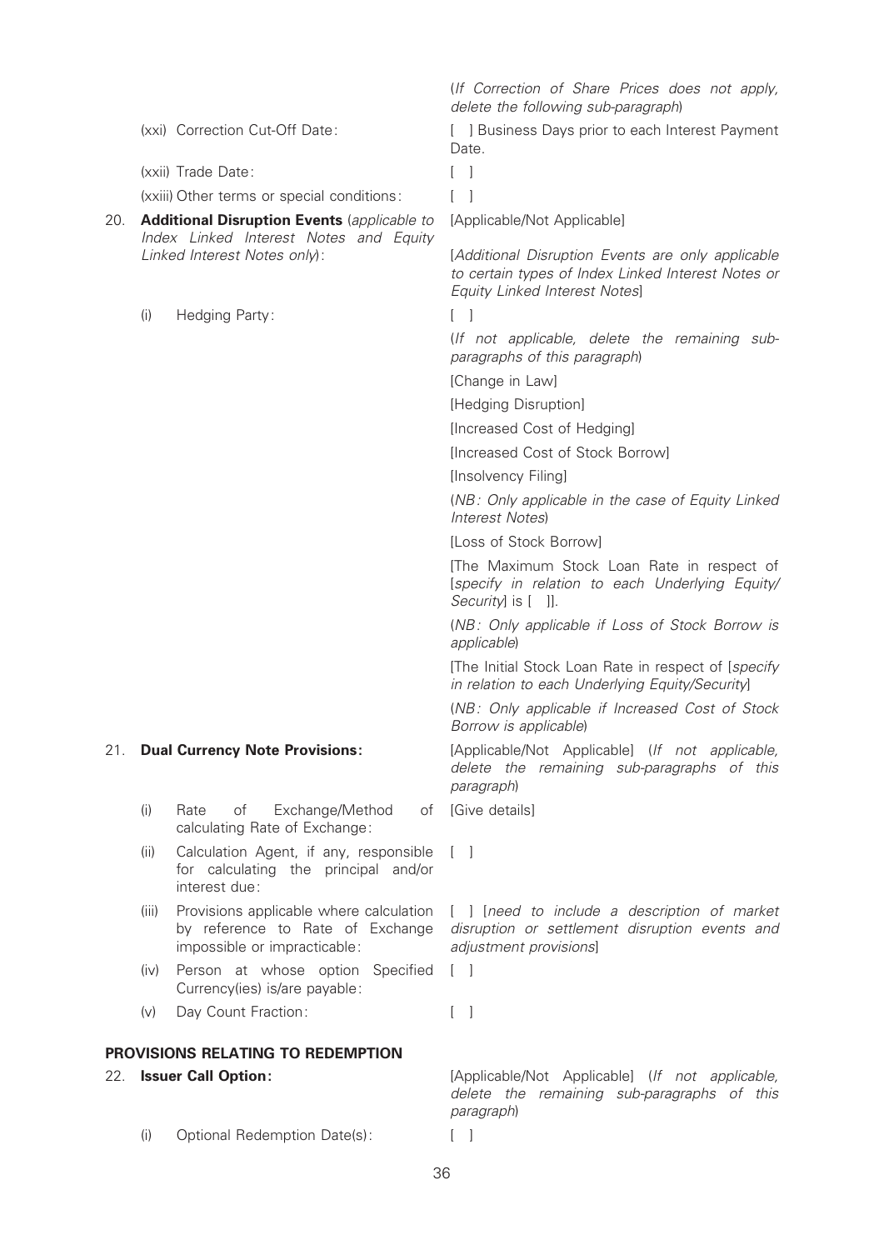(xxii) Trade Date: [ ]

(xxiii) Other terms or special conditions: [ ]

- 20. **Additional Disruption Events** (applicable to Index Linked Interest Notes and Equity Linked Interest Notes only):
	- (i) Hedging Party: [ ]

- (i) Rate of Exchange/Method calculating Rate of Exchange:
- (ii) Calculation Agent, if any, responsible for calculating the principal and/or interest due:
- (iii) Provisions applicable where calculation by reference to Rate of Exchange impossible or impracticable:
- (iv) Person at whose option Specified Currency(ies) is/are payable:
- (v) Day Count Fraction: [ ]

# PROVISIONS RELATING TO REDEMPTION

(i) Optional Redemption Date(s): [ ]

(If Correction of Share Prices does not apply, delete the following sub-paragraph)

(xxi) Correction Cut-Off Date: [ ] Business Days prior to each Interest Payment Date.

[Applicable/Not Applicable]

[Additional Disruption Events are only applicable to certain types of Index Linked Interest Notes or Equity Linked Interest Notes]

(If not applicable, delete the remaining subparagraphs of this paragraph)

[Change in Law]

[Hedging Disruption]

[Increased Cost of Hedging]

[Increased Cost of Stock Borrow]

[Insolvency Filing]

(NB: Only applicable in the case of Equity Linked Interest Notes)

[Loss of Stock Borrow]

[The Maximum Stock Loan Rate in respect of [specify in relation to each Underlying Equity/ Security] is [ ]].

(NB: Only applicable if Loss of Stock Borrow is applicable)

[The Initial Stock Loan Rate in respect of [specify in relation to each Underlying Equity/Security]

(NB: Only applicable if Increased Cost of Stock Borrow is applicable)

21. **Dual Currency Note Provisions:** [Applicable/Not Applicable] (If not applicable, delete the remaining sub-paragraphs of this paragraph)

of [Give details]

 $\lceil$   $\rceil$ 

[ ] [need to include a description of market disruption or settlement disruption events and adjustment provisions]

 $\lceil$   $\rceil$ 

22. **Issuer Call Option: Example 22. In the IAPPLICADE** (If not applicable, 100) delete the remaining sub-paragraphs of this paragraph)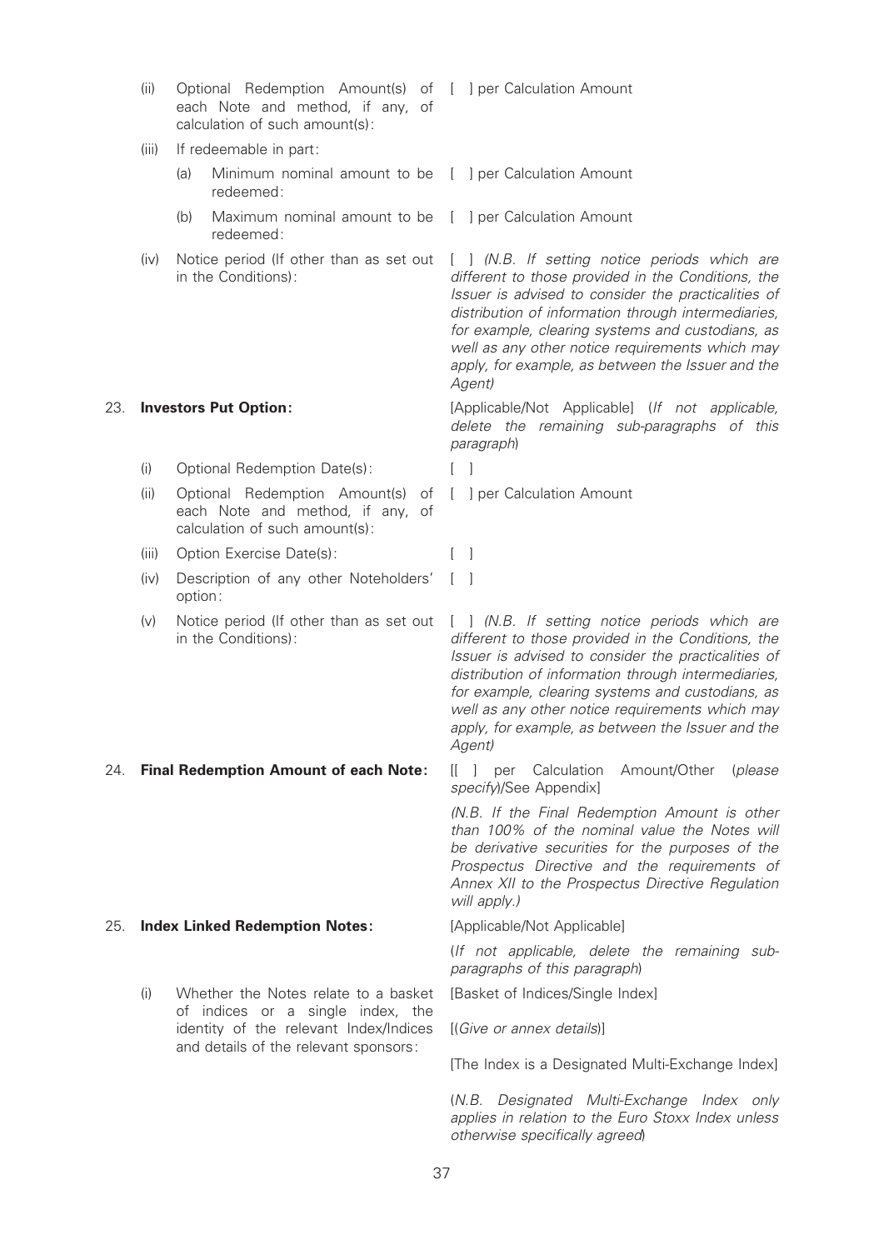calculation of such amount(s): (iii) If redeemable in part: (a) Minimum nominal amount to be [ ] per Calculation Amount redeemed: (b) Maximum nominal amount to be [ ] per Calculation Amount redeemed: (iv) Notice period (If other than as set out [ ] (N.B. If setting notice periods which are in the Conditions): different to those provided in the Conditions, the Issuer is advised to consider the practicalities of distribution of information through intermediaries, for example, clearing systems and custodians, as well as any other notice requirements which may apply, for example, as between the Issuer and the Agent) 23. **Investors Put Option: Example 23. Investors Put Option: Example:** [Applicable/Not Applicable] (If not applicable, delete the remaining sub-paragraphs of this paragraph) (i) Optional Redemption Date(s): [ ] (ii) Optional Redemption Amount(s) of each Note and method, if any, of calculation of such amount(s): [ ] per Calculation Amount (iii) Option Exercise Date(s): [ ] (iv) Description of any other Noteholders' option:  $\lceil$   $\rceil$ (v) Notice period (If other than as set out [ ] (N.B. If setting notice periods which are in the Conditions): different to those provided in the Conditions, the Issuer is advised to consider the practicalities of distribution of information through intermediaries, for example, clearing systems and custodians, as well as any other notice requirements which may apply, for example, as between the Issuer and the Agent) 24. Final Redemption Amount of each Note: [[ ] per Calculation Amount/Other (please specify)/See Appendix] (N.B. If the Final Redemption Amount is other than 100% of the nominal value the Notes will be derivative securities for the purposes of the Prospectus Directive and the requirements of Annex XII to the Prospectus Directive Regulation will apply.) 25. Index Linked Redemption Notes: [Applicable/Not Applicable] (If not applicable, delete the remaining subparagraphs of this paragraph) (i) Whether the Notes relate to a basket of indices or a single index, the identity of the relevant Index/Indices and details of the relevant sponsors: [Basket of Indices/Single Index] [(Give or annex details)]

(ii) Optional Redemption Amount(s) of [ ] per Calculation Amount

each Note and method, if any, of

[The Index is a Designated Multi-Exchange Index]

(N.B. Designated Multi-Exchange Index only applies in relation to the Euro Stoxx Index unless otherwise specifically agreed)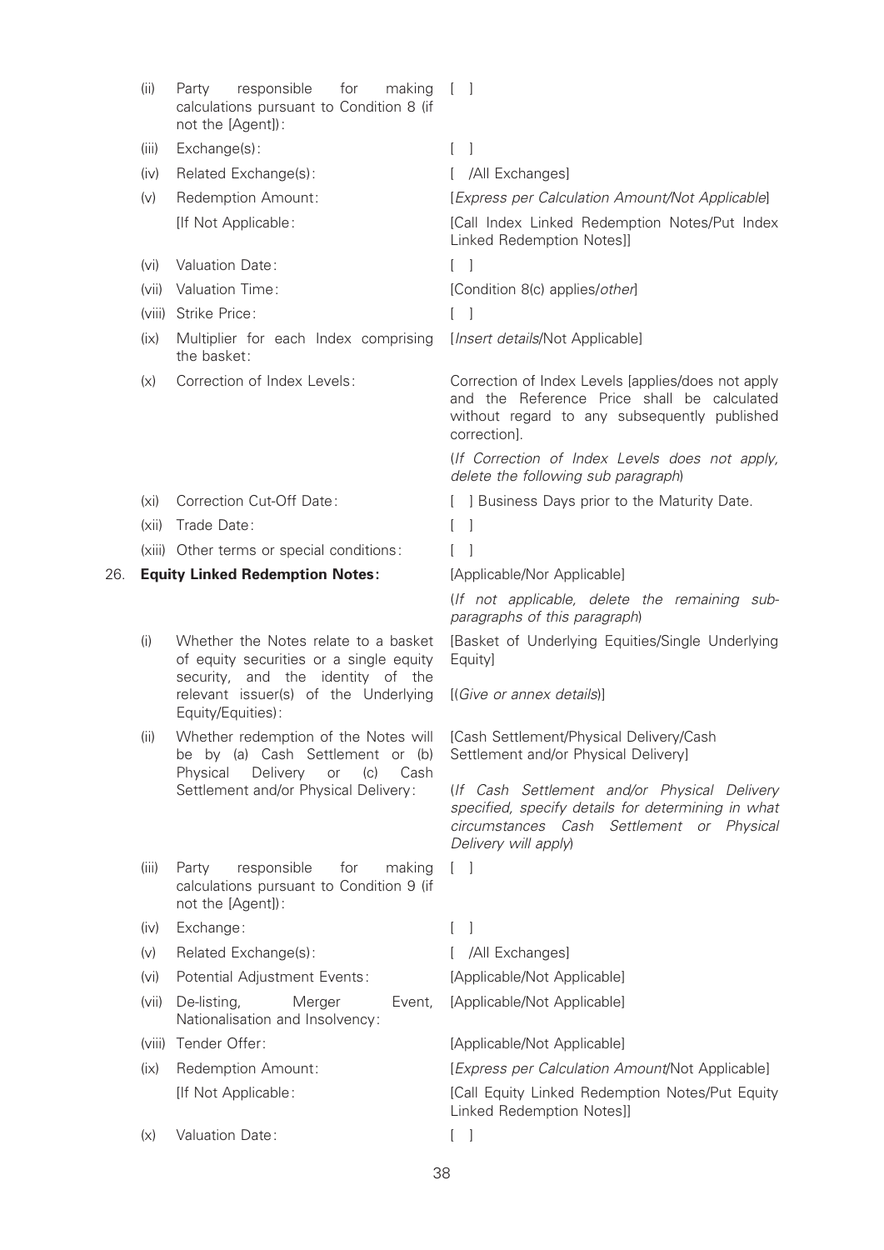|     | (ii)                                   | responsible<br>for<br>making<br>Party<br>calculations pursuant to Condition 8 (if<br>not the [Agent]):                | $[\ ]$                                                                                                                                                                  |
|-----|----------------------------------------|-----------------------------------------------------------------------------------------------------------------------|-------------------------------------------------------------------------------------------------------------------------------------------------------------------------|
|     | (iii)                                  | Exchange(s):                                                                                                          | -1<br>L                                                                                                                                                                 |
|     | (iv)                                   | Related Exchange(s):                                                                                                  | [ /All Exchanges]                                                                                                                                                       |
|     | (v)                                    | Redemption Amount:                                                                                                    | [Express per Calculation Amount/Not Applicable]                                                                                                                         |
|     |                                        | [If Not Applicable:                                                                                                   | [Call Index Linked Redemption Notes/Put Index<br>Linked Redemption Notes]]                                                                                              |
|     | (vi)                                   | Valuation Date:                                                                                                       |                                                                                                                                                                         |
|     |                                        | (vii) Valuation Time:                                                                                                 | [Condition 8(c) applies/other]                                                                                                                                          |
|     |                                        | (viii) Strike Price:                                                                                                  | $\lceil$ $\rceil$                                                                                                                                                       |
|     | (ix)                                   | Multiplier for each Index comprising<br>the basket:                                                                   | [Insert details/Not Applicable]                                                                                                                                         |
|     | (x)                                    | Correction of Index Levels:                                                                                           | Correction of Index Levels [applies/does not apply<br>and the Reference Price shall be calculated<br>without regard to any subsequently published<br>correction].       |
|     |                                        |                                                                                                                       | (If Correction of Index Levels does not apply,<br>delete the following sub paragraph)                                                                                   |
|     | (xi)                                   | <b>Correction Cut-Off Date:</b>                                                                                       | [ ] Business Days prior to the Maturity Date.                                                                                                                           |
|     | (xii)                                  | Trade Date:                                                                                                           | -1                                                                                                                                                                      |
|     |                                        | (xiii) Other terms or special conditions:                                                                             |                                                                                                                                                                         |
| 26. | <b>Equity Linked Redemption Notes:</b> |                                                                                                                       | [Applicable/Nor Applicable]                                                                                                                                             |
|     |                                        |                                                                                                                       | (If not applicable, delete the remaining sub-<br>paragraphs of this paragraph)                                                                                          |
|     | (i)                                    | Whether the Notes relate to a basket<br>of equity securities or a single equity<br>security, and the identity of the  | [Basket of Underlying Equities/Single Underlying<br>Equity]                                                                                                             |
|     |                                        | relevant issuer(s) of the Underlying<br>Equity/Equities):                                                             | [(Give or annex details)]                                                                                                                                               |
|     | (ii)                                   | be by (a) Cash Settlement or (b)<br>Delivery<br>Physical<br>or<br>(c)<br>Cash<br>Settlement and/or Physical Delivery: | Whether redemption of the Notes will [Cash Settlement/Physical Delivery/Cash<br>Settlement and/or Physical Delivery]                                                    |
|     |                                        |                                                                                                                       | (If Cash Settlement and/or Physical Delivery<br>specified, specify details for determining in what<br>circumstances Cash Settlement or Physical<br>Delivery will apply) |
|     | (iii)                                  | responsible<br>Party<br>for<br>making<br>calculations pursuant to Condition 9 (if<br>not the [Agent]):                | $\begin{bmatrix} 1 \end{bmatrix}$                                                                                                                                       |
|     | (iv)                                   | Exchange:                                                                                                             | $\overline{\phantom{a}}$                                                                                                                                                |
|     | (v)                                    | Related Exchange(s):                                                                                                  | /All Exchanges]                                                                                                                                                         |
|     | (v <sub>i</sub> )                      | Potential Adjustment Events:                                                                                          | [Applicable/Not Applicable]                                                                                                                                             |
|     | (vii)                                  | De-listing,<br>Merger<br>Event,<br>Nationalisation and Insolvency:                                                    | [Applicable/Not Applicable]                                                                                                                                             |
|     |                                        | (viii) Tender Offer:                                                                                                  | [Applicable/Not Applicable]                                                                                                                                             |
|     | (ix)                                   | Redemption Amount:                                                                                                    | [Express per Calculation Amount/Not Applicable]                                                                                                                         |
|     |                                        | [If Not Applicable:                                                                                                   | [Call Equity Linked Redemption Notes/Put Equity<br>Linked Redemption Notes]]                                                                                            |
|     | (x)                                    | Valuation Date:                                                                                                       | $[\ ]$                                                                                                                                                                  |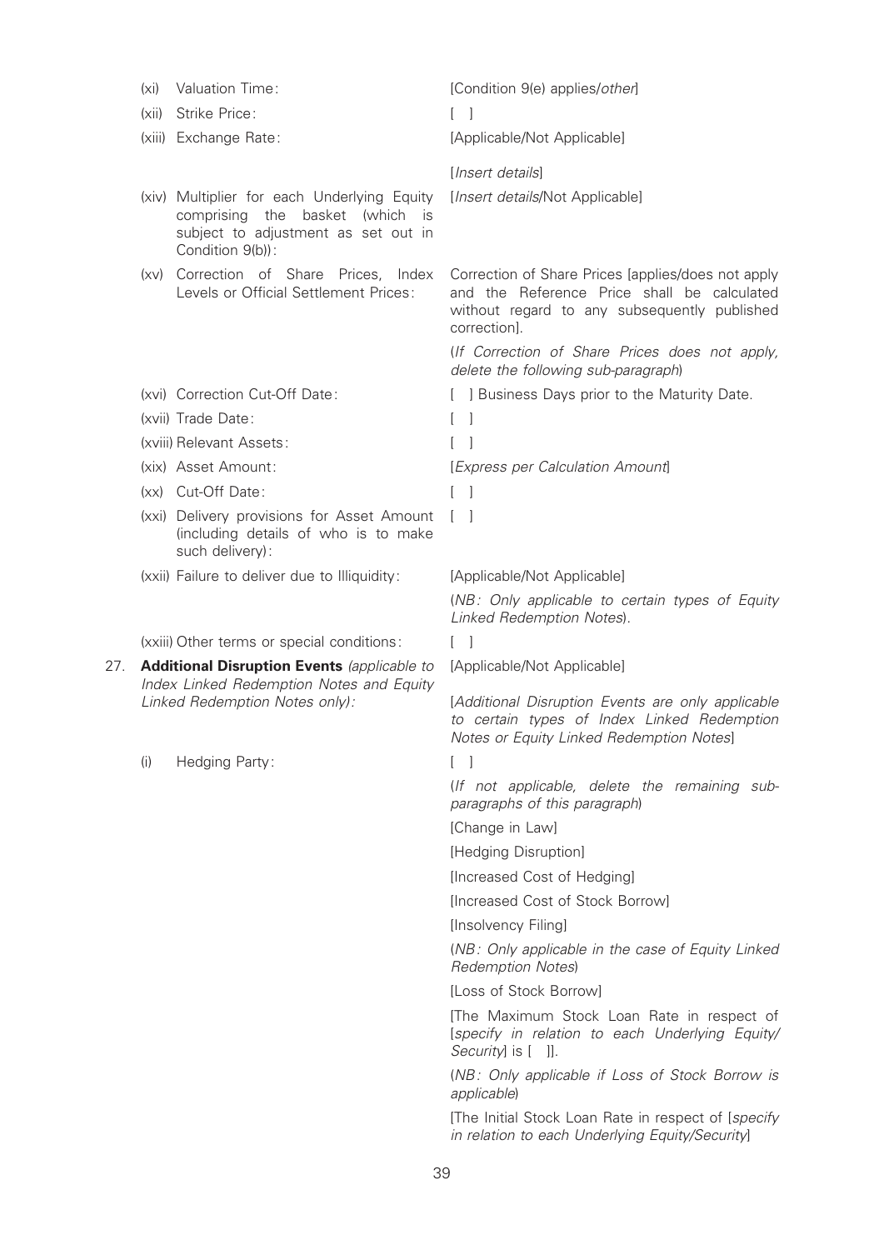|     | (x <sub>i</sub> )                                                          | Valuation Time:                                                                                                                           | [Condition 9(e) applies/other]                                                                                                                                    |
|-----|----------------------------------------------------------------------------|-------------------------------------------------------------------------------------------------------------------------------------------|-------------------------------------------------------------------------------------------------------------------------------------------------------------------|
|     | (xii)                                                                      | Strike Price:                                                                                                                             |                                                                                                                                                                   |
|     |                                                                            | (xiii) Exchange Rate:                                                                                                                     | [Applicable/Not Applicable]                                                                                                                                       |
|     |                                                                            |                                                                                                                                           | [Insert details]                                                                                                                                                  |
|     |                                                                            | (xiv) Multiplier for each Underlying Equity<br>comprising the basket (which is<br>subject to adjustment as set out in<br>Condition 9(b)): | [Insert details/Not Applicable]                                                                                                                                   |
|     | (xv)                                                                       | Correction of Share Prices,<br>Index<br>Levels or Official Settlement Prices:                                                             | Correction of Share Prices [applies/does not apply<br>and the Reference Price shall be calculated<br>without regard to any subsequently published<br>correction]. |
|     |                                                                            |                                                                                                                                           | (If Correction of Share Prices does not apply,<br>delete the following sub-paragraph)                                                                             |
|     |                                                                            | (xvi) Correction Cut-Off Date:                                                                                                            | [ ] Business Days prior to the Maturity Date.                                                                                                                     |
|     |                                                                            | (xvii) Trade Date:                                                                                                                        | - 1<br>L                                                                                                                                                          |
|     |                                                                            | (xviii) Relevant Assets:                                                                                                                  |                                                                                                                                                                   |
|     |                                                                            | (xix) Asset Amount:                                                                                                                       | [Express per Calculation Amount]                                                                                                                                  |
|     |                                                                            | (xx) Cut-Off Date:                                                                                                                        | $\lceil$ $\rceil$                                                                                                                                                 |
|     |                                                                            | (xxi) Delivery provisions for Asset Amount<br>(including details of who is to make<br>such delivery):                                     | L                                                                                                                                                                 |
|     |                                                                            | (xxii) Failure to deliver due to Illiquidity:                                                                                             | [Applicable/Not Applicable]                                                                                                                                       |
|     |                                                                            |                                                                                                                                           | (NB: Only applicable to certain types of Equity<br>Linked Redemption Notes).                                                                                      |
|     |                                                                            | (xxiii) Other terms or special conditions:                                                                                                | $[\ ]$                                                                                                                                                            |
| 27. |                                                                            | <b>Additional Disruption Events (applicable to</b>                                                                                        | [Applicable/Not Applicable]                                                                                                                                       |
|     | Index Linked Redemption Notes and Equity<br>Linked Redemption Notes only): |                                                                                                                                           | [Additional Disruption Events are only applicable<br>to certain types of Index Linked Redemption<br>Notes or Equity Linked Redemption Notes]                      |
|     | (i)                                                                        | Hedging Party:                                                                                                                            | - 1<br>L                                                                                                                                                          |
|     |                                                                            |                                                                                                                                           | (If not applicable, delete the remaining sub-<br>paragraphs of this paragraph)                                                                                    |
|     |                                                                            |                                                                                                                                           | [Change in Law]                                                                                                                                                   |
|     |                                                                            |                                                                                                                                           | [Hedging Disruption]                                                                                                                                              |
|     |                                                                            |                                                                                                                                           | [Increased Cost of Hedging]                                                                                                                                       |
|     |                                                                            |                                                                                                                                           | [Increased Cost of Stock Borrow]                                                                                                                                  |
|     |                                                                            |                                                                                                                                           | [Insolvency Filing]                                                                                                                                               |
|     |                                                                            |                                                                                                                                           | (NB: Only applicable in the case of Equity Linked<br><b>Redemption Notes)</b>                                                                                     |
|     |                                                                            |                                                                                                                                           | [Loss of Stock Borrow]                                                                                                                                            |
|     |                                                                            |                                                                                                                                           | [The Maximum Stock Loan Rate in respect of<br>[specify in relation to each Underlying Equity/<br>Security] is [ ]].                                               |
|     |                                                                            |                                                                                                                                           | (NB: Only applicable if Loss of Stock Borrow is<br>applicable)                                                                                                    |
|     |                                                                            |                                                                                                                                           | [The Initial Stock Loan Rate in respect of [specify]                                                                                                              |
|     |                                                                            |                                                                                                                                           | in relation to each Underlying Equity/Security]                                                                                                                   |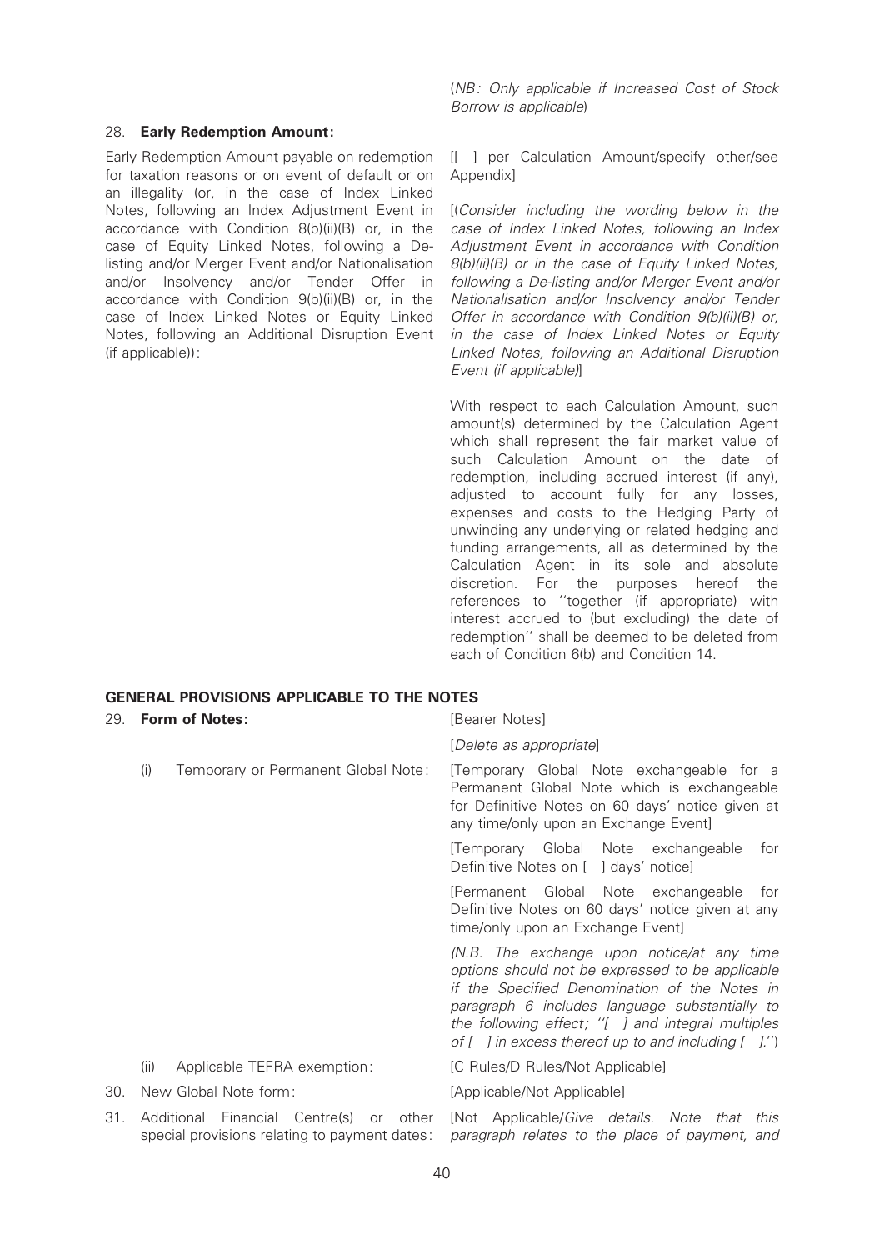#### 28. Early Redemption Amount:

Early Redemption Amount payable on redemption for taxation reasons or on event of default or on an illegality (or, in the case of Index Linked Notes, following an Index Adjustment Event in accordance with Condition 8(b)(ii)(B) or, in the case of Equity Linked Notes, following a Delisting and/or Merger Event and/or Nationalisation and/or Insolvency and/or Tender Offer in accordance with Condition 9(b)(ii)(B) or, in the case of Index Linked Notes or Equity Linked Notes, following an Additional Disruption Event (if applicable)):

(NB: Only applicable if Increased Cost of Stock Borrow is applicable)

[[ ] per Calculation Amount/specify other/see **Appendixl** 

[(Consider including the wording below in the case of Index Linked Notes, following an Index Adjustment Event in accordance with Condition 8(b)(ii)(B) or in the case of Equity Linked Notes, following a De-listing and/or Merger Event and/or Nationalisation and/or Insolvency and/or Tender Offer in accordance with Condition 9(b)(ii)(B) or, in the case of Index Linked Notes or Equity Linked Notes, following an Additional Disruption Event (if applicable)]

With respect to each Calculation Amount, such amount(s) determined by the Calculation Agent which shall represent the fair market value of such Calculation Amount on the date of redemption, including accrued interest (if any), adjusted to account fully for any losses, expenses and costs to the Hedging Party of unwinding any underlying or related hedging and funding arrangements, all as determined by the Calculation Agent in its sole and absolute discretion. For the purposes hereof the references to ''together (if appropriate) with interest accrued to (but excluding) the date of redemption'' shall be deemed to be deleted from each of Condition 6(b) and Condition 14.

# GENERAL PROVISIONS APPLICABLE TO THE NOTES

| 29. | <b>Form of Notes:</b>                                                                    | [Bearer Notes]                                                                                                                                                                                                                                                                                                                 |  |
|-----|------------------------------------------------------------------------------------------|--------------------------------------------------------------------------------------------------------------------------------------------------------------------------------------------------------------------------------------------------------------------------------------------------------------------------------|--|
|     |                                                                                          | [Delete as appropriate]                                                                                                                                                                                                                                                                                                        |  |
|     | Temporary or Permanent Global Note:<br>(i)                                               | [Temporary Global Note exchangeable for a<br>Permanent Global Note which is exchangeable<br>for Definitive Notes on 60 days' notice given at<br>any time/only upon an Exchange Event]                                                                                                                                          |  |
|     |                                                                                          | [Temporary Global Note exchangeable<br>for<br>Definitive Notes on [ ] days' notice]                                                                                                                                                                                                                                            |  |
|     |                                                                                          | [Permanent Global Note exchangeable<br>for<br>Definitive Notes on 60 days' notice given at any<br>time/only upon an Exchange Event]                                                                                                                                                                                            |  |
|     |                                                                                          | (N.B. The exchange upon notice/at any time<br>options should not be expressed to be applicable<br>if the Specified Denomination of the Notes in<br>paragraph 6 includes language substantially to<br>the following effect; "[ ] and integral multiples<br>of $[ \quad ]$ in excess thereof up to and including $[ \quad ]$ .") |  |
|     | Applicable TEFRA exemption:<br>(ii)                                                      | [C Rules/D Rules/Not Applicable]                                                                                                                                                                                                                                                                                               |  |
| 30. | New Global Note form:                                                                    | [Applicable/Not Applicable]                                                                                                                                                                                                                                                                                                    |  |
| 31. | Additional Financial Centre(s) or other<br>special provisions relating to payment dates: | [Not Applicable/ <i>Give details</i> . Note<br>that<br>this<br>paragraph relates to the place of payment, and                                                                                                                                                                                                                  |  |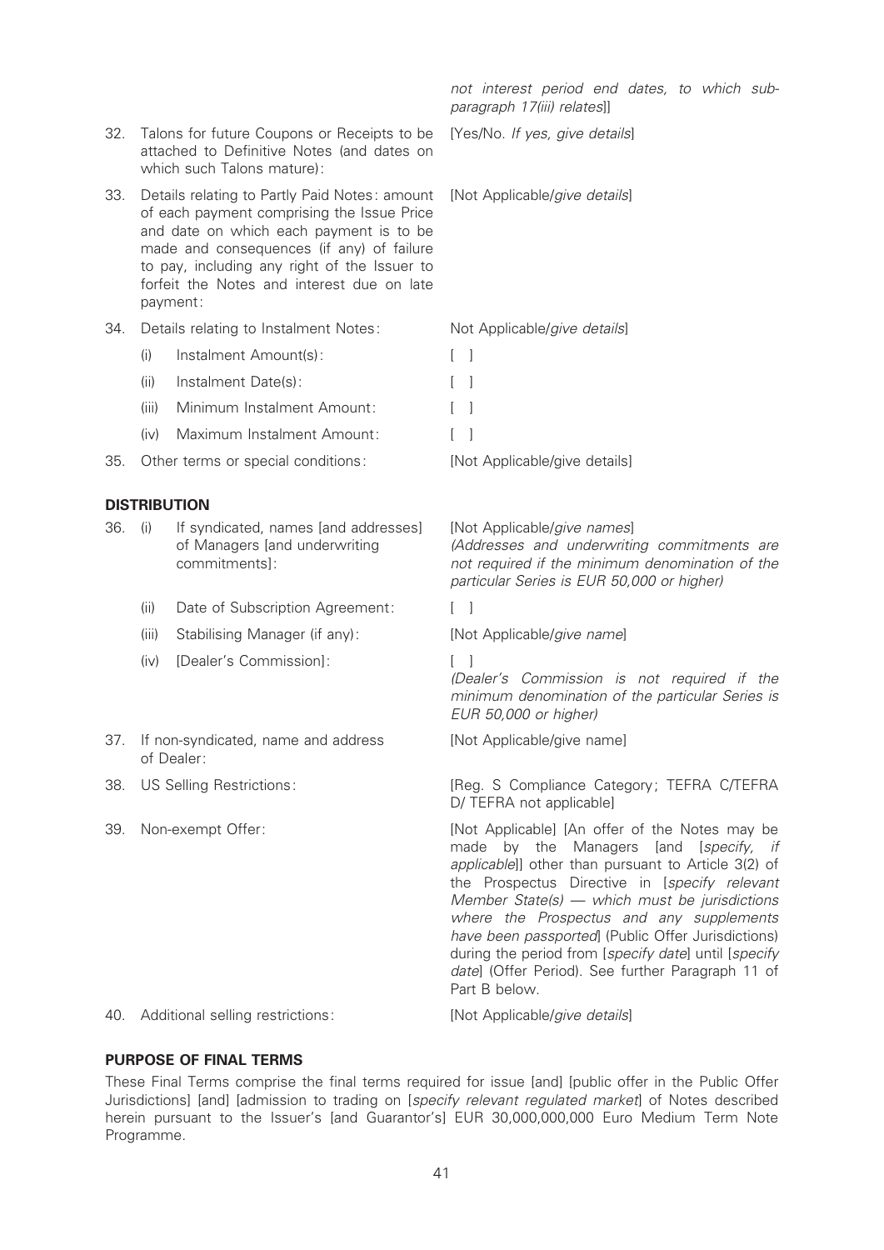|     |                                                                                                                                                                                                                                                                                               |                                                                                        | not interest period end dates, to which sub-<br>paragraph 17(iii) relates]]                                                                                                                                                                                                                                                                                                                                                                                                       |
|-----|-----------------------------------------------------------------------------------------------------------------------------------------------------------------------------------------------------------------------------------------------------------------------------------------------|----------------------------------------------------------------------------------------|-----------------------------------------------------------------------------------------------------------------------------------------------------------------------------------------------------------------------------------------------------------------------------------------------------------------------------------------------------------------------------------------------------------------------------------------------------------------------------------|
| 32. | Talons for future Coupons or Receipts to be<br>attached to Definitive Notes (and dates on<br>which such Talons mature):                                                                                                                                                                       |                                                                                        | [Yes/No. If yes, give details]                                                                                                                                                                                                                                                                                                                                                                                                                                                    |
| 33. | Details relating to Partly Paid Notes: amount<br>of each payment comprising the Issue Price<br>and date on which each payment is to be<br>made and consequences (if any) of failure<br>to pay, including any right of the Issuer to<br>forfeit the Notes and interest due on late<br>payment: |                                                                                        | [Not Applicable/give details]                                                                                                                                                                                                                                                                                                                                                                                                                                                     |
| 34. | Details relating to Instalment Notes:                                                                                                                                                                                                                                                         |                                                                                        | Not Applicable/give details]                                                                                                                                                                                                                                                                                                                                                                                                                                                      |
|     | (i)                                                                                                                                                                                                                                                                                           | Instalment Amount(s):                                                                  | $\lceil$ $\rceil$                                                                                                                                                                                                                                                                                                                                                                                                                                                                 |
|     | (ii)                                                                                                                                                                                                                                                                                          | Instalment Date(s):                                                                    | - 1                                                                                                                                                                                                                                                                                                                                                                                                                                                                               |
|     | (iii)                                                                                                                                                                                                                                                                                         | Minimum Instalment Amount:                                                             |                                                                                                                                                                                                                                                                                                                                                                                                                                                                                   |
|     | (iv)                                                                                                                                                                                                                                                                                          | Maximum Instalment Amount:                                                             |                                                                                                                                                                                                                                                                                                                                                                                                                                                                                   |
| 35. |                                                                                                                                                                                                                                                                                               | Other terms or special conditions:                                                     | [Not Applicable/give details]                                                                                                                                                                                                                                                                                                                                                                                                                                                     |
|     |                                                                                                                                                                                                                                                                                               | <b>DISTRIBUTION</b>                                                                    |                                                                                                                                                                                                                                                                                                                                                                                                                                                                                   |
| 36. | (i)                                                                                                                                                                                                                                                                                           | If syndicated, names [and addresses]<br>of Managers [and underwriting<br>commitments]: | [Not Applicable/give names]<br>(Addresses and underwriting commitments are<br>not required if the minimum denomination of the<br>particular Series is EUR 50,000 or higher)                                                                                                                                                                                                                                                                                                       |
|     | (ii)                                                                                                                                                                                                                                                                                          | Date of Subscription Agreement:                                                        |                                                                                                                                                                                                                                                                                                                                                                                                                                                                                   |
|     | (iii)                                                                                                                                                                                                                                                                                         | Stabilising Manager (if any):                                                          | [Not Applicable/give name]                                                                                                                                                                                                                                                                                                                                                                                                                                                        |
|     | (iv)                                                                                                                                                                                                                                                                                          | [Dealer's Commission]:                                                                 | (Dealer's Commission is not required if the<br>minimum denomination of the particular Series is<br>EUR 50,000 or higher)                                                                                                                                                                                                                                                                                                                                                          |
|     | 37. If non-syndicated, name and address<br>of Dealer:                                                                                                                                                                                                                                         |                                                                                        | [Not Applicable/give name]                                                                                                                                                                                                                                                                                                                                                                                                                                                        |
| 38. | US Selling Restrictions:                                                                                                                                                                                                                                                                      |                                                                                        | [Reg. S Compliance Category; TEFRA C/TEFRA<br>D/ TEFRA not applicable]                                                                                                                                                                                                                                                                                                                                                                                                            |
| 39. | Non-exempt Offer:                                                                                                                                                                                                                                                                             |                                                                                        | [Not Applicable] [An offer of the Notes may be<br>made by the Managers [and [specify, if<br>applicable]] other than pursuant to Article 3(2) of<br>the Prospectus Directive in [specify relevant<br>Member State(s) - which must be jurisdictions<br>where the Prospectus and any supplements<br>have been passported] (Public Offer Jurisdictions)<br>during the period from [specify date] until [specify<br>date] (Offer Period). See further Paragraph 11 of<br>Part B below. |
| 40. |                                                                                                                                                                                                                                                                                               | Additional selling restrictions:                                                       | [Not Applicable/give details]                                                                                                                                                                                                                                                                                                                                                                                                                                                     |

## PURPOSE OF FINAL TERMS

These Final Terms comprise the final terms required for issue [and] [public offer in the Public Offer Jurisdictions] [and] [admission to trading on [specify relevant regulated market] of Notes described herein pursuant to the Issuer's [and Guarantor's] EUR 30,000,000,000 Euro Medium Term Note Programme.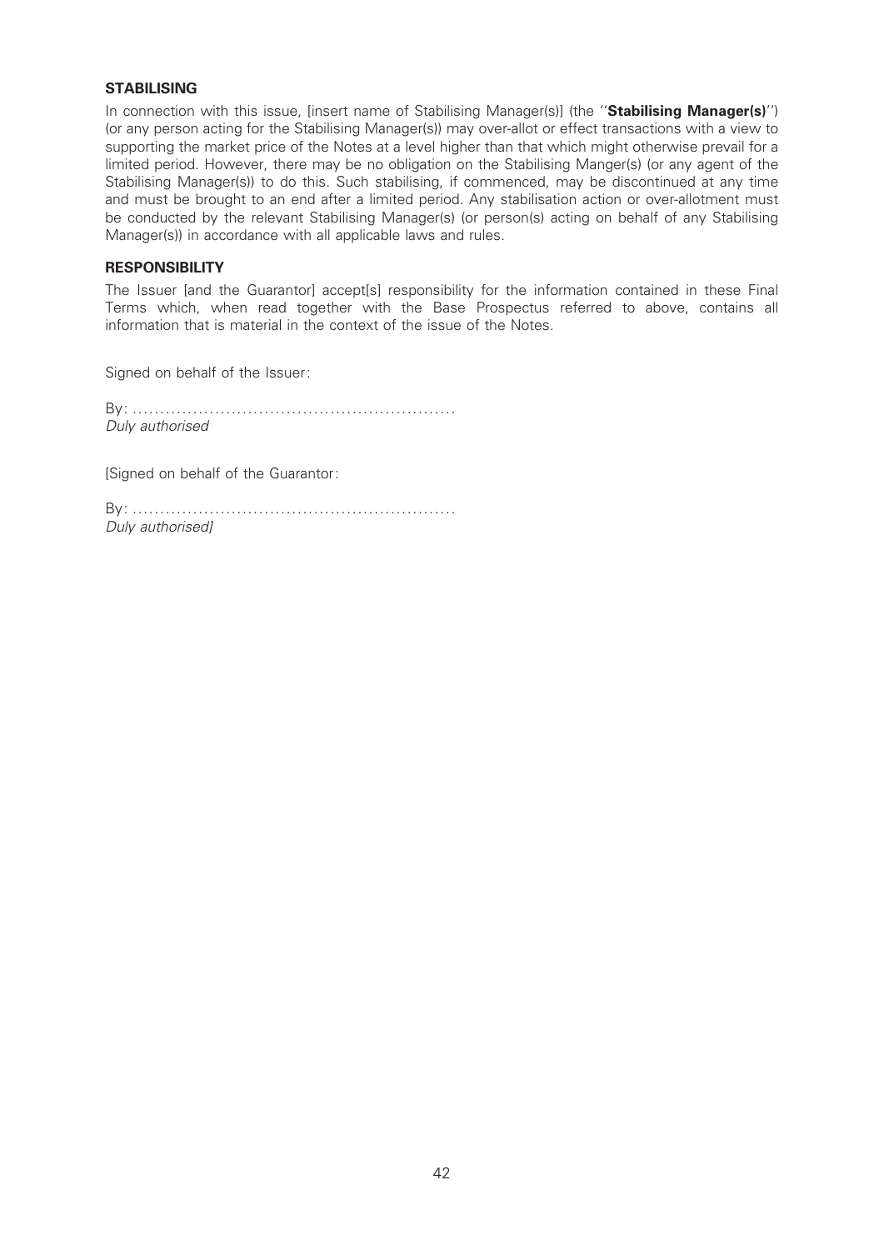### **STABILISING**

In connection with this issue, [insert name of Stabilising Manager(s)] (the "**Stabilising Manager(s)**") (or any person acting for the Stabilising Manager(s)) may over-allot or effect transactions with a view to supporting the market price of the Notes at a level higher than that which might otherwise prevail for a limited period. However, there may be no obligation on the Stabilising Manger(s) (or any agent of the Stabilising Manager(s)) to do this. Such stabilising, if commenced, may be discontinued at any time and must be brought to an end after a limited period. Any stabilisation action or over-allotment must be conducted by the relevant Stabilising Manager(s) (or person(s) acting on behalf of any Stabilising Manager(s)) in accordance with all applicable laws and rules.

### **RESPONSIBILITY**

The Issuer [and the Guarantor] accept[s] responsibility for the information contained in these Final Terms which, when read together with the Base Prospectus referred to above, contains all information that is material in the context of the issue of the Notes.

Signed on behalf of the Issuer:

By: ........................................................... Duly authorised

[Signed on behalf of the Guarantor:

By: ........................................................... Duly authorised]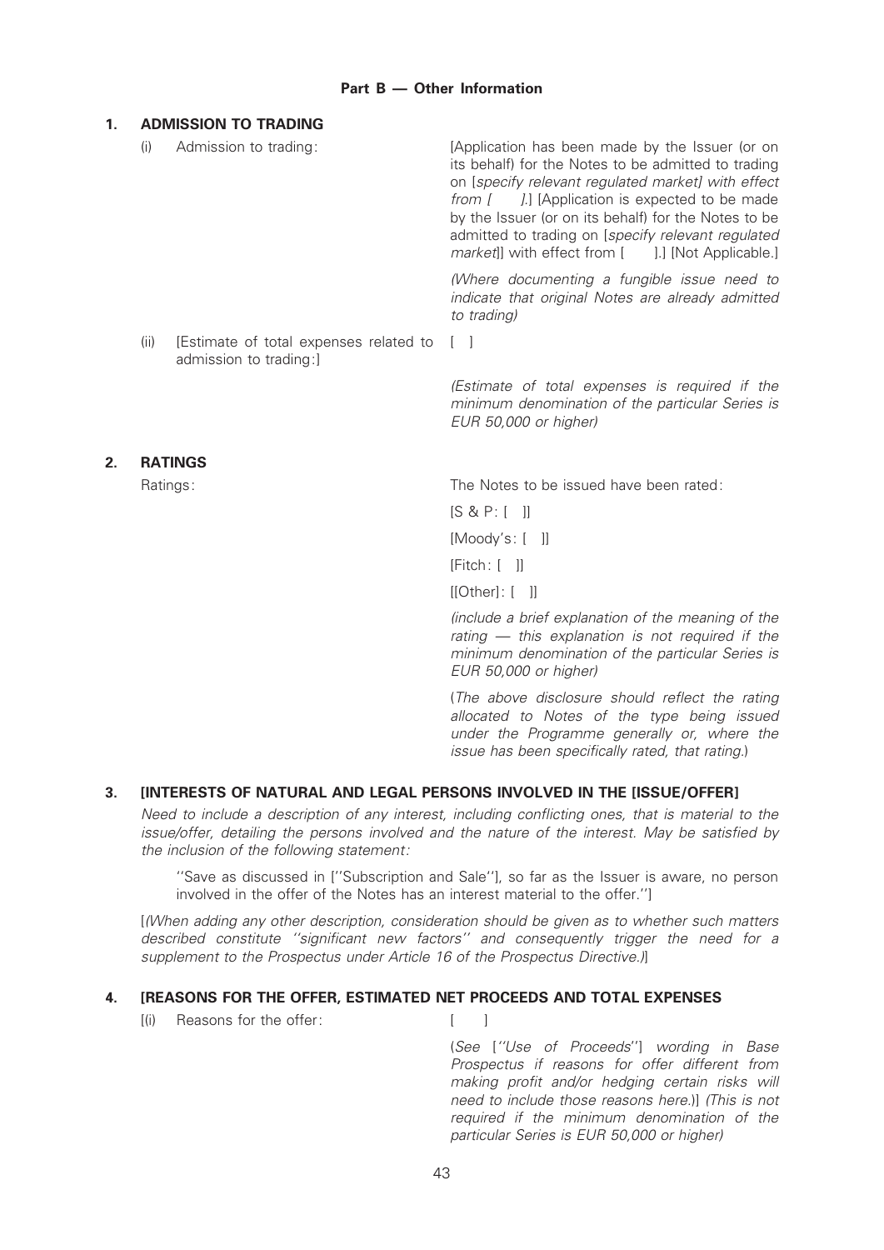## Part  $B -$  Other Information

## 1. ADMISSION TO TRADING

(i) Admission to trading: [Application has been made by the Issuer (or on its behalf) for the Notes to be admitted to trading on [specify relevant regulated market] with effect from [ ].] [Application is expected to be made by the Issuer (or on its behalf) for the Notes to be admitted to trading on [specify relevant regulated market]] with effect from [ ].] [Not Applicable.] (Where documenting a fungible issue need to indicate that original Notes are already admitted to trading) (ii) [Estimate of total expenses related to admission to trading:]  $\lceil$   $\rceil$ (Estimate of total expenses is required if the minimum denomination of the particular Series is

## 2. RATINGS

Ratings: The Notes to be issued have been rated:

[S & P: [ ]]

[Moody's: [ ]]

EUR 50,000 or higher)

[Fitch: [ ]]

[[Other]: [ ]]

(include a brief explanation of the meaning of the rating  $-$  this explanation is not required if the minimum denomination of the particular Series is EUR 50,000 or higher)

(The above disclosure should reflect the rating allocated to Notes of the type being issued under the Programme generally or, where the issue has been specifically rated, that rating.)

# 3. [INTERESTS OF NATURAL AND LEGAL PERSONS INVOLVED IN THE [ISSUE/OFFER]

Need to include a description of any interest, including conflicting ones, that is material to the issue/offer, detailing the persons involved and the nature of the interest. May be satisfied by the inclusion of the following statement:

''Save as discussed in [''Subscription and Sale''], so far as the Issuer is aware, no person involved in the offer of the Notes has an interest material to the offer.'']

[(When adding any other description, consideration should be given as to whether such matters described constitute "significant new factors" and consequently trigger the need for a supplement to the Prospectus under Article 16 of the Prospectus Directive.)

## 4. [REASONS FOR THE OFFER, ESTIMATED NET PROCEEDS AND TOTAL EXPENSES

[(i) Reasons for the offer: [ ]

(See [''Use of Proceeds''] wording in Base Prospectus if reasons for offer different from making profit and/or hedging certain risks will need to include those reasons here.)] (This is not required if the minimum denomination of the particular Series is EUR 50,000 or higher)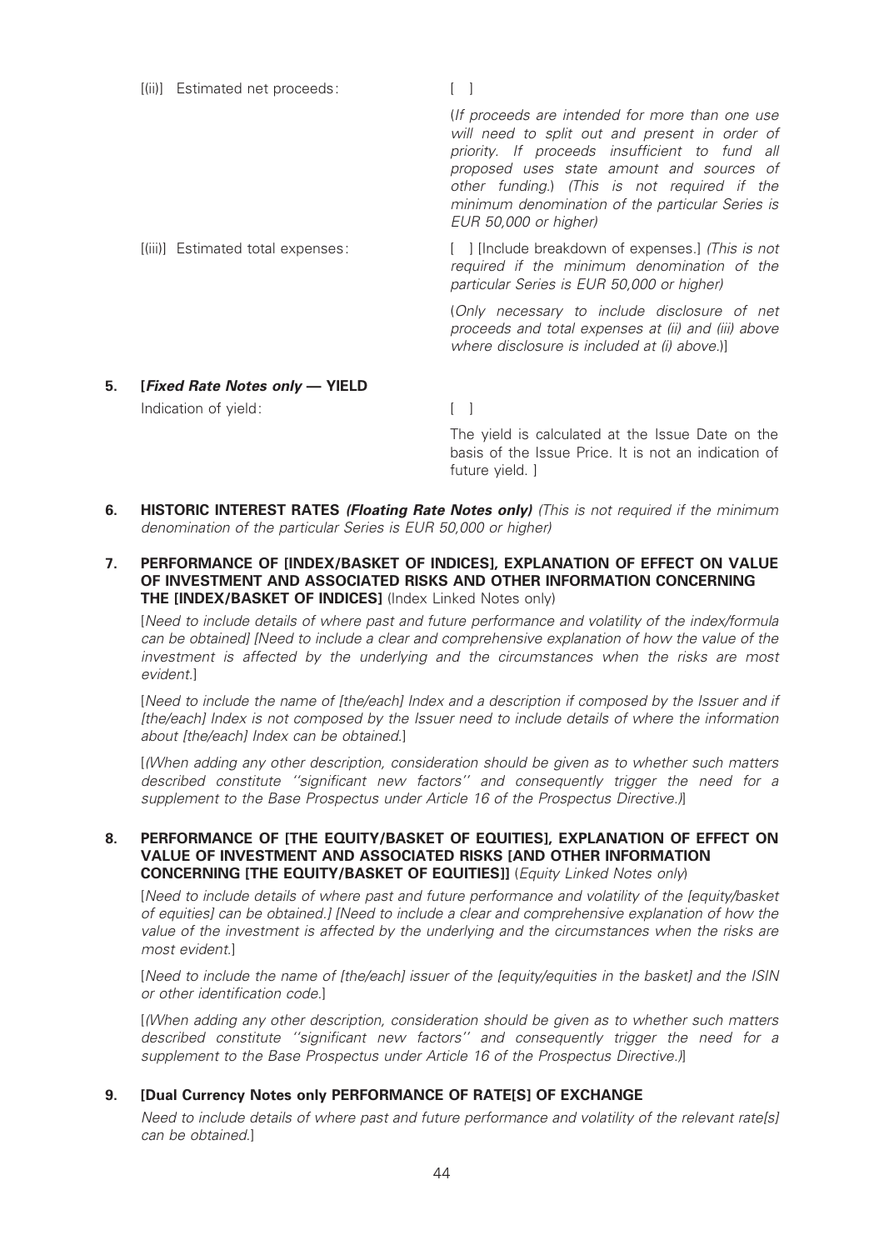|    | [(ii)] Estimated net proceeds:    |                                                                                                                                                                                                                                                                                                                               |
|----|-----------------------------------|-------------------------------------------------------------------------------------------------------------------------------------------------------------------------------------------------------------------------------------------------------------------------------------------------------------------------------|
|    |                                   | (If proceeds are intended for more than one use<br>will need to split out and present in order of<br>priority. If proceeds insufficient to fund all<br>proposed uses state amount and sources of<br>other funding.) (This is not required if the<br>minimum denomination of the particular Series is<br>EUR 50,000 or higher) |
|    | [(iii)] Estimated total expenses: | [ ] [Include breakdown of expenses.] (This is not<br>required if the minimum denomination of the<br>particular Series is EUR 50,000 or higher)                                                                                                                                                                                |
|    |                                   | (Only necessary to include disclosure of net<br>proceeds and total expenses at (ii) and (iii) above<br>where disclosure is included at (i) above.)]                                                                                                                                                                           |
| 5. | [Fixed Rate Notes only - YIELD    |                                                                                                                                                                                                                                                                                                                               |
|    | Indication of yield:              |                                                                                                                                                                                                                                                                                                                               |

The yield is calculated at the Issue Date on the basis of the Issue Price. It is not an indication of future yield. ]

- 6. HISTORIC INTEREST RATES (Floating Rate Notes only) (This is not required if the minimum denomination of the particular Series is EUR 50,000 or higher)
- 7. PERFORMANCE OF [INDEX/BASKET OF INDICES], EXPLANATION OF EFFECT ON VALUE OF INVESTMENT AND ASSOCIATED RISKS AND OTHER INFORMATION CONCERNING THE [INDEX/BASKET OF INDICES] (Index Linked Notes only)

[Need to include details of where past and future performance and volatility of the index/formula can be obtained] [Need to include a clear and comprehensive explanation of how the value of the investment is affected by the underlying and the circumstances when the risks are most evident.]

[Need to include the name of [the/each] Index and a description if composed by the Issuer and if [the/each] Index is not composed by the Issuer need to include details of where the information about [the/each] Index can be obtained.]

[(When adding any other description, consideration should be given as to whether such matters described constitute "significant new factors" and consequently trigger the need for a supplement to the Base Prospectus under Article 16 of the Prospectus Directive.)]

### 8. PERFORMANCE OF ITHE EQUITY/BASKET OF EQUITIES], EXPLANATION OF EFFECT ON VALUE OF INVESTMENT AND ASSOCIATED RISKS [AND OTHER INFORMATION CONCERNING [THE EQUITY/BASKET OF EQUITIES]] (Equity Linked Notes only)

[Need to include details of where past and future performance and volatility of the [equity/basket of equities] can be obtained.] [Need to include a clear and comprehensive explanation of how the value of the investment is affected by the underlying and the circumstances when the risks are most evident.]

[Need to include the name of [the/each] issuer of the [equity/equities in the basket] and the ISIN or other identification code.]

[(When adding any other description, consideration should be given as to whether such matters described constitute "significant new factors" and consequently trigger the need for a supplement to the Base Prospectus under Article 16 of the Prospectus Directive.)]

#### 9. [Dual Currency Notes only PERFORMANCE OF RATE[S] OF EXCHANGE

Need to include details of where past and future performance and volatility of the relevant rate[s] can be obtained.]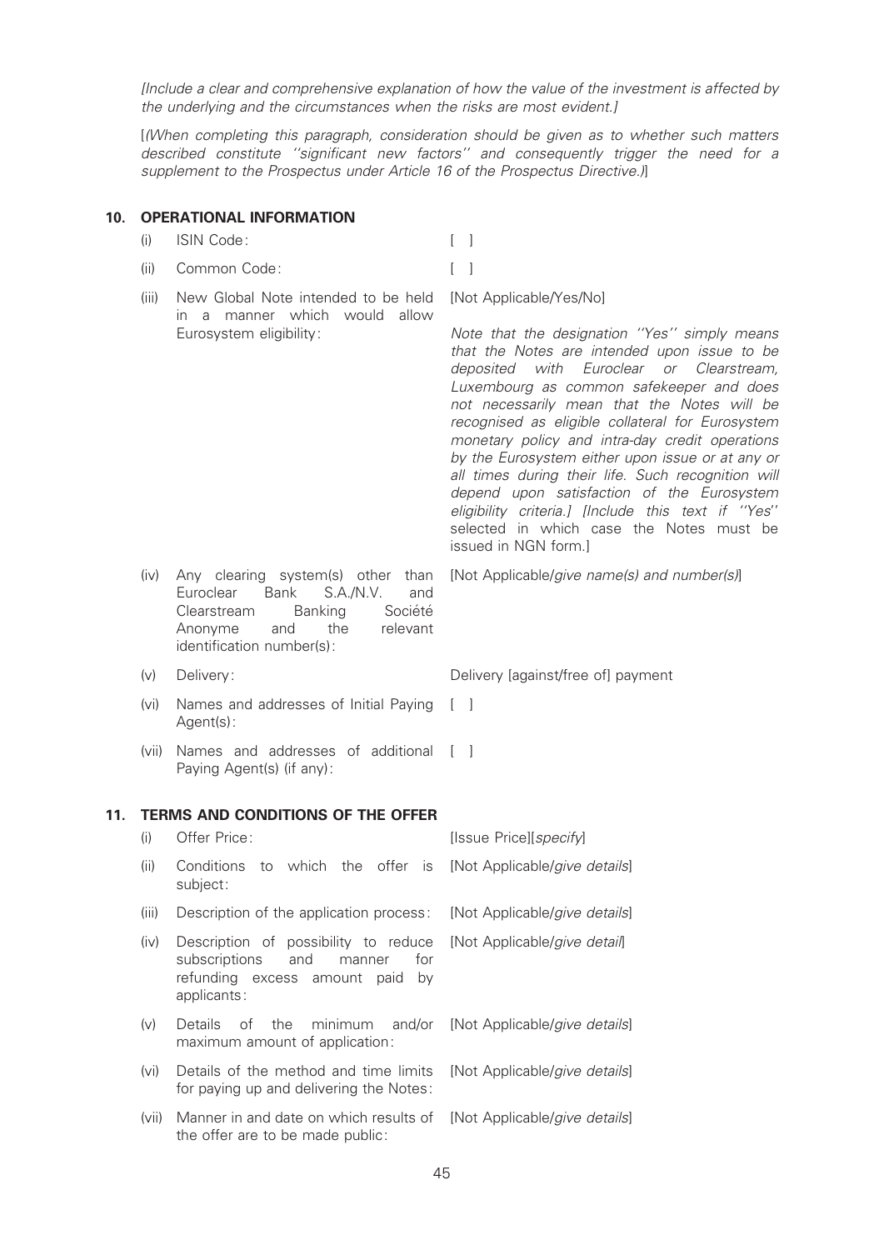[Include a clear and comprehensive explanation of how the value of the investment is affected by the underlying and the circumstances when the risks are most evident.]

[(When completing this paragraph, consideration should be given as to whether such matters described constitute "significant new factors" and consequently trigger the need for a supplement to the Prospectus under Article 16 of the Prospectus Directive.)]

### 10. OPERATIONAL INFORMATION

(i) ISIN Code: [ ]

- (ii) Common Code: [ ]
- (iii) New Global Note intended to be held in a manner which would allow Eurosystem eligibility: [Not Applicable/Yes/No] Note that the designation ''Yes'' simply means that the Notes are intended upon issue to be

(iv) Any clearing system(s) other than Euroclear Bank S.A./N.V. and<br>Clearstream Banking Société Clearstream Banking Anonyme and the relevant identification number(s):

- 
- (vi) Names and addresses of Initial Paying Agent(s):
- (vii) Names and addresses of additional [ ] Paying Agent(s) (if any):

## 11. TERMS AND CONDITIONS OF THE OFFER

(i) Offer Price: [Issue Price][specify] (ii) Conditions to which the offer is subject: [Not Applicable/give details] (iii) Description of the application process: [Not Applicable/give details] (iv) Description of possibility to reduce subscriptions and manner for refunding excess amount paid by applicants: [Not Applicable/give detail] (v) Details of the minimum and/or maximum amount of application: [Not Applicable/give details] (vi) Details of the method and time limits for paying up and delivering the Notes: [Not Applicable/give details] (vii) Manner in and date on which results of [Not Applicable/give details] the offer are to be made public:

[Not Applicable/give name(s) and number(s)]

deposited with Euroclear or Clearstream, Luxembourg as common safekeeper and does not necessarily mean that the Notes will be recognised as eligible collateral for Eurosystem monetary policy and intra-day credit operations by the Eurosystem either upon issue or at any or all times during their life. Such recognition will depend upon satisfaction of the Eurosystem eligibility criteria.] [Include this text if "Yes" selected in which case the Notes must be

(v) Delivery: Delivery [against/free of] payment

issued in NGN form.]

 $\lceil$   $\rceil$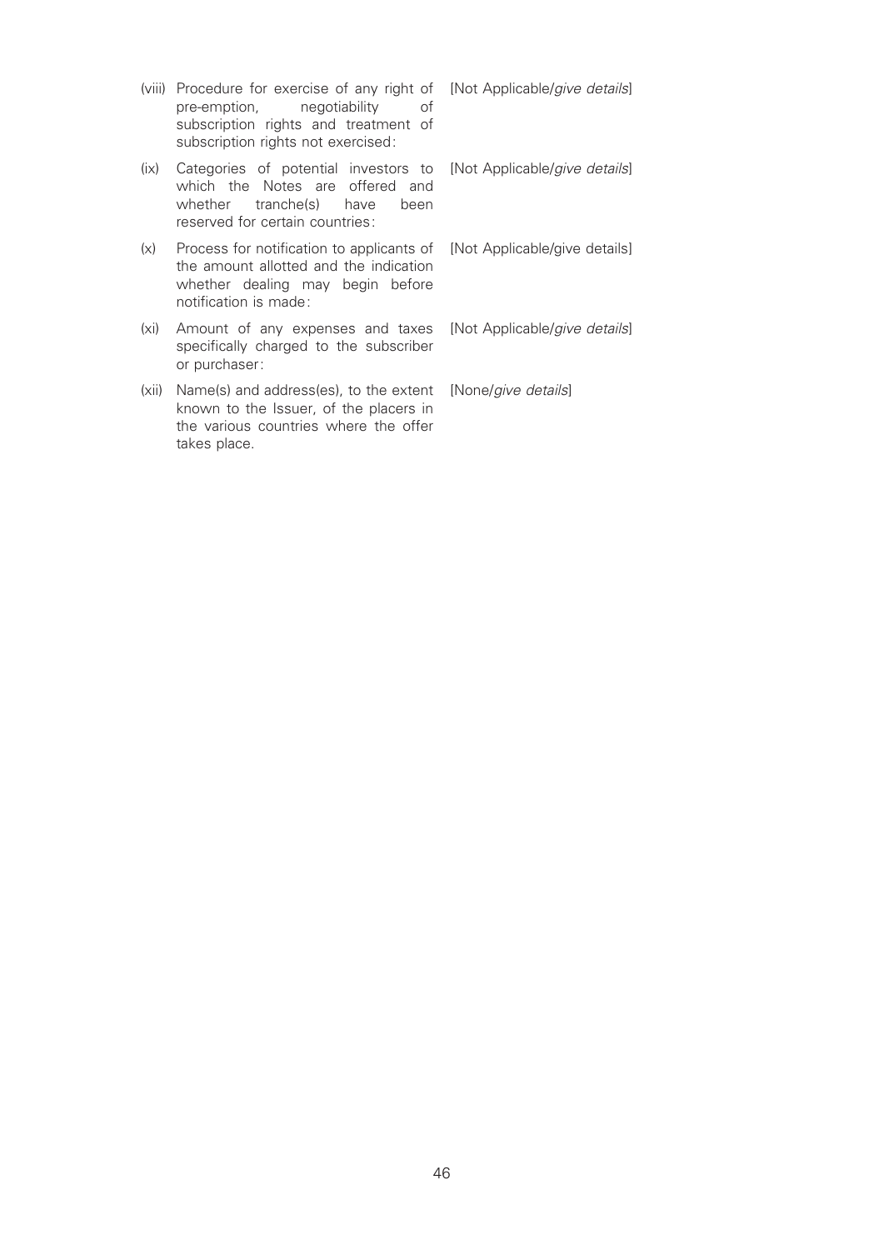- (viii) Procedure for exercise of any right of<br>pre-emption, megotiability of pre-emption, negotiability of subscription rights and treatment of subscription rights not exercised:
- (ix) Categories of potential investors to which the Notes are offered and whether tranche(s) have been reserved for certain countries:
- (x) Process for notification to applicants of the amount allotted and the indication whether dealing may begin before notification is made:
- (xi) Amount of any expenses and taxes specifically charged to the subscriber or purchaser:
- (xii) Name(s) and address(es), to the extent known to the Issuer, of the placers in the various countries where the offer takes place.

[Not Applicable/give details]

[Not Applicable/give details]

[Not Applicable/give details]

[Not Applicable/give details]

[None/give details]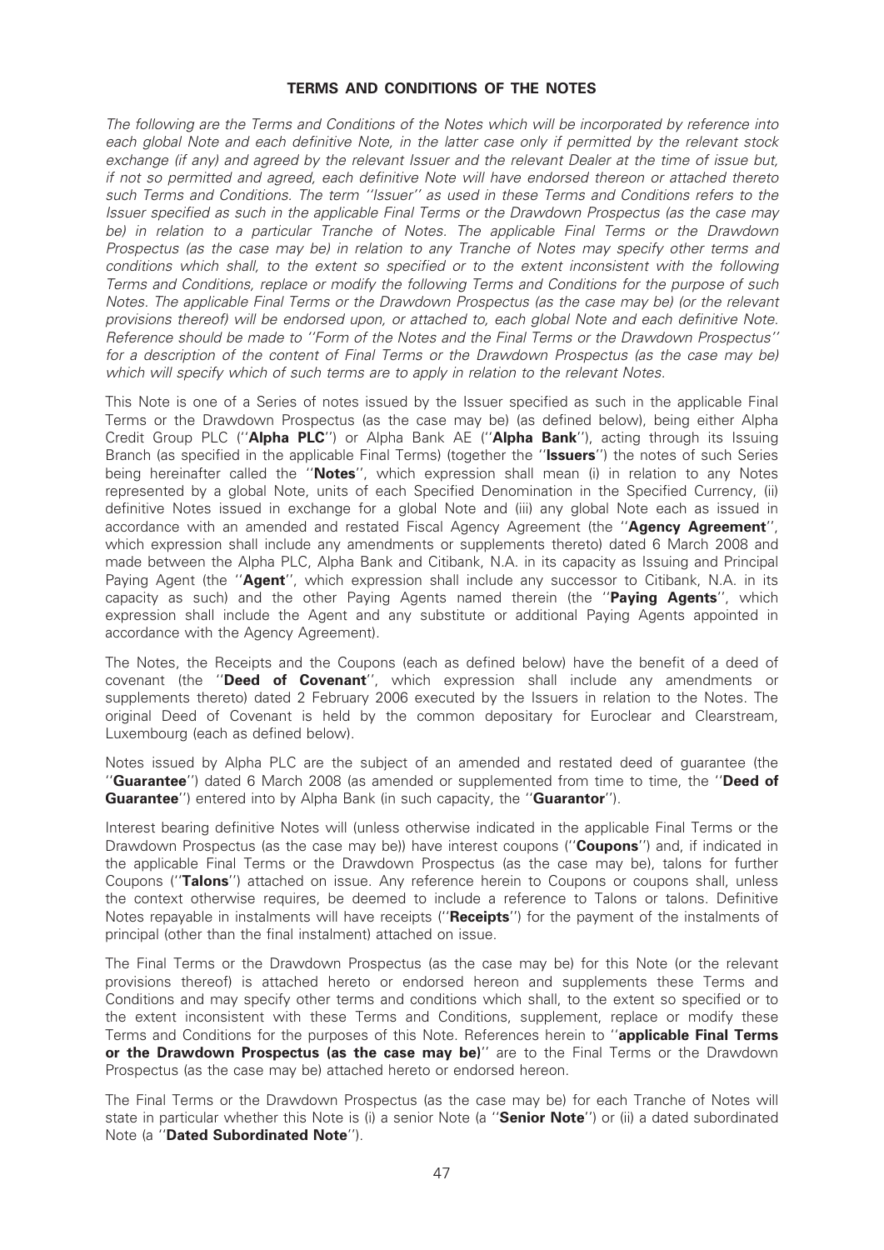### TERMS AND CONDITIONS OF THE NOTES

The following are the Terms and Conditions of the Notes which will be incorporated by reference into each global Note and each definitive Note, in the latter case only if permitted by the relevant stock exchange (if any) and agreed by the relevant Issuer and the relevant Dealer at the time of issue but, if not so permitted and agreed, each de¢nitive Note will have endorsed thereon or attached thereto such Terms and Conditions. The term ''Issuer'' as used in these Terms and Conditions refers to the Issuer specified as such in the applicable Final Terms or the Drawdown Prospectus (as the case may be) in relation to a particular Tranche of Notes. The applicable Final Terms or the Drawdown Prospectus (as the case may be) in relation to any Tranche of Notes may specify other terms and conditions which shall, to the extent so specified or to the extent inconsistent with the following Terms and Conditions, replace or modify the following Terms and Conditions for the purpose of such Notes. The applicable Final Terms or the Drawdown Prospectus (as the case may be) (or the relevant provisions thereof) will be endorsed upon, or attached to, each global Note and each definitive Note. Reference should be made to ''Form of the Notes and the Final Terms or the Drawdown Prospectus'' for a description of the content of Final Terms or the Drawdown Prospectus (as the case may be) which will specify which of such terms are to apply in relation to the relevant Notes.

This Note is one of a Series of notes issued by the Issuer specified as such in the applicable Final Terms or the Drawdown Prospectus (as the case may be) (as defined below), being either Alpha Credit Group PLC ("Alpha PLC") or Alpha Bank AE ("Alpha Bank"), acting through its Issuing Branch (as specified in the applicable Final Terms) (together the "Issuers") the notes of such Series being hereinafter called the "Notes", which expression shall mean (i) in relation to any Notes represented by a global Note, units of each Specified Denomination in the Specified Currency, (ii) definitive Notes issued in exchange for a global Note and (iii) any global Note each as issued in accordance with an amended and restated Fiscal Agency Agreement (the "Agency Agreement", which expression shall include any amendments or supplements thereto) dated 6 March 2008 and made between the Alpha PLC, Alpha Bank and Citibank, N.A. in its capacity as Issuing and Principal Paying Agent (the "Agent", which expression shall include any successor to Citibank, N.A. in its capacity as such) and the other Paying Agents named therein (the "Paying Agents", which expression shall include the Agent and any substitute or additional Paying Agents appointed in accordance with the Agency Agreement).

The Notes, the Receipts and the Coupons (each as defined below) have the benefit of a deed of covenant (the ''Deed of Covenant'', which expression shall include any amendments or supplements thereto) dated 2 February 2006 executed by the Issuers in relation to the Notes. The original Deed of Covenant is held by the common depositary for Euroclear and Clearstream, Luxembourg (each as defined below).

Notes issued by Alpha PLC are the subject of an amended and restated deed of guarantee (the "Guarantee") dated 6 March 2008 (as amended or supplemented from time to time, the "Deed of Guarantee") entered into by Alpha Bank (in such capacity, the "Guarantor").

Interest bearing definitive Notes will (unless otherwise indicated in the applicable Final Terms or the Drawdown Prospectus (as the case may be)) have interest coupons ("**Coupons**") and, if indicated in the applicable Final Terms or the Drawdown Prospectus (as the case may be), talons for further Coupons (''Talons'') attached on issue. Any reference herein to Coupons or coupons shall, unless the context otherwise requires, be deemed to include a reference to Talons or talons. Definitive Notes repayable in instalments will have receipts ("Receipts") for the payment of the instalments of principal (other than the final instalment) attached on issue.

The Final Terms or the Drawdown Prospectus (as the case may be) for this Note (or the relevant provisions thereof) is attached hereto or endorsed hereon and supplements these Terms and Conditions and may specify other terms and conditions which shall, to the extent so specified or to the extent inconsistent with these Terms and Conditions, supplement, replace or modify these Terms and Conditions for the purposes of this Note. References herein to "applicable Final Terms or the Drawdown Prospectus (as the case may be)" are to the Final Terms or the Drawdown Prospectus (as the case may be) attached hereto or endorsed hereon.

The Final Terms or the Drawdown Prospectus (as the case may be) for each Tranche of Notes will state in particular whether this Note is (i) a senior Note (a "Senior Note") or (ii) a dated subordinated Note (a ''Dated Subordinated Note'').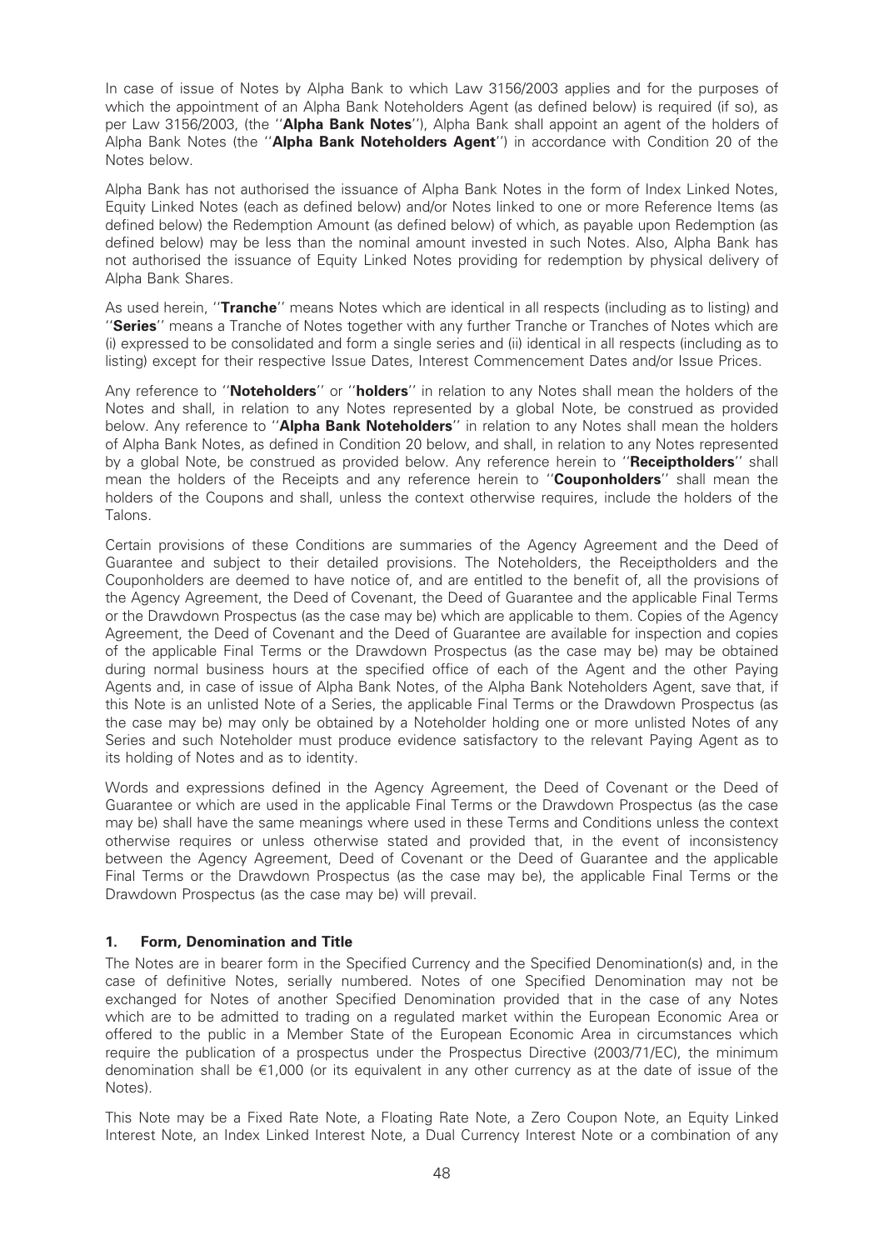In case of issue of Notes by Alpha Bank to which Law 3156/2003 applies and for the purposes of which the appointment of an Alpha Bank Noteholders Agent (as defined below) is required (if so), as per Law 3156/2003, (the "Alpha Bank Notes"). Alpha Bank shall appoint an agent of the holders of Alpha Bank Notes (the "Alpha Bank Noteholders Agent") in accordance with Condition 20 of the Notes below.

Alpha Bank has not authorised the issuance of Alpha Bank Notes in the form of Index Linked Notes, Equity Linked Notes (each as defined below) and/or Notes linked to one or more Reference Items (as defined below) the Redemption Amount (as defined below) of which, as payable upon Redemption (as defined below) may be less than the nominal amount invested in such Notes. Also, Alpha Bank has not authorised the issuance of Equity Linked Notes providing for redemption by physical delivery of Alpha Bank Shares.

As used herein, "**Tranche**" means Notes which are identical in all respects (including as to listing) and "Series" means a Tranche of Notes together with any further Tranche or Tranches of Notes which are (i) expressed to be consolidated and form a single series and (ii) identical in all respects (including as to listing) except for their respective Issue Dates, Interest Commencement Dates and/or Issue Prices.

Any reference to "Noteholders" or "holders" in relation to any Notes shall mean the holders of the Notes and shall, in relation to any Notes represented by a global Note, be construed as provided below. Any reference to "Alpha Bank Noteholders" in relation to any Notes shall mean the holders of Alpha Bank Notes, as defined in Condition 20 below, and shall, in relation to any Notes represented by a global Note, be construed as provided below. Any reference herein to "Receiptholders" shall mean the holders of the Receipts and any reference herein to "**Couponholders**" shall mean the holders of the Coupons and shall, unless the context otherwise requires, include the holders of the Talons.

Certain provisions of these Conditions are summaries of the Agency Agreement and the Deed of Guarantee and subject to their detailed provisions. The Noteholders, the Receiptholders and the Couponholders are deemed to have notice of, and are entitled to the benefit of, all the provisions of the Agency Agreement, the Deed of Covenant, the Deed of Guarantee and the applicable Final Terms or the Drawdown Prospectus (as the case may be) which are applicable to them. Copies of the Agency Agreement, the Deed of Covenant and the Deed of Guarantee are available for inspection and copies of the applicable Final Terms or the Drawdown Prospectus (as the case may be) may be obtained during normal business hours at the specified office of each of the Agent and the other Paying Agents and, in case of issue of Alpha Bank Notes, of the Alpha Bank Noteholders Agent, save that, if this Note is an unlisted Note of a Series, the applicable Final Terms or the Drawdown Prospectus (as the case may be) may only be obtained by a Noteholder holding one or more unlisted Notes of any Series and such Noteholder must produce evidence satisfactory to the relevant Paying Agent as to its holding of Notes and as to identity.

Words and expressions defined in the Agency Agreement, the Deed of Covenant or the Deed of Guarantee or which are used in the applicable Final Terms or the Drawdown Prospectus (as the case may be) shall have the same meanings where used in these Terms and Conditions unless the context otherwise requires or unless otherwise stated and provided that, in the event of inconsistency between the Agency Agreement, Deed of Covenant or the Deed of Guarantee and the applicable Final Terms or the Drawdown Prospectus (as the case may be), the applicable Final Terms or the Drawdown Prospectus (as the case may be) will prevail.

## 1. Form, Denomination and Title

The Notes are in bearer form in the Specified Currency and the Specified Denomination(s) and, in the case of definitive Notes, serially numbered. Notes of one Specified Denomination may not be exchanged for Notes of another Specified Denomination provided that in the case of any Notes which are to be admitted to trading on a regulated market within the European Economic Area or offered to the public in a Member State of the European Economic Area in circumstances which require the publication of a prospectus under the Prospectus Directive (2003/71/EC), the minimum denomination shall be  $\epsilon$ 1,000 (or its equivalent in any other currency as at the date of issue of the Notes).

This Note may be a Fixed Rate Note, a Floating Rate Note, a Zero Coupon Note, an Equity Linked Interest Note, an Index Linked Interest Note, a Dual Currency Interest Note or a combination of any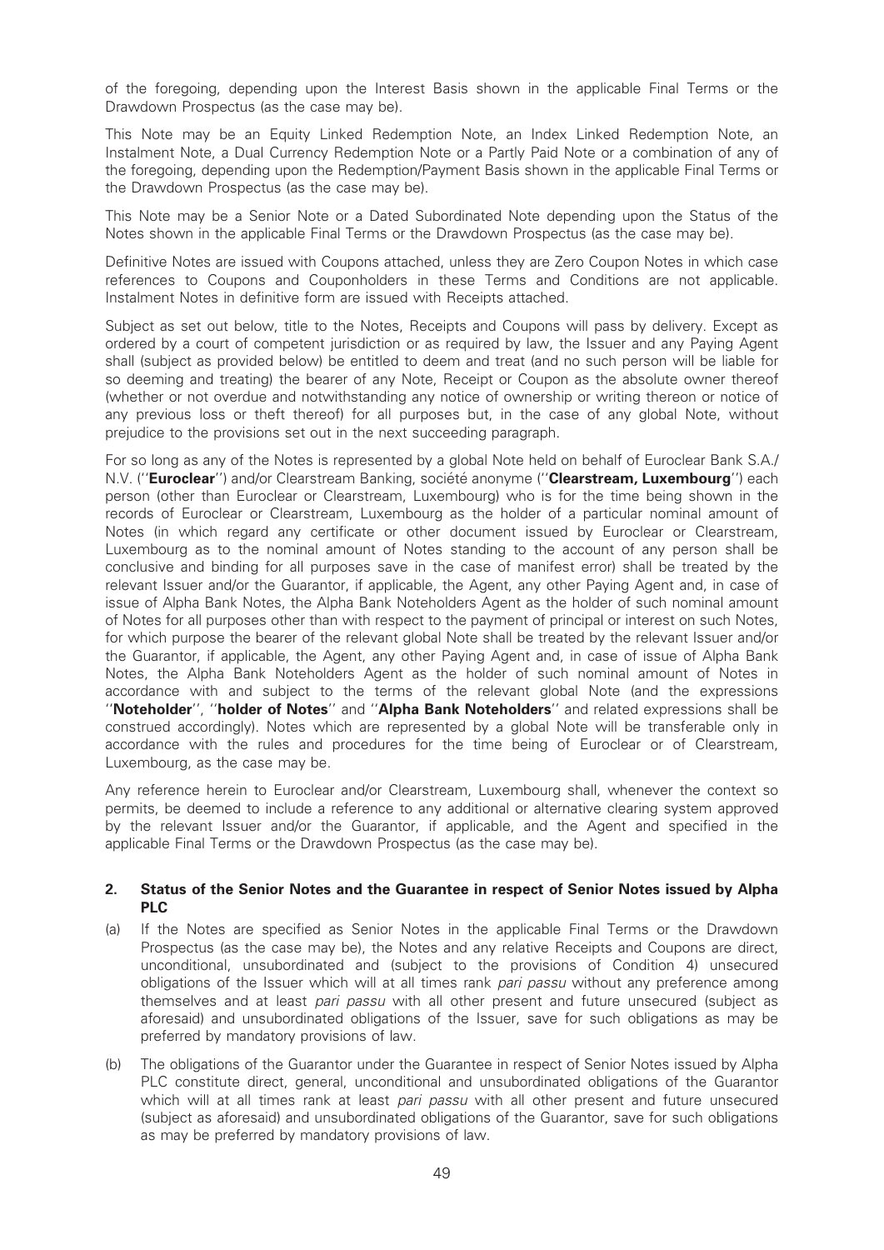of the foregoing, depending upon the Interest Basis shown in the applicable Final Terms or the Drawdown Prospectus (as the case may be).

This Note may be an Equity Linked Redemption Note, an Index Linked Redemption Note, an Instalment Note, a Dual Currency Redemption Note or a Partly Paid Note or a combination of any of the foregoing, depending upon the Redemption/Payment Basis shown in the applicable Final Terms or the Drawdown Prospectus (as the case may be).

This Note may be a Senior Note or a Dated Subordinated Note depending upon the Status of the Notes shown in the applicable Final Terms or the Drawdown Prospectus (as the case may be).

Definitive Notes are issued with Coupons attached, unless they are Zero Coupon Notes in which case references to Coupons and Couponholders in these Terms and Conditions are not applicable. Instalment Notes in definitive form are issued with Receipts attached.

Subject as set out below, title to the Notes, Receipts and Coupons will pass by delivery. Except as ordered by a court of competent jurisdiction or as required by law, the Issuer and any Paying Agent shall (subject as provided below) be entitled to deem and treat (and no such person will be liable for so deeming and treating) the bearer of any Note, Receipt or Coupon as the absolute owner thereof (whether or not overdue and notwithstanding any notice of ownership or writing thereon or notice of any previous loss or theft thereof) for all purposes but, in the case of any global Note, without prejudice to the provisions set out in the next succeeding paragraph.

For so long as any of the Notes is represented by a global Note held on behalf of Euroclear Bank S.A./ N.V. ("Euroclear") and/or Clearstream Banking, société anonyme ("Clearstream, Luxembourg") each person (other than Euroclear or Clearstream, Luxembourg) who is for the time being shown in the records of Euroclear or Clearstream, Luxembourg as the holder of a particular nominal amount of Notes (in which regard any certificate or other document issued by Euroclear or Clearstream, Luxembourg as to the nominal amount of Notes standing to the account of any person shall be conclusive and binding for all purposes save in the case of manifest error) shall be treated by the relevant Issuer and/or the Guarantor, if applicable, the Agent, any other Paying Agent and, in case of issue of Alpha Bank Notes, the Alpha Bank Noteholders Agent as the holder of such nominal amount of Notes for all purposes other than with respect to the payment of principal or interest on such Notes, for which purpose the bearer of the relevant global Note shall be treated by the relevant Issuer and/or the Guarantor, if applicable, the Agent, any other Paying Agent and, in case of issue of Alpha Bank Notes, the Alpha Bank Noteholders Agent as the holder of such nominal amount of Notes in accordance with and subject to the terms of the relevant global Note (and the expressions "Noteholder", "holder of Notes" and "Alpha Bank Noteholders" and related expressions shall be construed accordingly). Notes which are represented by a global Note will be transferable only in accordance with the rules and procedures for the time being of Euroclear or of Clearstream, Luxembourg, as the case may be.

Any reference herein to Euroclear and/or Clearstream, Luxembourg shall, whenever the context so permits, be deemed to include a reference to any additional or alternative clearing system approved by the relevant Issuer and/or the Guarantor, if applicable, and the Agent and specified in the applicable Final Terms or the Drawdown Prospectus (as the case may be).

### 2. Status of the Senior Notes and the Guarantee in respect of Senior Notes issued by Alpha PLC

- (a) If the Notes are speci¢ed as Senior Notes in the applicable Final Terms or the Drawdown Prospectus (as the case may be), the Notes and any relative Receipts and Coupons are direct, unconditional, unsubordinated and (subject to the provisions of Condition 4) unsecured obligations of the Issuer which will at all times rank *pari passu* without any preference among themselves and at least pari passu with all other present and future unsecured (subject as aforesaid) and unsubordinated obligations of the Issuer, save for such obligations as may be preferred by mandatory provisions of law.
- (b) The obligations of the Guarantor under the Guarantee in respect of Senior Notes issued by Alpha PLC constitute direct, general, unconditional and unsubordinated obligations of the Guarantor which will at all times rank at least *pari passu* with all other present and future unsecured (subject as aforesaid) and unsubordinated obligations of the Guarantor, save for such obligations as may be preferred by mandatory provisions of law.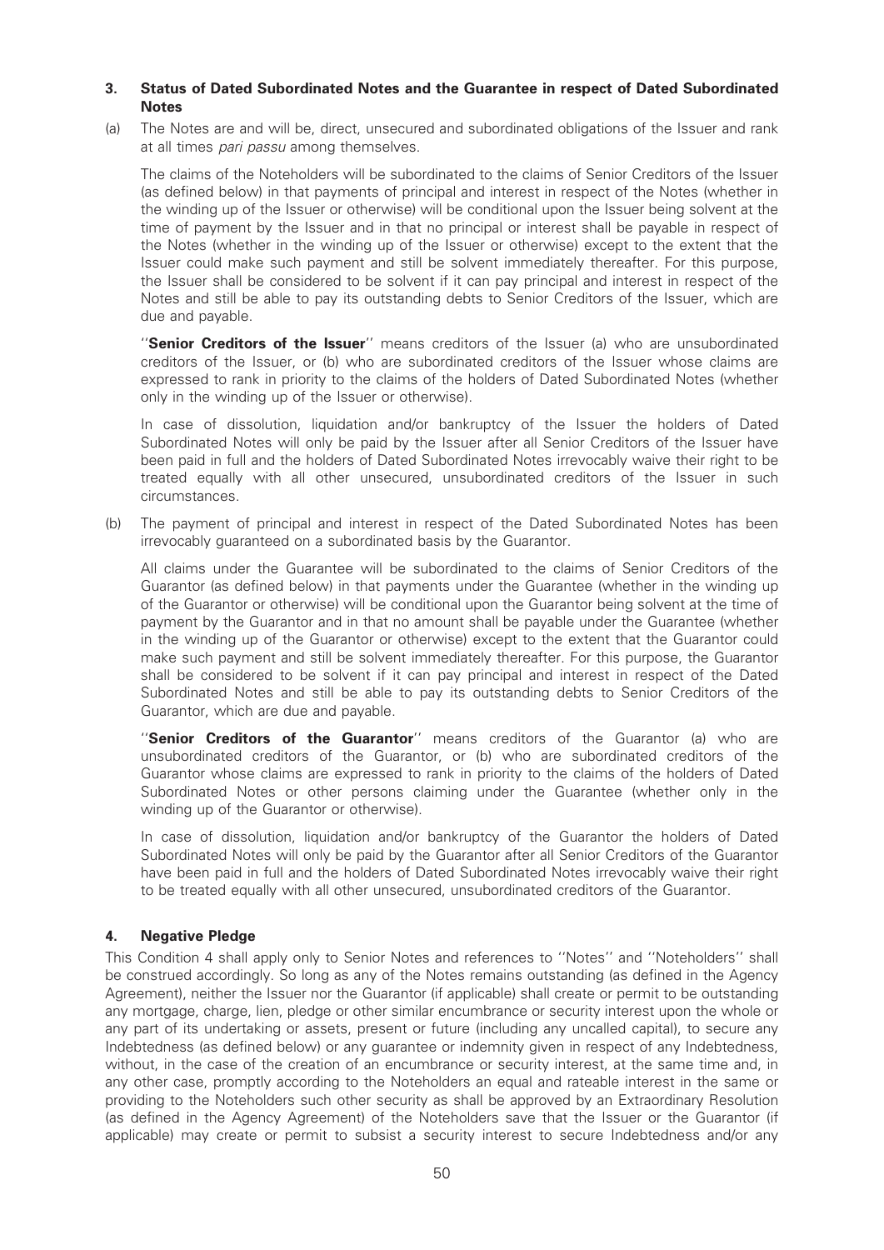## 3. Status of Dated Subordinated Notes and the Guarantee in respect of Dated Subordinated **Notes**

(a) The Notes are and will be, direct, unsecured and subordinated obligations of the Issuer and rank at all times *pari passu* among themselves.

The claims of the Noteholders will be subordinated to the claims of Senior Creditors of the Issuer (as de¢ned below) in that payments of principal and interest in respect of the Notes (whether in the winding up of the Issuer or otherwise) will be conditional upon the Issuer being solvent at the time of payment by the Issuer and in that no principal or interest shall be payable in respect of the Notes (whether in the winding up of the Issuer or otherwise) except to the extent that the Issuer could make such payment and still be solvent immediately thereafter. For this purpose, the Issuer shall be considered to be solvent if it can pay principal and interest in respect of the Notes and still be able to pay its outstanding debts to Senior Creditors of the Issuer, which are due and payable.

"Senior Creditors of the Issuer" means creditors of the Issuer (a) who are unsubordinated creditors of the Issuer, or (b) who are subordinated creditors of the Issuer whose claims are expressed to rank in priority to the claims of the holders of Dated Subordinated Notes (whether only in the winding up of the Issuer or otherwise).

In case of dissolution, liquidation and/or bankruptcy of the Issuer the holders of Dated Subordinated Notes will only be paid by the Issuer after all Senior Creditors of the Issuer have been paid in full and the holders of Dated Subordinated Notes irrevocably waive their right to be treated equally with all other unsecured, unsubordinated creditors of the Issuer in such circumstances.

(b) The payment of principal and interest in respect of the Dated Subordinated Notes has been irrevocably guaranteed on a subordinated basis by the Guarantor.

All claims under the Guarantee will be subordinated to the claims of Senior Creditors of the Guarantor (as defined below) in that payments under the Guarantee (whether in the winding up of the Guarantor or otherwise) will be conditional upon the Guarantor being solvent at the time of payment by the Guarantor and in that no amount shall be payable under the Guarantee (whether in the winding up of the Guarantor or otherwise) except to the extent that the Guarantor could make such payment and still be solvent immediately thereafter. For this purpose, the Guarantor shall be considered to be solvent if it can pay principal and interest in respect of the Dated Subordinated Notes and still be able to pay its outstanding debts to Senior Creditors of the Guarantor, which are due and payable.

"Senior Creditors of the Guarantor" means creditors of the Guarantor (a) who are unsubordinated creditors of the Guarantor, or (b) who are subordinated creditors of the Guarantor whose claims are expressed to rank in priority to the claims of the holders of Dated Subordinated Notes or other persons claiming under the Guarantee (whether only in the winding up of the Guarantor or otherwise).

In case of dissolution, liquidation and/or bankruptcy of the Guarantor the holders of Dated Subordinated Notes will only be paid by the Guarantor after all Senior Creditors of the Guarantor have been paid in full and the holders of Dated Subordinated Notes irrevocably waive their right to be treated equally with all other unsecured, unsubordinated creditors of the Guarantor.

## 4. Negative Pledge

This Condition 4 shall apply only to Senior Notes and references to ''Notes'' and ''Noteholders'' shall be construed accordingly. So long as any of the Notes remains outstanding (as defined in the Agency Agreement), neither the Issuer nor the Guarantor (if applicable) shall create or permit to be outstanding any mortgage, charge, lien, pledge or other similar encumbrance or security interest upon the whole or any part of its undertaking or assets, present or future (including any uncalled capital), to secure any Indebtedness (as defined below) or any guarantee or indemnity given in respect of any Indebtedness, without, in the case of the creation of an encumbrance or security interest, at the same time and, in any other case, promptly according to the Noteholders an equal and rateable interest in the same or providing to the Noteholders such other security as shall be approved by an Extraordinary Resolution (as defined in the Agency Agreement) of the Noteholders save that the Issuer or the Guarantor (if applicable) may create or permit to subsist a security interest to secure Indebtedness and/or any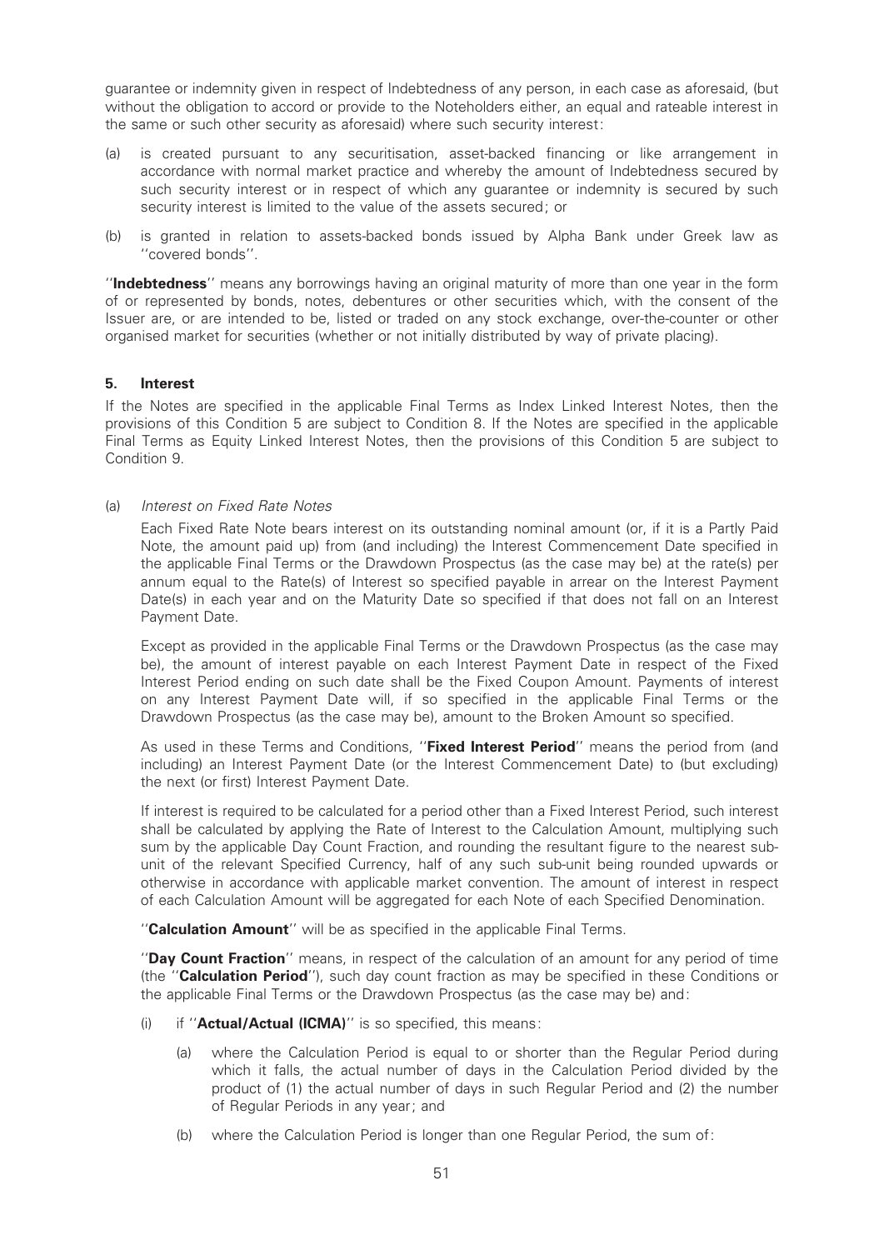guarantee or indemnity given in respect of Indebtedness of any person, in each case as aforesaid, (but without the obligation to accord or provide to the Noteholders either, an equal and rateable interest in the same or such other security as aforesaid) where such security interest:

- (a) is created pursuant to any securitisation, asset-backed ¢nancing or like arrangement in accordance with normal market practice and whereby the amount of Indebtedness secured by such security interest or in respect of which any guarantee or indemnity is secured by such security interest is limited to the value of the assets secured; or
- (b) is granted in relation to assets-backed bonds issued by Alpha Bank under Greek law as ''covered bonds''.

''Indebtedness'' means any borrowings having an original maturity of more than one year in the form of or represented by bonds, notes, debentures or other securities which, with the consent of the Issuer are, or are intended to be, listed or traded on any stock exchange, over-the-counter or other organised market for securities (whether or not initially distributed by way of private placing).

### 5. Interest

If the Notes are specified in the applicable Final Terms as Index Linked Interest Notes, then the provisions of this Condition 5 are subject to Condition 8. If the Notes are specified in the applicable Final Terms as Equity Linked Interest Notes, then the provisions of this Condition 5 are subject to Condition 9.

### (a) Interest on Fixed Rate Notes

Each Fixed Rate Note bears interest on its outstanding nominal amount (or, if it is a Partly Paid Note, the amount paid up) from (and including) the Interest Commencement Date specified in the applicable Final Terms or the Drawdown Prospectus (as the case may be) at the rate(s) per annum equal to the Rate(s) of Interest so specified payable in arrear on the Interest Payment Date(s) in each year and on the Maturity Date so specified if that does not fall on an Interest Payment Date.

Except as provided in the applicable Final Terms or the Drawdown Prospectus (as the case may be), the amount of interest payable on each Interest Payment Date in respect of the Fixed Interest Period ending on such date shall be the Fixed Coupon Amount. Payments of interest on any Interest Payment Date will, if so specified in the applicable Final Terms or the Drawdown Prospectus (as the case may be), amount to the Broken Amount so specified.

As used in these Terms and Conditions, "**Fixed Interest Period**" means the period from (and including) an Interest Payment Date (or the Interest Commencement Date) to (but excluding) the next (or first) Interest Payment Date.

If interest is required to be calculated for a period other than a Fixed Interest Period, such interest shall be calculated by applying the Rate of Interest to the Calculation Amount, multiplying such sum by the applicable Day Count Fraction, and rounding the resultant figure to the nearest subunit of the relevant Specified Currency, half of any such sub-unit being rounded upwards or otherwise in accordance with applicable market convention. The amount of interest in respect of each Calculation Amount will be aggregated for each Note of each Specified Denomination.

"Calculation Amount" will be as specified in the applicable Final Terms.

''Day Count Fraction'' means, in respect of the calculation of an amount for any period of time (the "Calculation Period"), such day count fraction as may be specified in these Conditions or the applicable Final Terms or the Drawdown Prospectus (as the case may be) and:

- (i) if "**Actual/Actual (ICMA)**" is so specified, this means:
	- (a) where the Calculation Period is equal to or shorter than the Regular Period during which it falls, the actual number of days in the Calculation Period divided by the product of (1) the actual number of days in such Regular Period and (2) the number of Regular Periods in any year; and
	- (b) where the Calculation Period is longer than one Regular Period, the sum of: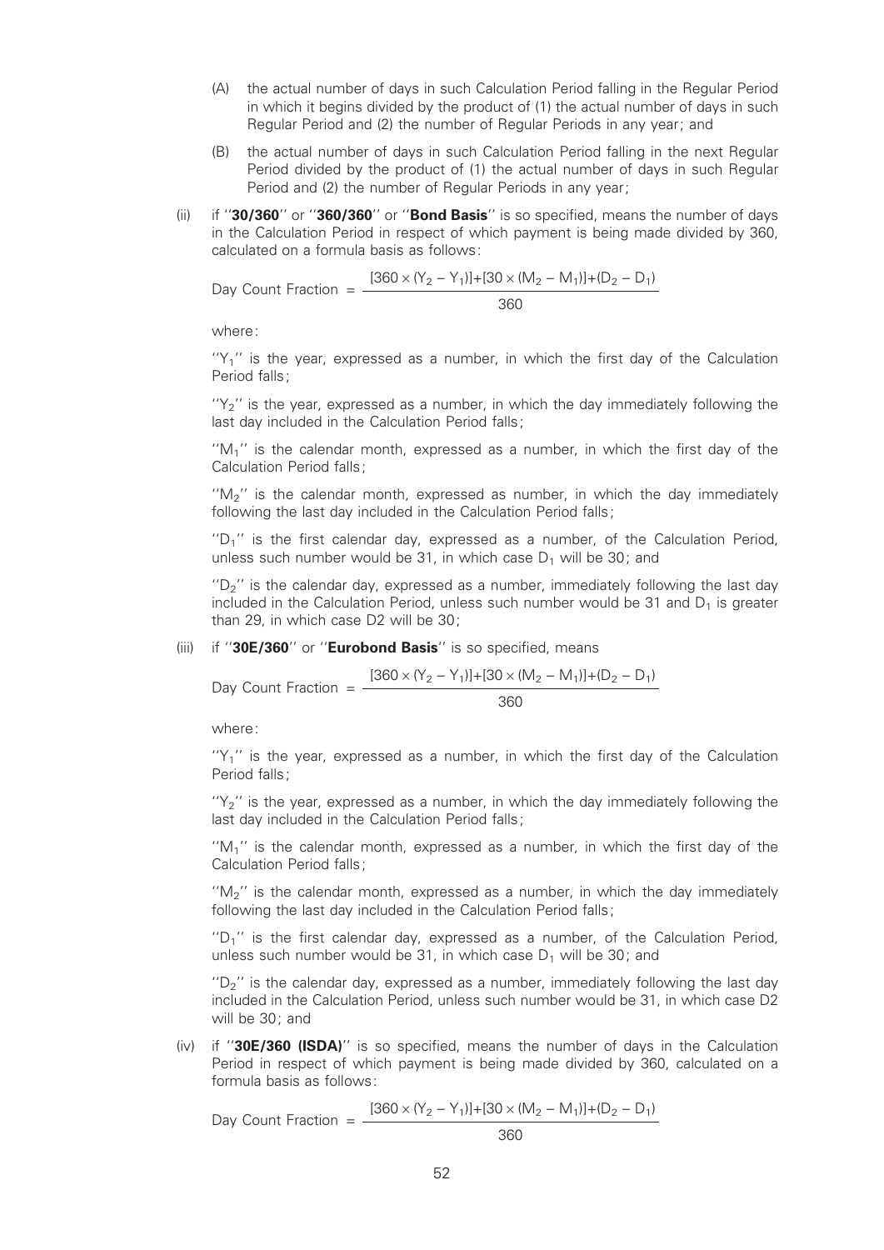- (A) the actual number of days in such Calculation Period falling in the Regular Period in which it begins divided by the product of (1) the actual number of days in such Regular Period and (2) the number of Regular Periods in any year; and
- (B) the actual number of days in such Calculation Period falling in the next Regular Period divided by the product of (1) the actual number of days in such Regular Period and (2) the number of Regular Periods in any year;
- (ii) if "30/360" or "360/360" or "Bond Basis" is so specified, means the number of days in the Calculation Period in respect of which payment is being made divided by 360, calculated on a formula basis as follows:

Day Count Fraction =  $\frac{[360 \times (Y_2 - Y_1)] + [30 \times (M_2 - M_1)] + (D_2 - D_1)}{[360 \times (Y_2 - Y_1)] + [30 \times (M_2 - M_1)] + (D_2 - D_1)}$ 360

where:

 $'Y_1'$  is the year, expressed as a number, in which the first day of the Calculation Period falls;

"Y<sub>2</sub>" is the year, expressed as a number, in which the day immediately following the last day included in the Calculation Period falls;

 $M_1$ <sup>"</sup> is the calendar month, expressed as a number, in which the first day of the Calculation Period falls;

" $M<sub>2</sub>$ " is the calendar month, expressed as number, in which the day immediately following the last day included in the Calculation Period falls;

" $D_1$ " is the first calendar day, expressed as a number, of the Calculation Period, unless such number would be 31, in which case  $D_1$  will be 30; and

 $P'$  is the calendar day, expressed as a number, immediately following the last day included in the Calculation Period, unless such number would be 31 and  $D_1$  is greater than 29, in which case D2 will be 30;

## (iii) if " $30E/360$ " or "Eurobond Basis" is so specified, means

Day Count Fraction = 
$$
\frac{[360 \times (Y_2 - Y_1)] + [30 \times (M_2 - M_1)] + (D_2 - D_1)}{360}
$$

where:

 $'Y_1'$  is the year, expressed as a number, in which the first day of the Calculation Period falls;

 $'Y_2'$  is the year, expressed as a number, in which the day immediately following the last day included in the Calculation Period falls;

" $M_1$ " is the calendar month, expressed as a number, in which the first day of the Calculation Period falls;

 $M_2$ <sup>"</sup> is the calendar month, expressed as a number, in which the day immediately following the last day included in the Calculation Period falls;

 $U'D_1$ " is the first calendar day, expressed as a number, of the Calculation Period, unless such number would be 31, in which case  $D_1$  will be 30; and

 $P_{\text{D}}$ <sup>"</sup> is the calendar day, expressed as a number, immediately following the last day included in the Calculation Period, unless such number would be 31, in which case D2 will be 30; and

 $(iv)$  if "30E/360 (ISDA)" is so specified, means the number of days in the Calculation Period in respect of which payment is being made divided by 360, calculated on a formula basis as follows:

Day Count Fraction =  $\frac{[360 \times (Y_2 - Y_1)] + [30 \times (M_2 - M_1)] + (D_2 - D_1)}{200}$ 360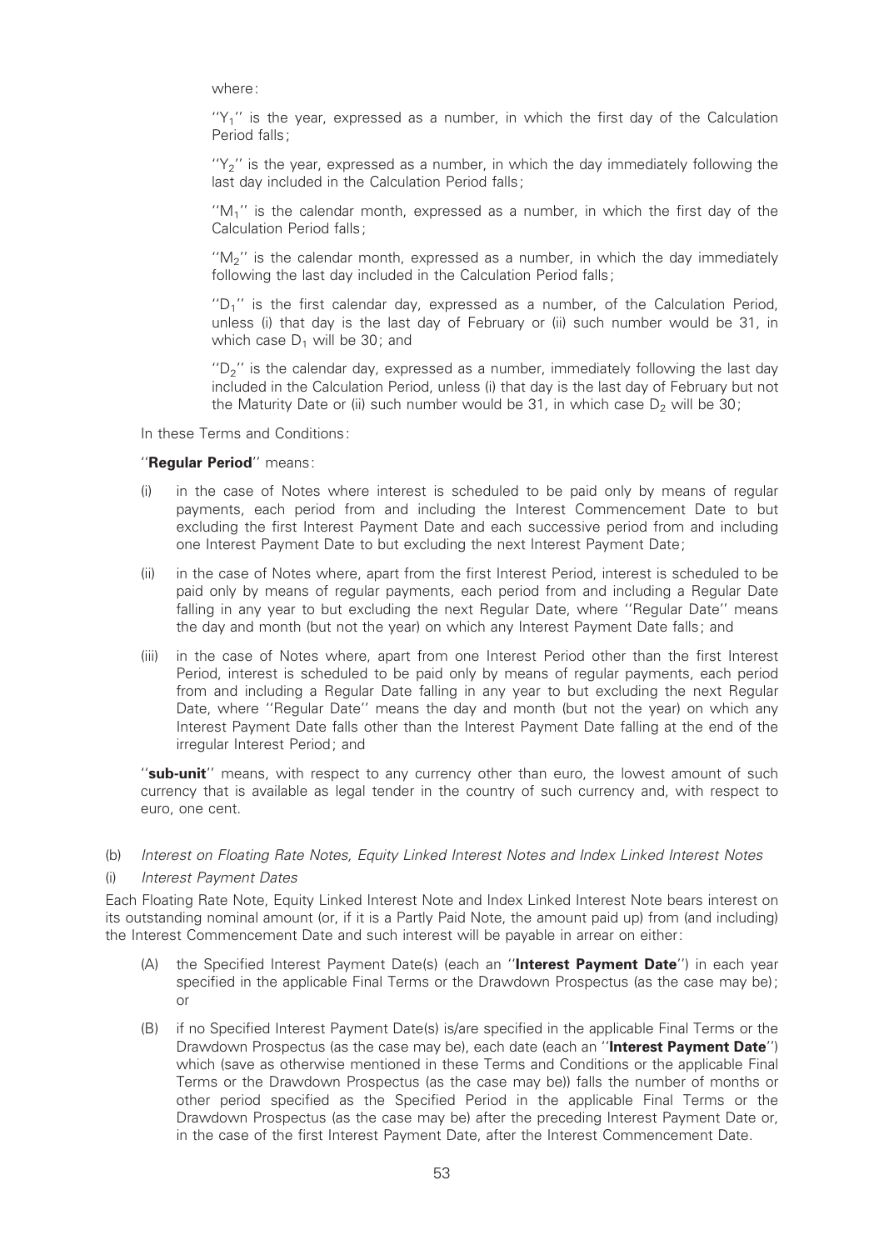where:

 $''Y_1''$  is the year, expressed as a number, in which the first day of the Calculation Period falls;

 $'Y_2'$  is the year, expressed as a number, in which the day immediately following the last day included in the Calculation Period falls;

 $M_1$ <sup>"</sup> is the calendar month, expressed as a number, in which the first day of the Calculation Period falls;

 $M_2$ <sup>"</sup> is the calendar month, expressed as a number, in which the day immediately following the last day included in the Calculation Period falls:

''D1'' is the ¢rst calendar day, expressed as a number, of the Calculation Period, unless (i) that day is the last day of February or (ii) such number would be 31, in which case  $D_1$  will be 30; and

 $P_{\text{D}}$ <sup>"</sup> is the calendar day, expressed as a number, immediately following the last day included in the Calculation Period, unless (i) that day is the last day of February but not the Maturity Date or (ii) such number would be 31, in which case  $D<sub>2</sub>$  will be 30;

In these Terms and Conditions:

#### "Regular Period" means:

- in the case of Notes where interest is scheduled to be paid only by means of regular payments, each period from and including the Interest Commencement Date to but excluding the first Interest Payment Date and each successive period from and including one Interest Payment Date to but excluding the next Interest Payment Date;
- (ii) in the case of Notes where, apart from the first Interest Period, interest is scheduled to be paid only by means of regular payments, each period from and including a Regular Date falling in any year to but excluding the next Regular Date, where "Regular Date" means the day and month (but not the year) on which any Interest Payment Date falls; and
- (iii) in the case of Notes where, apart from one Interest Period other than the first Interest Period, interest is scheduled to be paid only by means of regular payments, each period from and including a Regular Date falling in any year to but excluding the next Regular Date, where ''Regular Date'' means the day and month (but not the year) on which any Interest Payment Date falls other than the Interest Payment Date falling at the end of the irregular Interest Period; and

"sub-unit" means, with respect to any currency other than euro, the lowest amount of such currency that is available as legal tender in the country of such currency and, with respect to euro, one cent.

(b) Interest on Floating Rate Notes, Equity Linked Interest Notes and Index Linked Interest Notes

#### (i) Interest Payment Dates

Each Floating Rate Note, Equity Linked Interest Note and Index Linked Interest Note bears interest on its outstanding nominal amount (or, if it is a Partly Paid Note, the amount paid up) from (and including) the Interest Commencement Date and such interest will be payable in arrear on either:

- (A) the Specified Interest Payment Date(s) (each an "Interest Payment Date") in each year specified in the applicable Final Terms or the Drawdown Prospectus (as the case may be); or
- (B) if no Specified Interest Payment Date(s) is/are specified in the applicable Final Terms or the Drawdown Prospectus (as the case may be), each date (each an "Interest Payment Date") which (save as otherwise mentioned in these Terms and Conditions or the applicable Final Terms or the Drawdown Prospectus (as the case may be)) falls the number of months or other period specified as the Specified Period in the applicable Final Terms or the Drawdown Prospectus (as the case may be) after the preceding Interest Payment Date or, in the case of the first Interest Payment Date, after the Interest Commencement Date.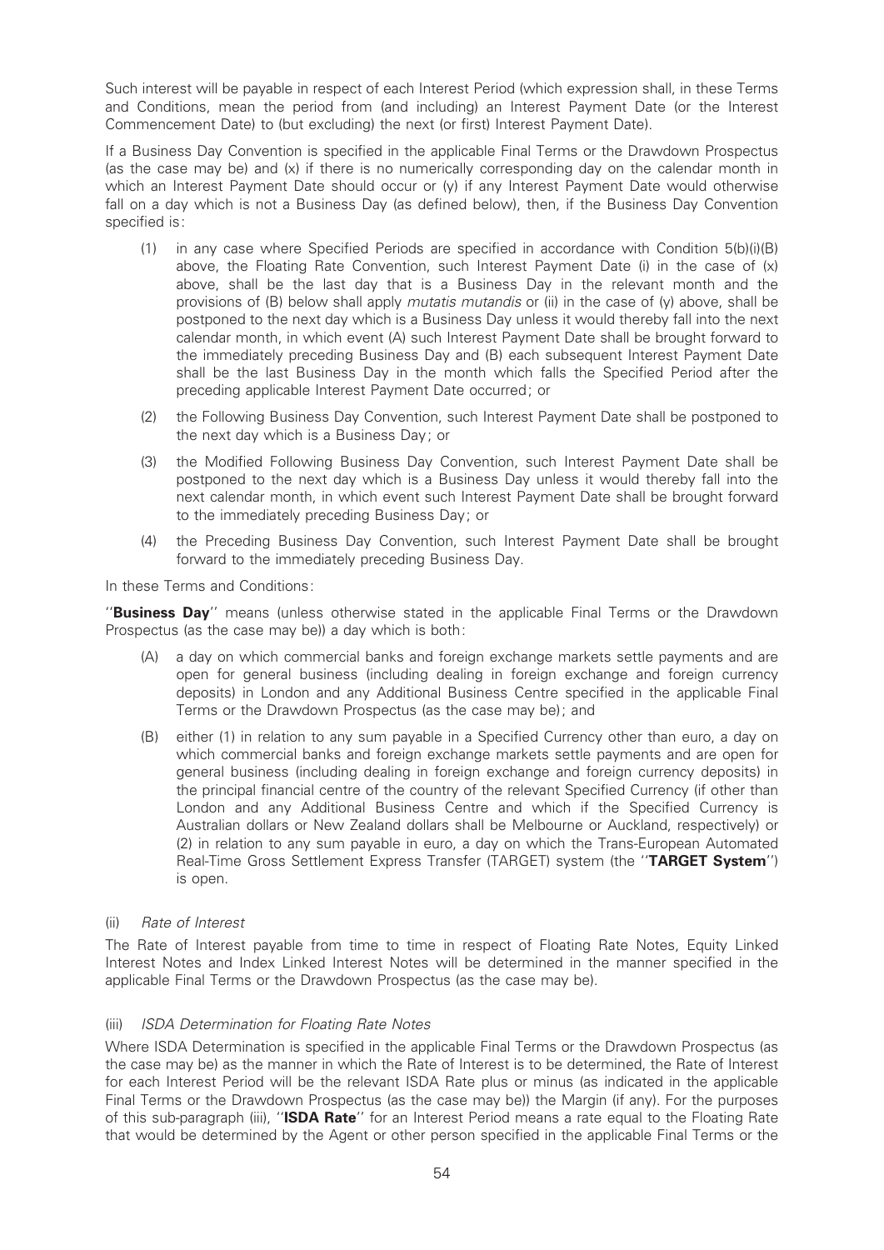Such interest will be payable in respect of each Interest Period (which expression shall, in these Terms and Conditions, mean the period from (and including) an Interest Payment Date (or the Interest Commencement Date) to (but excluding) the next (or first) Interest Payment Date).

If a Business Day Convention is specified in the applicable Final Terms or the Drawdown Prospectus (as the case may be) and (x) if there is no numerically corresponding day on the calendar month in which an Interest Payment Date should occur or (y) if any Interest Payment Date would otherwise fall on a day which is not a Business Day (as defined below), then, if the Business Day Convention specified is:

- (1) in any case where Specified Periods are specified in accordance with Condition  $5(b)(i)(B)$ above, the Floating Rate Convention, such Interest Payment Date (i) in the case of (x) above, shall be the last day that is a Business Day in the relevant month and the provisions of (B) below shall apply *mutatis mutandis* or (ii) in the case of (y) above, shall be postponed to the next day which is a Business Day unless it would thereby fall into the next calendar month, in which event (A) such Interest Payment Date shall be brought forward to the immediately preceding Business Day and (B) each subsequent Interest Payment Date shall be the last Business Day in the month which falls the Specified Period after the preceding applicable Interest Payment Date occurred; or
- (2) the Following Business Day Convention, such Interest Payment Date shall be postponed to the next day which is a Business Day; or
- (3) the Modified Following Business Day Convention, such Interest Payment Date shall be postponed to the next day which is a Business Day unless it would thereby fall into the next calendar month, in which event such Interest Payment Date shall be brought forward to the immediately preceding Business Day; or
- (4) the Preceding Business Day Convention, such Interest Payment Date shall be brought forward to the immediately preceding Business Day.

In these Terms and Conditions:

"Business Day" means (unless otherwise stated in the applicable Final Terms or the Drawdown Prospectus (as the case may be)) a day which is both:

- (A) a day on which commercial banks and foreign exchange markets settle payments and are open for general business (including dealing in foreign exchange and foreign currency deposits) in London and any Additional Business Centre specified in the applicable Final Terms or the Drawdown Prospectus (as the case may be); and
- (B) either (1) in relation to any sum payable in a Specified Currency other than euro, a day on which commercial banks and foreign exchange markets settle payments and are open for general business (including dealing in foreign exchange and foreign currency deposits) in the principal financial centre of the country of the relevant Specified Currency (if other than London and any Additional Business Centre and which if the Specified Currency is Australian dollars or New Zealand dollars shall be Melbourne or Auckland, respectively) or (2) in relation to any sum payable in euro, a day on which the Trans-European Automated Real-Time Gross Settlement Express Transfer (TARGET) system (the "TARGET System") is open.

## (ii) Rate of Interest

The Rate of Interest payable from time to time in respect of Floating Rate Notes, Equity Linked Interest Notes and Index Linked Interest Notes will be determined in the manner specified in the applicable Final Terms or the Drawdown Prospectus (as the case may be).

## (iii) ISDA Determination for Floating Rate Notes

Where ISDA Determination is specified in the applicable Final Terms or the Drawdown Prospectus (as the case may be) as the manner in which the Rate of Interest is to be determined, the Rate of Interest for each Interest Period will be the relevant ISDA Rate plus or minus (as indicated in the applicable Final Terms or the Drawdown Prospectus (as the case may be)) the Margin (if any). For the purposes of this sub-paragraph (iii), "ISDA Rate" for an Interest Period means a rate equal to the Floating Rate that would be determined by the Agent or other person specified in the applicable Final Terms or the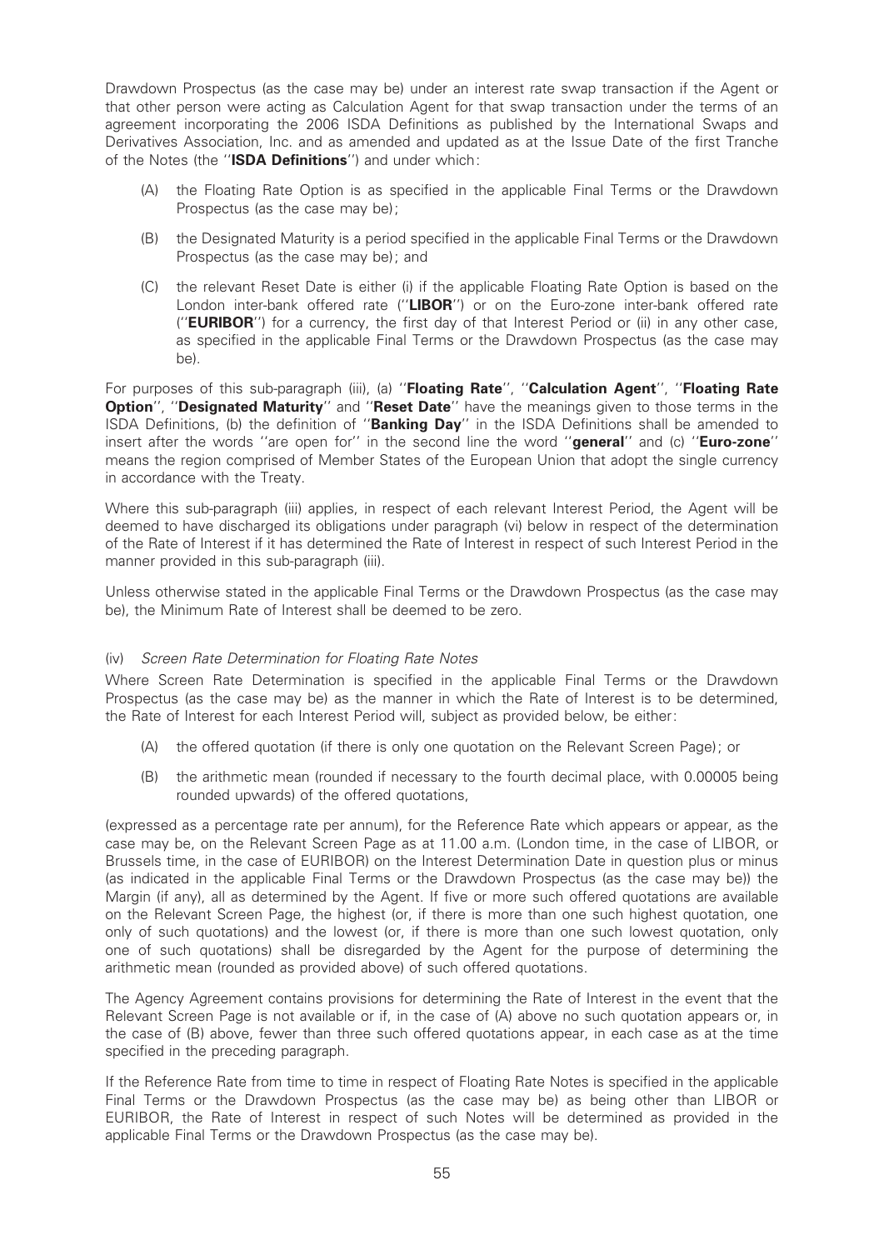Drawdown Prospectus (as the case may be) under an interest rate swap transaction if the Agent or that other person were acting as Calculation Agent for that swap transaction under the terms of an agreement incorporating the 2006 ISDA Definitions as published by the International Swaps and Derivatives Association, Inc. and as amended and updated as at the Issue Date of the first Tranche of the Notes (the "ISDA Definitions") and under which:

- (A) the Floating Rate Option is as speci¢ed in the applicable Final Terms or the Drawdown Prospectus (as the case may be);
- (B) the Designated Maturity is a period specified in the applicable Final Terms or the Drawdown Prospectus (as the case may be); and
- (C) the relevant Reset Date is either (i) if the applicable Floating Rate Option is based on the London inter-bank offered rate ("LIBOR") or on the Euro-zone inter-bank offered rate ("**EURIBOR**") for a currency, the first day of that Interest Period or (ii) in any other case, as specified in the applicable Final Terms or the Drawdown Prospectus (as the case may be).

For purposes of this sub-paragraph (iii), (a) "Floating Rate", "Calculation Agent", "Floating Rate Option", "Designated Maturity" and "Reset Date" have the meanings given to those terms in the ISDA Definitions, (b) the definition of "Banking Day" in the ISDA Definitions shall be amended to insert after the words "are open for" in the second line the word "general" and (c) "Euro-zone" means the region comprised of Member States of the European Union that adopt the single currency in accordance with the Treaty.

Where this sub-paragraph (iii) applies, in respect of each relevant Interest Period, the Agent will be deemed to have discharged its obligations under paragraph (vi) below in respect of the determination of the Rate of Interest if it has determined the Rate of Interest in respect of such Interest Period in the manner provided in this sub-paragraph (iii).

Unless otherwise stated in the applicable Final Terms or the Drawdown Prospectus (as the case may be), the Minimum Rate of Interest shall be deemed to be zero.

#### (iv) Screen Rate Determination for Floating Rate Notes

Where Screen Rate Determination is specified in the applicable Final Terms or the Drawdown Prospectus (as the case may be) as the manner in which the Rate of Interest is to be determined, the Rate of Interest for each Interest Period will, subject as provided below, be either:

- (A) the offered quotation (if there is only one quotation on the Relevant Screen Page); or
- (B) the arithmetic mean (rounded if necessary to the fourth decimal place, with 0.00005 being rounded upwards) of the offered quotations,

(expressed as a percentage rate per annum), for the Reference Rate which appears or appear, as the case may be, on the Relevant Screen Page as at 11.00 a.m. (London time, in the case of LIBOR, or Brussels time, in the case of EURIBOR) on the Interest Determination Date in question plus or minus (as indicated in the applicable Final Terms or the Drawdown Prospectus (as the case may be)) the Margin (if any), all as determined by the Agent. If five or more such offered quotations are available on the Relevant Screen Page, the highest (or, if there is more than one such highest quotation, one only of such quotations) and the lowest (or, if there is more than one such lowest quotation, only one of such quotations) shall be disregarded by the Agent for the purpose of determining the arithmetic mean (rounded as provided above) of such offered quotations.

The Agency Agreement contains provisions for determining the Rate of Interest in the event that the Relevant Screen Page is not available or if, in the case of (A) above no such quotation appears or, in the case of (B) above, fewer than three such offered quotations appear, in each case as at the time specified in the preceding paragraph.

If the Reference Rate from time to time in respect of Floating Rate Notes is specified in the applicable Final Terms or the Drawdown Prospectus (as the case may be) as being other than LIBOR or EURIBOR, the Rate of Interest in respect of such Notes will be determined as provided in the applicable Final Terms or the Drawdown Prospectus (as the case may be).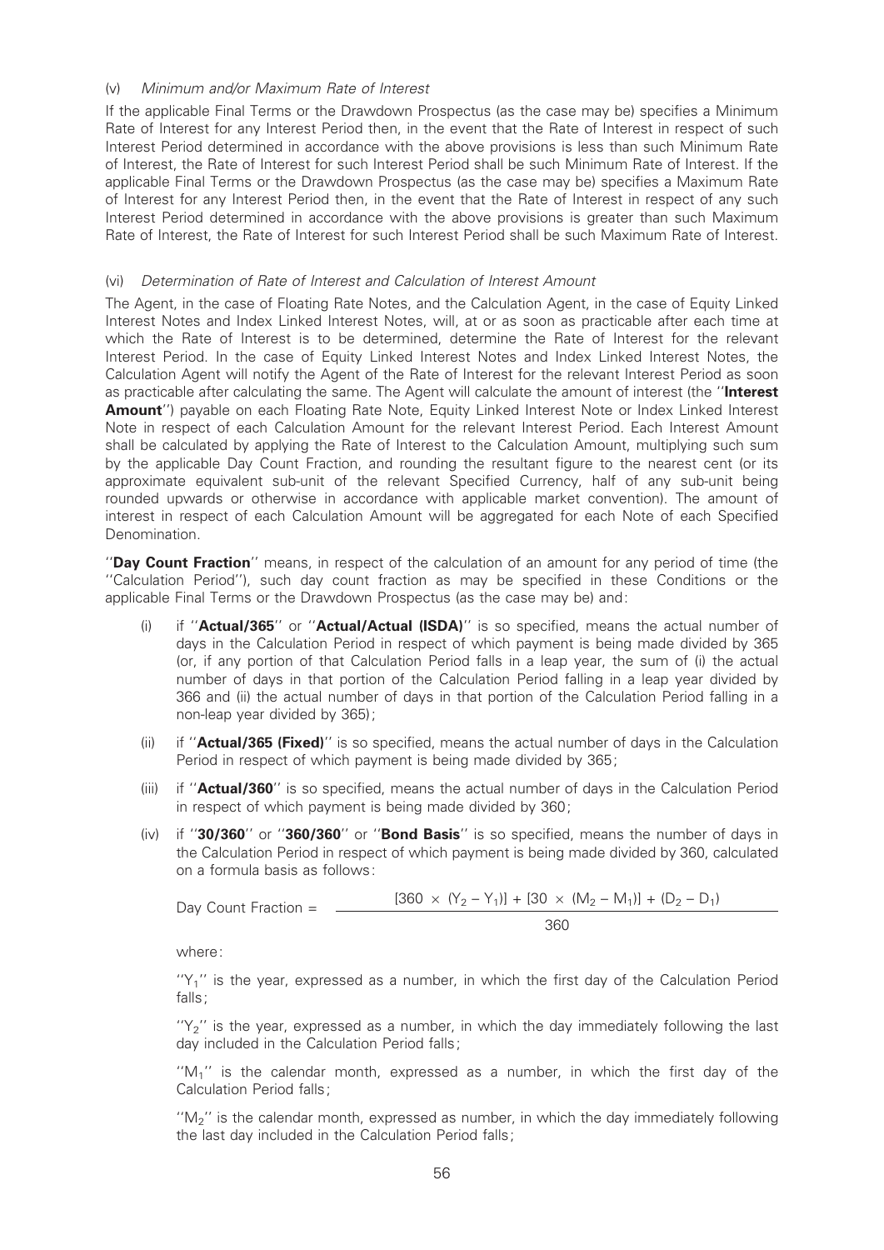### (v) Minimum and/or Maximum Rate of Interest

If the applicable Final Terms or the Drawdown Prospectus (as the case may be) specifies a Minimum Rate of Interest for any Interest Period then, in the event that the Rate of Interest in respect of such Interest Period determined in accordance with the above provisions is less than such Minimum Rate of Interest, the Rate of Interest for such Interest Period shall be such Minimum Rate of Interest. If the applicable Final Terms or the Drawdown Prospectus (as the case may be) specifies a Maximum Rate of Interest for any Interest Period then, in the event that the Rate of Interest in respect of any such Interest Period determined in accordance with the above provisions is greater than such Maximum Rate of Interest, the Rate of Interest for such Interest Period shall be such Maximum Rate of Interest.

### (vi) Determination of Rate of Interest and Calculation of Interest Amount

The Agent, in the case of Floating Rate Notes, and the Calculation Agent, in the case of Equity Linked Interest Notes and Index Linked Interest Notes, will, at or as soon as practicable after each time at which the Rate of Interest is to be determined, determine the Rate of Interest for the relevant Interest Period. In the case of Equity Linked Interest Notes and Index Linked Interest Notes, the Calculation Agent will notify the Agent of the Rate of Interest for the relevant Interest Period as soon as practicable after calculating the same. The Agent will calculate the amount of interest (the "Interest Amount") payable on each Floating Rate Note, Equity Linked Interest Note or Index Linked Interest Note in respect of each Calculation Amount for the relevant Interest Period. Each Interest Amount shall be calculated by applying the Rate of Interest to the Calculation Amount, multiplying such sum by the applicable Day Count Fraction, and rounding the resultant figure to the nearest cent (or its approximate equivalent sub-unit of the relevant Specified Currency, half of any sub-unit being rounded upwards or otherwise in accordance with applicable market convention). The amount of interest in respect of each Calculation Amount will be aggregated for each Note of each Specified Denomination.

''Day Count Fraction'' means, in respect of the calculation of an amount for any period of time (the "Calculation Period"), such day count fraction as may be specified in these Conditions or the applicable Final Terms or the Drawdown Prospectus (as the case may be) and:

- (i) if " $Actual/365"$  or " $Actual/Actual (ISDA)"$  is so specified, means the actual number of days in the Calculation Period in respect of which payment is being made divided by 365 (or, if any portion of that Calculation Period falls in a leap year, the sum of (i) the actual number of days in that portion of the Calculation Period falling in a leap year divided by 366 and (ii) the actual number of days in that portion of the Calculation Period falling in a non-leap year divided by 365);
- (ii) if " $Actual/365$  (Fixed)" is so specified, means the actual number of days in the Calculation Period in respect of which payment is being made divided by 365;
- (iii) if " $Actual/360$ " is so specified, means the actual number of days in the Calculation Period in respect of which payment is being made divided by 360;
- (iv) if " $30/360$ " or " $360/360$ " or "Bond Basis" is so specified, means the number of days in the Calculation Period in respect of which payment is being made divided by 360, calculated on a formula basis as follows:

Day Count Fraction = 
$$
\frac{[360 \times (Y_2 - Y_1)] + [30 \times (M_2 - M_1)] + (D_2 - D_1)}{360}
$$

where:

" $Y_1$ " is the year, expressed as a number, in which the first day of the Calculation Period falls;

"Y<sub>2</sub>" is the year, expressed as a number, in which the day immediately following the last day included in the Calculation Period falls;

" $M_1$ " is the calendar month, expressed as a number, in which the first day of the Calculation Period falls;

" $M<sub>2</sub>$ " is the calendar month, expressed as number, in which the day immediately following the last day included in the Calculation Period falls;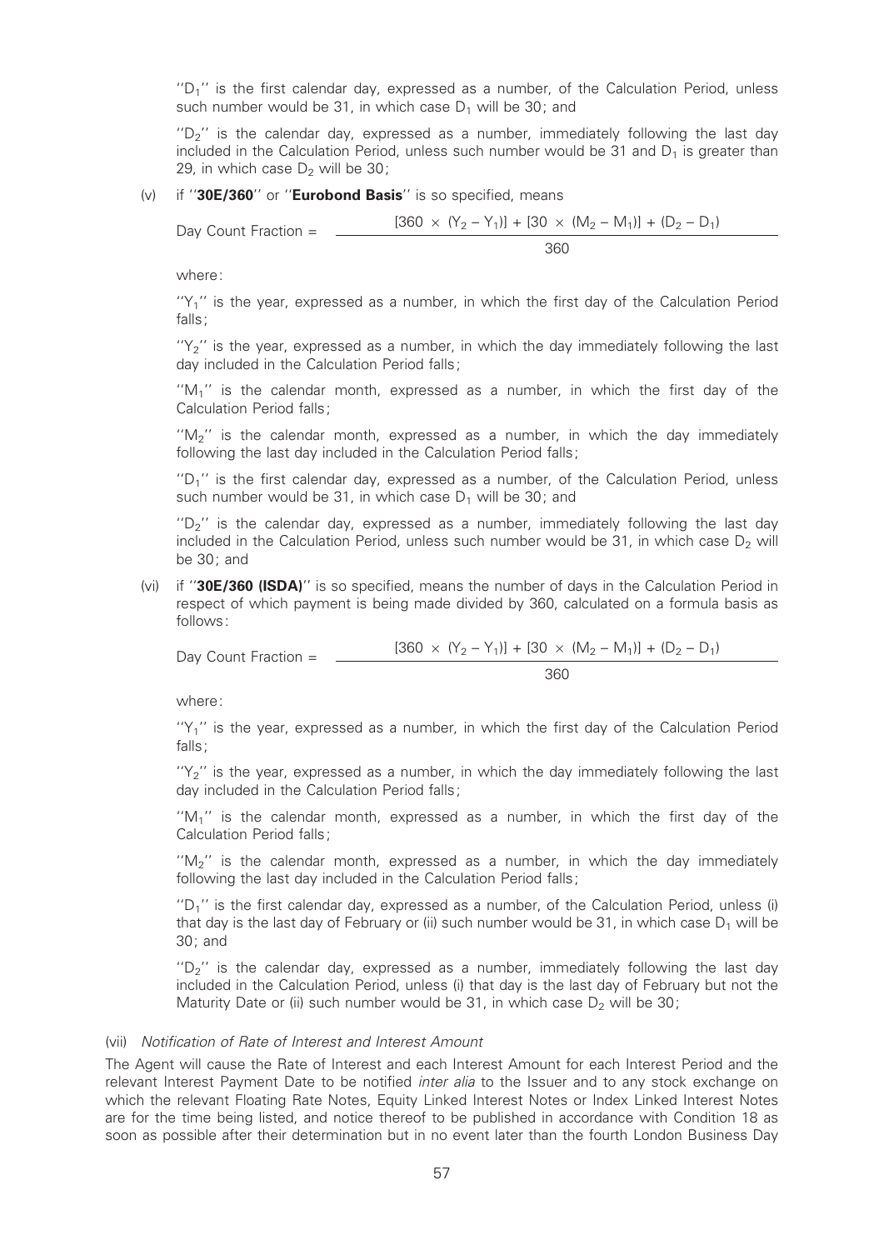" $D_1$ " is the first calendar day, expressed as a number, of the Calculation Period, unless such number would be 31, in which case  $D_1$  will be 30; and

"D<sub>2</sub>" is the calendar day, expressed as a number, immediately following the last day included in the Calculation Period, unless such number would be 31 and  $D_1$  is greater than 29, in which case  $D_2$  will be 30;

#### (v) if " $30E/360$ " or "Eurobond Basis" is so specified, means

Day Count Fraction = 
$$
\frac{[360 \times (Y_2 - Y_1)] + [30 \times (M_2 - M_1)] + (D_2 - D_1)}{360}
$$

where:

 $'Y_1'$  is the year, expressed as a number, in which the first day of the Calculation Period falls;

 $'Y_2'$  is the year, expressed as a number, in which the day immediately following the last day included in the Calculation Period falls;

" $M_1$ " is the calendar month, expressed as a number, in which the first day of the Calculation Period falls;

''M2'' is the calendar month, expressed as a number, in which the day immediately following the last day included in the Calculation Period falls:

"D<sub>1</sub>" is the first calendar day, expressed as a number, of the Calculation Period, unless such number would be 31, in which case  $D_1$  will be 30; and

" $D_2$ " is the calendar day, expressed as a number, immediately following the last day included in the Calculation Period, unless such number would be  $31$ , in which case  $D<sub>2</sub>$  will be 30; and

(vi) if "30E/360 (ISDA)" is so specified, means the number of days in the Calculation Period in respect of which payment is being made divided by 360, calculated on a formula basis as follows:

Day Count Fraction =  $\frac{[360 \times (Y_2 - Y_1)] + [30 \times (M_2 - M_1)] + (D_2 - D_1)}{[360 \times (Y_2 - Y_1)]}$ 360

where:

 $'Y_1'$  is the year, expressed as a number, in which the first day of the Calculation Period falls;

 $'Y_2$ " is the year, expressed as a number, in which the day immediately following the last day included in the Calculation Period falls;

 $M_1$ <sup>"</sup> is the calendar month, expressed as a number, in which the first day of the Calculation Period falls;

" $M_2$ " is the calendar month, expressed as a number, in which the day immediately following the last day included in the Calculation Period falls;

 $D_1$ " is the first calendar day, expressed as a number, of the Calculation Period, unless (i) that day is the last day of February or (ii) such number would be 31, in which case  $D_1$  will be 30; and

 $D_2$ <sup>"</sup> is the calendar day, expressed as a number, immediately following the last day included in the Calculation Period, unless (i) that day is the last day of February but not the Maturity Date or (ii) such number would be 31, in which case  $D_2$  will be 30;

#### (vii) Noti¢cation of Rate of Interest and Interest Amount

The Agent will cause the Rate of Interest and each Interest Amount for each Interest Period and the relevant Interest Payment Date to be notified *inter alia* to the Issuer and to any stock exchange on which the relevant Floating Rate Notes, Equity Linked Interest Notes or Index Linked Interest Notes are for the time being listed, and notice thereof to be published in accordance with Condition 18 as soon as possible after their determination but in no event later than the fourth London Business Day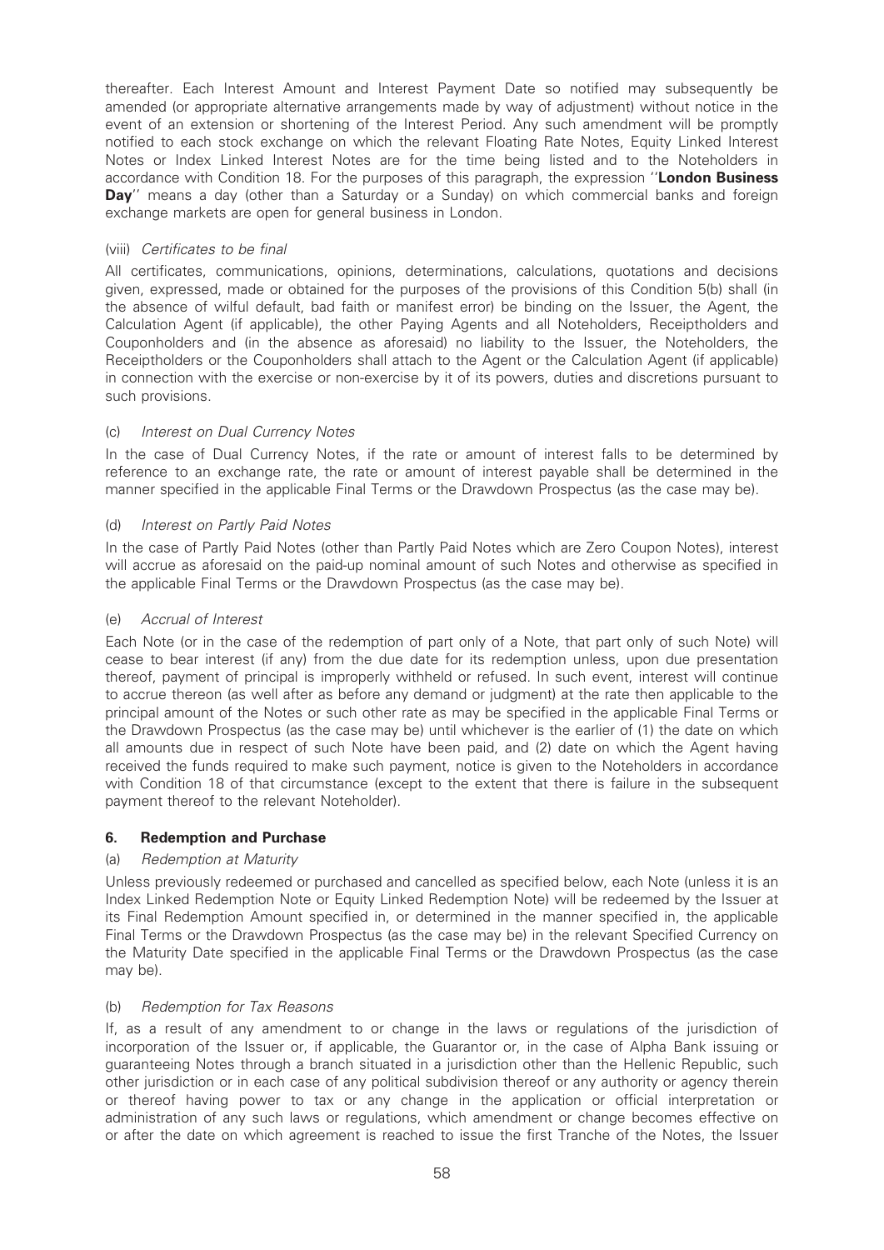thereafter. Each Interest Amount and Interest Payment Date so notified may subsequently be amended (or appropriate alternative arrangements made by way of adjustment) without notice in the event of an extension or shortening of the Interest Period. Any such amendment will be promptly notified to each stock exchange on which the relevant Floating Rate Notes, Equity Linked Interest Notes or Index Linked Interest Notes are for the time being listed and to the Noteholders in accordance with Condition 18. For the purposes of this paragraph, the expression "**London Business** Day" means a day (other than a Saturday or a Sunday) on which commercial banks and foreign exchange markets are open for general business in London.

## (viii) Certificates to be final

All certificates, communications, opinions, determinations, calculations, quotations and decisions given, expressed, made or obtained for the purposes of the provisions of this Condition 5(b) shall (in the absence of wilful default, bad faith or manifest error) be binding on the Issuer, the Agent, the Calculation Agent (if applicable), the other Paying Agents and all Noteholders, Receiptholders and Couponholders and (in the absence as aforesaid) no liability to the Issuer, the Noteholders, the Receiptholders or the Couponholders shall attach to the Agent or the Calculation Agent (if applicable) in connection with the exercise or non-exercise by it of its powers, duties and discretions pursuant to such provisions.

## (c) Interest on Dual Currency Notes

In the case of Dual Currency Notes, if the rate or amount of interest falls to be determined by reference to an exchange rate, the rate or amount of interest payable shall be determined in the manner specified in the applicable Final Terms or the Drawdown Prospectus (as the case may be).

### (d) Interest on Partly Paid Notes

In the case of Partly Paid Notes (other than Partly Paid Notes which are Zero Coupon Notes), interest will accrue as aforesaid on the paid-up nominal amount of such Notes and otherwise as specified in the applicable Final Terms or the Drawdown Prospectus (as the case may be).

### (e) Accrual of Interest

Each Note (or in the case of the redemption of part only of a Note, that part only of such Note) will cease to bear interest (if any) from the due date for its redemption unless, upon due presentation thereof, payment of principal is improperly withheld or refused. In such event, interest will continue to accrue thereon (as well after as before any demand or judgment) at the rate then applicable to the principal amount of the Notes or such other rate as may be specified in the applicable Final Terms or the Drawdown Prospectus (as the case may be) until whichever is the earlier of (1) the date on which all amounts due in respect of such Note have been paid, and (2) date on which the Agent having received the funds required to make such payment, notice is given to the Noteholders in accordance with Condition 18 of that circumstance (except to the extent that there is failure in the subsequent payment thereof to the relevant Noteholder).

## 6. Redemption and Purchase

## (a) Redemption at Maturity

Unless previously redeemed or purchased and cancelled as specified below, each Note (unless it is an Index Linked Redemption Note or Equity Linked Redemption Note) will be redeemed by the Issuer at its Final Redemption Amount specified in, or determined in the manner specified in, the applicable Final Terms or the Drawdown Prospectus (as the case may be) in the relevant Specified Currency on the Maturity Date specified in the applicable Final Terms or the Drawdown Prospectus (as the case may be).

#### (b) Redemption for Tax Reasons

If, as a result of any amendment to or change in the laws or regulations of the jurisdiction of incorporation of the Issuer or, if applicable, the Guarantor or, in the case of Alpha Bank issuing or guaranteeing Notes through a branch situated in a jurisdiction other than the Hellenic Republic, such other jurisdiction or in each case of any political subdivision thereof or any authority or agency therein or thereof having power to tax or any change in the application or official interpretation or administration of any such laws or regulations, which amendment or change becomes effective on or after the date on which agreement is reached to issue the first Tranche of the Notes, the Issuer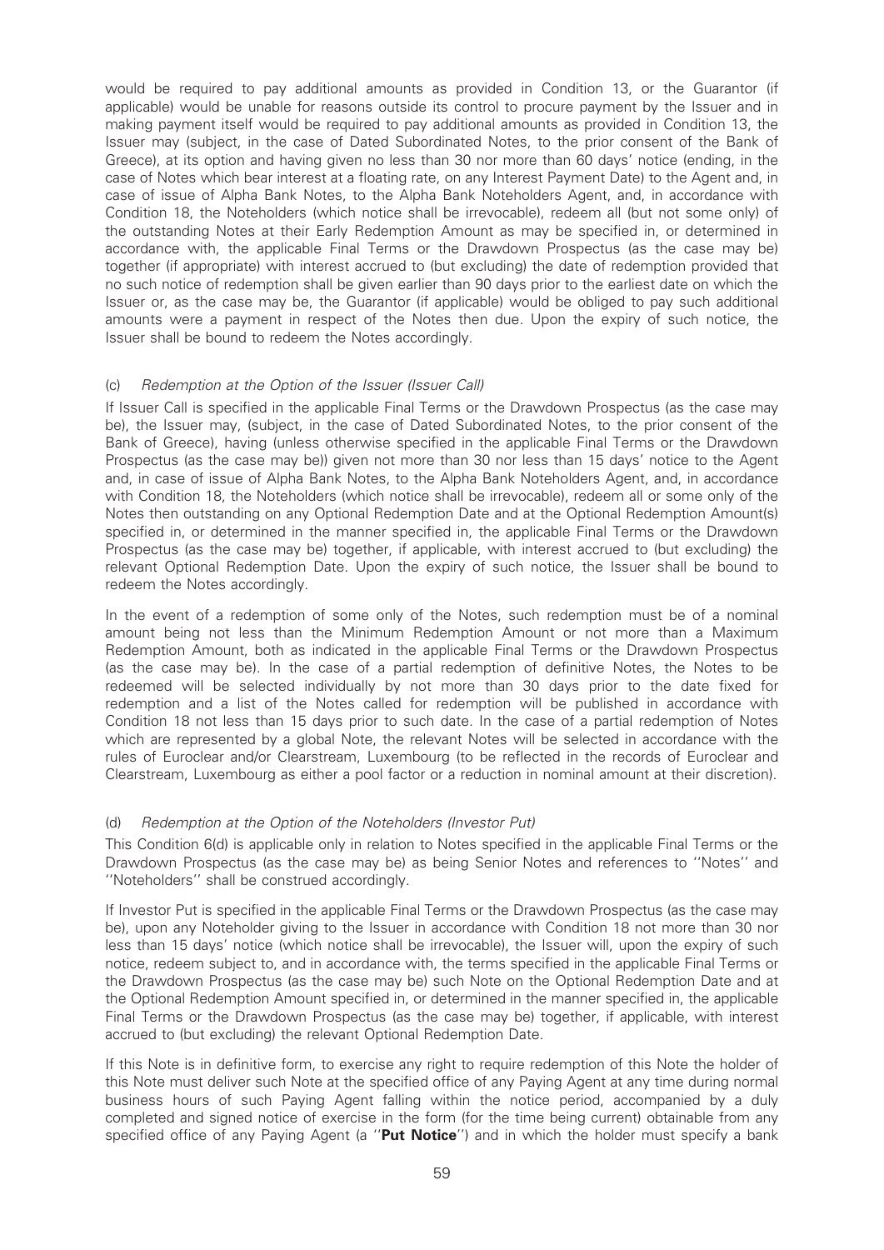would be required to pay additional amounts as provided in Condition 13, or the Guarantor (if applicable) would be unable for reasons outside its control to procure payment by the Issuer and in making payment itself would be required to pay additional amounts as provided in Condition 13, the Issuer may (subject, in the case of Dated Subordinated Notes, to the prior consent of the Bank of Greece), at its option and having given no less than 30 nor more than 60 days' notice (ending, in the case of Notes which bear interest at a floating rate, on any Interest Payment Date) to the Agent and, in case of issue of Alpha Bank Notes, to the Alpha Bank Noteholders Agent, and, in accordance with Condition 18, the Noteholders (which notice shall be irrevocable), redeem all (but not some only) of the outstanding Notes at their Early Redemption Amount as may be specified in, or determined in accordance with, the applicable Final Terms or the Drawdown Prospectus (as the case may be) together (if appropriate) with interest accrued to (but excluding) the date of redemption provided that no such notice of redemption shall be given earlier than 90 days prior to the earliest date on which the Issuer or, as the case may be, the Guarantor (if applicable) would be obliged to pay such additional amounts were a payment in respect of the Notes then due. Upon the expiry of such notice, the Issuer shall be bound to redeem the Notes accordingly.

### (c) Redemption at the Option of the Issuer (Issuer Call)

If Issuer Call is specified in the applicable Final Terms or the Drawdown Prospectus (as the case may be), the Issuer may, (subject, in the case of Dated Subordinated Notes, to the prior consent of the Bank of Greece), having (unless otherwise specified in the applicable Final Terms or the Drawdown Prospectus (as the case may be)) given not more than 30 nor less than 15 days' notice to the Agent and, in case of issue of Alpha Bank Notes, to the Alpha Bank Noteholders Agent, and, in accordance with Condition 18, the Noteholders (which notice shall be irrevocable), redeem all or some only of the Notes then outstanding on any Optional Redemption Date and at the Optional Redemption Amount(s) specified in, or determined in the manner specified in, the applicable Final Terms or the Drawdown Prospectus (as the case may be) together, if applicable, with interest accrued to (but excluding) the relevant Optional Redemption Date. Upon the expiry of such notice, the Issuer shall be bound to redeem the Notes accordingly.

In the event of a redemption of some only of the Notes, such redemption must be of a nominal amount being not less than the Minimum Redemption Amount or not more than a Maximum Redemption Amount, both as indicated in the applicable Final Terms or the Drawdown Prospectus (as the case may be). In the case of a partial redemption of definitive Notes, the Notes to be redeemed will be selected individually by not more than 30 days prior to the date fixed for redemption and a list of the Notes called for redemption will be published in accordance with Condition 18 not less than 15 days prior to such date. In the case of a partial redemption of Notes which are represented by a global Note, the relevant Notes will be selected in accordance with the rules of Euroclear and/or Clearstream, Luxembourg (to be reflected in the records of Euroclear and Clearstream, Luxembourg as either a pool factor or a reduction in nominal amount at their discretion).

#### (d) Redemption at the Option of the Noteholders (Investor Put)

This Condition 6(d) is applicable only in relation to Notes specified in the applicable Final Terms or the Drawdown Prospectus (as the case may be) as being Senior Notes and references to ''Notes'' and ''Noteholders'' shall be construed accordingly.

If Investor Put is specified in the applicable Final Terms or the Drawdown Prospectus (as the case may be), upon any Noteholder giving to the Issuer in accordance with Condition 18 not more than 30 nor less than 15 days' notice (which notice shall be irrevocable), the Issuer will, upon the expiry of such notice, redeem subject to, and in accordance with, the terms specified in the applicable Final Terms or the Drawdown Prospectus (as the case may be) such Note on the Optional Redemption Date and at the Optional Redemption Amount specified in, or determined in the manner specified in, the applicable Final Terms or the Drawdown Prospectus (as the case may be) together, if applicable, with interest accrued to (but excluding) the relevant Optional Redemption Date.

If this Note is in definitive form, to exercise any right to require redemption of this Note the holder of this Note must deliver such Note at the specified office of any Paying Agent at any time during normal business hours of such Paying Agent falling within the notice period, accompanied by a duly completed and signed notice of exercise in the form (for the time being current) obtainable from any specified office of any Paying Agent (a "Put Notice") and in which the holder must specify a bank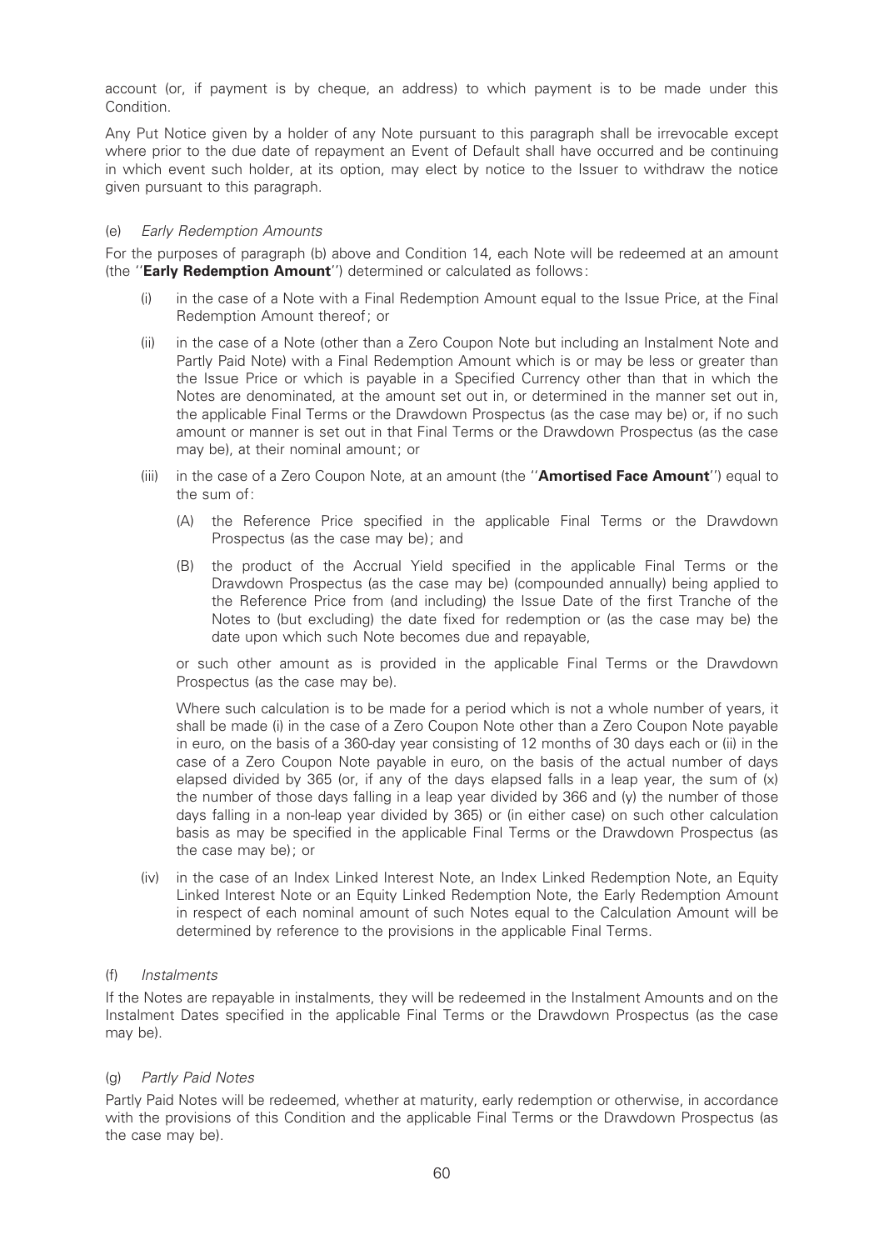account (or, if payment is by cheque, an address) to which payment is to be made under this Condition.

Any Put Notice given by a holder of any Note pursuant to this paragraph shall be irrevocable except where prior to the due date of repayment an Event of Default shall have occurred and be continuing in which event such holder, at its option, may elect by notice to the Issuer to withdraw the notice given pursuant to this paragraph.

### (e) Early Redemption Amounts

For the purposes of paragraph (b) above and Condition 14, each Note will be redeemed at an amount (the ''Early Redemption Amount'') determined or calculated as follows:

- (i) in the case of a Note with a Final Redemption Amount equal to the Issue Price, at the Final Redemption Amount thereof; or
- (ii) in the case of a Note (other than a Zero Coupon Note but including an Instalment Note and Partly Paid Note) with a Final Redemption Amount which is or may be less or greater than the Issue Price or which is payable in a Specified Currency other than that in which the Notes are denominated, at the amount set out in, or determined in the manner set out in, the applicable Final Terms or the Drawdown Prospectus (as the case may be) or, if no such amount or manner is set out in that Final Terms or the Drawdown Prospectus (as the case may be), at their nominal amount; or
- (iii) in the case of a Zero Coupon Note, at an amount (the "**Amortised Face Amount**") equal to the sum of:
	- (A) the Reference Price specified in the applicable Final Terms or the Drawdown Prospectus (as the case may be); and
	- (B) the product of the Accrual Yield specified in the applicable Final Terms or the Drawdown Prospectus (as the case may be) (compounded annually) being applied to the Reference Price from (and including) the Issue Date of the first Tranche of the Notes to (but excluding) the date fixed for redemption or (as the case may be) the date upon which such Note becomes due and repayable,

or such other amount as is provided in the applicable Final Terms or the Drawdown Prospectus (as the case may be).

Where such calculation is to be made for a period which is not a whole number of years, it shall be made (i) in the case of a Zero Coupon Note other than a Zero Coupon Note payable in euro, on the basis of a 360-day year consisting of 12 months of 30 days each or (ii) in the case of a Zero Coupon Note payable in euro, on the basis of the actual number of days elapsed divided by 365 (or, if any of the days elapsed falls in a leap year, the sum of  $(x)$ the number of those days falling in a leap year divided by 366 and (y) the number of those days falling in a non-leap year divided by 365) or (in either case) on such other calculation basis as may be speci¢ed in the applicable Final Terms or the Drawdown Prospectus (as the case may be); or

(iv) in the case of an Index Linked Interest Note, an Index Linked Redemption Note, an Equity Linked Interest Note or an Equity Linked Redemption Note, the Early Redemption Amount in respect of each nominal amount of such Notes equal to the Calculation Amount will be determined by reference to the provisions in the applicable Final Terms.

#### (f) Instalments

If the Notes are repayable in instalments, they will be redeemed in the Instalment Amounts and on the Instalment Dates speci¢ed in the applicable Final Terms or the Drawdown Prospectus (as the case may be).

#### (g) Partly Paid Notes

Partly Paid Notes will be redeemed, whether at maturity, early redemption or otherwise, in accordance with the provisions of this Condition and the applicable Final Terms or the Drawdown Prospectus (as the case may be).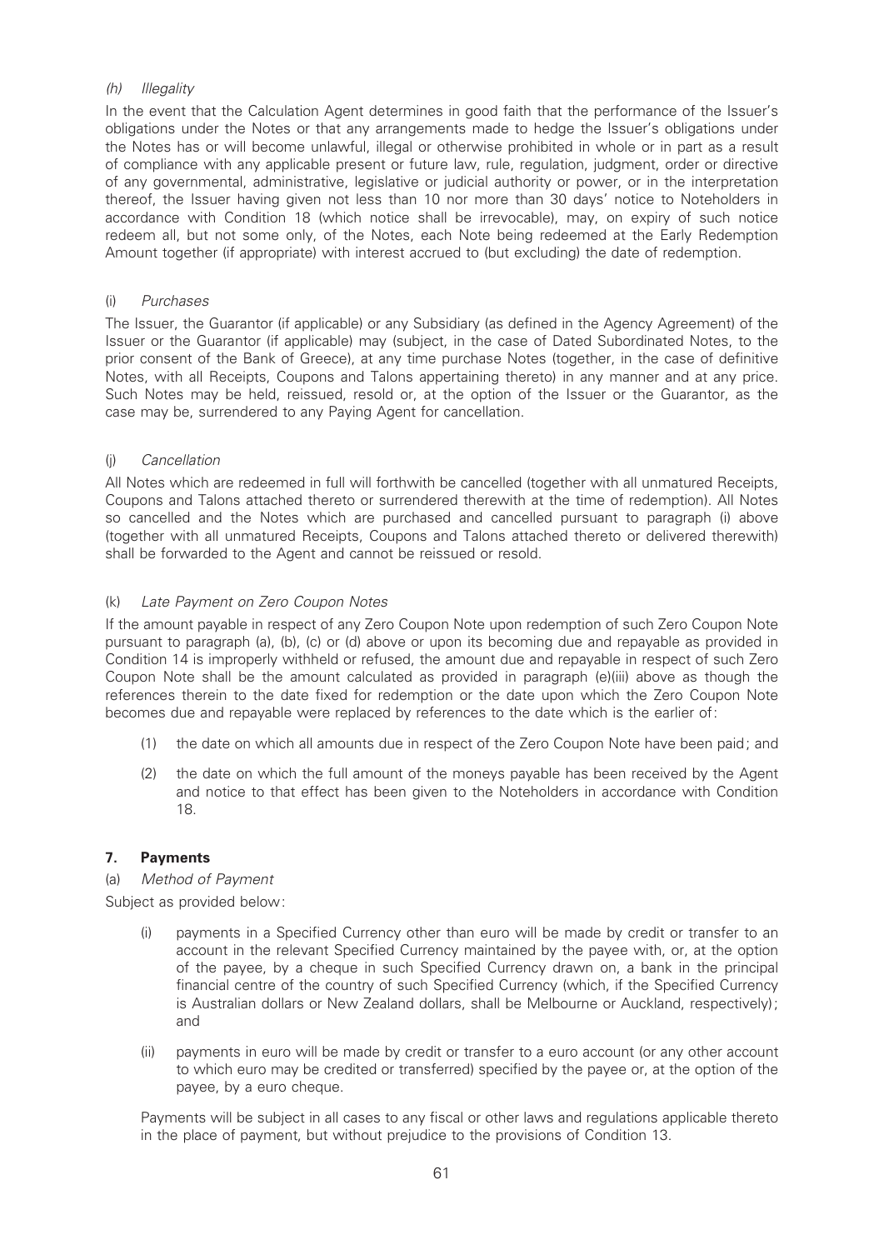## (h) Illegality

In the event that the Calculation Agent determines in good faith that the performance of the Issuer's obligations under the Notes or that any arrangements made to hedge the Issuer's obligations under the Notes has or will become unlawful, illegal or otherwise prohibited in whole or in part as a result of compliance with any applicable present or future law, rule, regulation, judgment, order or directive of any governmental, administrative, legislative or judicial authority or power, or in the interpretation thereof, the Issuer having given not less than 10 nor more than 30 days' notice to Noteholders in accordance with Condition 18 (which notice shall be irrevocable), may, on expiry of such notice redeem all, but not some only, of the Notes, each Note being redeemed at the Early Redemption Amount together (if appropriate) with interest accrued to (but excluding) the date of redemption.

### (i) Purchases

The Issuer, the Guarantor (if applicable) or any Subsidiary (as defined in the Agency Agreement) of the Issuer or the Guarantor (if applicable) may (subject, in the case of Dated Subordinated Notes, to the prior consent of the Bank of Greece), at any time purchase Notes (together, in the case of definitive Notes, with all Receipts, Coupons and Talons appertaining thereto) in any manner and at any price. Such Notes may be held, reissued, resold or, at the option of the Issuer or the Guarantor, as the case may be, surrendered to any Paying Agent for cancellation.

## (j) Cancellation

All Notes which are redeemed in full will forthwith be cancelled (together with all unmatured Receipts, Coupons and Talons attached thereto or surrendered therewith at the time of redemption). All Notes so cancelled and the Notes which are purchased and cancelled pursuant to paragraph (i) above (together with all unmatured Receipts, Coupons and Talons attached thereto or delivered therewith) shall be forwarded to the Agent and cannot be reissued or resold.

## (k) Late Payment on Zero Coupon Notes

If the amount payable in respect of any Zero Coupon Note upon redemption of such Zero Coupon Note pursuant to paragraph (a), (b), (c) or (d) above or upon its becoming due and repayable as provided in Condition 14 is improperly withheld or refused, the amount due and repayable in respect of such Zero Coupon Note shall be the amount calculated as provided in paragraph (e)(iii) above as though the references therein to the date fixed for redemption or the date upon which the Zero Coupon Note becomes due and repayable were replaced by references to the date which is the earlier of:

- (1) the date on which all amounts due in respect of the Zero Coupon Note have been paid; and
- (2) the date on which the full amount of the moneys payable has been received by the Agent and notice to that effect has been given to the Noteholders in accordance with Condition 18.

## 7. Payments

(a) Method of Payment

Subject as provided below:

- (i) payments in a Specified Currency other than euro will be made by credit or transfer to an account in the relevant Specified Currency maintained by the payee with, or, at the option of the payee, by a cheque in such Specified Currency drawn on, a bank in the principal financial centre of the country of such Specified Currency (which, if the Specified Currency is Australian dollars or New Zealand dollars, shall be Melbourne or Auckland, respectively); and
- (ii) payments in euro will be made by credit or transfer to a euro account (or any other account to which euro may be credited or transferred) specified by the payee or, at the option of the payee, by a euro cheque.

Payments will be subject in all cases to any fiscal or other laws and regulations applicable thereto in the place of payment, but without prejudice to the provisions of Condition 13.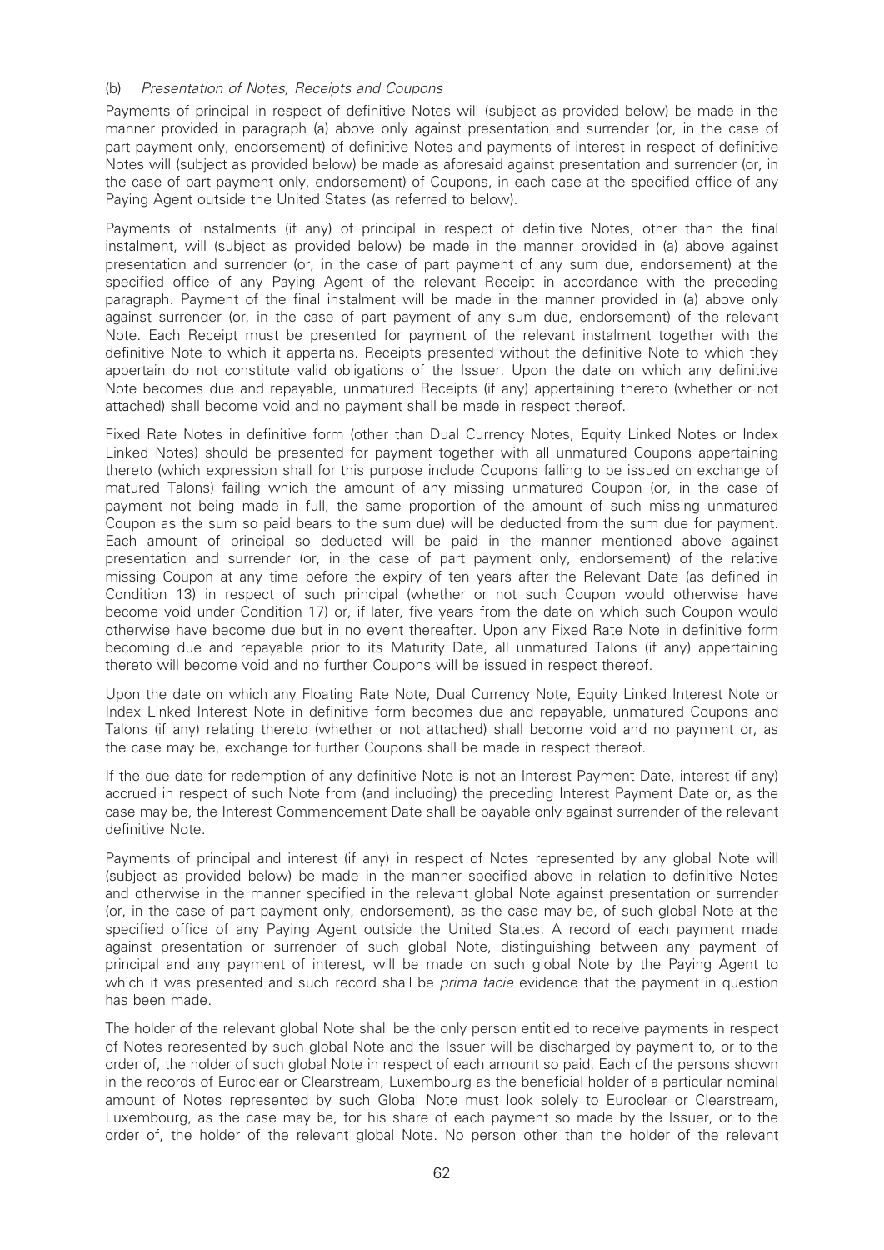### (b) Presentation of Notes, Receipts and Coupons

Payments of principal in respect of definitive Notes will (subject as provided below) be made in the manner provided in paragraph (a) above only against presentation and surrender (or, in the case of part payment only, endorsement) of definitive Notes and payments of interest in respect of definitive Notes will (subject as provided below) be made as aforesaid against presentation and surrender (or, in the case of part payment only, endorsement) of Coupons, in each case at the specified office of any Paying Agent outside the United States (as referred to below).

Payments of instalments (if any) of principal in respect of definitive Notes, other than the final instalment, will (subject as provided below) be made in the manner provided in (a) above against presentation and surrender (or, in the case of part payment of any sum due, endorsement) at the specified office of any Paying Agent of the relevant Receipt in accordance with the preceding paragraph. Payment of the final instalment will be made in the manner provided in (a) above only against surrender (or, in the case of part payment of any sum due, endorsement) of the relevant Note. Each Receipt must be presented for payment of the relevant instalment together with the definitive Note to which it appertains. Receipts presented without the definitive Note to which they appertain do not constitute valid obligations of the Issuer. Upon the date on which any definitive Note becomes due and repayable, unmatured Receipts (if any) appertaining thereto (whether or not attached) shall become void and no payment shall be made in respect thereof.

Fixed Rate Notes in definitive form (other than Dual Currency Notes, Equity Linked Notes or Index Linked Notes) should be presented for payment together with all unmatured Coupons appertaining thereto (which expression shall for this purpose include Coupons falling to be issued on exchange of matured Talons) failing which the amount of any missing unmatured Coupon (or, in the case of payment not being made in full, the same proportion of the amount of such missing unmatured Coupon as the sum so paid bears to the sum due) will be deducted from the sum due for payment. Each amount of principal so deducted will be paid in the manner mentioned above against presentation and surrender (or, in the case of part payment only, endorsement) of the relative missing Coupon at any time before the expiry of ten years after the Relevant Date (as defined in Condition 13) in respect of such principal (whether or not such Coupon would otherwise have become void under Condition 17) or, if later, five years from the date on which such Coupon would otherwise have become due but in no event thereafter. Upon any Fixed Rate Note in definitive form becoming due and repayable prior to its Maturity Date, all unmatured Talons (if any) appertaining thereto will become void and no further Coupons will be issued in respect thereof.

Upon the date on which any Floating Rate Note, Dual Currency Note, Equity Linked Interest Note or Index Linked Interest Note in definitive form becomes due and repayable, unmatured Coupons and Talons (if any) relating thereto (whether or not attached) shall become void and no payment or, as the case may be, exchange for further Coupons shall be made in respect thereof.

If the due date for redemption of any definitive Note is not an Interest Payment Date, interest (if any) accrued in respect of such Note from (and including) the preceding Interest Payment Date or, as the case may be, the Interest Commencement Date shall be payable only against surrender of the relevant definitive Note.

Payments of principal and interest (if any) in respect of Notes represented by any global Note will (subject as provided below) be made in the manner specified above in relation to definitive Notes and otherwise in the manner specified in the relevant global Note against presentation or surrender (or, in the case of part payment only, endorsement), as the case may be, of such global Note at the specified office of any Paying Agent outside the United States. A record of each payment made against presentation or surrender of such global Note, distinguishing between any payment of principal and any payment of interest, will be made on such global Note by the Paying Agent to which it was presented and such record shall be *prima facie* evidence that the payment in question has been made.

The holder of the relevant global Note shall be the only person entitled to receive payments in respect of Notes represented by such global Note and the Issuer will be discharged by payment to, or to the order of, the holder of such global Note in respect of each amount so paid. Each of the persons shown in the records of Euroclear or Clearstream, Luxembourg as the beneficial holder of a particular nominal amount of Notes represented by such Global Note must look solely to Euroclear or Clearstream, Luxembourg, as the case may be, for his share of each payment so made by the Issuer, or to the order of, the holder of the relevant global Note. No person other than the holder of the relevant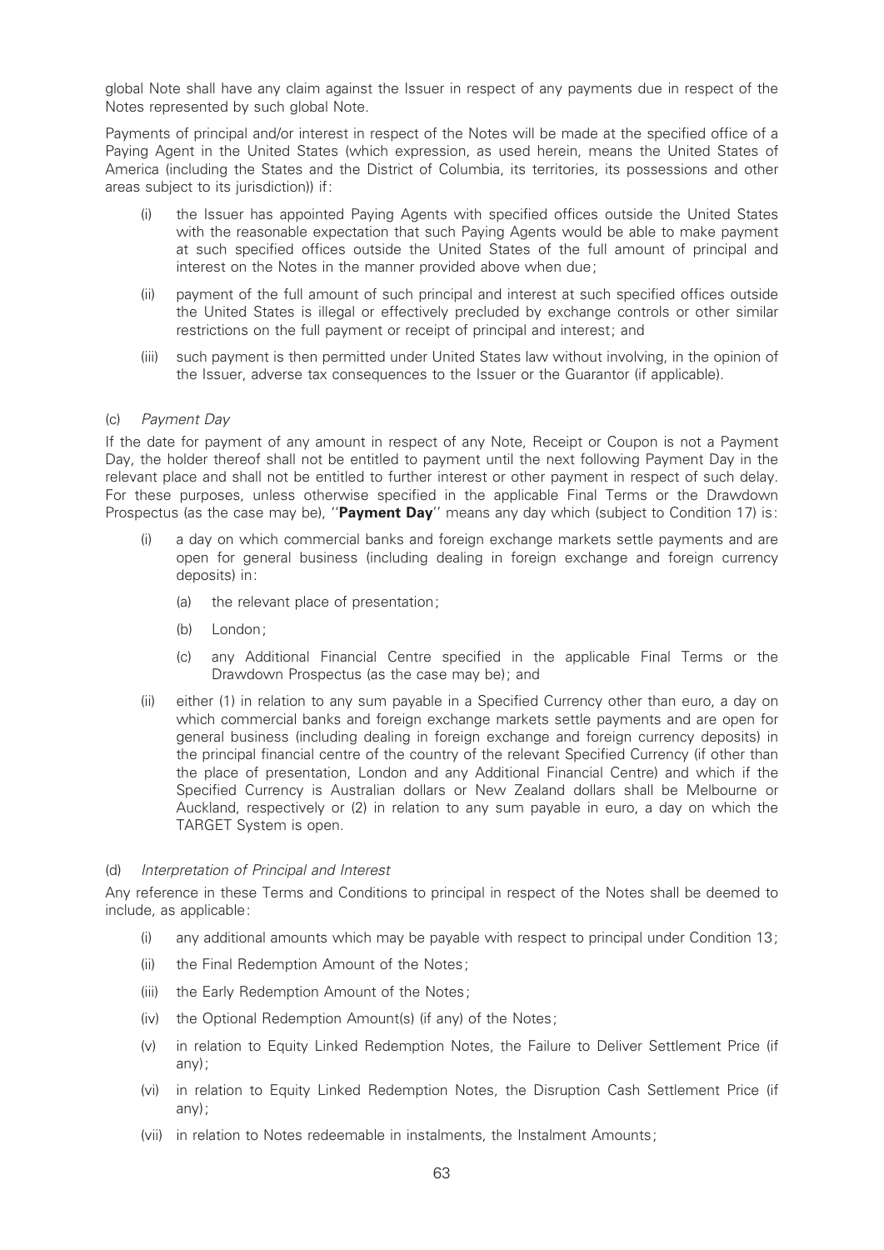global Note shall have any claim against the Issuer in respect of any payments due in respect of the Notes represented by such global Note.

Payments of principal and/or interest in respect of the Notes will be made at the specified office of a Paying Agent in the United States (which expression, as used herein, means the United States of America (including the States and the District of Columbia, its territories, its possessions and other areas subject to its jurisdiction)) if:

- (i) the Issuer has appointed Paying Agents with specified offices outside the United States with the reasonable expectation that such Paying Agents would be able to make payment at such specified offices outside the United States of the full amount of principal and interest on the Notes in the manner provided above when due;
- (ii) payment of the full amount of such principal and interest at such specified offices outside the United States is illegal or effectively precluded by exchange controls or other similar restrictions on the full payment or receipt of principal and interest; and
- (iii) such payment is then permitted under United States law without involving, in the opinion of the Issuer, adverse tax consequences to the Issuer or the Guarantor (if applicable).

#### (c) Payment Day

If the date for payment of any amount in respect of any Note, Receipt or Coupon is not a Payment Day, the holder thereof shall not be entitled to payment until the next following Payment Day in the relevant place and shall not be entitled to further interest or other payment in respect of such delay. For these purposes, unless otherwise specified in the applicable Final Terms or the Drawdown Prospectus (as the case may be), "**Payment Day**" means any day which (subject to Condition 17) is:

- (i) a day on which commercial banks and foreign exchange markets settle payments and are open for general business (including dealing in foreign exchange and foreign currency deposits) in:
	- (a) the relevant place of presentation;
	- (b) London;
	- (c) any Additional Financial Centre speci¢ed in the applicable Final Terms or the Drawdown Prospectus (as the case may be); and
- (ii) either (1) in relation to any sum payable in a Specified Currency other than euro, a day on which commercial banks and foreign exchange markets settle payments and are open for general business (including dealing in foreign exchange and foreign currency deposits) in the principal financial centre of the country of the relevant Specified Currency (if other than the place of presentation, London and any Additional Financial Centre) and which if the Specified Currency is Australian dollars or New Zealand dollars shall be Melbourne or Auckland, respectively or (2) in relation to any sum payable in euro, a day on which the TARGET System is open.

#### (d) Interpretation of Principal and Interest

Any reference in these Terms and Conditions to principal in respect of the Notes shall be deemed to include, as applicable:

- (i) any additional amounts which may be payable with respect to principal under Condition 13;
- (ii) the Final Redemption Amount of the Notes;
- (iii) the Early Redemption Amount of the Notes;
- (iv) the Optional Redemption Amount(s) (if any) of the Notes;
- (v) in relation to Equity Linked Redemption Notes, the Failure to Deliver Settlement Price (if any);
- (vi) in relation to Equity Linked Redemption Notes, the Disruption Cash Settlement Price (if any);
- (vii) in relation to Notes redeemable in instalments, the Instalment Amounts;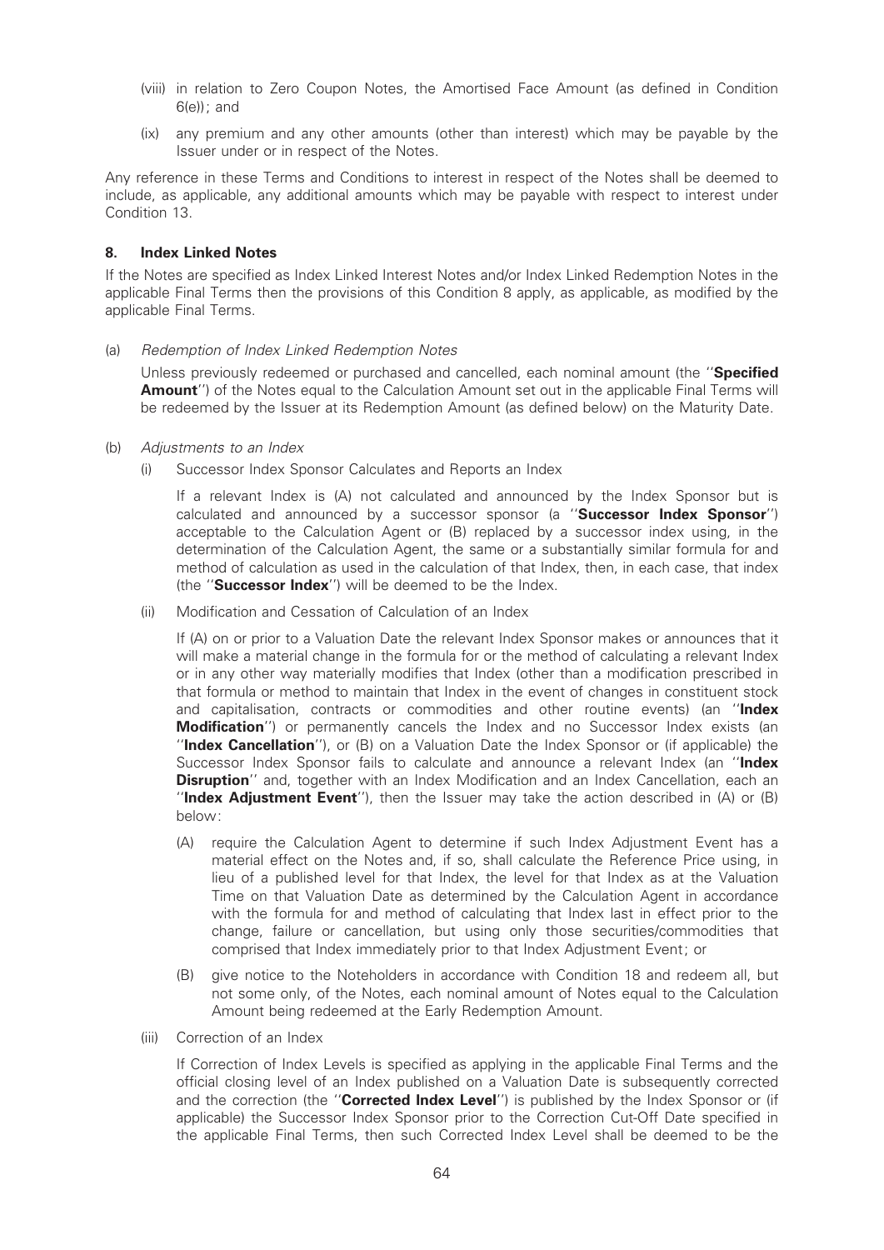- (viii) in relation to Zero Coupon Notes, the Amortised Face Amount (as defined in Condition  $6(e)$ ; and
- (ix) any premium and any other amounts (other than interest) which may be payable by the Issuer under or in respect of the Notes.

Any reference in these Terms and Conditions to interest in respect of the Notes shall be deemed to include, as applicable, any additional amounts which may be payable with respect to interest under Condition 13.

### 8. Index Linked Notes

If the Notes are specified as Index Linked Interest Notes and/or Index Linked Redemption Notes in the applicable Final Terms then the provisions of this Condition 8 apply, as applicable, as modified by the applicable Final Terms.

(a) Redemption of Index Linked Redemption Notes

Unless previously redeemed or purchased and cancelled, each nominal amount (the "Specified Amount") of the Notes equal to the Calculation Amount set out in the applicable Final Terms will be redeemed by the Issuer at its Redemption Amount (as defined below) on the Maturity Date.

- (b) Adjustments to an Index
	- (i) Successor Index Sponsor Calculates and Reports an Index

If a relevant Index is (A) not calculated and announced by the Index Sponsor but is calculated and announced by a successor sponsor (a "Successor Index Sponsor") acceptable to the Calculation Agent or (B) replaced by a successor index using, in the determination of the Calculation Agent, the same or a substantially similar formula for and method of calculation as used in the calculation of that Index, then, in each case, that index (the "**Successor Index**") will be deemed to be the Index.

(ii) Modification and Cessation of Calculation of an Index

If (A) on or prior to a Valuation Date the relevant Index Sponsor makes or announces that it will make a material change in the formula for or the method of calculating a relevant Index or in any other way materially modifies that Index (other than a modification prescribed in that formula or method to maintain that Index in the event of changes in constituent stock and capitalisation, contracts or commodities and other routine events) (an "Index **Modification''**) or permanently cancels the Index and no Successor Index exists (an "Index Cancellation"), or  $(B)$  on a Valuation Date the Index Sponsor or (if applicable) the Successor Index Sponsor fails to calculate and announce a relevant Index (an "Index Disruption" and, together with an Index Modification and an Index Cancellation, each an "Index Adjustment Event"), then the Issuer may take the action described in  $(A)$  or  $(B)$ below:

- (A) require the Calculation Agent to determine if such Index Adjustment Event has a material effect on the Notes and, if so, shall calculate the Reference Price using, in lieu of a published level for that Index, the level for that Index as at the Valuation Time on that Valuation Date as determined by the Calculation Agent in accordance with the formula for and method of calculating that Index last in effect prior to the change, failure or cancellation, but using only those securities/commodities that comprised that Index immediately prior to that Index Adjustment Event; or
- (B) give notice to the Noteholders in accordance with Condition 18 and redeem all, but not some only, of the Notes, each nominal amount of Notes equal to the Calculation Amount being redeemed at the Early Redemption Amount.
- (iii) Correction of an Index

If Correction of Index Levels is specified as applying in the applicable Final Terms and the official closing level of an Index published on a Valuation Date is subsequently corrected and the correction (the "Corrected Index Level") is published by the Index Sponsor or (if applicable) the Successor Index Sponsor prior to the Correction Cut-Off Date specified in the applicable Final Terms, then such Corrected Index Level shall be deemed to be the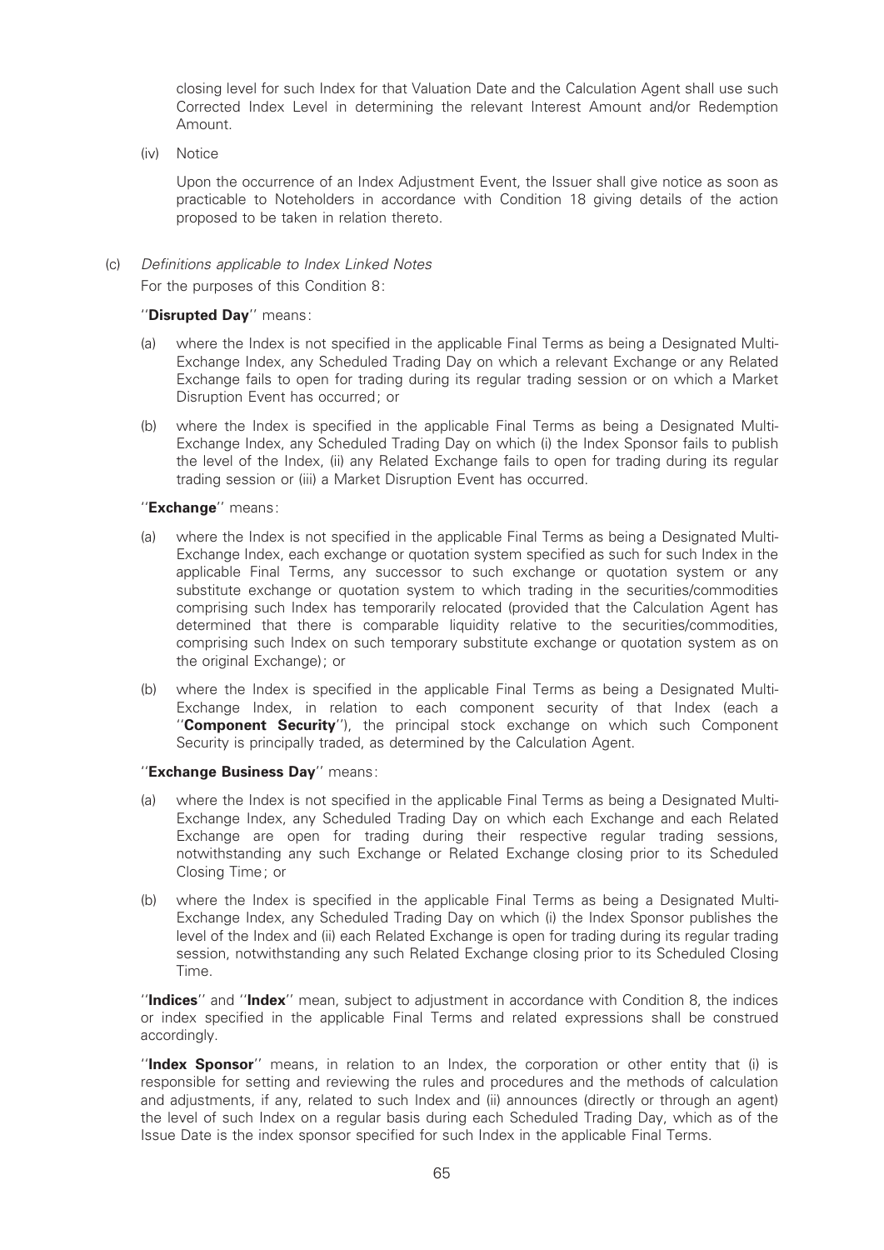closing level for such Index for that Valuation Date and the Calculation Agent shall use such Corrected Index Level in determining the relevant Interest Amount and/or Redemption Amount.

(iv) Notice

Upon the occurrence of an Index Adjustment Event, the Issuer shall give notice as soon as practicable to Noteholders in accordance with Condition 18 giving details of the action proposed to be taken in relation thereto.

(c) Definitions applicable to Index Linked Notes For the purposes of this Condition 8:

#### "Disrupted Day" means:

- (a) where the Index is not specified in the applicable Final Terms as being a Designated Multi-Exchange Index, any Scheduled Trading Day on which a relevant Exchange or any Related Exchange fails to open for trading during its regular trading session or on which a Market Disruption Event has occurred; or
- (b) where the Index is specified in the applicable Final Terms as being a Designated Multi-Exchange Index, any Scheduled Trading Day on which (i) the Index Sponsor fails to publish the level of the Index, (ii) any Related Exchange fails to open for trading during its regular trading session or (iii) a Market Disruption Event has occurred.

#### "Exchange" means:

- (a) where the Index is not specified in the applicable Final Terms as being a Designated Multi-Exchange Index, each exchange or quotation system specified as such for such Index in the applicable Final Terms, any successor to such exchange or quotation system or any substitute exchange or quotation system to which trading in the securities/commodities comprising such Index has temporarily relocated (provided that the Calculation Agent has determined that there is comparable liquidity relative to the securities/commodities, comprising such Index on such temporary substitute exchange or quotation system as on the original Exchange); or
- (b) where the Index is specified in the applicable Final Terms as being a Designated Multi-Exchange Index, in relation to each component security of that Index (each a ''Component Security''), the principal stock exchange on which such Component Security is principally traded, as determined by the Calculation Agent.

## "Exchange Business Day" means:

- (a) where the Index is not specified in the applicable Final Terms as being a Designated Multi-Exchange Index, any Scheduled Trading Day on which each Exchange and each Related Exchange are open for trading during their respective regular trading sessions, notwithstanding any such Exchange or Related Exchange closing prior to its Scheduled Closing Time; or
- (b) where the Index is specified in the applicable Final Terms as being a Designated Multi-Exchange Index, any Scheduled Trading Day on which (i) the Index Sponsor publishes the level of the Index and (ii) each Related Exchange is open for trading during its regular trading session, notwithstanding any such Related Exchange closing prior to its Scheduled Closing Time.

''Indices'' and ''Index'' mean, subject to adjustment in accordance with Condition 8, the indices or index speci¢ed in the applicable Final Terms and related expressions shall be construed accordingly.

''Index Sponsor'' means, in relation to an Index, the corporation or other entity that (i) is responsible for setting and reviewing the rules and procedures and the methods of calculation and adjustments, if any, related to such Index and (ii) announces (directly or through an agent) the level of such Index on a regular basis during each Scheduled Trading Day, which as of the Issue Date is the index sponsor specified for such Index in the applicable Final Terms.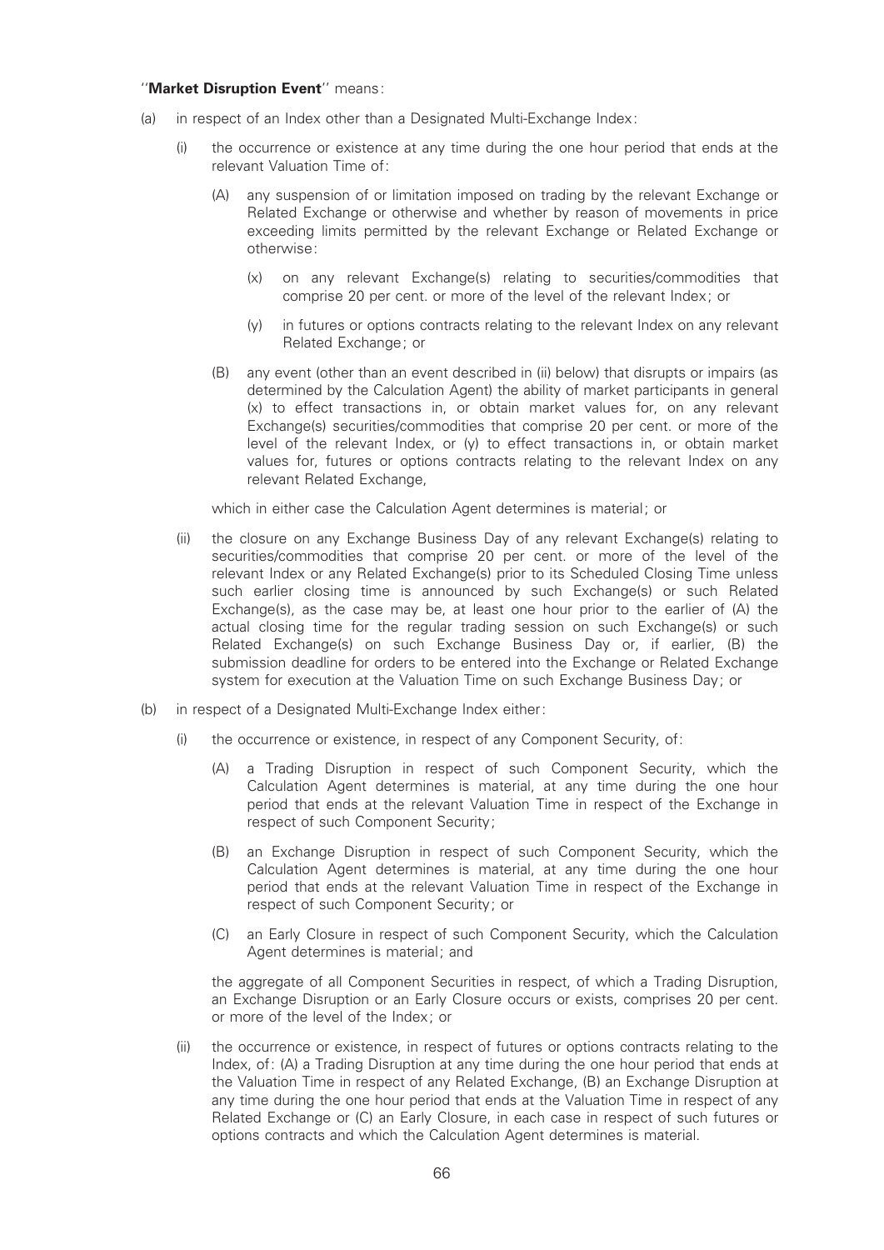### ''Market Disruption Event'' means:

- (a) in respect of an Index other than a Designated Multi-Exchange Index:
	- (i) the occurrence or existence at any time during the one hour period that ends at the relevant Valuation Time of:
		- (A) any suspension of or limitation imposed on trading by the relevant Exchange or Related Exchange or otherwise and whether by reason of movements in price exceeding limits permitted by the relevant Exchange or Related Exchange or otherwise:
			- (x) on any relevant Exchange(s) relating to securities/commodities that comprise 20 per cent. or more of the level of the relevant Index; or
			- (y) in futures or options contracts relating to the relevant Index on any relevant Related Exchange; or
		- (B) any event (other than an event described in (ii) below) that disrupts or impairs (as determined by the Calculation Agent) the ability of market participants in general (x) to effect transactions in, or obtain market values for, on any relevant Exchange(s) securities/commodities that comprise 20 per cent. or more of the level of the relevant Index, or (y) to effect transactions in, or obtain market values for, futures or options contracts relating to the relevant Index on any relevant Related Exchange,

which in either case the Calculation Agent determines is material; or

- (ii) the closure on any Exchange Business Day of any relevant Exchange(s) relating to securities/commodities that comprise 20 per cent. or more of the level of the relevant Index or any Related Exchange(s) prior to its Scheduled Closing Time unless such earlier closing time is announced by such Exchange(s) or such Related Exchange(s), as the case may be, at least one hour prior to the earlier of (A) the actual closing time for the regular trading session on such Exchange(s) or such Related Exchange(s) on such Exchange Business Day or, if earlier, (B) the submission deadline for orders to be entered into the Exchange or Related Exchange system for execution at the Valuation Time on such Exchange Business Day; or
- (b) in respect of a Designated Multi-Exchange Index either:
	- (i) the occurrence or existence, in respect of any Component Security, of:
		- (A) a Trading Disruption in respect of such Component Security, which the Calculation Agent determines is material, at any time during the one hour period that ends at the relevant Valuation Time in respect of the Exchange in respect of such Component Security;
		- (B) an Exchange Disruption in respect of such Component Security, which the Calculation Agent determines is material, at any time during the one hour period that ends at the relevant Valuation Time in respect of the Exchange in respect of such Component Security; or
		- (C) an Early Closure in respect of such Component Security, which the Calculation Agent determines is material; and

the aggregate of all Component Securities in respect, of which a Trading Disruption, an Exchange Disruption or an Early Closure occurs or exists, comprises 20 per cent. or more of the level of the Index; or

(ii) the occurrence or existence, in respect of futures or options contracts relating to the Index, of: (A) a Trading Disruption at any time during the one hour period that ends at the Valuation Time in respect of any Related Exchange, (B) an Exchange Disruption at any time during the one hour period that ends at the Valuation Time in respect of any Related Exchange or (C) an Early Closure, in each case in respect of such futures or options contracts and which the Calculation Agent determines is material.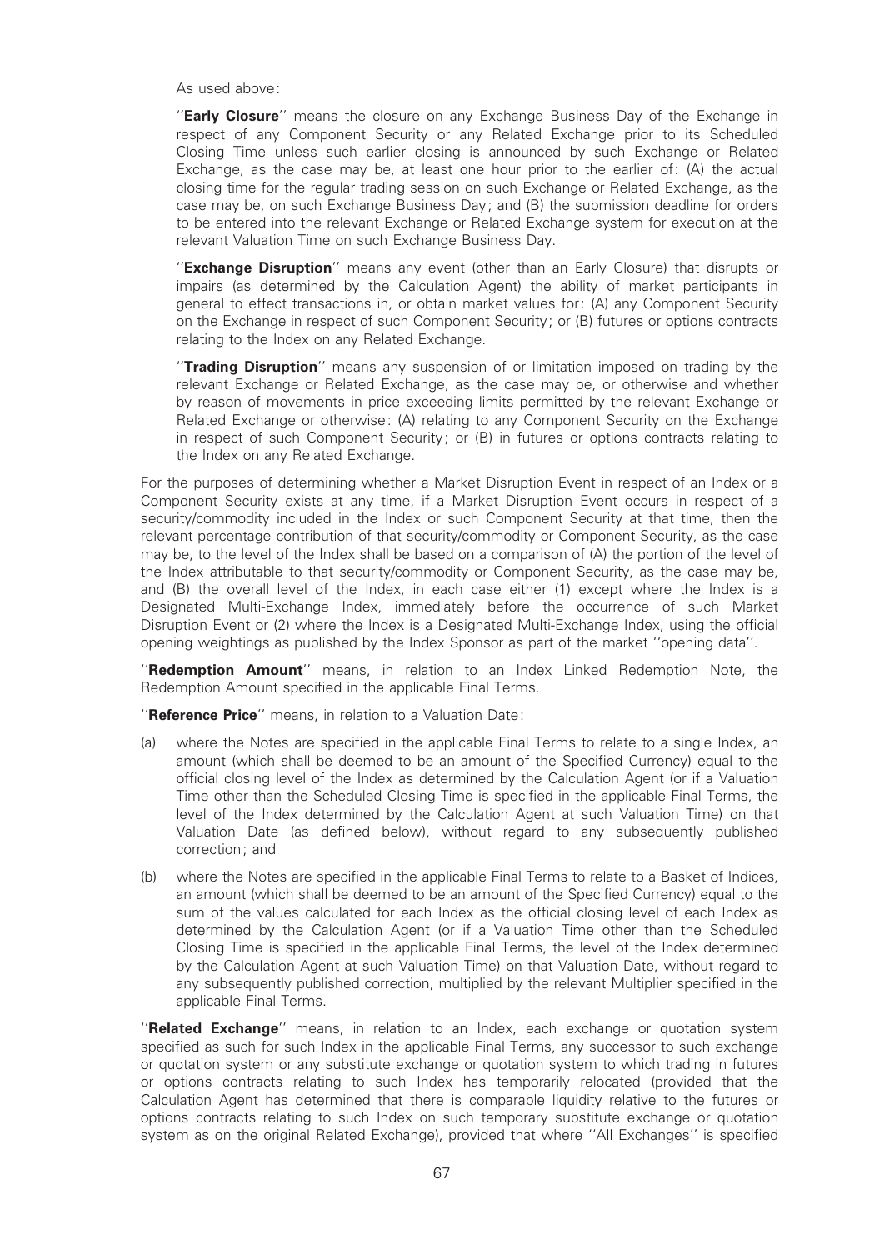As used above:

"Early Closure" means the closure on any Exchange Business Day of the Exchange in respect of any Component Security or any Related Exchange prior to its Scheduled Closing Time unless such earlier closing is announced by such Exchange or Related Exchange, as the case may be, at least one hour prior to the earlier of: (A) the actual closing time for the regular trading session on such Exchange or Related Exchange, as the case may be, on such Exchange Business Day; and (B) the submission deadline for orders to be entered into the relevant Exchange or Related Exchange system for execution at the relevant Valuation Time on such Exchange Business Day.

"Exchange Disruption" means any event (other than an Early Closure) that disrupts or impairs (as determined by the Calculation Agent) the ability of market participants in general to effect transactions in, or obtain market values for: (A) any Component Security on the Exchange in respect of such Component Security; or (B) futures or options contracts relating to the Index on any Related Exchange.

''Trading Disruption'' means any suspension of or limitation imposed on trading by the relevant Exchange or Related Exchange, as the case may be, or otherwise and whether by reason of movements in price exceeding limits permitted by the relevant Exchange or Related Exchange or otherwise: (A) relating to any Component Security on the Exchange in respect of such Component Security; or (B) in futures or options contracts relating to the Index on any Related Exchange.

For the purposes of determining whether a Market Disruption Event in respect of an Index or a Component Security exists at any time, if a Market Disruption Event occurs in respect of a security/commodity included in the Index or such Component Security at that time, then the relevant percentage contribution of that security/commodity or Component Security, as the case may be, to the level of the Index shall be based on a comparison of (A) the portion of the level of the Index attributable to that security/commodity or Component Security, as the case may be, and (B) the overall level of the Index, in each case either (1) except where the Index is a Designated Multi-Exchange Index, immediately before the occurrence of such Market Disruption Event or (2) where the Index is a Designated Multi-Exchange Index, using the official opening weightings as published by the Index Sponsor as part of the market ''opening data''.

''Redemption Amount'' means, in relation to an Index Linked Redemption Note, the Redemption Amount specified in the applicable Final Terms.

"Reference Price" means, in relation to a Valuation Date:

- (a) where the Notes are specified in the applicable Final Terms to relate to a single Index, an amount (which shall be deemed to be an amount of the Specified Currency) equal to the official closing level of the Index as determined by the Calculation Agent (or if a Valuation Time other than the Scheduled Closing Time is specified in the applicable Final Terms, the level of the Index determined by the Calculation Agent at such Valuation Time) on that Valuation Date (as defined below), without regard to any subsequently published correction; and
- (b) where the Notes are specified in the applicable Final Terms to relate to a Basket of Indices, an amount (which shall be deemed to be an amount of the Specified Currency) equal to the sum of the values calculated for each Index as the official closing level of each Index as determined by the Calculation Agent (or if a Valuation Time other than the Scheduled Closing Time is specified in the applicable Final Terms, the level of the Index determined by the Calculation Agent at such Valuation Time) on that Valuation Date, without regard to any subsequently published correction, multiplied by the relevant Multiplier specified in the applicable Final Terms.

"Related Exchange" means, in relation to an Index, each exchange or quotation system specified as such for such Index in the applicable Final Terms, any successor to such exchange or quotation system or any substitute exchange or quotation system to which trading in futures or options contracts relating to such Index has temporarily relocated (provided that the Calculation Agent has determined that there is comparable liquidity relative to the futures or options contracts relating to such Index on such temporary substitute exchange or quotation system as on the original Related Exchange), provided that where "All Exchanges" is specified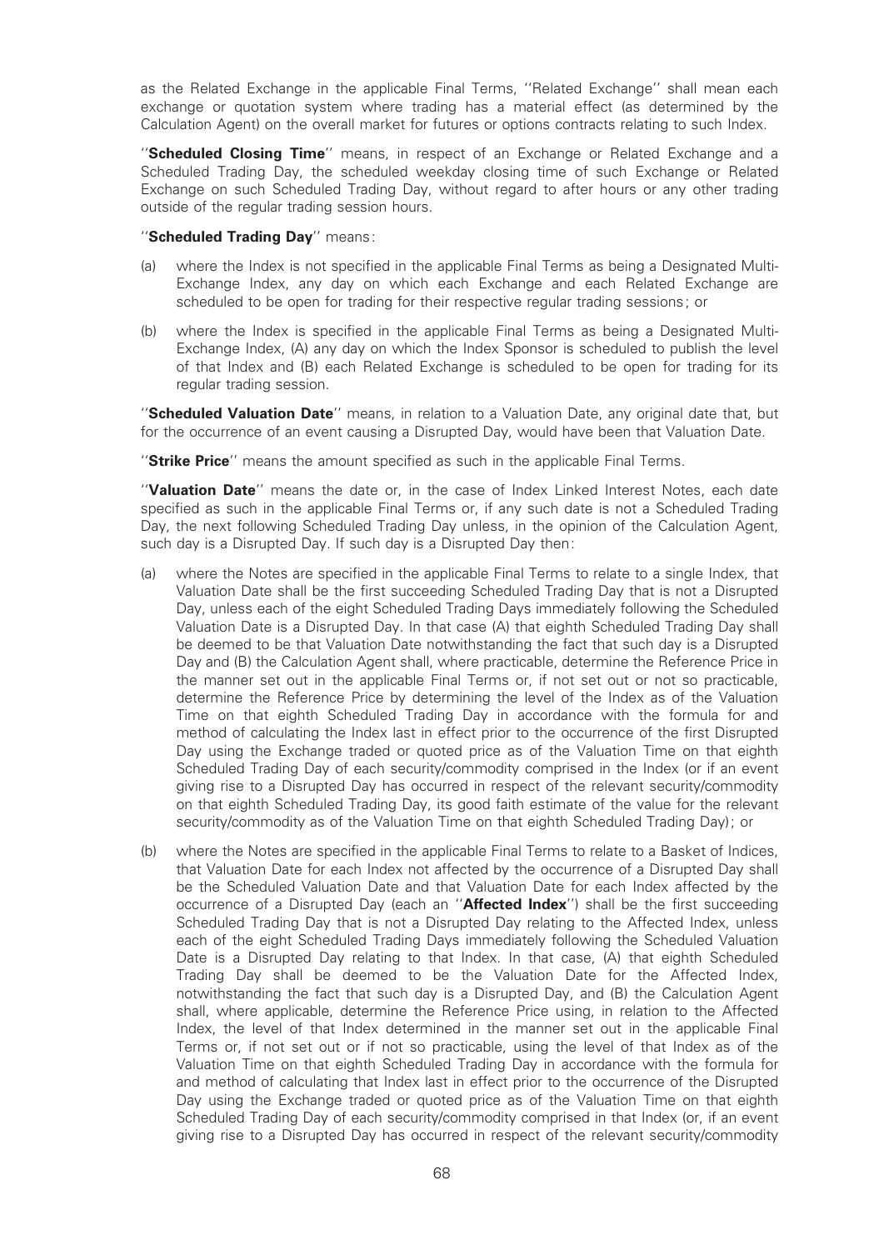as the Related Exchange in the applicable Final Terms, ''Related Exchange'' shall mean each exchange or quotation system where trading has a material effect (as determined by the Calculation Agent) on the overall market for futures or options contracts relating to such Index.

"Scheduled Closing Time" means, in respect of an Exchange or Related Exchange and a Scheduled Trading Day, the scheduled weekday closing time of such Exchange or Related Exchange on such Scheduled Trading Day, without regard to after hours or any other trading outside of the regular trading session hours.

#### "Scheduled Trading Day" means:

- (a) where the Index is not specified in the applicable Final Terms as being a Designated Multi-Exchange Index, any day on which each Exchange and each Related Exchange are scheduled to be open for trading for their respective regular trading sessions; or
- (b) where the Index is specified in the applicable Final Terms as being a Designated Multi-Exchange Index, (A) any day on which the Index Sponsor is scheduled to publish the level of that Index and (B) each Related Exchange is scheduled to be open for trading for its regular trading session.

''Scheduled Valuation Date'' means, in relation to a Valuation Date, any original date that, but for the occurrence of an event causing a Disrupted Day, would have been that Valuation Date.

"Strike Price" means the amount specified as such in the applicable Final Terms.

"Valuation Date" means the date or, in the case of Index Linked Interest Notes, each date specified as such in the applicable Final Terms or, if any such date is not a Scheduled Trading Day, the next following Scheduled Trading Day unless, in the opinion of the Calculation Agent, such day is a Disrupted Day. If such day is a Disrupted Day then:

- (a) where the Notes are specified in the applicable Final Terms to relate to a single Index, that Valuation Date shall be the first succeeding Scheduled Trading Day that is not a Disrupted Day, unless each of the eight Scheduled Trading Days immediately following the Scheduled Valuation Date is a Disrupted Day. In that case (A) that eighth Scheduled Trading Day shall be deemed to be that Valuation Date notwithstanding the fact that such day is a Disrupted Day and (B) the Calculation Agent shall, where practicable, determine the Reference Price in the manner set out in the applicable Final Terms or, if not set out or not so practicable, determine the Reference Price by determining the level of the Index as of the Valuation Time on that eighth Scheduled Trading Day in accordance with the formula for and method of calculating the Index last in effect prior to the occurrence of the first Disrupted Day using the Exchange traded or quoted price as of the Valuation Time on that eighth Scheduled Trading Day of each security/commodity comprised in the Index (or if an event giving rise to a Disrupted Day has occurred in respect of the relevant security/commodity on that eighth Scheduled Trading Day, its good faith estimate of the value for the relevant security/commodity as of the Valuation Time on that eighth Scheduled Trading Day); or
- (b) where the Notes are specified in the applicable Final Terms to relate to a Basket of Indices, that Valuation Date for each Index not affected by the occurrence of a Disrupted Day shall be the Scheduled Valuation Date and that Valuation Date for each Index affected by the occurrence of a Disrupted Day (each an "**Affected Index**") shall be the first succeeding Scheduled Trading Day that is not a Disrupted Day relating to the Affected Index, unless each of the eight Scheduled Trading Days immediately following the Scheduled Valuation Date is a Disrupted Day relating to that Index. In that case, (A) that eighth Scheduled Trading Day shall be deemed to be the Valuation Date for the Affected Index, notwithstanding the fact that such day is a Disrupted Day, and (B) the Calculation Agent shall, where applicable, determine the Reference Price using, in relation to the Affected Index, the level of that Index determined in the manner set out in the applicable Final Terms or, if not set out or if not so practicable, using the level of that Index as of the Valuation Time on that eighth Scheduled Trading Day in accordance with the formula for and method of calculating that Index last in effect prior to the occurrence of the Disrupted Day using the Exchange traded or quoted price as of the Valuation Time on that eighth Scheduled Trading Day of each security/commodity comprised in that Index (or, if an event giving rise to a Disrupted Day has occurred in respect of the relevant security/commodity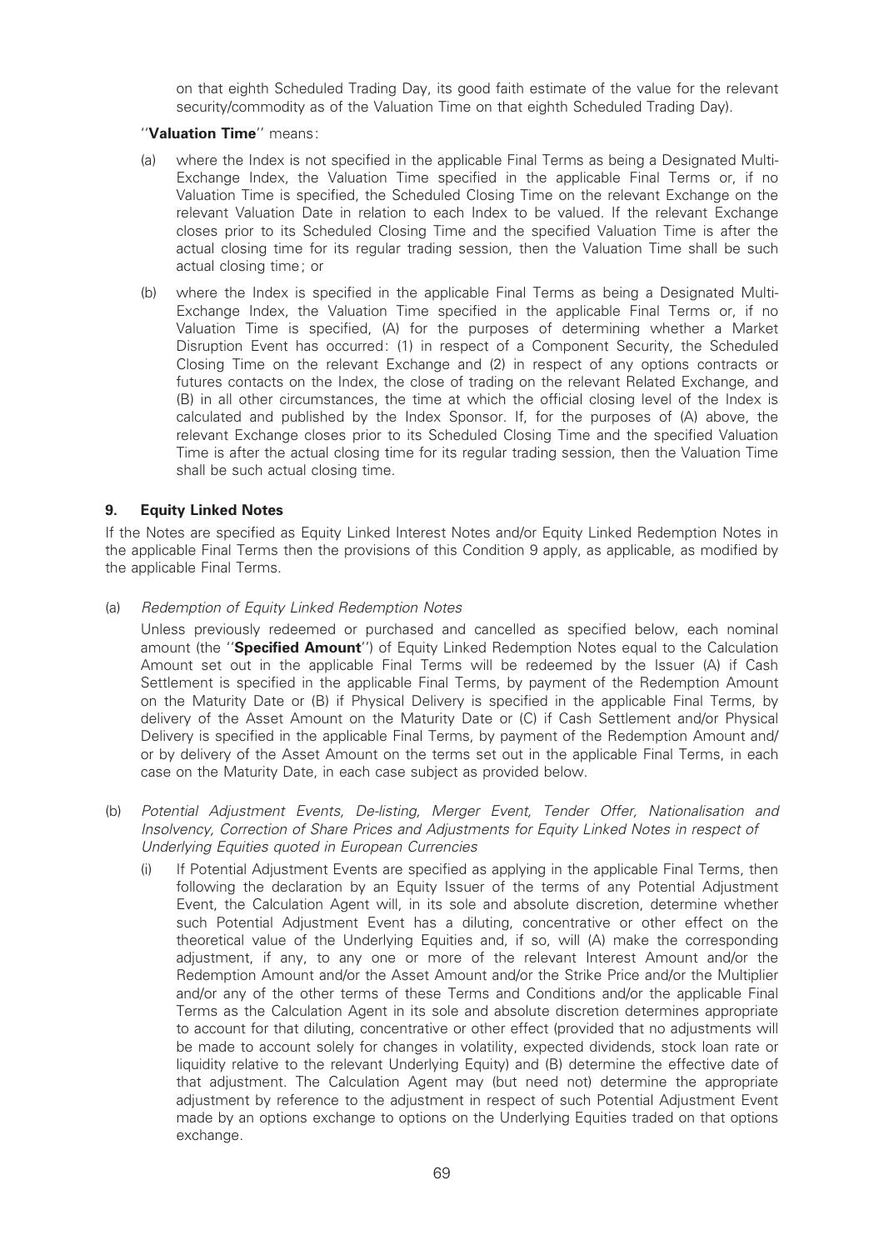on that eighth Scheduled Trading Day, its good faith estimate of the value for the relevant security/commodity as of the Valuation Time on that eighth Scheduled Trading Day).

### "Valuation Time" means:

- (a) where the Index is not specified in the applicable Final Terms as being a Designated Multi-Exchange Index, the Valuation Time specified in the applicable Final Terms or, if no Valuation Time is specified, the Scheduled Closing Time on the relevant Exchange on the relevant Valuation Date in relation to each Index to be valued. If the relevant Exchange closes prior to its Scheduled Closing Time and the specified Valuation Time is after the actual closing time for its regular trading session, then the Valuation Time shall be such actual closing time; or
- (b) where the Index is specified in the applicable Final Terms as being a Designated Multi-Exchange Index, the Valuation Time specified in the applicable Final Terms or, if no Valuation Time is specified, (A) for the purposes of determining whether a Market Disruption Event has occurred: (1) in respect of a Component Security, the Scheduled Closing Time on the relevant Exchange and (2) in respect of any options contracts or futures contacts on the Index, the close of trading on the relevant Related Exchange, and (B) in all other circumstances, the time at which the official closing level of the Index is calculated and published by the Index Sponsor. If, for the purposes of (A) above, the relevant Exchange closes prior to its Scheduled Closing Time and the specified Valuation Time is after the actual closing time for its regular trading session, then the Valuation Time shall be such actual closing time.

### 9. Equity Linked Notes

If the Notes are specified as Equity Linked Interest Notes and/or Equity Linked Redemption Notes in the applicable Final Terms then the provisions of this Condition 9 apply, as applicable, as modified by the applicable Final Terms.

(a) Redemption of Equity Linked Redemption Notes

Unless previously redeemed or purchased and cancelled as specified below, each nominal amount (the "Specified Amount") of Equity Linked Redemption Notes equal to the Calculation Amount set out in the applicable Final Terms will be redeemed by the Issuer (A) if Cash Settlement is specified in the applicable Final Terms, by payment of the Redemption Amount on the Maturity Date or (B) if Physical Delivery is specified in the applicable Final Terms, by delivery of the Asset Amount on the Maturity Date or (C) if Cash Settlement and/or Physical Delivery is specified in the applicable Final Terms, by payment of the Redemption Amount and/ or by delivery of the Asset Amount on the terms set out in the applicable Final Terms, in each case on the Maturity Date, in each case subject as provided below.

- (b) Potential Adjustment Events, De-listing, Merger Event, Tender Offer, Nationalisation and Insolvency, Correction of Share Prices and Adjustments for Equity Linked Notes in respect of Underlying Equities quoted in European Currencies
	- (i) If Potential Adjustment Events are speci¢ed as applying in the applicable Final Terms, then following the declaration by an Equity Issuer of the terms of any Potential Adjustment Event, the Calculation Agent will, in its sole and absolute discretion, determine whether such Potential Adjustment Event has a diluting, concentrative or other effect on the theoretical value of the Underlying Equities and, if so, will (A) make the corresponding adjustment, if any, to any one or more of the relevant Interest Amount and/or the Redemption Amount and/or the Asset Amount and/or the Strike Price and/or the Multiplier and/or any of the other terms of these Terms and Conditions and/or the applicable Final Terms as the Calculation Agent in its sole and absolute discretion determines appropriate to account for that diluting, concentrative or other effect (provided that no adjustments will be made to account solely for changes in volatility, expected dividends, stock loan rate or liquidity relative to the relevant Underlying Equity) and (B) determine the effective date of that adjustment. The Calculation Agent may (but need not) determine the appropriate adjustment by reference to the adjustment in respect of such Potential Adjustment Event made by an options exchange to options on the Underlying Equities traded on that options exchange.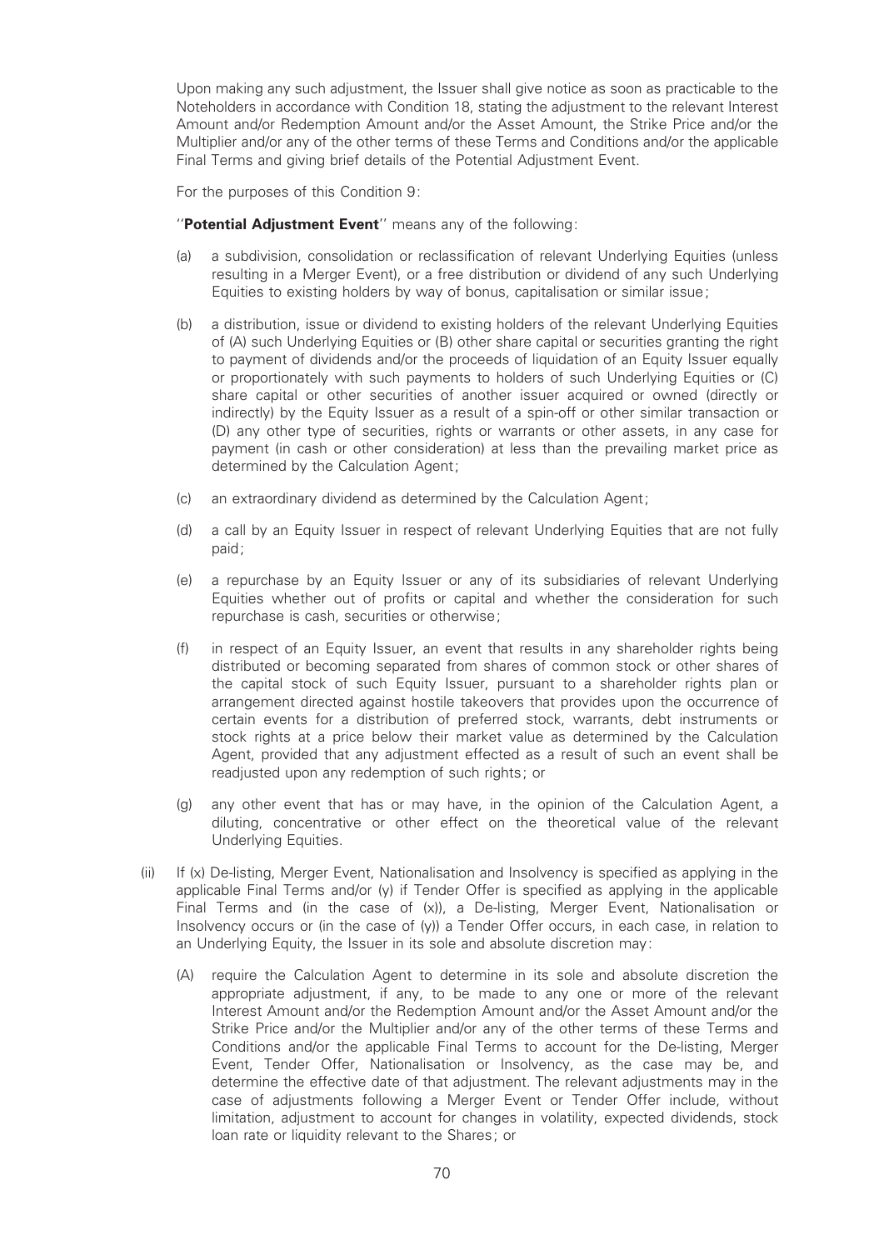Upon making any such adjustment, the Issuer shall give notice as soon as practicable to the Noteholders in accordance with Condition 18, stating the adjustment to the relevant Interest Amount and/or Redemption Amount and/or the Asset Amount, the Strike Price and/or the Multiplier and/or any of the other terms of these Terms and Conditions and/or the applicable Final Terms and giving brief details of the Potential Adjustment Event.

For the purposes of this Condition 9:

"Potential Adjustment Event" means any of the following:

- (a) a subdivision, consolidation or reclassi¢cation of relevant Underlying Equities (unless resulting in a Merger Event), or a free distribution or dividend of any such Underlying Equities to existing holders by way of bonus, capitalisation or similar issue;
- (b) a distribution, issue or dividend to existing holders of the relevant Underlying Equities of (A) such Underlying Equities or (B) other share capital or securities granting the right to payment of dividends and/or the proceeds of liquidation of an Equity Issuer equally or proportionately with such payments to holders of such Underlying Equities or (C) share capital or other securities of another issuer acquired or owned (directly or indirectly) by the Equity Issuer as a result of a spin-off or other similar transaction or (D) any other type of securities, rights or warrants or other assets, in any case for payment (in cash or other consideration) at less than the prevailing market price as determined by the Calculation Agent;
- (c) an extraordinary dividend as determined by the Calculation Agent;
- (d) a call by an Equity Issuer in respect of relevant Underlying Equities that are not fully paid;
- (e) a repurchase by an Equity Issuer or any of its subsidiaries of relevant Underlying Equities whether out of profits or capital and whether the consideration for such repurchase is cash, securities or otherwise;
- (f) in respect of an Equity Issuer, an event that results in any shareholder rights being distributed or becoming separated from shares of common stock or other shares of the capital stock of such Equity Issuer, pursuant to a shareholder rights plan or arrangement directed against hostile takeovers that provides upon the occurrence of certain events for a distribution of preferred stock, warrants, debt instruments or stock rights at a price below their market value as determined by the Calculation Agent, provided that any adjustment effected as a result of such an event shall be readjusted upon any redemption of such rights; or
- (g) any other event that has or may have, in the opinion of the Calculation Agent, a diluting, concentrative or other effect on the theoretical value of the relevant Underlying Equities.
- (ii) If (x) De-listing, Merger Event, Nationalisation and Insolvency is speci¢ed as applying in the applicable Final Terms and/or (y) if Tender Offer is specified as applying in the applicable Final Terms and (in the case of (x)), a De-listing, Merger Event, Nationalisation or Insolvency occurs or (in the case of (y)) a Tender Offer occurs, in each case, in relation to an Underlying Equity, the Issuer in its sole and absolute discretion may:
	- (A) require the Calculation Agent to determine in its sole and absolute discretion the appropriate adjustment, if any, to be made to any one or more of the relevant Interest Amount and/or the Redemption Amount and/or the Asset Amount and/or the Strike Price and/or the Multiplier and/or any of the other terms of these Terms and Conditions and/or the applicable Final Terms to account for the De-listing, Merger Event, Tender Offer, Nationalisation or Insolvency, as the case may be, and determine the effective date of that adjustment. The relevant adjustments may in the case of adjustments following a Merger Event or Tender Offer include, without limitation, adjustment to account for changes in volatility, expected dividends, stock loan rate or liquidity relevant to the Shares; or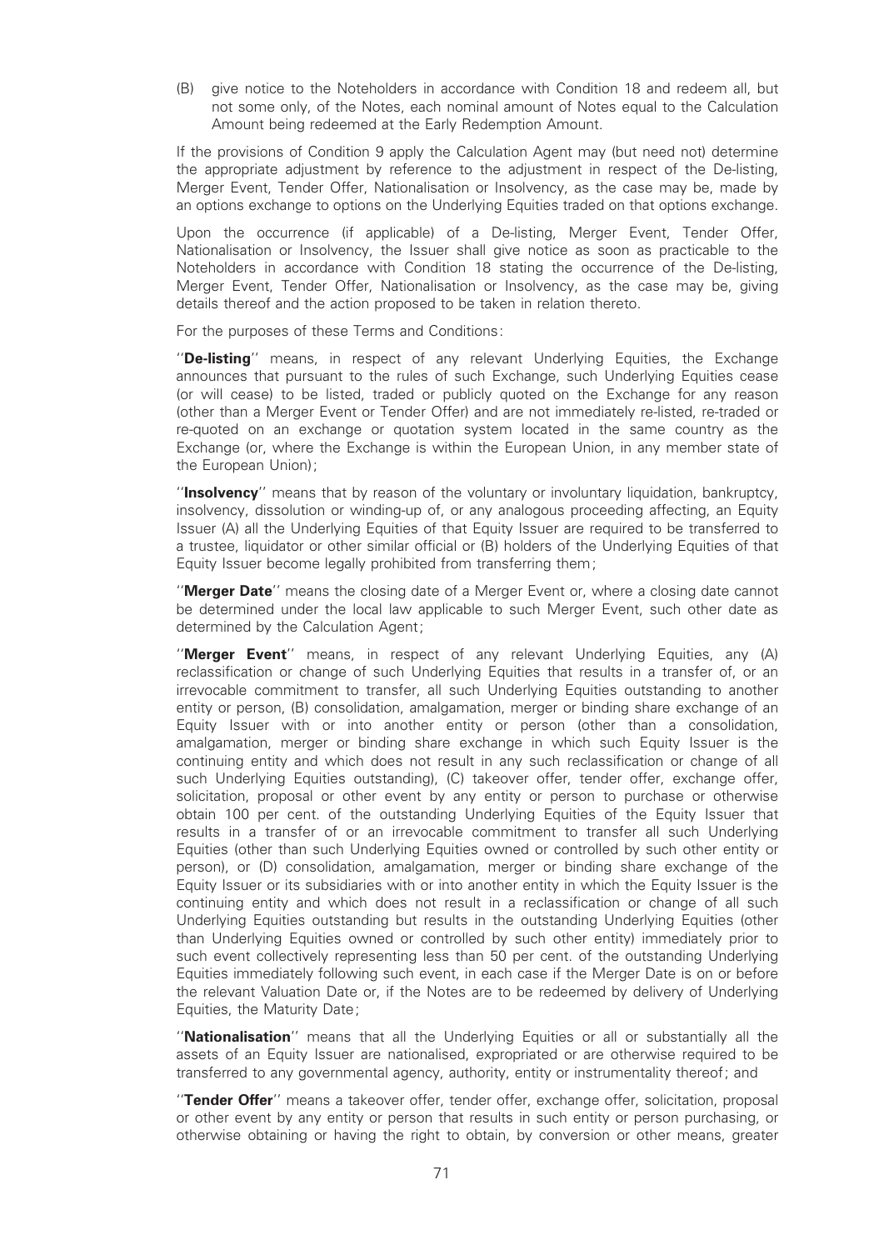(B) give notice to the Noteholders in accordance with Condition 18 and redeem all, but not some only, of the Notes, each nominal amount of Notes equal to the Calculation Amount being redeemed at the Early Redemption Amount.

If the provisions of Condition 9 apply the Calculation Agent may (but need not) determine the appropriate adjustment by reference to the adjustment in respect of the De-listing, Merger Event, Tender Offer, Nationalisation or Insolvency, as the case may be, made by an options exchange to options on the Underlying Equities traded on that options exchange.

Upon the occurrence (if applicable) of a De-listing, Merger Event, Tender Offer, Nationalisation or Insolvency, the Issuer shall give notice as soon as practicable to the Noteholders in accordance with Condition 18 stating the occurrence of the De-listing, Merger Event, Tender Offer, Nationalisation or Insolvency, as the case may be, giving details thereof and the action proposed to be taken in relation thereto.

For the purposes of these Terms and Conditions:

"De-listing" means, in respect of any relevant Underlying Equities, the Exchange announces that pursuant to the rules of such Exchange, such Underlying Equities cease (or will cease) to be listed, traded or publicly quoted on the Exchange for any reason (other than a Merger Event or Tender Offer) and are not immediately re-listed, re-traded or re-quoted on an exchange or quotation system located in the same country as the Exchange (or, where the Exchange is within the European Union, in any member state of the European Union);

''Insolvency'' means that by reason of the voluntary or involuntary liquidation, bankruptcy, insolvency, dissolution or winding-up of, or any analogous proceeding affecting, an Equity Issuer (A) all the Underlying Equities of that Equity Issuer are required to be transferred to a trustee, liquidator or other similar official or (B) holders of the Underlying Equities of that Equity Issuer become legally prohibited from transferring them;

"**Merger Date**" means the closing date of a Merger Event or, where a closing date cannot be determined under the local law applicable to such Merger Event, such other date as determined by the Calculation Agent;

"Merger Event" means, in respect of any relevant Underlying Equities, any (A) reclassification or change of such Underlying Equities that results in a transfer of, or an irrevocable commitment to transfer, all such Underlying Equities outstanding to another entity or person, (B) consolidation, amalgamation, merger or binding share exchange of an Equity Issuer with or into another entity or person (other than a consolidation, amalgamation, merger or binding share exchange in which such Equity Issuer is the continuing entity and which does not result in any such reclassification or change of all such Underlying Equities outstanding), (C) takeover offer, tender offer, exchange offer, solicitation, proposal or other event by any entity or person to purchase or otherwise obtain 100 per cent. of the outstanding Underlying Equities of the Equity Issuer that results in a transfer of or an irrevocable commitment to transfer all such Underlying Equities (other than such Underlying Equities owned or controlled by such other entity or person), or (D) consolidation, amalgamation, merger or binding share exchange of the Equity Issuer or its subsidiaries with or into another entity in which the Equity Issuer is the continuing entity and which does not result in a reclassification or change of all such Underlying Equities outstanding but results in the outstanding Underlying Equities (other than Underlying Equities owned or controlled by such other entity) immediately prior to such event collectively representing less than 50 per cent. of the outstanding Underlying Equities immediately following such event, in each case if the Merger Date is on or before the relevant Valuation Date or, if the Notes are to be redeemed by delivery of Underlying Equities, the Maturity Date;

''Nationalisation'' means that all the Underlying Equities or all or substantially all the assets of an Equity Issuer are nationalised, expropriated or are otherwise required to be transferred to any governmental agency, authority, entity or instrumentality thereof; and

"Tender Offer" means a takeover offer, tender offer, exchange offer, solicitation, proposal or other event by any entity or person that results in such entity or person purchasing, or otherwise obtaining or having the right to obtain, by conversion or other means, greater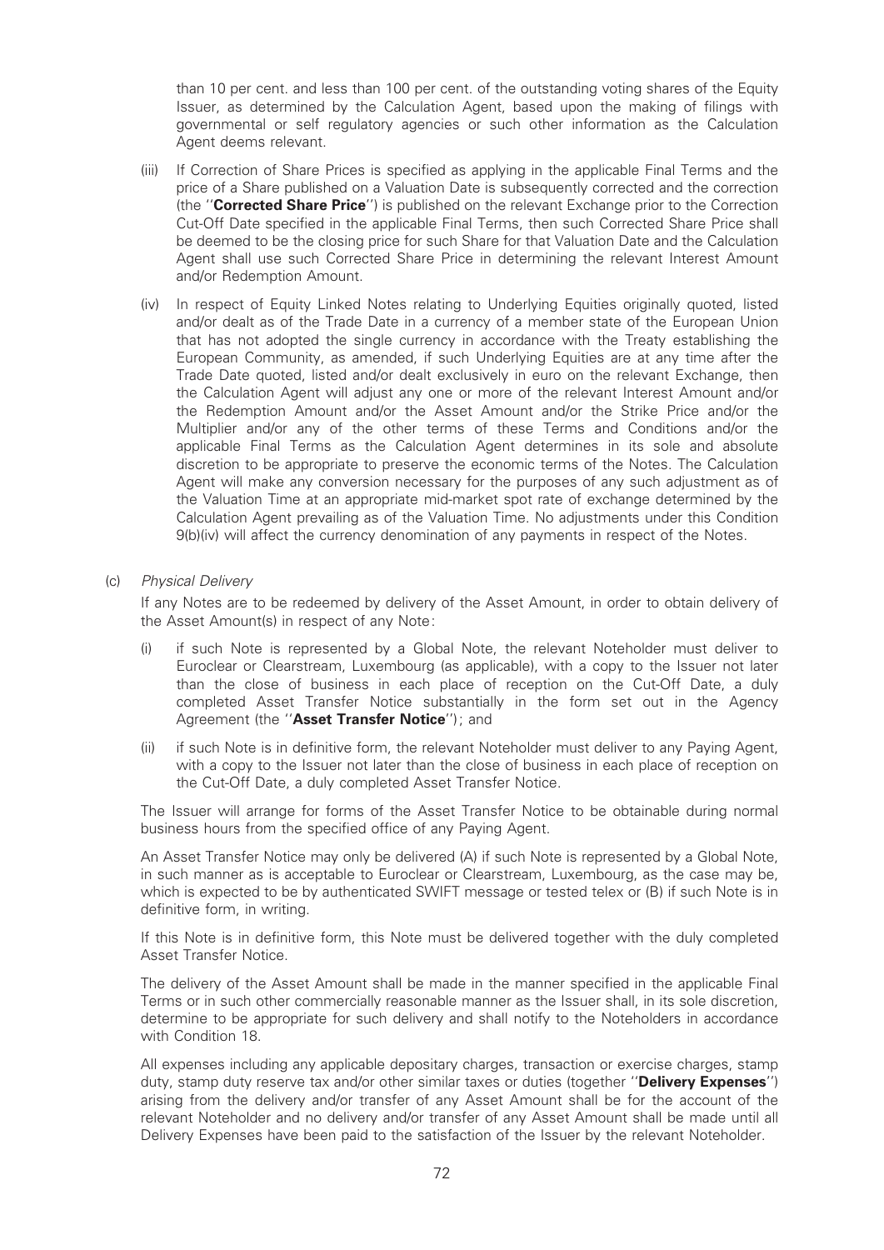than 10 per cent. and less than 100 per cent. of the outstanding voting shares of the Equity Issuer, as determined by the Calculation Agent, based upon the making of filings with governmental or self regulatory agencies or such other information as the Calculation Agent deems relevant.

- (iii) If Correction of Share Prices is specified as applying in the applicable Final Terms and the price of a Share published on a Valuation Date is subsequently corrected and the correction (the "**Corrected Share Price**") is published on the relevant Exchange prior to the Correction Cut-Off Date specified in the applicable Final Terms, then such Corrected Share Price shall be deemed to be the closing price for such Share for that Valuation Date and the Calculation Agent shall use such Corrected Share Price in determining the relevant Interest Amount and/or Redemption Amount.
- (iv) In respect of Equity Linked Notes relating to Underlying Equities originally quoted, listed and/or dealt as of the Trade Date in a currency of a member state of the European Union that has not adopted the single currency in accordance with the Treaty establishing the European Community, as amended, if such Underlying Equities are at any time after the Trade Date quoted, listed and/or dealt exclusively in euro on the relevant Exchange, then the Calculation Agent will adjust any one or more of the relevant Interest Amount and/or the Redemption Amount and/or the Asset Amount and/or the Strike Price and/or the Multiplier and/or any of the other terms of these Terms and Conditions and/or the applicable Final Terms as the Calculation Agent determines in its sole and absolute discretion to be appropriate to preserve the economic terms of the Notes. The Calculation Agent will make any conversion necessary for the purposes of any such adjustment as of the Valuation Time at an appropriate mid-market spot rate of exchange determined by the Calculation Agent prevailing as of the Valuation Time. No adjustments under this Condition 9(b)(iv) will affect the currency denomination of any payments in respect of the Notes.

### (c) Physical Delivery

If any Notes are to be redeemed by delivery of the Asset Amount, in order to obtain delivery of the Asset Amount(s) in respect of any Note:

- (i) if such Note is represented by a Global Note, the relevant Noteholder must deliver to Euroclear or Clearstream, Luxembourg (as applicable), with a copy to the Issuer not later than the close of business in each place of reception on the Cut-Off Date, a duly completed Asset Transfer Notice substantially in the form set out in the Agency Agreement (the "Asset Transfer Notice"); and
- (ii) if such Note is in definitive form, the relevant Noteholder must deliver to any Paying Agent, with a copy to the Issuer not later than the close of business in each place of reception on the Cut-Off Date, a duly completed Asset Transfer Notice.

The Issuer will arrange for forms of the Asset Transfer Notice to be obtainable during normal business hours from the specified office of any Paying Agent.

An Asset Transfer Notice may only be delivered (A) if such Note is represented by a Global Note, in such manner as is acceptable to Euroclear or Clearstream, Luxembourg, as the case may be, which is expected to be by authenticated SWIFT message or tested telex or (B) if such Note is in definitive form, in writing.

If this Note is in definitive form, this Note must be delivered together with the duly completed Asset Transfer Notice.

The delivery of the Asset Amount shall be made in the manner specified in the applicable Final Terms or in such other commercially reasonable manner as the Issuer shall, in its sole discretion, determine to be appropriate for such delivery and shall notify to the Noteholders in accordance with Condition 18.

All expenses including any applicable depositary charges, transaction or exercise charges, stamp duty, stamp duty reserve tax and/or other similar taxes or duties (together "Delivery Expenses") arising from the delivery and/or transfer of any Asset Amount shall be for the account of the relevant Noteholder and no delivery and/or transfer of any Asset Amount shall be made until all Delivery Expenses have been paid to the satisfaction of the Issuer by the relevant Noteholder.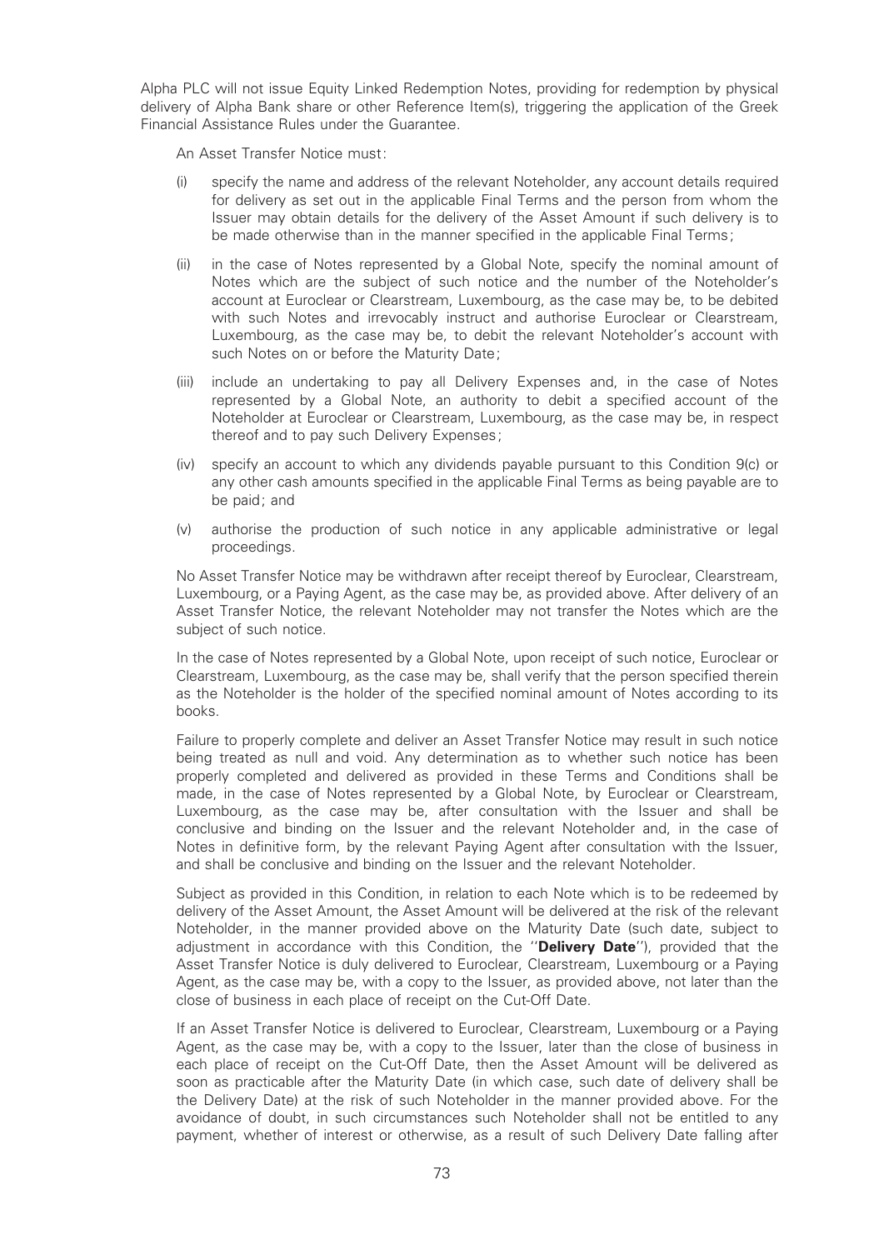Alpha PLC will not issue Equity Linked Redemption Notes, providing for redemption by physical delivery of Alpha Bank share or other Reference Item(s), triggering the application of the Greek Financial Assistance Rules under the Guarantee.

An Asset Transfer Notice must:

- (i) specify the name and address of the relevant Noteholder, any account details required for delivery as set out in the applicable Final Terms and the person from whom the Issuer may obtain details for the delivery of the Asset Amount if such delivery is to be made otherwise than in the manner specified in the applicable Final Terms;
- (ii) in the case of Notes represented by a Global Note, specify the nominal amount of Notes which are the subject of such notice and the number of the Noteholder's account at Euroclear or Clearstream, Luxembourg, as the case may be, to be debited with such Notes and irrevocably instruct and authorise Euroclear or Clearstream, Luxembourg, as the case may be, to debit the relevant Noteholder's account with such Notes on or before the Maturity Date;
- (iii) include an undertaking to pay all Delivery Expenses and, in the case of Notes represented by a Global Note, an authority to debit a specified account of the Noteholder at Euroclear or Clearstream, Luxembourg, as the case may be, in respect thereof and to pay such Delivery Expenses;
- (iv) specify an account to which any dividends payable pursuant to this Condition 9(c) or any other cash amounts specified in the applicable Final Terms as being payable are to be paid; and
- (v) authorise the production of such notice in any applicable administrative or legal proceedings.

No Asset Transfer Notice may be withdrawn after receipt thereof by Euroclear, Clearstream, Luxembourg, or a Paying Agent, as the case may be, as provided above. After delivery of an Asset Transfer Notice, the relevant Noteholder may not transfer the Notes which are the subject of such notice.

In the case of Notes represented by a Global Note, upon receipt of such notice, Euroclear or Clearstream, Luxembourg, as the case may be, shall verify that the person specified therein as the Noteholder is the holder of the specified nominal amount of Notes according to its books.

Failure to properly complete and deliver an Asset Transfer Notice may result in such notice being treated as null and void. Any determination as to whether such notice has been properly completed and delivered as provided in these Terms and Conditions shall be made, in the case of Notes represented by a Global Note, by Euroclear or Clearstream, Luxembourg, as the case may be, after consultation with the Issuer and shall be conclusive and binding on the Issuer and the relevant Noteholder and, in the case of Notes in definitive form, by the relevant Paying Agent after consultation with the Issuer, and shall be conclusive and binding on the Issuer and the relevant Noteholder.

Subject as provided in this Condition, in relation to each Note which is to be redeemed by delivery of the Asset Amount, the Asset Amount will be delivered at the risk of the relevant Noteholder, in the manner provided above on the Maturity Date (such date, subject to adjustment in accordance with this Condition, the "Delivery Date"), provided that the Asset Transfer Notice is duly delivered to Euroclear, Clearstream, Luxembourg or a Paying Agent, as the case may be, with a copy to the Issuer, as provided above, not later than the close of business in each place of receipt on the Cut-Off Date.

If an Asset Transfer Notice is delivered to Euroclear, Clearstream, Luxembourg or a Paying Agent, as the case may be, with a copy to the Issuer, later than the close of business in each place of receipt on the Cut-Off Date, then the Asset Amount will be delivered as soon as practicable after the Maturity Date (in which case, such date of delivery shall be the Delivery Date) at the risk of such Noteholder in the manner provided above. For the avoidance of doubt, in such circumstances such Noteholder shall not be entitled to any payment, whether of interest or otherwise, as a result of such Delivery Date falling after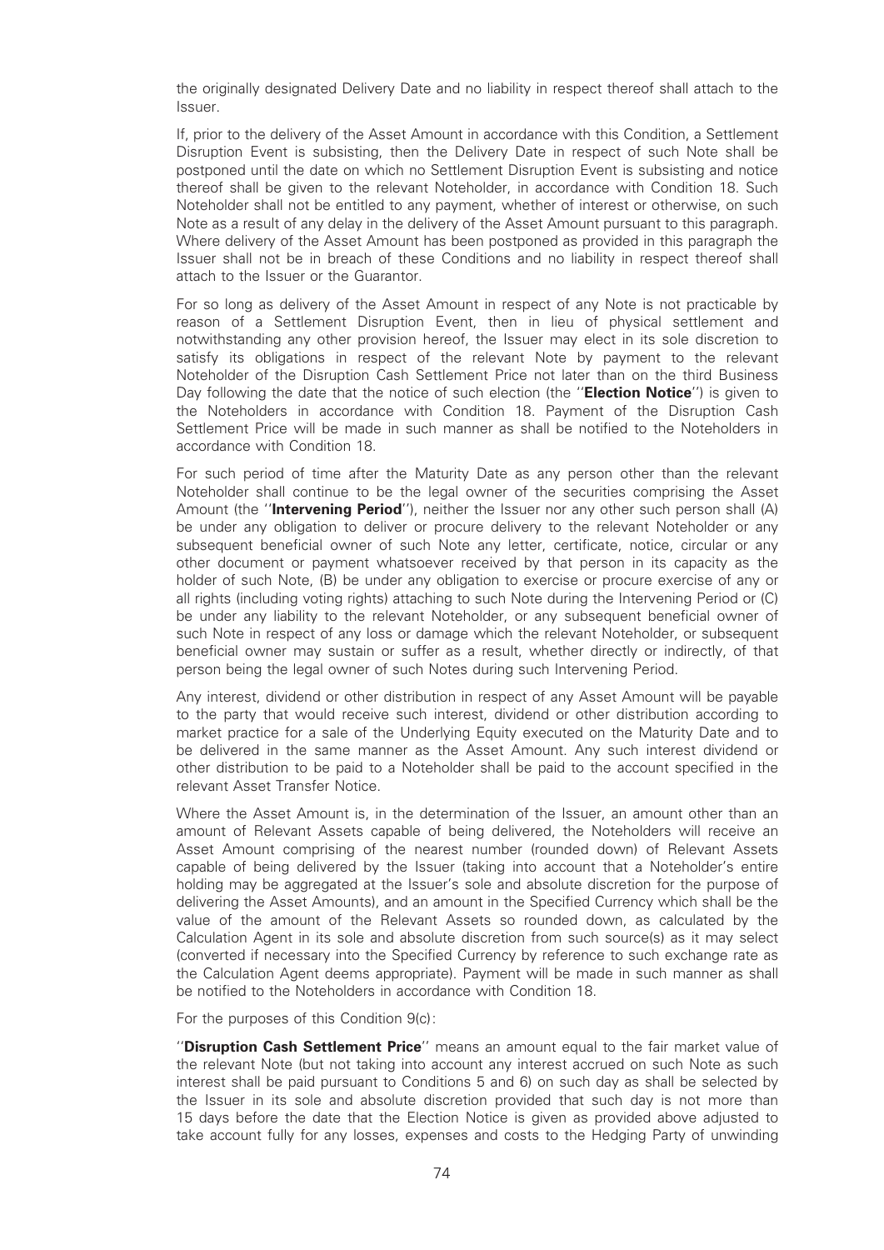the originally designated Delivery Date and no liability in respect thereof shall attach to the Issuer.

If, prior to the delivery of the Asset Amount in accordance with this Condition, a Settlement Disruption Event is subsisting, then the Delivery Date in respect of such Note shall be postponed until the date on which no Settlement Disruption Event is subsisting and notice thereof shall be given to the relevant Noteholder, in accordance with Condition 18. Such Noteholder shall not be entitled to any payment, whether of interest or otherwise, on such Note as a result of any delay in the delivery of the Asset Amount pursuant to this paragraph. Where delivery of the Asset Amount has been postponed as provided in this paragraph the Issuer shall not be in breach of these Conditions and no liability in respect thereof shall attach to the Issuer or the Guarantor.

For so long as delivery of the Asset Amount in respect of any Note is not practicable by reason of a Settlement Disruption Event, then in lieu of physical settlement and notwithstanding any other provision hereof, the Issuer may elect in its sole discretion to satisfy its obligations in respect of the relevant Note by payment to the relevant Noteholder of the Disruption Cash Settlement Price not later than on the third Business Day following the date that the notice of such election (the "**Election Notice**") is given to the Noteholders in accordance with Condition 18. Payment of the Disruption Cash Settlement Price will be made in such manner as shall be notified to the Noteholders in accordance with Condition 18.

For such period of time after the Maturity Date as any person other than the relevant Noteholder shall continue to be the legal owner of the securities comprising the Asset Amount (the "Intervening Period"), neither the Issuer nor any other such person shall (A) be under any obligation to deliver or procure delivery to the relevant Noteholder or any subsequent beneficial owner of such Note any letter, certificate, notice, circular or any other document or payment whatsoever received by that person in its capacity as the holder of such Note, (B) be under any obligation to exercise or procure exercise of any or all rights (including voting rights) attaching to such Note during the Intervening Period or (C) be under any liability to the relevant Noteholder, or any subsequent beneficial owner of such Note in respect of any loss or damage which the relevant Noteholder, or subsequent beneficial owner may sustain or suffer as a result, whether directly or indirectly, of that person being the legal owner of such Notes during such Intervening Period.

Any interest, dividend or other distribution in respect of any Asset Amount will be payable to the party that would receive such interest, dividend or other distribution according to market practice for a sale of the Underlying Equity executed on the Maturity Date and to be delivered in the same manner as the Asset Amount. Any such interest dividend or other distribution to be paid to a Noteholder shall be paid to the account specified in the relevant Asset Transfer Notice.

Where the Asset Amount is, in the determination of the Issuer, an amount other than an amount of Relevant Assets capable of being delivered, the Noteholders will receive an Asset Amount comprising of the nearest number (rounded down) of Relevant Assets capable of being delivered by the Issuer (taking into account that a Noteholder's entire holding may be aggregated at the Issuer's sole and absolute discretion for the purpose of delivering the Asset Amounts), and an amount in the Specified Currency which shall be the value of the amount of the Relevant Assets so rounded down, as calculated by the Calculation Agent in its sole and absolute discretion from such source(s) as it may select (converted if necessary into the Specified Currency by reference to such exchange rate as the Calculation Agent deems appropriate). Payment will be made in such manner as shall be notified to the Noteholders in accordance with Condition 18.

For the purposes of this Condition 9(c):

"Disruption Cash Settlement Price" means an amount equal to the fair market value of the relevant Note (but not taking into account any interest accrued on such Note as such interest shall be paid pursuant to Conditions 5 and 6) on such day as shall be selected by the Issuer in its sole and absolute discretion provided that such day is not more than 15 days before the date that the Election Notice is given as provided above adjusted to take account fully for any losses, expenses and costs to the Hedging Party of unwinding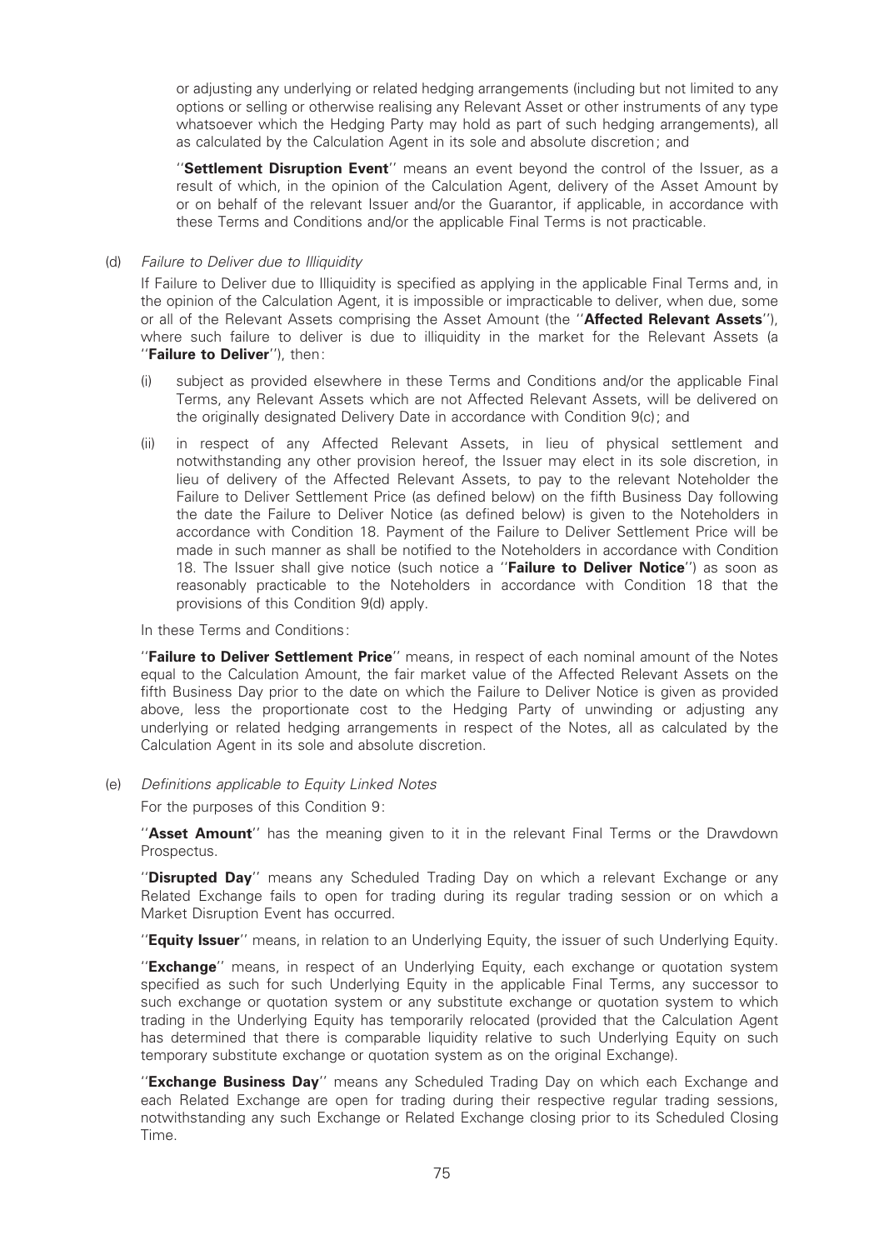or adjusting any underlying or related hedging arrangements (including but not limited to any options or selling or otherwise realising any Relevant Asset or other instruments of any type whatsoever which the Hedging Party may hold as part of such hedging arrangements), all as calculated by the Calculation Agent in its sole and absolute discretion; and

"Settlement Disruption Event" means an event beyond the control of the Issuer, as a result of which, in the opinion of the Calculation Agent, delivery of the Asset Amount by or on behalf of the relevant Issuer and/or the Guarantor, if applicable, in accordance with these Terms and Conditions and/or the applicable Final Terms is not practicable.

#### (d) Failure to Deliver due to Illiquidity

If Failure to Deliver due to Illiquidity is specified as applying in the applicable Final Terms and, in the opinion of the Calculation Agent, it is impossible or impracticable to deliver, when due, some or all of the Relevant Assets comprising the Asset Amount (the "**Affected Relevant Assets**"), where such failure to deliver is due to illiquidity in the market for the Relevant Assets (a ''Failure to Deliver''), then:

- (i) subject as provided elsewhere in these Terms and Conditions and/or the applicable Final Terms, any Relevant Assets which are not Affected Relevant Assets, will be delivered on the originally designated Delivery Date in accordance with Condition 9(c); and
- (ii) in respect of any Affected Relevant Assets, in lieu of physical settlement and notwithstanding any other provision hereof, the Issuer may elect in its sole discretion, in lieu of delivery of the Affected Relevant Assets, to pay to the relevant Noteholder the Failure to Deliver Settlement Price (as defined below) on the fifth Business Day following the date the Failure to Deliver Notice (as defined below) is given to the Noteholders in accordance with Condition 18. Payment of the Failure to Deliver Settlement Price will be made in such manner as shall be notified to the Noteholders in accordance with Condition 18. The Issuer shall give notice (such notice a "Failure to Deliver Notice") as soon as reasonably practicable to the Noteholders in accordance with Condition 18 that the provisions of this Condition 9(d) apply.

In these Terms and Conditions:

"Failure to Deliver Settlement Price" means, in respect of each nominal amount of the Notes equal to the Calculation Amount, the fair market value of the Affected Relevant Assets on the fifth Business Day prior to the date on which the Failure to Deliver Notice is given as provided above, less the proportionate cost to the Hedging Party of unwinding or adjusting any underlying or related hedging arrangements in respect of the Notes, all as calculated by the Calculation Agent in its sole and absolute discretion.

(e) Definitions applicable to Equity Linked Notes

For the purposes of this Condition 9:

"Asset Amount" has the meaning given to it in the relevant Final Terms or the Drawdown Prospectus.

''Disrupted Day'' means any Scheduled Trading Day on which a relevant Exchange or any Related Exchange fails to open for trading during its regular trading session or on which a Market Disruption Event has occurred.

"Equity Issuer" means, in relation to an Underlying Equity, the issuer of such Underlying Equity.

"Exchange" means, in respect of an Underlying Equity, each exchange or quotation system specified as such for such Underlying Equity in the applicable Final Terms, any successor to such exchange or quotation system or any substitute exchange or quotation system to which trading in the Underlying Equity has temporarily relocated (provided that the Calculation Agent has determined that there is comparable liquidity relative to such Underlying Equity on such temporary substitute exchange or quotation system as on the original Exchange).

"Exchange Business Day" means any Scheduled Trading Day on which each Exchange and each Related Exchange are open for trading during their respective regular trading sessions, notwithstanding any such Exchange or Related Exchange closing prior to its Scheduled Closing Time.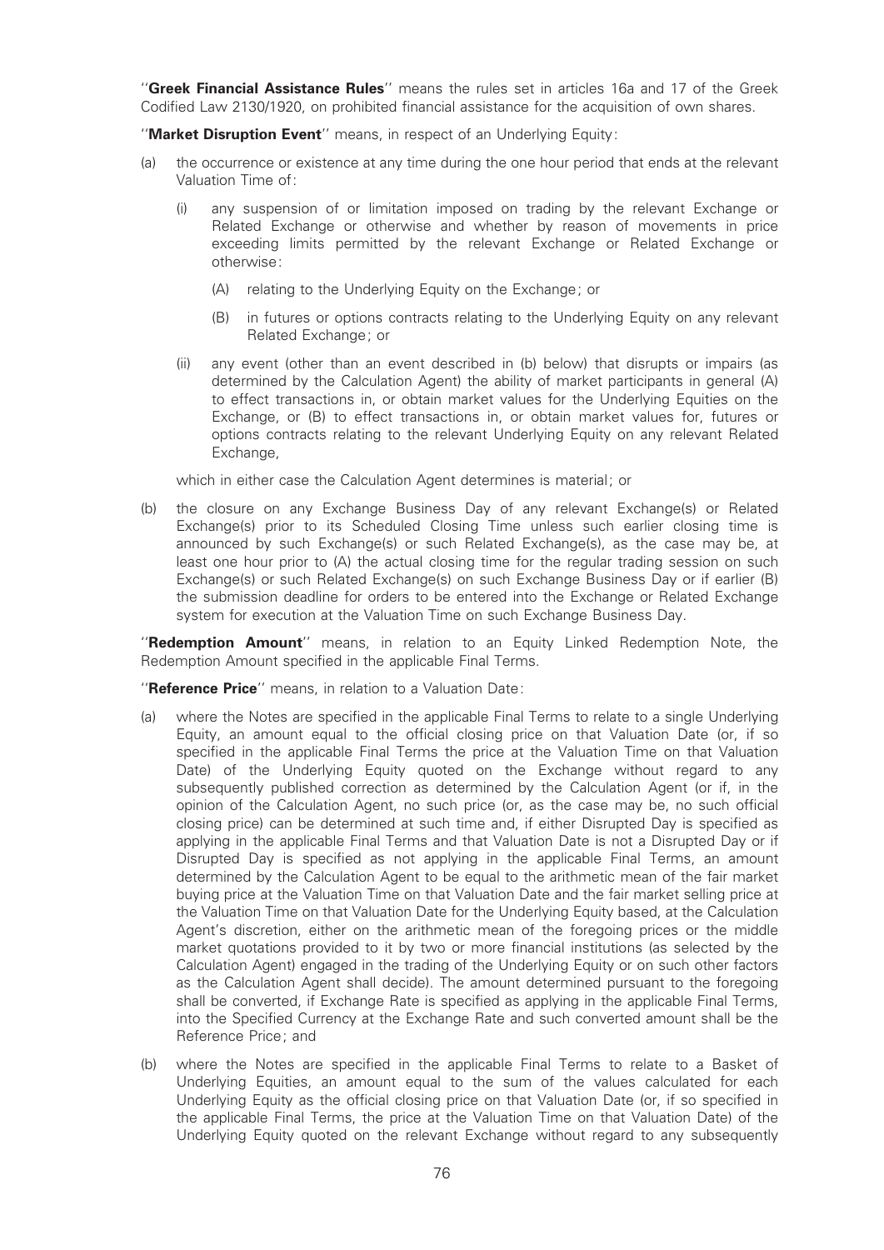"Greek Financial Assistance Rules" means the rules set in articles 16a and 17 of the Greek Codified Law 2130/1920, on prohibited financial assistance for the acquisition of own shares.

"Market Disruption Event" means, in respect of an Underlying Equity:

- (a) the occurrence or existence at any time during the one hour period that ends at the relevant Valuation Time of:
	- (i) any suspension of or limitation imposed on trading by the relevant Exchange or Related Exchange or otherwise and whether by reason of movements in price exceeding limits permitted by the relevant Exchange or Related Exchange or otherwise:
		- (A) relating to the Underlying Equity on the Exchange; or
		- (B) in futures or options contracts relating to the Underlying Equity on any relevant Related Exchange; or
	- (ii) any event (other than an event described in (b) below) that disrupts or impairs (as determined by the Calculation Agent) the ability of market participants in general (A) to effect transactions in, or obtain market values for the Underlying Equities on the Exchange, or (B) to effect transactions in, or obtain market values for, futures or options contracts relating to the relevant Underlying Equity on any relevant Related Exchange,

which in either case the Calculation Agent determines is material; or

(b) the closure on any Exchange Business Day of any relevant Exchange(s) or Related Exchange(s) prior to its Scheduled Closing Time unless such earlier closing time is announced by such Exchange(s) or such Related Exchange(s), as the case may be, at least one hour prior to (A) the actual closing time for the regular trading session on such Exchange(s) or such Related Exchange(s) on such Exchange Business Day or if earlier (B) the submission deadline for orders to be entered into the Exchange or Related Exchange system for execution at the Valuation Time on such Exchange Business Day.

"Redemption Amount" means, in relation to an Equity Linked Redemption Note, the Redemption Amount specified in the applicable Final Terms.

"Reference Price" means, in relation to a Valuation Date:

- (a) where the Notes are specified in the applicable Final Terms to relate to a single Underlying Equity, an amount equal to the official closing price on that Valuation Date (or, if so specified in the applicable Final Terms the price at the Valuation Time on that Valuation Date) of the Underlying Equity quoted on the Exchange without regard to any subsequently published correction as determined by the Calculation Agent (or if, in the opinion of the Calculation Agent, no such price (or, as the case may be, no such official closing price) can be determined at such time and, if either Disrupted Day is specified as applying in the applicable Final Terms and that Valuation Date is not a Disrupted Day or if Disrupted Day is specified as not applying in the applicable Final Terms, an amount determined by the Calculation Agent to be equal to the arithmetic mean of the fair market buying price at the Valuation Time on that Valuation Date and the fair market selling price at the Valuation Time on that Valuation Date for the Underlying Equity based, at the Calculation Agent's discretion, either on the arithmetic mean of the foregoing prices or the middle market quotations provided to it by two or more financial institutions (as selected by the Calculation Agent) engaged in the trading of the Underlying Equity or on such other factors as the Calculation Agent shall decide). The amount determined pursuant to the foregoing shall be converted, if Exchange Rate is specified as applying in the applicable Final Terms, into the Specified Currency at the Exchange Rate and such converted amount shall be the Reference Price; and
- (b) where the Notes are specified in the applicable Final Terms to relate to a Basket of Underlying Equities, an amount equal to the sum of the values calculated for each Underlying Equity as the official closing price on that Valuation Date (or, if so specified in the applicable Final Terms, the price at the Valuation Time on that Valuation Date) of the Underlying Equity quoted on the relevant Exchange without regard to any subsequently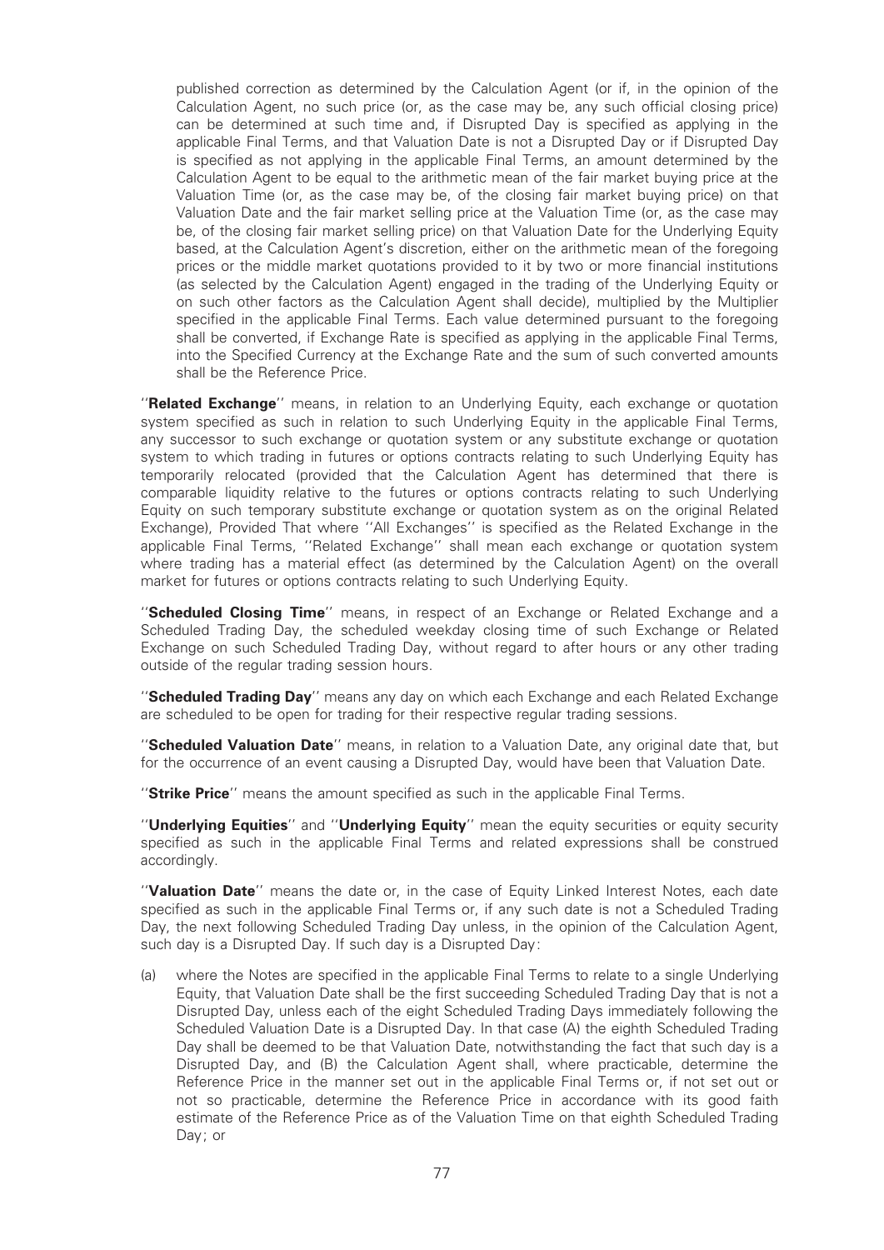published correction as determined by the Calculation Agent (or if, in the opinion of the Calculation Agent, no such price (or, as the case may be, any such official closing price) can be determined at such time and, if Disrupted Day is specified as applying in the applicable Final Terms, and that Valuation Date is not a Disrupted Day or if Disrupted Day is speci¢ed as not applying in the applicable Final Terms, an amount determined by the Calculation Agent to be equal to the arithmetic mean of the fair market buying price at the Valuation Time (or, as the case may be, of the closing fair market buying price) on that Valuation Date and the fair market selling price at the Valuation Time (or, as the case may be, of the closing fair market selling price) on that Valuation Date for the Underlying Equity based, at the Calculation Agent's discretion, either on the arithmetic mean of the foregoing prices or the middle market quotations provided to it by two or more financial institutions (as selected by the Calculation Agent) engaged in the trading of the Underlying Equity or on such other factors as the Calculation Agent shall decide), multiplied by the Multiplier specified in the applicable Final Terms. Each value determined pursuant to the foregoing shall be converted, if Exchange Rate is specified as applying in the applicable Final Terms, into the Specified Currency at the Exchange Rate and the sum of such converted amounts shall be the Reference Price.

''Related Exchange'' means, in relation to an Underlying Equity, each exchange or quotation system specified as such in relation to such Underlying Equity in the applicable Final Terms, any successor to such exchange or quotation system or any substitute exchange or quotation system to which trading in futures or options contracts relating to such Underlying Equity has temporarily relocated (provided that the Calculation Agent has determined that there is comparable liquidity relative to the futures or options contracts relating to such Underlying Equity on such temporary substitute exchange or quotation system as on the original Related Exchange), Provided That where "All Exchanges" is specified as the Related Exchange in the applicable Final Terms, ''Related Exchange'' shall mean each exchange or quotation system where trading has a material effect (as determined by the Calculation Agent) on the overall market for futures or options contracts relating to such Underlying Equity.

''Scheduled Closing Time'' means, in respect of an Exchange or Related Exchange and a Scheduled Trading Day, the scheduled weekday closing time of such Exchange or Related Exchange on such Scheduled Trading Day, without regard to after hours or any other trading outside of the regular trading session hours.

''Scheduled Trading Day'' means any day on which each Exchange and each Related Exchange are scheduled to be open for trading for their respective regular trading sessions.

''Scheduled Valuation Date'' means, in relation to a Valuation Date, any original date that, but for the occurrence of an event causing a Disrupted Day, would have been that Valuation Date.

"Strike Price" means the amount specified as such in the applicable Final Terms.

"Underlying Equities" and "Underlying Equity" mean the equity securities or equity security specified as such in the applicable Final Terms and related expressions shall be construed accordingly.

"Valuation Date" means the date or, in the case of Equity Linked Interest Notes, each date specified as such in the applicable Final Terms or, if any such date is not a Scheduled Trading Day, the next following Scheduled Trading Day unless, in the opinion of the Calculation Agent, such day is a Disrupted Day. If such day is a Disrupted Day:

(a) where the Notes are specified in the applicable Final Terms to relate to a single Underlying Equity, that Valuation Date shall be the first succeeding Scheduled Trading Day that is not a Disrupted Day, unless each of the eight Scheduled Trading Days immediately following the Scheduled Valuation Date is a Disrupted Day. In that case (A) the eighth Scheduled Trading Day shall be deemed to be that Valuation Date, notwithstanding the fact that such day is a Disrupted Day, and (B) the Calculation Agent shall, where practicable, determine the Reference Price in the manner set out in the applicable Final Terms or, if not set out or not so practicable, determine the Reference Price in accordance with its good faith estimate of the Reference Price as of the Valuation Time on that eighth Scheduled Trading Day; or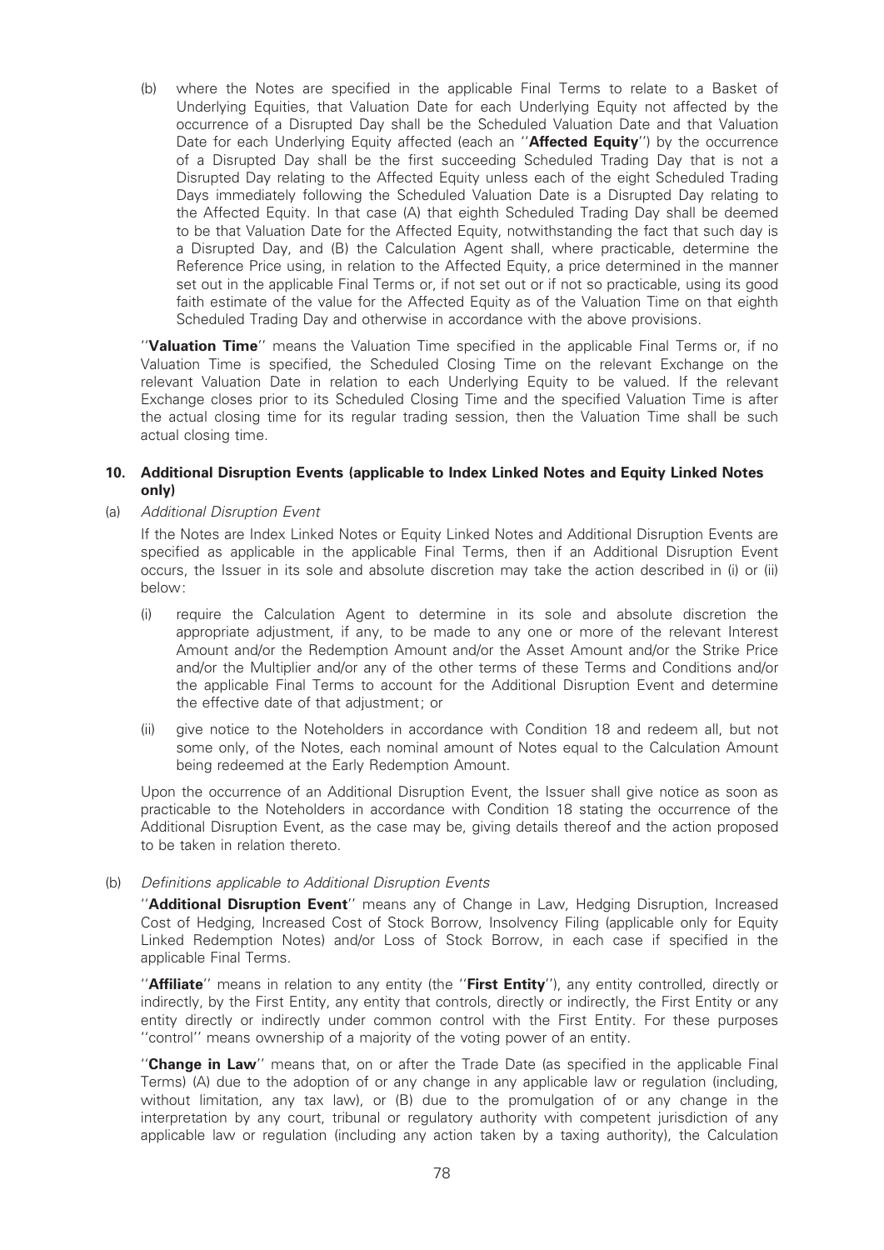(b) where the Notes are specified in the applicable Final Terms to relate to a Basket of Underlying Equities, that Valuation Date for each Underlying Equity not affected by the occurrence of a Disrupted Day shall be the Scheduled Valuation Date and that Valuation Date for each Underlying Equity affected (each an "Affected Equity") by the occurrence of a Disrupted Day shall be the first succeeding Scheduled Trading Day that is not a Disrupted Day relating to the Affected Equity unless each of the eight Scheduled Trading Days immediately following the Scheduled Valuation Date is a Disrupted Day relating to the Affected Equity. In that case (A) that eighth Scheduled Trading Day shall be deemed to be that Valuation Date for the Affected Equity, notwithstanding the fact that such day is a Disrupted Day, and (B) the Calculation Agent shall, where practicable, determine the Reference Price using, in relation to the Affected Equity, a price determined in the manner set out in the applicable Final Terms or, if not set out or if not so practicable, using its good faith estimate of the value for the Affected Equity as of the Valuation Time on that eighth Scheduled Trading Day and otherwise in accordance with the above provisions.

"Valuation Time" means the Valuation Time specified in the applicable Final Terms or, if no Valuation Time is specified, the Scheduled Closing Time on the relevant Exchange on the relevant Valuation Date in relation to each Underlying Equity to be valued. If the relevant Exchange closes prior to its Scheduled Closing Time and the specified Valuation Time is after the actual closing time for its regular trading session, then the Valuation Time shall be such actual closing time.

#### 10. Additional Disruption Events (applicable to Index Linked Notes and Equity Linked Notes only)

#### (a) Additional Disruption Event

If the Notes are Index Linked Notes or Equity Linked Notes and Additional Disruption Events are specified as applicable in the applicable Final Terms, then if an Additional Disruption Event occurs, the Issuer in its sole and absolute discretion may take the action described in (i) or (ii) below:

- (i) require the Calculation Agent to determine in its sole and absolute discretion the appropriate adjustment, if any, to be made to any one or more of the relevant Interest Amount and/or the Redemption Amount and/or the Asset Amount and/or the Strike Price and/or the Multiplier and/or any of the other terms of these Terms and Conditions and/or the applicable Final Terms to account for the Additional Disruption Event and determine the effective date of that adjustment; or
- (ii) give notice to the Noteholders in accordance with Condition 18 and redeem all, but not some only, of the Notes, each nominal amount of Notes equal to the Calculation Amount being redeemed at the Early Redemption Amount.

Upon the occurrence of an Additional Disruption Event, the Issuer shall give notice as soon as practicable to the Noteholders in accordance with Condition 18 stating the occurrence of the Additional Disruption Event, as the case may be, giving details thereof and the action proposed to be taken in relation thereto.

# (b) Definitions applicable to Additional Disruption Events

''Additional Disruption Event'' means any of Change in Law, Hedging Disruption, Increased Cost of Hedging, Increased Cost of Stock Borrow, Insolvency Filing (applicable only for Equity Linked Redemption Notes) and/or Loss of Stock Borrow, in each case if specified in the applicable Final Terms.

"Affiliate" means in relation to any entity (the "First Entity"), any entity controlled, directly or indirectly, by the First Entity, any entity that controls, directly or indirectly, the First Entity or any entity directly or indirectly under common control with the First Entity. For these purposes ''control'' means ownership of a majority of the voting power of an entity.

"Change in Law" means that, on or after the Trade Date (as specified in the applicable Final Terms) (A) due to the adoption of or any change in any applicable law or regulation (including, without limitation, any tax law), or (B) due to the promulgation of or any change in the interpretation by any court, tribunal or regulatory authority with competent jurisdiction of any applicable law or regulation (including any action taken by a taxing authority), the Calculation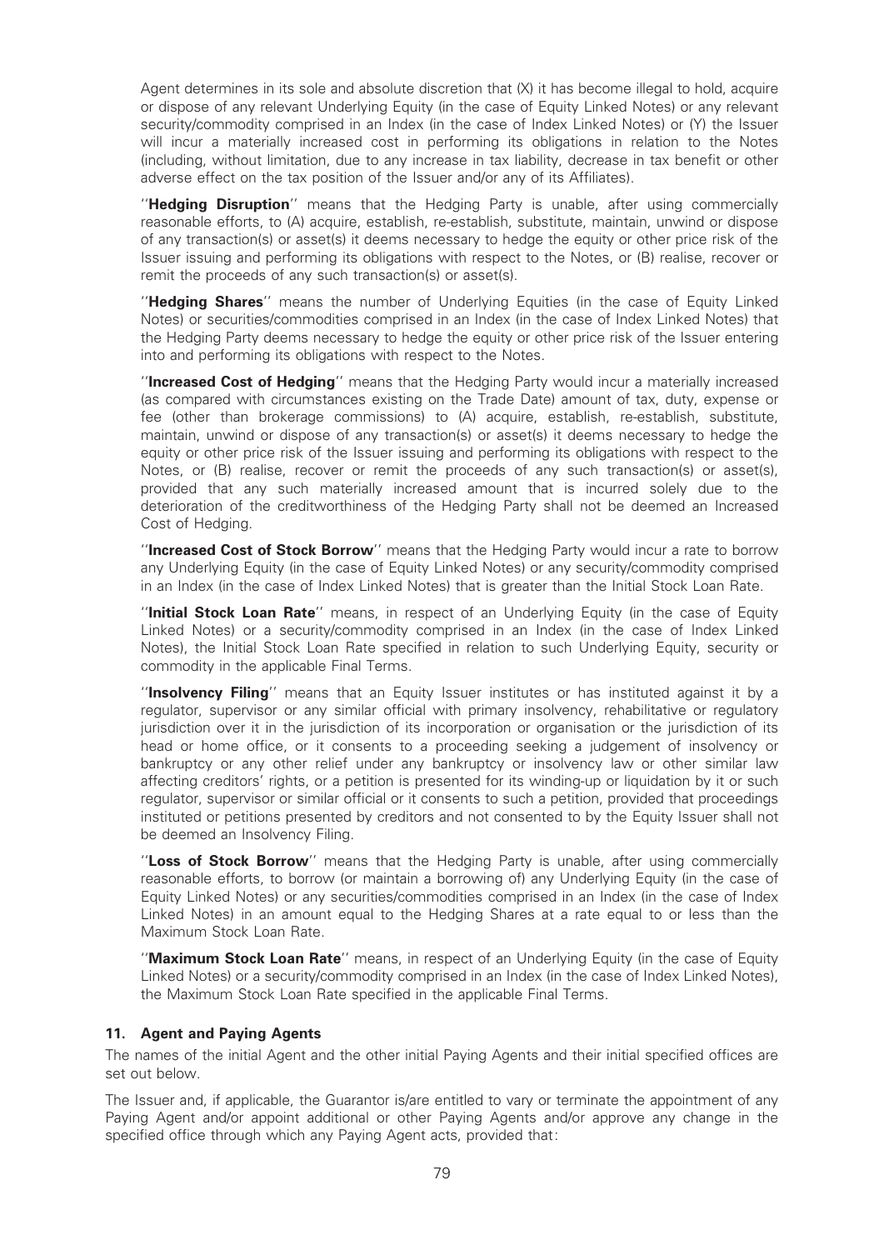Agent determines in its sole and absolute discretion that (X) it has become illegal to hold, acquire or dispose of any relevant Underlying Equity (in the case of Equity Linked Notes) or any relevant security/commodity comprised in an Index (in the case of Index Linked Notes) or (Y) the Issuer will incur a materially increased cost in performing its obligations in relation to the Notes (including, without limitation, due to any increase in tax liability, decrease in tax bene¢t or other adverse effect on the tax position of the Issuer and/or any of its Affiliates).

"Hedging Disruption" means that the Hedging Party is unable, after using commercially reasonable efforts, to (A) acquire, establish, re-establish, substitute, maintain, unwind or dispose of any transaction(s) or asset(s) it deems necessary to hedge the equity or other price risk of the Issuer issuing and performing its obligations with respect to the Notes, or (B) realise, recover or remit the proceeds of any such transaction(s) or asset(s).

''Hedging Shares'' means the number of Underlying Equities (in the case of Equity Linked Notes) or securities/commodities comprised in an Index (in the case of Index Linked Notes) that the Hedging Party deems necessary to hedge the equity or other price risk of the Issuer entering into and performing its obligations with respect to the Notes.

"Increased Cost of Hedging" means that the Hedging Party would incur a materially increased (as compared with circumstances existing on the Trade Date) amount of tax, duty, expense or fee (other than brokerage commissions) to (A) acquire, establish, re-establish, substitute, maintain, unwind or dispose of any transaction(s) or asset(s) it deems necessary to hedge the equity or other price risk of the Issuer issuing and performing its obligations with respect to the Notes, or (B) realise, recover or remit the proceeds of any such transaction(s) or asset(s). provided that any such materially increased amount that is incurred solely due to the deterioration of the creditworthiness of the Hedging Party shall not be deemed an Increased Cost of Hedging.

"Increased Cost of Stock Borrow" means that the Hedging Party would incur a rate to borrow any Underlying Equity (in the case of Equity Linked Notes) or any security/commodity comprised in an Index (in the case of Index Linked Notes) that is greater than the Initial Stock Loan Rate.

''Initial Stock Loan Rate'' means, in respect of an Underlying Equity (in the case of Equity Linked Notes) or a security/commodity comprised in an Index (in the case of Index Linked Notes), the Initial Stock Loan Rate specified in relation to such Underlying Equity, security or commodity in the applicable Final Terms.

"Insolvency Filing" means that an Equity Issuer institutes or has instituted against it by a regulator, supervisor or any similar official with primary insolvency, rehabilitative or regulatory jurisdiction over it in the jurisdiction of its incorporation or organisation or the jurisdiction of its head or home office, or it consents to a proceeding seeking a judgement of insolvency or bankruptcy or any other relief under any bankruptcy or insolvency law or other similar law affecting creditors' rights, or a petition is presented for its winding-up or liquidation by it or such regulator, supervisor or similar official or it consents to such a petition, provided that proceedings instituted or petitions presented by creditors and not consented to by the Equity Issuer shall not be deemed an Insolvency Filing.

"Loss of Stock Borrow" means that the Hedging Party is unable, after using commercially reasonable efforts, to borrow (or maintain a borrowing of) any Underlying Equity (in the case of Equity Linked Notes) or any securities/commodities comprised in an Index (in the case of Index Linked Notes) in an amount equal to the Hedging Shares at a rate equal to or less than the Maximum Stock Loan Rate.

"Maximum Stock Loan Rate" means, in respect of an Underlying Equity (in the case of Equity Linked Notes) or a security/commodity comprised in an Index (in the case of Index Linked Notes), the Maximum Stock Loan Rate specified in the applicable Final Terms.

# 11. Agent and Paying Agents

The names of the initial Agent and the other initial Paying Agents and their initial specified offices are set out below.

The Issuer and, if applicable, the Guarantor is/are entitled to vary or terminate the appointment of any Paying Agent and/or appoint additional or other Paying Agents and/or approve any change in the specified office through which any Paying Agent acts, provided that: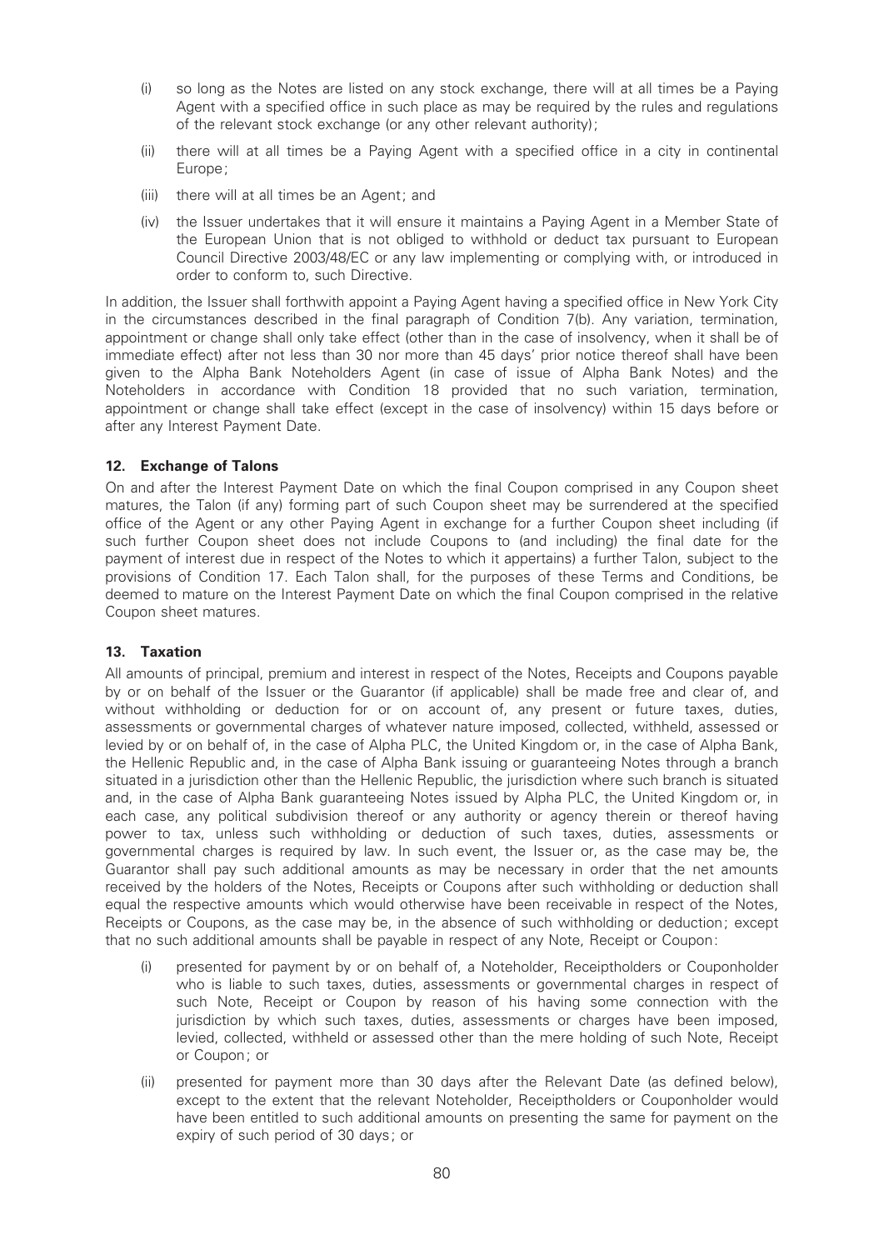- (i) so long as the Notes are listed on any stock exchange, there will at all times be a Paying Agent with a specified office in such place as may be required by the rules and regulations of the relevant stock exchange (or any other relevant authority);
- (ii) there will at all times be a Paying Agent with a specified office in a city in continental Europe;
- (iii) there will at all times be an Agent; and
- (iv) the Issuer undertakes that it will ensure it maintains a Paying Agent in a Member State of the European Union that is not obliged to withhold or deduct tax pursuant to European Council Directive 2003/48/EC or any law implementing or complying with, or introduced in order to conform to, such Directive.

In addition, the Issuer shall forthwith appoint a Paying Agent having a specified office in New York City in the circumstances described in the final paragraph of Condition 7(b). Any variation, termination, appointment or change shall only take effect (other than in the case of insolvency, when it shall be of immediate effect) after not less than 30 nor more than 45 days' prior notice thereof shall have been given to the Alpha Bank Noteholders Agent (in case of issue of Alpha Bank Notes) and the Noteholders in accordance with Condition 18 provided that no such variation, termination, appointment or change shall take effect (except in the case of insolvency) within 15 days before or after any Interest Payment Date.

# 12. Exchange of Talons

On and after the Interest Payment Date on which the final Coupon comprised in any Coupon sheet matures, the Talon (if any) forming part of such Coupon sheet may be surrendered at the specified office of the Agent or any other Paying Agent in exchange for a further Coupon sheet including (if such further Coupon sheet does not include Coupons to (and including) the final date for the payment of interest due in respect of the Notes to which it appertains) a further Talon, subject to the provisions of Condition 17. Each Talon shall, for the purposes of these Terms and Conditions, be deemed to mature on the Interest Payment Date on which the final Coupon comprised in the relative Coupon sheet matures.

# 13. Taxation

All amounts of principal, premium and interest in respect of the Notes, Receipts and Coupons payable by or on behalf of the Issuer or the Guarantor (if applicable) shall be made free and clear of, and without withholding or deduction for or on account of, any present or future taxes, duties, assessments or governmental charges of whatever nature imposed, collected, withheld, assessed or levied by or on behalf of, in the case of Alpha PLC, the United Kingdom or, in the case of Alpha Bank, the Hellenic Republic and, in the case of Alpha Bank issuing or guaranteeing Notes through a branch situated in a jurisdiction other than the Hellenic Republic, the jurisdiction where such branch is situated and, in the case of Alpha Bank guaranteeing Notes issued by Alpha PLC, the United Kingdom or, in each case, any political subdivision thereof or any authority or agency therein or thereof having power to tax, unless such withholding or deduction of such taxes, duties, assessments or governmental charges is required by law. In such event, the Issuer or, as the case may be, the Guarantor shall pay such additional amounts as may be necessary in order that the net amounts received by the holders of the Notes, Receipts or Coupons after such withholding or deduction shall equal the respective amounts which would otherwise have been receivable in respect of the Notes, Receipts or Coupons, as the case may be, in the absence of such withholding or deduction; except that no such additional amounts shall be payable in respect of any Note, Receipt or Coupon:

- (i) presented for payment by or on behalf of, a Noteholder, Receiptholders or Couponholder who is liable to such taxes, duties, assessments or governmental charges in respect of such Note, Receipt or Coupon by reason of his having some connection with the jurisdiction by which such taxes, duties, assessments or charges have been imposed, levied, collected, withheld or assessed other than the mere holding of such Note, Receipt or Coupon; or
- (ii) presented for payment more than 30 days after the Relevant Date (as defined below), except to the extent that the relevant Noteholder, Receiptholders or Couponholder would have been entitled to such additional amounts on presenting the same for payment on the expiry of such period of 30 days; or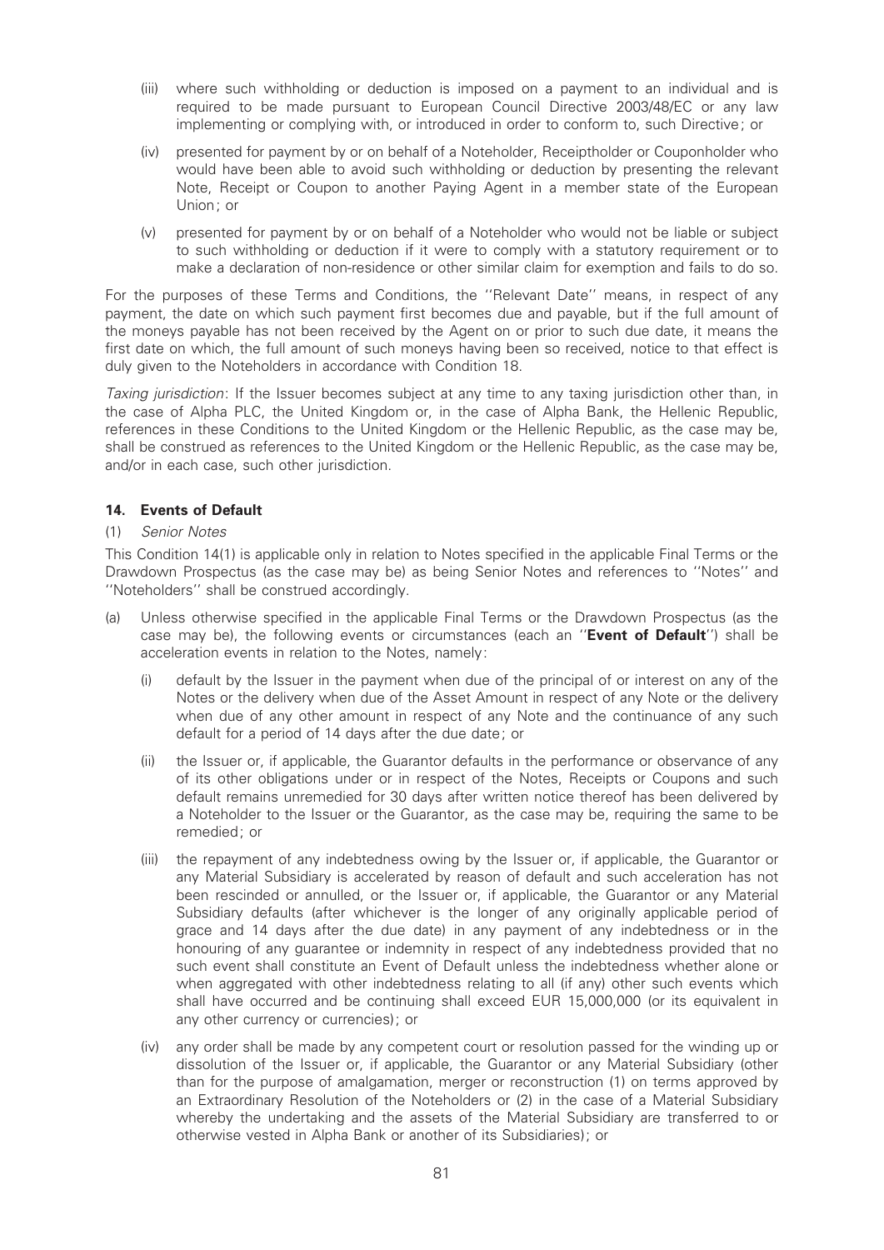- (iii) where such withholding or deduction is imposed on a payment to an individual and is required to be made pursuant to European Council Directive 2003/48/EC or any law implementing or complying with, or introduced in order to conform to, such Directive; or
- (iv) presented for payment by or on behalf of a Noteholder, Receiptholder or Couponholder who would have been able to avoid such withholding or deduction by presenting the relevant Note, Receipt or Coupon to another Paying Agent in a member state of the European Union; or
- (v) presented for payment by or on behalf of a Noteholder who would not be liable or subject to such withholding or deduction if it were to comply with a statutory requirement or to make a declaration of non-residence or other similar claim for exemption and fails to do so.

For the purposes of these Terms and Conditions, the ''Relevant Date'' means, in respect of any payment, the date on which such payment first becomes due and payable, but if the full amount of the moneys payable has not been received by the Agent on or prior to such due date, it means the first date on which, the full amount of such moneys having been so received, notice to that effect is duly given to the Noteholders in accordance with Condition 18.

Taxing jurisdiction: If the Issuer becomes subject at any time to any taxing jurisdiction other than, in the case of Alpha PLC, the United Kingdom or, in the case of Alpha Bank, the Hellenic Republic, references in these Conditions to the United Kingdom or the Hellenic Republic, as the case may be, shall be construed as references to the United Kingdom or the Hellenic Republic, as the case may be, and/or in each case, such other jurisdiction.

# 14. Events of Default

# (1) Senior Notes

This Condition 14(1) is applicable only in relation to Notes specified in the applicable Final Terms or the Drawdown Prospectus (as the case may be) as being Senior Notes and references to ''Notes'' and ''Noteholders'' shall be construed accordingly.

- (a) Unless otherwise specified in the applicable Final Terms or the Drawdown Prospectus (as the case may be), the following events or circumstances (each an "Event of Default") shall be acceleration events in relation to the Notes, namely:
	- (i) default by the Issuer in the payment when due of the principal of or interest on any of the Notes or the delivery when due of the Asset Amount in respect of any Note or the delivery when due of any other amount in respect of any Note and the continuance of any such default for a period of 14 days after the due date; or
	- (ii) the Issuer or, if applicable, the Guarantor defaults in the performance or observance of any of its other obligations under or in respect of the Notes, Receipts or Coupons and such default remains unremedied for 30 days after written notice thereof has been delivered by a Noteholder to the Issuer or the Guarantor, as the case may be, requiring the same to be remedied; or
	- (iii) the repayment of any indebtedness owing by the Issuer or, if applicable, the Guarantor or any Material Subsidiary is accelerated by reason of default and such acceleration has not been rescinded or annulled, or the Issuer or, if applicable, the Guarantor or any Material Subsidiary defaults (after whichever is the longer of any originally applicable period of grace and 14 days after the due date) in any payment of any indebtedness or in the honouring of any guarantee or indemnity in respect of any indebtedness provided that no such event shall constitute an Event of Default unless the indebtedness whether alone or when aggregated with other indebtedness relating to all (if any) other such events which shall have occurred and be continuing shall exceed EUR 15,000,000 (or its equivalent in any other currency or currencies); or
	- (iv) any order shall be made by any competent court or resolution passed for the winding up or dissolution of the Issuer or, if applicable, the Guarantor or any Material Subsidiary (other than for the purpose of amalgamation, merger or reconstruction (1) on terms approved by an Extraordinary Resolution of the Noteholders or (2) in the case of a Material Subsidiary whereby the undertaking and the assets of the Material Subsidiary are transferred to or otherwise vested in Alpha Bank or another of its Subsidiaries); or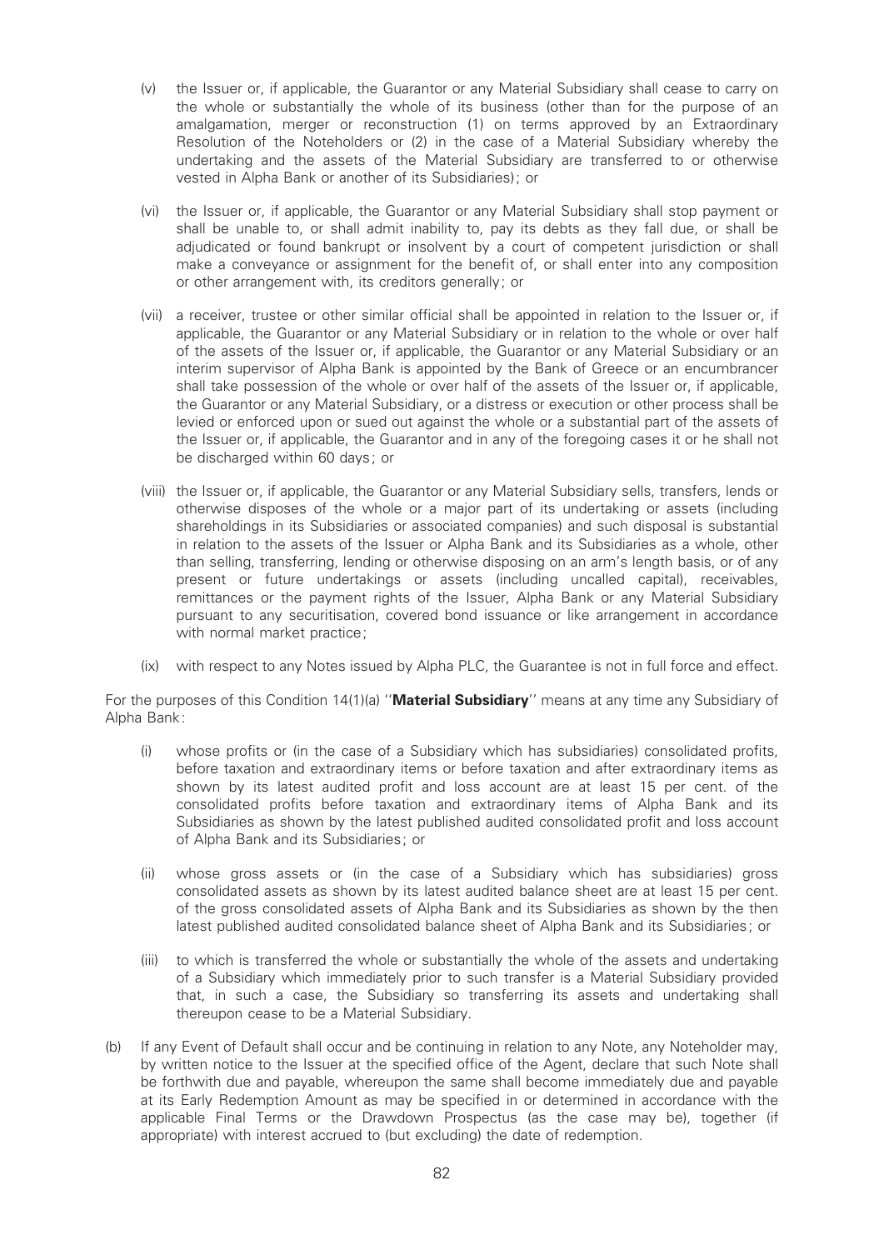- (v) the Issuer or, if applicable, the Guarantor or any Material Subsidiary shall cease to carry on the whole or substantially the whole of its business (other than for the purpose of an amalgamation, merger or reconstruction (1) on terms approved by an Extraordinary Resolution of the Noteholders or (2) in the case of a Material Subsidiary whereby the undertaking and the assets of the Material Subsidiary are transferred to or otherwise vested in Alpha Bank or another of its Subsidiaries); or
- (vi) the Issuer or, if applicable, the Guarantor or any Material Subsidiary shall stop payment or shall be unable to, or shall admit inability to, pay its debts as they fall due, or shall be adjudicated or found bankrupt or insolvent by a court of competent jurisdiction or shall make a conveyance or assignment for the benefit of, or shall enter into any composition or other arrangement with, its creditors generally; or
- (vii) a receiver, trustee or other similar official shall be appointed in relation to the Issuer or, if applicable, the Guarantor or any Material Subsidiary or in relation to the whole or over half of the assets of the Issuer or, if applicable, the Guarantor or any Material Subsidiary or an interim supervisor of Alpha Bank is appointed by the Bank of Greece or an encumbrancer shall take possession of the whole or over half of the assets of the Issuer or, if applicable, the Guarantor or any Material Subsidiary, or a distress or execution or other process shall be levied or enforced upon or sued out against the whole or a substantial part of the assets of the Issuer or, if applicable, the Guarantor and in any of the foregoing cases it or he shall not be discharged within 60 days; or
- (viii) the Issuer or, if applicable, the Guarantor or any Material Subsidiary sells, transfers, lends or otherwise disposes of the whole or a major part of its undertaking or assets (including shareholdings in its Subsidiaries or associated companies) and such disposal is substantial in relation to the assets of the Issuer or Alpha Bank and its Subsidiaries as a whole, other than selling, transferring, lending or otherwise disposing on an arm's length basis, or of any present or future undertakings or assets (including uncalled capital), receivables, remittances or the payment rights of the Issuer, Alpha Bank or any Material Subsidiary pursuant to any securitisation, covered bond issuance or like arrangement in accordance with normal market practice;
- (ix) with respect to any Notes issued by Alpha PLC, the Guarantee is not in full force and effect.

For the purposes of this Condition 14(1)(a) "Material Subsidiary" means at any time any Subsidiary of Alpha Bank:

- (i) whose profits or (in the case of a Subsidiary which has subsidiaries) consolidated profits, before taxation and extraordinary items or before taxation and after extraordinary items as shown by its latest audited profit and loss account are at least 15 per cent. of the consolidated pro¢ts before taxation and extraordinary items of Alpha Bank and its Subsidiaries as shown by the latest published audited consolidated profit and loss account of Alpha Bank and its Subsidiaries; or
- (ii) whose gross assets or (in the case of a Subsidiary which has subsidiaries) gross consolidated assets as shown by its latest audited balance sheet are at least 15 per cent. of the gross consolidated assets of Alpha Bank and its Subsidiaries as shown by the then latest published audited consolidated balance sheet of Alpha Bank and its Subsidiaries; or
- (iii) to which is transferred the whole or substantially the whole of the assets and undertaking of a Subsidiary which immediately prior to such transfer is a Material Subsidiary provided that, in such a case, the Subsidiary so transferring its assets and undertaking shall thereupon cease to be a Material Subsidiary.
- (b) If any Event of Default shall occur and be continuing in relation to any Note, any Noteholder may, by written notice to the Issuer at the specified office of the Agent, declare that such Note shall be forthwith due and payable, whereupon the same shall become immediately due and payable at its Early Redemption Amount as may be specified in or determined in accordance with the applicable Final Terms or the Drawdown Prospectus (as the case may be), together (if appropriate) with interest accrued to (but excluding) the date of redemption.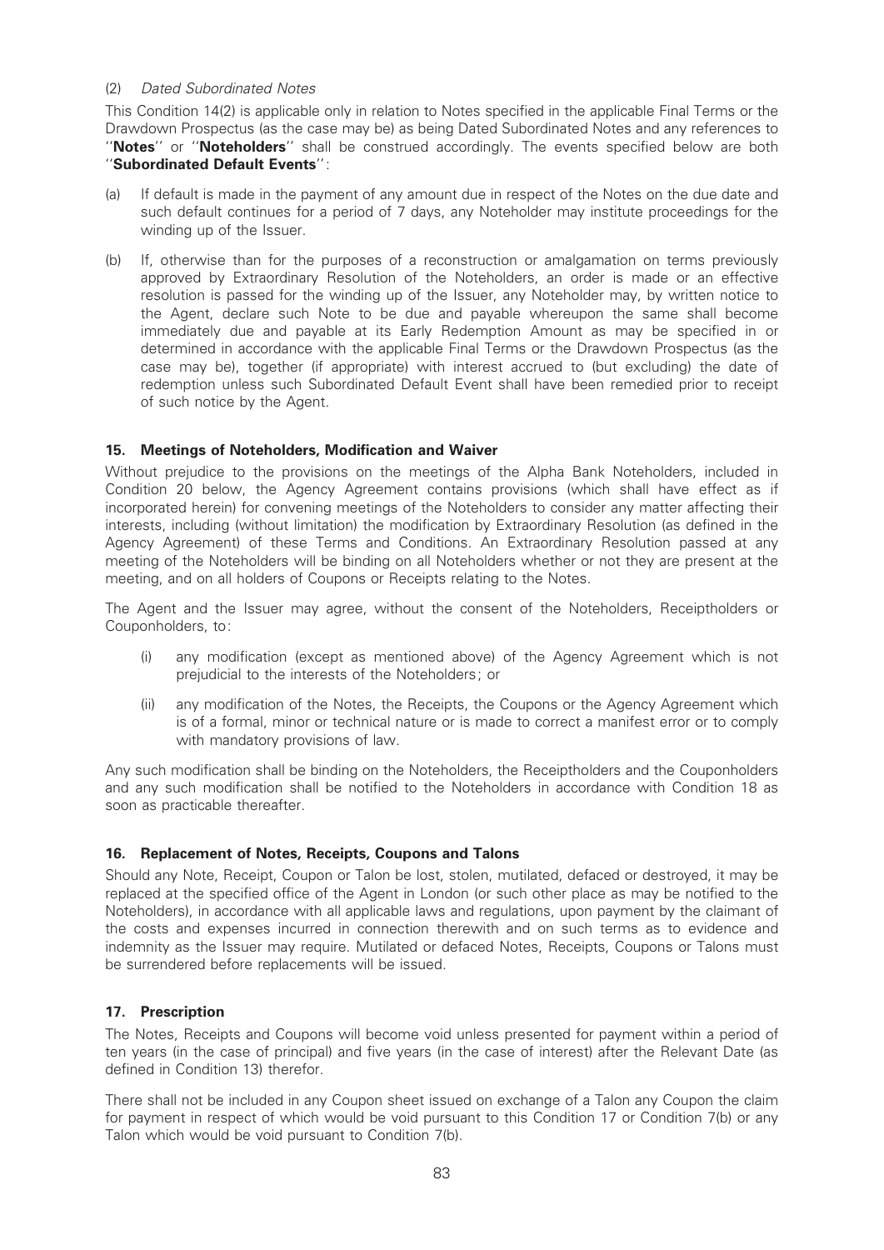## (2) Dated Subordinated Notes

This Condition 14(2) is applicable only in relation to Notes specified in the applicable Final Terms or the Drawdown Prospectus (as the case may be) as being Dated Subordinated Notes and any references to "Notes" or "Noteholders" shall be construed accordingly. The events specified below are both ''Subordinated Default Events'':

- (a) If default is made in the payment of any amount due in respect of the Notes on the due date and such default continues for a period of 7 days, any Noteholder may institute proceedings for the winding up of the Issuer.
- (b) If, otherwise than for the purposes of a reconstruction or amalgamation on terms previously approved by Extraordinary Resolution of the Noteholders, an order is made or an effective resolution is passed for the winding up of the Issuer, any Noteholder may, by written notice to the Agent, declare such Note to be due and payable whereupon the same shall become immediately due and payable at its Early Redemption Amount as may be specified in or determined in accordance with the applicable Final Terms or the Drawdown Prospectus (as the case may be), together (if appropriate) with interest accrued to (but excluding) the date of redemption unless such Subordinated Default Event shall have been remedied prior to receipt of such notice by the Agent.

# 15. Meetings of Noteholders, Modification and Waiver

Without prejudice to the provisions on the meetings of the Alpha Bank Noteholders, included in Condition 20 below, the Agency Agreement contains provisions (which shall have effect as if incorporated herein) for convening meetings of the Noteholders to consider any matter affecting their interests, including (without limitation) the modification by Extraordinary Resolution (as defined in the Agency Agreement) of these Terms and Conditions. An Extraordinary Resolution passed at any meeting of the Noteholders will be binding on all Noteholders whether or not they are present at the meeting, and on all holders of Coupons or Receipts relating to the Notes.

The Agent and the Issuer may agree, without the consent of the Noteholders, Receiptholders or Couponholders, to:

- (i) any modification (except as mentioned above) of the Agency Agreement which is not prejudicial to the interests of the Noteholders; or
- (ii) any modi¢cation of the Notes, the Receipts, the Coupons or the Agency Agreement which is of a formal, minor or technical nature or is made to correct a manifest error or to comply with mandatory provisions of law.

Any such modification shall be binding on the Noteholders, the Receiptholders and the Couponholders and any such modification shall be notified to the Noteholders in accordance with Condition 18 as soon as practicable thereafter.

# 16. Replacement of Notes, Receipts, Coupons and Talons

Should any Note, Receipt, Coupon or Talon be lost, stolen, mutilated, defaced or destroyed, it may be replaced at the specified office of the Agent in London (or such other place as may be notified to the Noteholders), in accordance with all applicable laws and regulations, upon payment by the claimant of the costs and expenses incurred in connection therewith and on such terms as to evidence and indemnity as the Issuer may require. Mutilated or defaced Notes, Receipts, Coupons or Talons must be surrendered before replacements will be issued.

# 17. Prescription

The Notes, Receipts and Coupons will become void unless presented for payment within a period of ten years (in the case of principal) and five years (in the case of interest) after the Relevant Date (as defined in Condition 13) therefor.

There shall not be included in any Coupon sheet issued on exchange of a Talon any Coupon the claim for payment in respect of which would be void pursuant to this Condition 17 or Condition 7(b) or any Talon which would be void pursuant to Condition 7(b).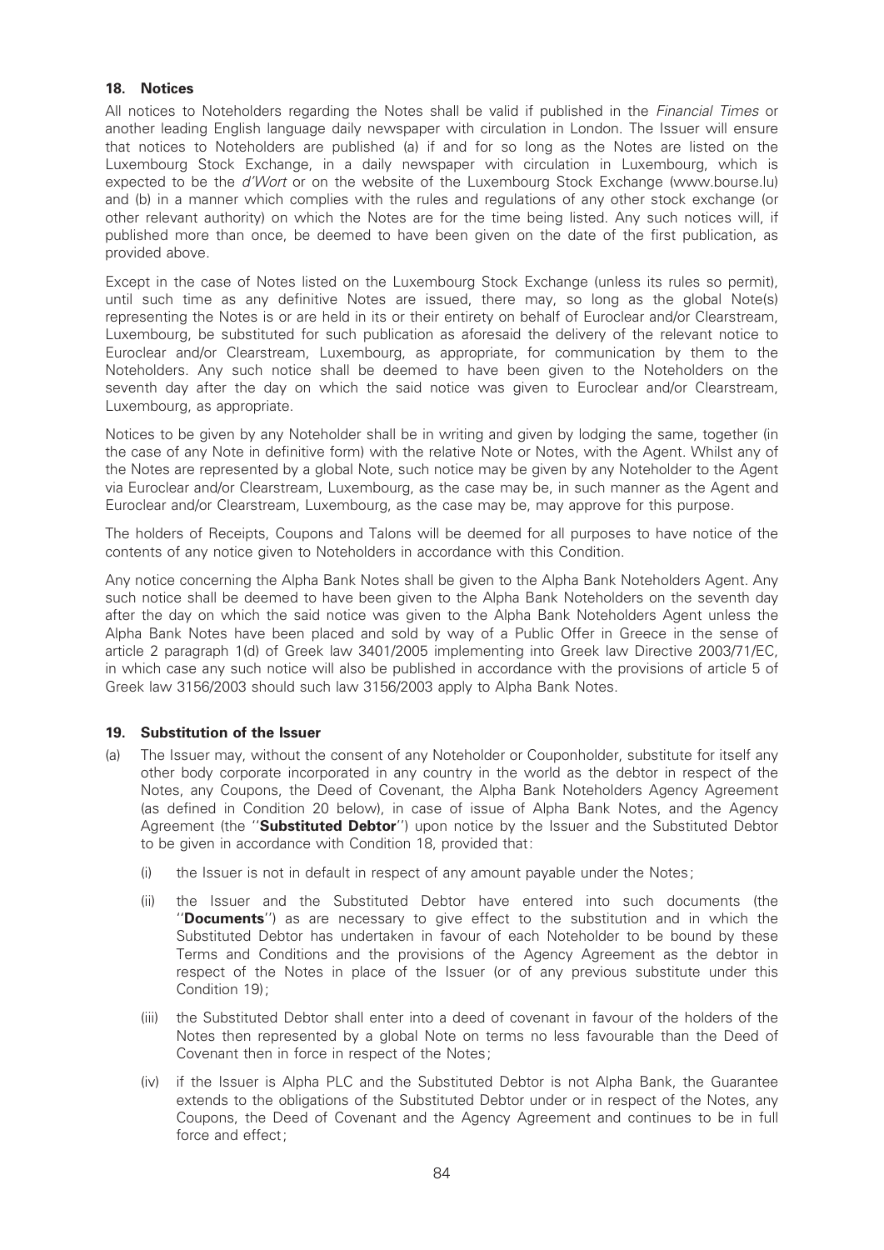## 18. Notices

All notices to Noteholders regarding the Notes shall be valid if published in the *Financial Times* or another leading English language daily newspaper with circulation in London. The Issuer will ensure that notices to Noteholders are published (a) if and for so long as the Notes are listed on the Luxembourg Stock Exchange, in a daily newspaper with circulation in Luxembourg, which is expected to be the d'Wort or on the website of the Luxembourg Stock Exchange (www.bourse.lu) and (b) in a manner which complies with the rules and regulations of any other stock exchange (or other relevant authority) on which the Notes are for the time being listed. Any such notices will, if published more than once, be deemed to have been given on the date of the first publication, as provided above.

Except in the case of Notes listed on the Luxembourg Stock Exchange (unless its rules so permit), until such time as any definitive Notes are issued, there may, so long as the global Note(s) representing the Notes is or are held in its or their entirety on behalf of Euroclear and/or Clearstream, Luxembourg, be substituted for such publication as aforesaid the delivery of the relevant notice to Euroclear and/or Clearstream, Luxembourg, as appropriate, for communication by them to the Noteholders. Any such notice shall be deemed to have been given to the Noteholders on the seventh day after the day on which the said notice was given to Euroclear and/or Clearstream, Luxembourg, as appropriate.

Notices to be given by any Noteholder shall be in writing and given by lodging the same, together (in the case of any Note in definitive form) with the relative Note or Notes, with the Agent. Whilst any of the Notes are represented by a global Note, such notice may be given by any Noteholder to the Agent via Euroclear and/or Clearstream, Luxembourg, as the case may be, in such manner as the Agent and Euroclear and/or Clearstream, Luxembourg, as the case may be, may approve for this purpose.

The holders of Receipts, Coupons and Talons will be deemed for all purposes to have notice of the contents of any notice given to Noteholders in accordance with this Condition.

Any notice concerning the Alpha Bank Notes shall be given to the Alpha Bank Noteholders Agent. Any such notice shall be deemed to have been given to the Alpha Bank Noteholders on the seventh day after the day on which the said notice was given to the Alpha Bank Noteholders Agent unless the Alpha Bank Notes have been placed and sold by way of a Public Offer in Greece in the sense of article 2 paragraph 1(d) of Greek law 3401/2005 implementing into Greek law Directive 2003/71/EC, in which case any such notice will also be published in accordance with the provisions of article 5 of Greek law 3156/2003 should such law 3156/2003 apply to Alpha Bank Notes.

#### 19. Substitution of the Issuer

- (a) The Issuer may, without the consent of any Noteholder or Couponholder, substitute for itself any other body corporate incorporated in any country in the world as the debtor in respect of the Notes, any Coupons, the Deed of Covenant, the Alpha Bank Noteholders Agency Agreement (as defined in Condition 20 below), in case of issue of Alpha Bank Notes, and the Agency Agreement (the "Substituted Debtor") upon notice by the Issuer and the Substituted Debtor to be given in accordance with Condition 18, provided that:
	- (i) the Issuer is not in default in respect of any amount payable under the Notes;
	- (ii) the Issuer and the Substituted Debtor have entered into such documents (the ''Documents'') as are necessary to give effect to the substitution and in which the Substituted Debtor has undertaken in favour of each Noteholder to be bound by these Terms and Conditions and the provisions of the Agency Agreement as the debtor in respect of the Notes in place of the Issuer (or of any previous substitute under this Condition 19);
	- (iii) the Substituted Debtor shall enter into a deed of covenant in favour of the holders of the Notes then represented by a global Note on terms no less favourable than the Deed of Covenant then in force in respect of the Notes;
	- (iv) if the Issuer is Alpha PLC and the Substituted Debtor is not Alpha Bank, the Guarantee extends to the obligations of the Substituted Debtor under or in respect of the Notes, any Coupons, the Deed of Covenant and the Agency Agreement and continues to be in full force and effect;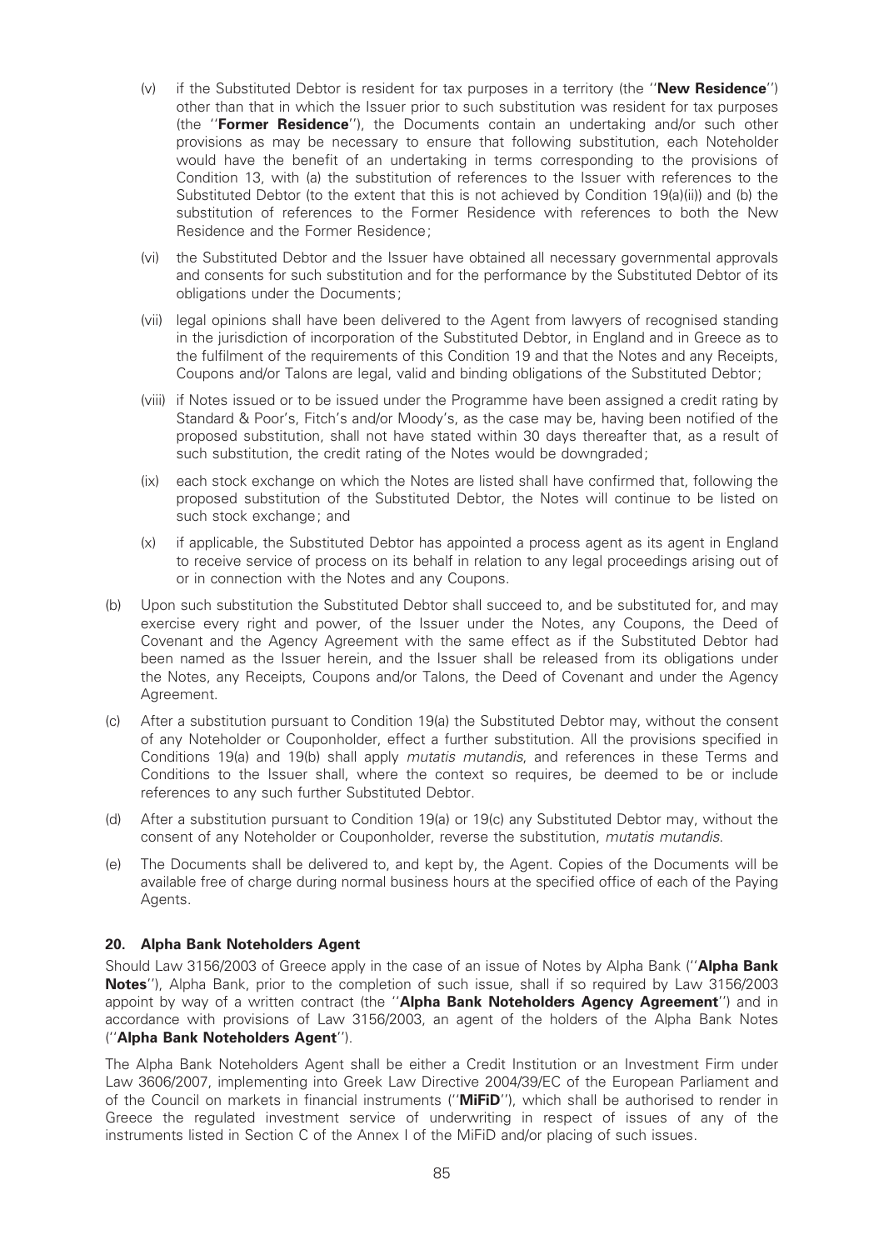- (v) if the Substituted Debtor is resident for tax purposes in a territory (the "New Residence") other than that in which the Issuer prior to such substitution was resident for tax purposes (the ''Former Residence''), the Documents contain an undertaking and/or such other provisions as may be necessary to ensure that following substitution, each Noteholder would have the benefit of an undertaking in terms corresponding to the provisions of Condition 13, with (a) the substitution of references to the Issuer with references to the Substituted Debtor (to the extent that this is not achieved by Condition 19(a)(ii)) and (b) the substitution of references to the Former Residence with references to both the New Residence and the Former Residence;
- (vi) the Substituted Debtor and the Issuer have obtained all necessary governmental approvals and consents for such substitution and for the performance by the Substituted Debtor of its obligations under the Documents;
- (vii) legal opinions shall have been delivered to the Agent from lawyers of recognised standing in the jurisdiction of incorporation of the Substituted Debtor, in England and in Greece as to the fulfilment of the requirements of this Condition 19 and that the Notes and any Receipts, Coupons and/or Talons are legal, valid and binding obligations of the Substituted Debtor;
- (viii) if Notes issued or to be issued under the Programme have been assigned a credit rating by Standard & Poor's, Fitch's and/or Moody's, as the case may be, having been notified of the proposed substitution, shall not have stated within 30 days thereafter that, as a result of such substitution, the credit rating of the Notes would be downgraded;
- (ix) each stock exchange on which the Notes are listed shall have confirmed that, following the proposed substitution of the Substituted Debtor, the Notes will continue to be listed on such stock exchange; and
- (x) if applicable, the Substituted Debtor has appointed a process agent as its agent in England to receive service of process on its behalf in relation to any legal proceedings arising out of or in connection with the Notes and any Coupons.
- (b) Upon such substitution the Substituted Debtor shall succeed to, and be substituted for, and may exercise every right and power, of the Issuer under the Notes, any Coupons, the Deed of Covenant and the Agency Agreement with the same effect as if the Substituted Debtor had been named as the Issuer herein, and the Issuer shall be released from its obligations under the Notes, any Receipts, Coupons and/or Talons, the Deed of Covenant and under the Agency Agreement.
- (c) After a substitution pursuant to Condition 19(a) the Substituted Debtor may, without the consent of any Noteholder or Couponholder, effect a further substitution. All the provisions specified in Conditions 19(a) and 19(b) shall apply mutatis mutandis, and references in these Terms and Conditions to the Issuer shall, where the context so requires, be deemed to be or include references to any such further Substituted Debtor.
- (d) After a substitution pursuant to Condition 19(a) or 19(c) any Substituted Debtor may, without the consent of any Noteholder or Couponholder, reverse the substitution, mutatis mutandis.
- (e) The Documents shall be delivered to, and kept by, the Agent. Copies of the Documents will be available free of charge during normal business hours at the specified office of each of the Paying Agents.

# 20. Alpha Bank Noteholders Agent

Should Law 3156/2003 of Greece apply in the case of an issue of Notes by Alpha Bank ("Alpha Bank Notes''), Alpha Bank, prior to the completion of such issue, shall if so required by Law 3156/2003 appoint by way of a written contract (the "Alpha Bank Noteholders Agency Agreement") and in accordance with provisions of Law 3156/2003, an agent of the holders of the Alpha Bank Notes (''Alpha Bank Noteholders Agent'').

The Alpha Bank Noteholders Agent shall be either a Credit Institution or an Investment Firm under Law 3606/2007, implementing into Greek Law Directive 2004/39/EC of the European Parliament and of the Council on markets in financial instruments ("**MiFiD**"), which shall be authorised to render in Greece the regulated investment service of underwriting in respect of issues of any of the instruments listed in Section C of the Annex I of the MiFiD and/or placing of such issues.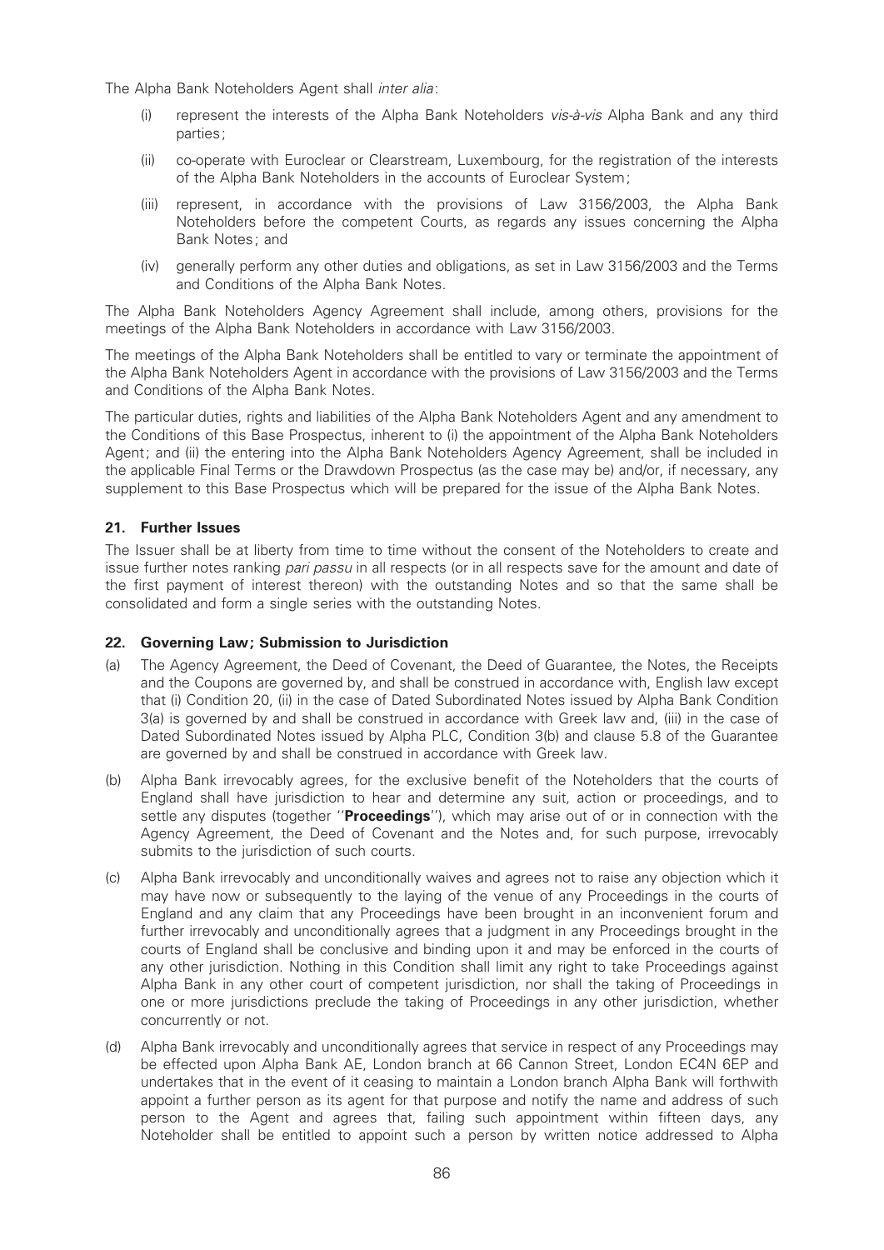The Alpha Bank Noteholders Agent shall inter alia:

- (i) represent the interests of the Alpha Bank Noteholders vis-à-vis Alpha Bank and any third parties;
- (ii) co-operate with Euroclear or Clearstream, Luxembourg, for the registration of the interests of the Alpha Bank Noteholders in the accounts of Euroclear System;
- (iii) represent, in accordance with the provisions of Law 3156/2003, the Alpha Bank Noteholders before the competent Courts, as regards any issues concerning the Alpha Bank Notes; and
- (iv) generally perform any other duties and obligations, as set in Law 3156/2003 and the Terms and Conditions of the Alpha Bank Notes.

The Alpha Bank Noteholders Agency Agreement shall include, among others, provisions for the meetings of the Alpha Bank Noteholders in accordance with Law 3156/2003.

The meetings of the Alpha Bank Noteholders shall be entitled to vary or terminate the appointment of the Alpha Bank Noteholders Agent in accordance with the provisions of Law 3156/2003 and the Terms and Conditions of the Alpha Bank Notes.

The particular duties, rights and liabilities of the Alpha Bank Noteholders Agent and any amendment to the Conditions of this Base Prospectus, inherent to (i) the appointment of the Alpha Bank Noteholders Agent; and (ii) the entering into the Alpha Bank Noteholders Agency Agreement, shall be included in the applicable Final Terms or the Drawdown Prospectus (as the case may be) and/or, if necessary, any supplement to this Base Prospectus which will be prepared for the issue of the Alpha Bank Notes.

# 21. Further Issues

The Issuer shall be at liberty from time to time without the consent of the Noteholders to create and issue further notes ranking pari passu in all respects (or in all respects save for the amount and date of the first payment of interest thereon) with the outstanding Notes and so that the same shall be consolidated and form a single series with the outstanding Notes.

#### 22. Governing Law; Submission to Jurisdiction

- (a) The Agency Agreement, the Deed of Covenant, the Deed of Guarantee, the Notes, the Receipts and the Coupons are governed by, and shall be construed in accordance with, English law except that (i) Condition 20, (ii) in the case of Dated Subordinated Notes issued by Alpha Bank Condition 3(a) is governed by and shall be construed in accordance with Greek law and, (iii) in the case of Dated Subordinated Notes issued by Alpha PLC, Condition 3(b) and clause 5.8 of the Guarantee are governed by and shall be construed in accordance with Greek law.
- (b) Alpha Bank irrevocably agrees, for the exclusive benefit of the Noteholders that the courts of England shall have jurisdiction to hear and determine any suit, action or proceedings, and to settle any disputes (together "Proceedings"), which may arise out of or in connection with the Agency Agreement, the Deed of Covenant and the Notes and, for such purpose, irrevocably submits to the jurisdiction of such courts.
- (c) Alpha Bank irrevocably and unconditionally waives and agrees not to raise any objection which it may have now or subsequently to the laying of the venue of any Proceedings in the courts of England and any claim that any Proceedings have been brought in an inconvenient forum and further irrevocably and unconditionally agrees that a judgment in any Proceedings brought in the courts of England shall be conclusive and binding upon it and may be enforced in the courts of any other jurisdiction. Nothing in this Condition shall limit any right to take Proceedings against Alpha Bank in any other court of competent jurisdiction, nor shall the taking of Proceedings in one or more jurisdictions preclude the taking of Proceedings in any other jurisdiction, whether concurrently or not.
- (d) Alpha Bank irrevocably and unconditionally agrees that service in respect of any Proceedings may be effected upon Alpha Bank AE, London branch at 66 Cannon Street, London EC4N 6EP and undertakes that in the event of it ceasing to maintain a London branch Alpha Bank will forthwith appoint a further person as its agent for that purpose and notify the name and address of such person to the Agent and agrees that, failing such appointment within fifteen days, any Noteholder shall be entitled to appoint such a person by written notice addressed to Alpha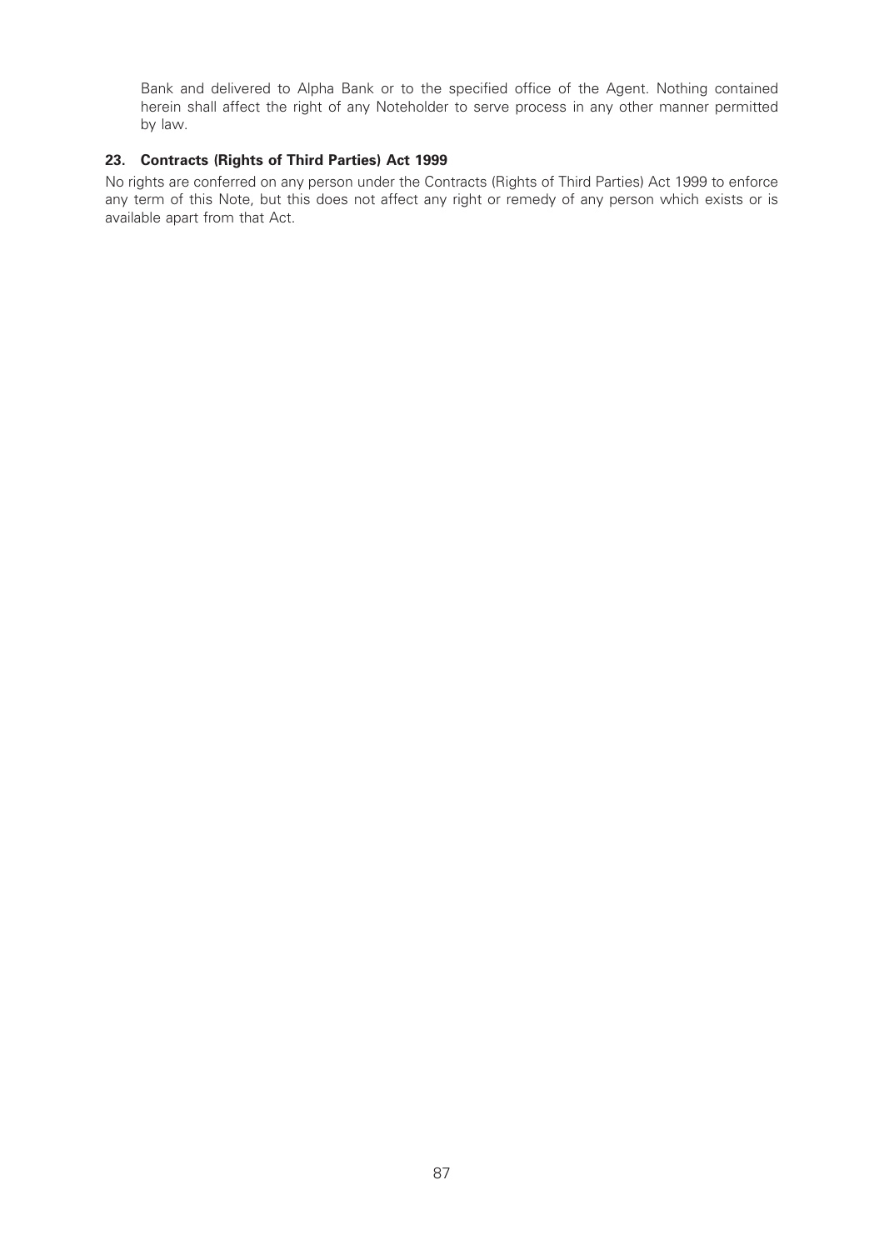Bank and delivered to Alpha Bank or to the specified office of the Agent. Nothing contained herein shall affect the right of any Noteholder to serve process in any other manner permitted by law.

# 23. Contracts (Rights of Third Parties) Act 1999

No rights are conferred on any person under the Contracts (Rights of Third Parties) Act 1999 to enforce any term of this Note, but this does not affect any right or remedy of any person which exists or is available apart from that Act.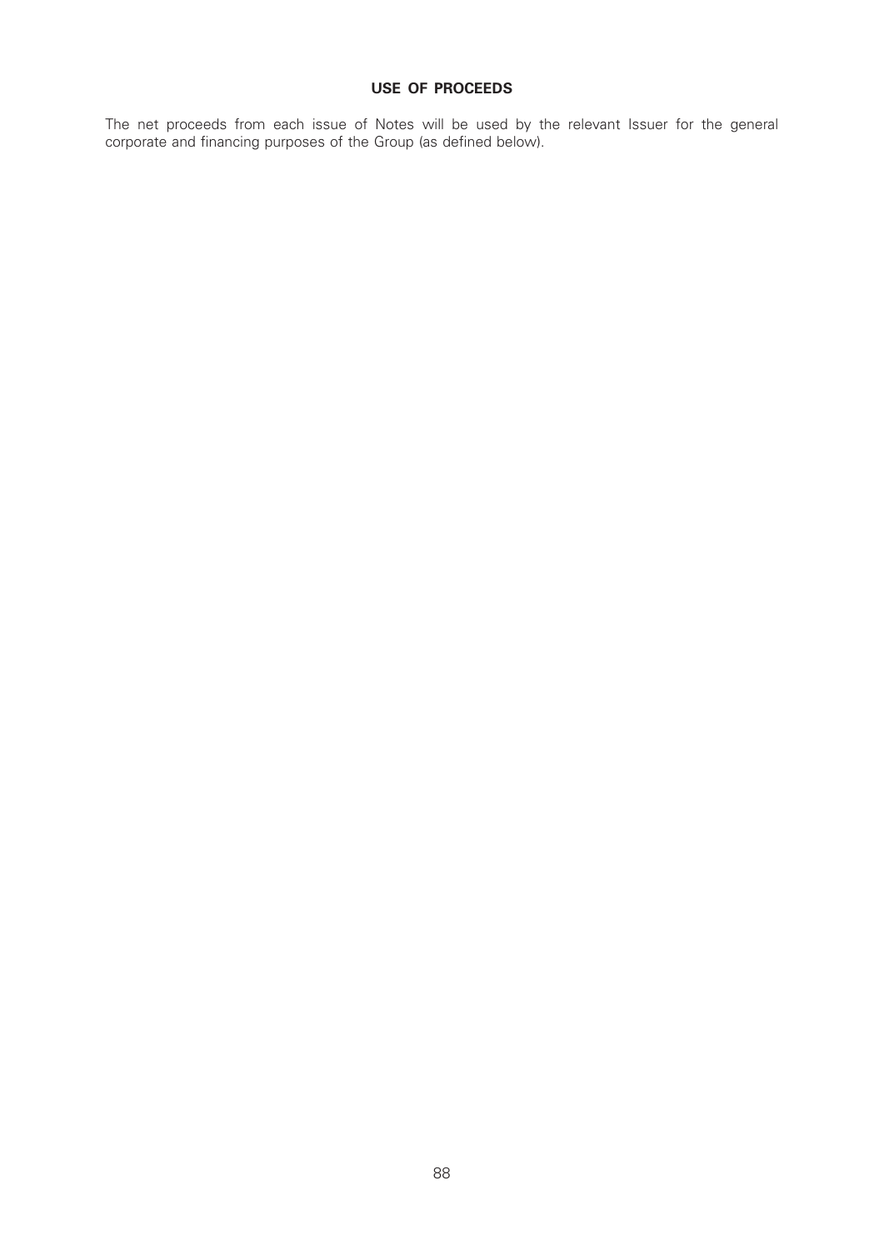## USE OF PROCEEDS

The net proceeds from each issue of Notes will be used by the relevant Issuer for the general corporate and financing purposes of the Group (as defined below).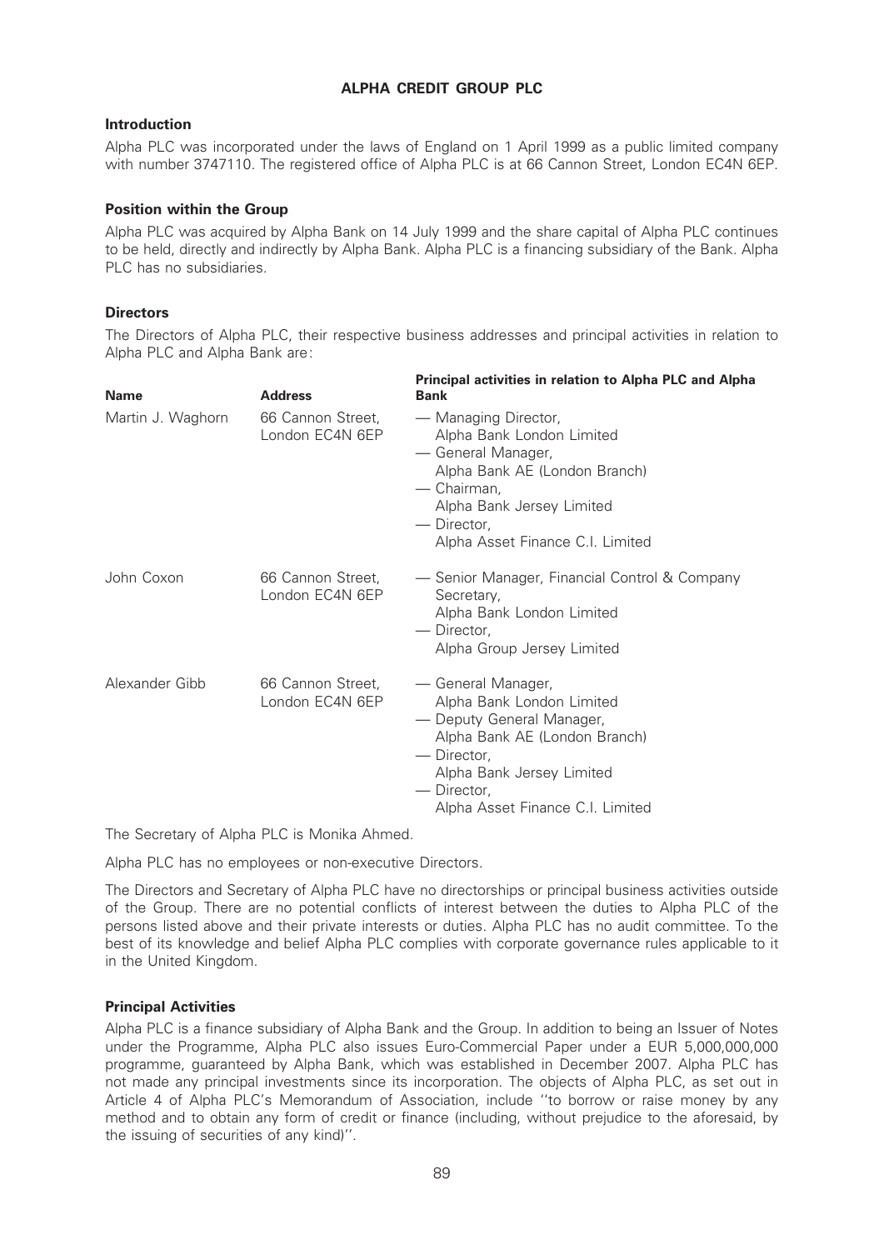# ALPHA CREDIT GROUP PLC

# Introduction

Alpha PLC was incorporated under the laws of England on 1 April 1999 as a public limited company with number 3747110. The registered office of Alpha PLC is at 66 Cannon Street, London EC4N 6EP.

# Position within the Group

Alpha PLC was acquired by Alpha Bank on 14 July 1999 and the share capital of Alpha PLC continues to be held, directly and indirectly by Alpha Bank. Alpha PLC is a financing subsidiary of the Bank. Alpha PLC has no subsidiaries.

# **Directors**

The Directors of Alpha PLC, their respective business addresses and principal activities in relation to Alpha PLC and Alpha Bank are:

| <b>Name</b>       | <b>Address</b>                       | Principal activities in relation to Alpha PLC and Alpha<br><b>Bank</b>                                                                                                                                       |
|-------------------|--------------------------------------|--------------------------------------------------------------------------------------------------------------------------------------------------------------------------------------------------------------|
| Martin J. Waghorn | 66 Cannon Street,<br>London EC4N 6EP | — Managing Director,<br>Alpha Bank London Limited<br>— General Manager,<br>Alpha Bank AE (London Branch)<br>— Chairman,<br>Alpha Bank Jersey Limited<br>— Director,<br>Alpha Asset Finance C.I. Limited      |
| John Coxon        | 66 Cannon Street,<br>London EC4N 6EP | - Senior Manager, Financial Control & Company<br>Secretary,<br>Alpha Bank London Limited<br>— Director,<br>Alpha Group Jersey Limited                                                                        |
| Alexander Gibb    | 66 Cannon Street,<br>London EC4N 6EP | — General Manager,<br>Alpha Bank London Limited<br>- Deputy General Manager,<br>Alpha Bank AE (London Branch)<br>— Director.<br>Alpha Bank Jersey Limited<br>— Director,<br>Alpha Asset Finance C.I. Limited |

The Secretary of Alpha PLC is Monika Ahmed.

Alpha PLC has no employees or non-executive Directors.

The Directors and Secretary of Alpha PLC have no directorships or principal business activities outside of the Group. There are no potential conflicts of interest between the duties to Alpha PLC of the persons listed above and their private interests or duties. Alpha PLC has no audit committee. To the best of its knowledge and belief Alpha PLC complies with corporate governance rules applicable to it in the United Kingdom.

# Principal Activities

Alpha PLC is a finance subsidiary of Alpha Bank and the Group. In addition to being an Issuer of Notes under the Programme, Alpha PLC also issues Euro-Commercial Paper under a EUR 5,000,000,000 programme, guaranteed by Alpha Bank, which was established in December 2007. Alpha PLC has not made any principal investments since its incorporation. The objects of Alpha PLC, as set out in Article 4 of Alpha PLC's Memorandum of Association, include ''to borrow or raise money by any method and to obtain any form of credit or finance (including, without prejudice to the aforesaid, by the issuing of securities of any kind)''.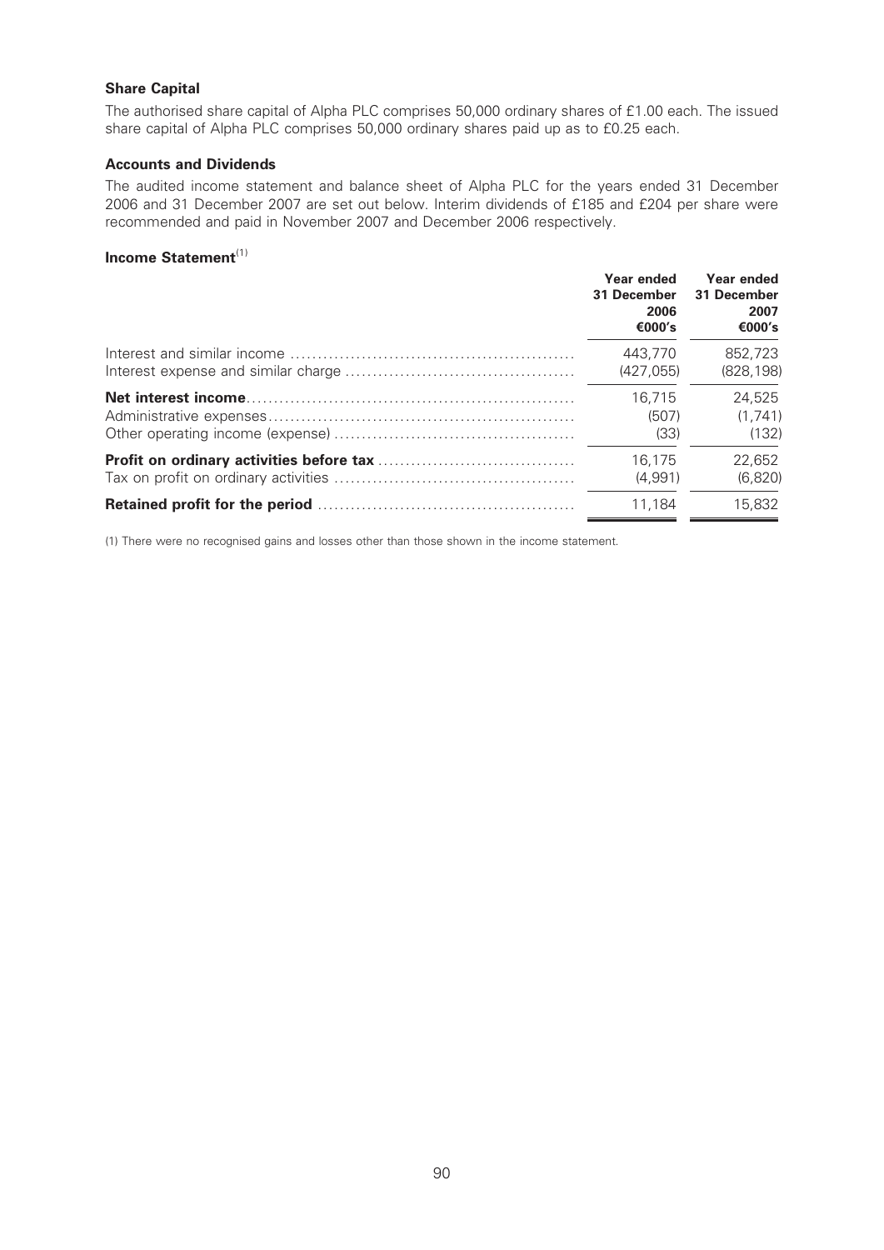# Share Capital

The authorised share capital of Alpha PLC comprises 50,000 ordinary shares of £1.00 each. The issued share capital of Alpha PLC comprises 50,000 ordinary shares paid up as to £0.25 each.

## Accounts and Dividends

The audited income statement and balance sheet of Alpha PLC for the years ended 31 December 2006 and 31 December 2007 are set out below. Interim dividends of £185 and £204 per share were recommended and paid in November 2007 and December 2006 respectively.

# Income Statement<sup>(1)</sup>

| Year ended<br>31 December<br>2006<br>€000's | Year ended<br>31 December<br>2007<br>€000′s |
|---------------------------------------------|---------------------------------------------|
| 443.770                                     | 852,723                                     |
| (427.055)                                   | (828.198)                                   |
| 16.715                                      | 24,525                                      |
| (507)                                       | (1.741)                                     |
| (33)                                        | (132)                                       |
| 16.175                                      | 22,652                                      |
| (4.991)                                     | (6.820)                                     |
| 11.184                                      |                                             |

(1) There were no recognised gains and losses other than those shown in the income statement.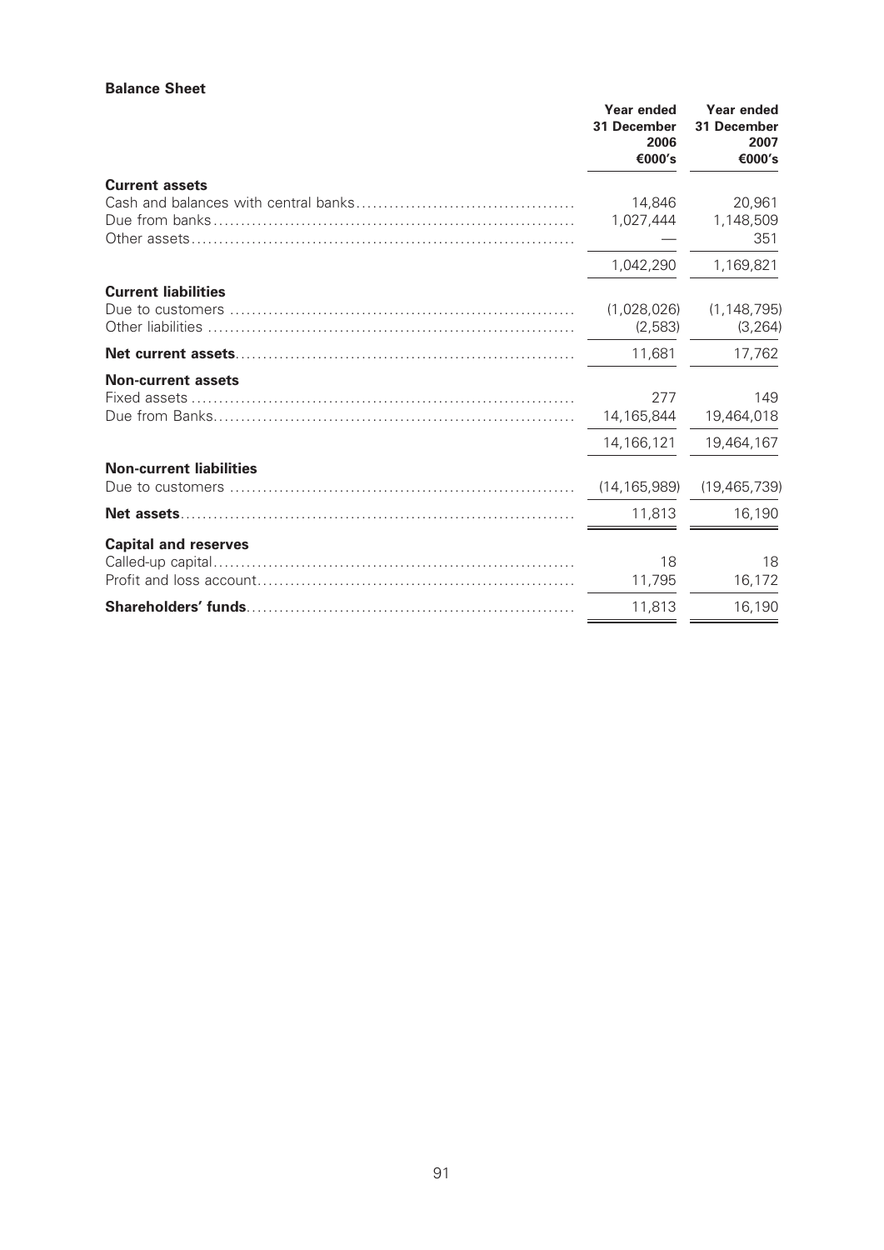#### Balance Sheet

|                                | Year ended<br>31 December<br>2006<br>€000's | Year ended<br>31 December<br>2007<br>€000's |
|--------------------------------|---------------------------------------------|---------------------------------------------|
| <b>Current assets</b>          | 14,846                                      | 20,961                                      |
|                                | 1,027,444                                   | 1,148,509<br>351                            |
|                                | 1,042,290                                   | 1,169,821                                   |
| <b>Current liabilities</b>     |                                             |                                             |
|                                | (1,028,026)<br>(2,583)                      | (1, 148, 795)<br>(3, 264)                   |
|                                | 11,681                                      | 17,762                                      |
| <b>Non-current assets</b>      | 277<br>14,165,844                           | 149<br>19,464,018                           |
|                                | 14,166,121                                  | 19,464,167                                  |
| <b>Non-current liabilities</b> |                                             |                                             |
|                                | (14, 165, 989)                              | (19, 465, 739)                              |
|                                | 11,813                                      | 16,190                                      |
| <b>Capital and reserves</b>    |                                             |                                             |
|                                | 18<br>11,795                                | 18<br>16,172                                |
|                                | 11,813                                      | 16,190                                      |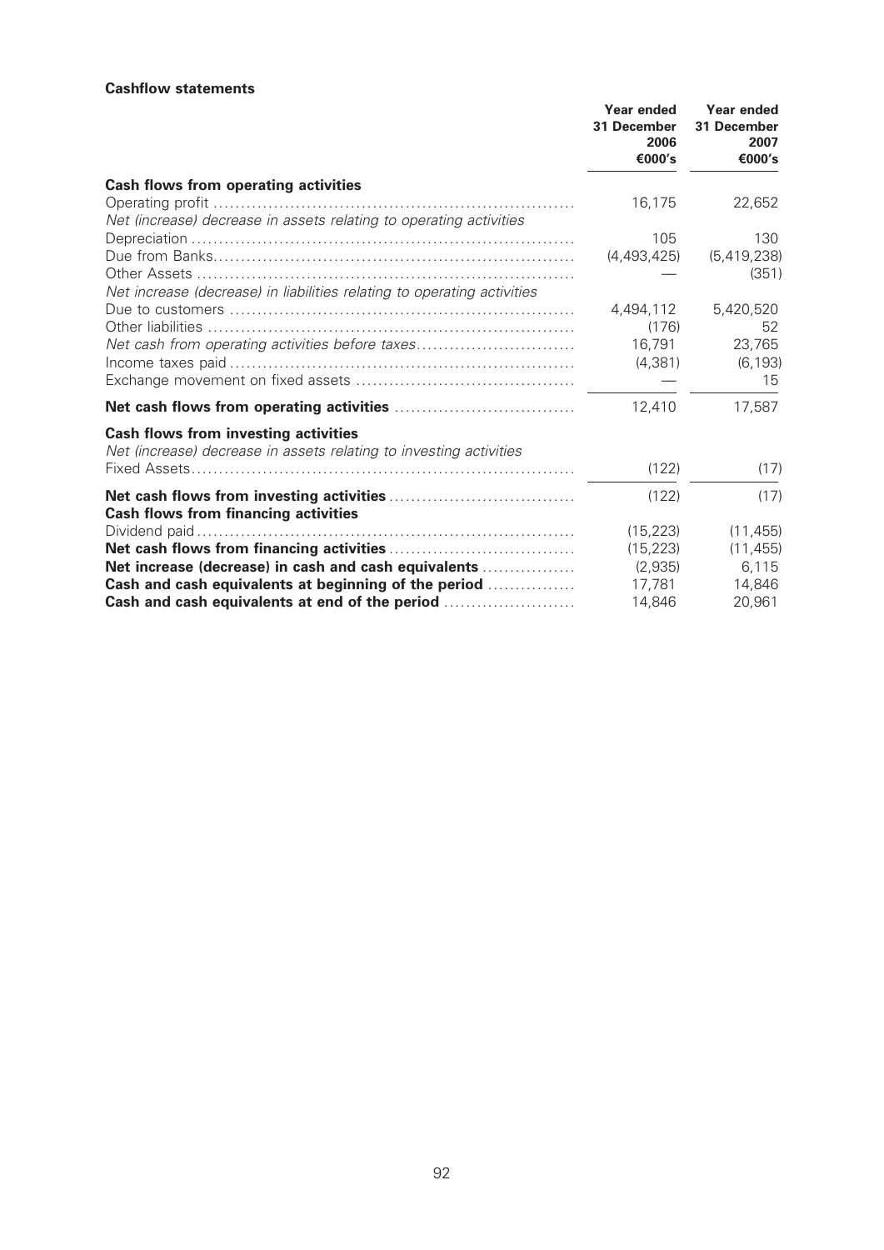#### **Cashflow statements**

|                                                                                                                   | Year ended<br>31 December<br>2006<br>€000's | Year ended<br>31 December<br>2007<br>€000's |
|-------------------------------------------------------------------------------------------------------------------|---------------------------------------------|---------------------------------------------|
| Cash flows from operating activities                                                                              |                                             |                                             |
| Net (increase) decrease in assets relating to operating activities                                                | 16,175                                      | 22,652                                      |
|                                                                                                                   | 105                                         | 130                                         |
|                                                                                                                   | (4,493,425)                                 | (5,419,238)<br>(351)                        |
| Net increase (decrease) in liabilities relating to operating activities                                           |                                             |                                             |
|                                                                                                                   | 4,494,112                                   | 5,420,520                                   |
|                                                                                                                   | (176)                                       | 52                                          |
| Net cash from operating activities before taxes                                                                   | 16,791                                      | 23,765                                      |
|                                                                                                                   | (4,381)                                     | (6, 193)<br>15                              |
|                                                                                                                   | 12,410                                      | 17,587                                      |
| <b>Cash flows from investing activities</b><br>Net (increase) decrease in assets relating to investing activities |                                             |                                             |
|                                                                                                                   | (122)                                       | (17)                                        |
| <b>Cash flows from financing activities</b>                                                                       | (122)                                       | (17)                                        |
|                                                                                                                   | (15.223)                                    | (11, 455)                                   |
|                                                                                                                   | (15, 223)                                   | (11, 455)                                   |
| Net increase (decrease) in cash and cash equivalents                                                              | (2,935)                                     | 6,115                                       |
| Cash and cash equivalents at beginning of the period                                                              | 17,781                                      | 14,846                                      |
| Cash and cash equivalents at end of the period                                                                    | 14,846                                      | 20,961                                      |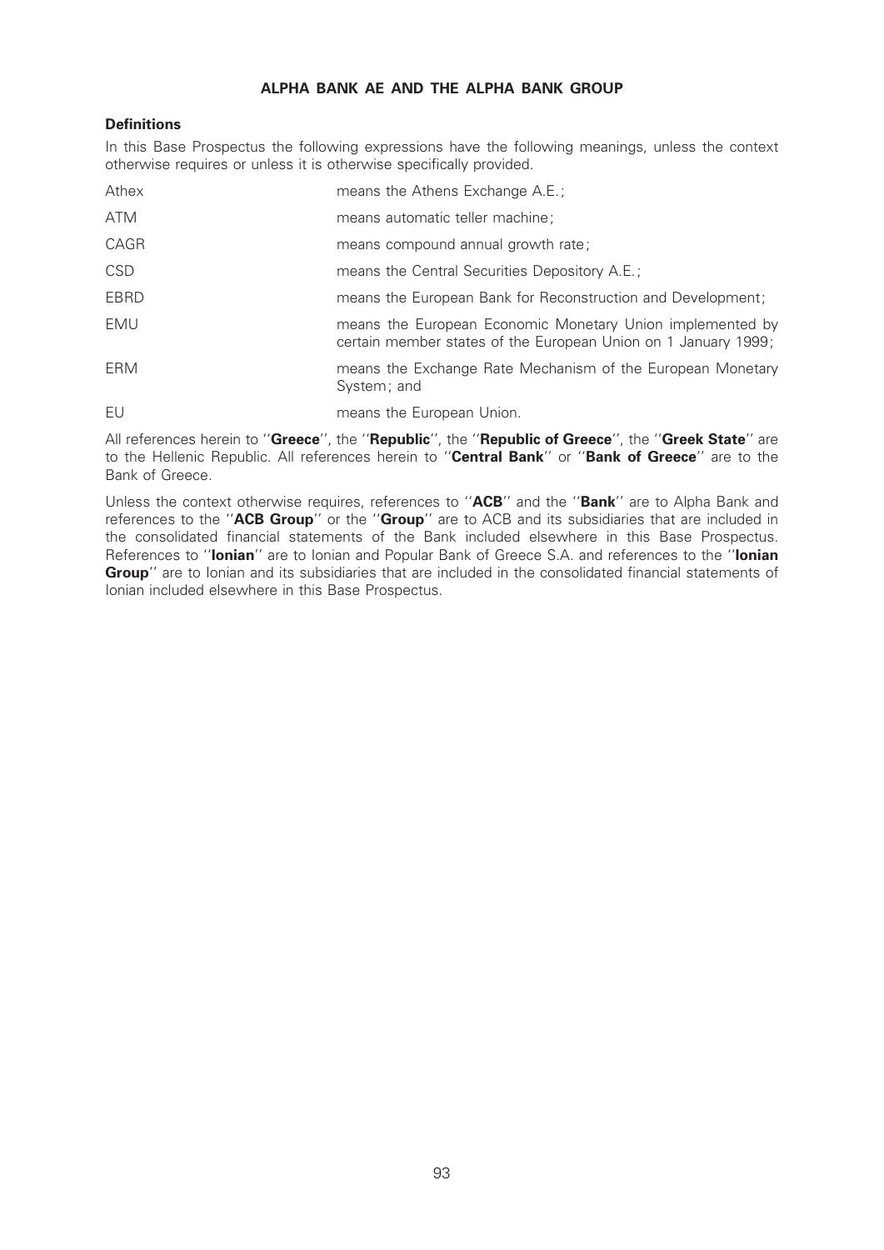# ALPHA BANK AE AND THE ALPHA BANK GROUP

# **Definitions**

In this Base Prospectus the following expressions have the following meanings, unless the context otherwise requires or unless it is otherwise specifically provided.

| Athex       | means the Athens Exchange A.E.;                                                                                             |
|-------------|-----------------------------------------------------------------------------------------------------------------------------|
| ATM         | means automatic teller machine;                                                                                             |
| CAGR        | means compound annual growth rate;                                                                                          |
| <b>CSD</b>  | means the Central Securities Depository A.E.;                                                                               |
| <b>EBRD</b> | means the European Bank for Reconstruction and Development;                                                                 |
| EMU         | means the European Economic Monetary Union implemented by<br>certain member states of the European Union on 1 January 1999; |
| ERM         | means the Exchange Rate Mechanism of the European Monetary<br>System; and                                                   |
| FU          | means the European Union.                                                                                                   |

All references herein to "Greece", the "Republic", the "Republic of Greece", the "Greek State" are to the Hellenic Republic. All references herein to "Central Bank" or "Bank of Greece" are to the Bank of Greece.

Unless the context otherwise requires, references to "ACB" and the "Bank" are to Alpha Bank and references to the "ACB Group" or the "Group" are to ACB and its subsidiaries that are included in the consolidated financial statements of the Bank included elsewhere in this Base Prospectus. References to "lonian" are to Ionian and Popular Bank of Greece S.A. and references to the "lonian Group" are to Ionian and its subsidiaries that are included in the consolidated financial statements of Ionian included elsewhere in this Base Prospectus.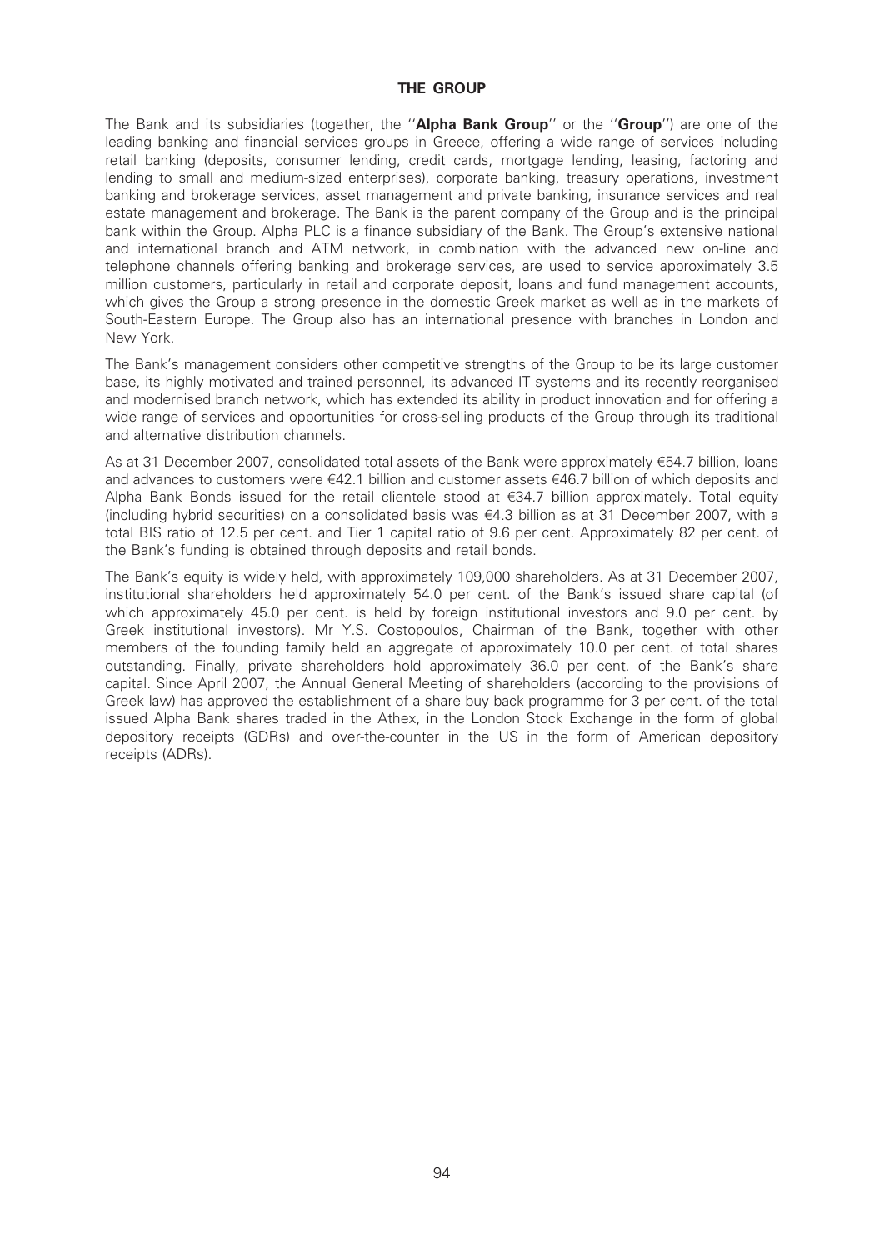## THE GROUP

The Bank and its subsidiaries (together, the "**Alpha Bank Group**" or the "**Group**") are one of the leading banking and financial services groups in Greece, offering a wide range of services including retail banking (deposits, consumer lending, credit cards, mortgage lending, leasing, factoring and lending to small and medium-sized enterprises), corporate banking, treasury operations, investment banking and brokerage services, asset management and private banking, insurance services and real estate management and brokerage. The Bank is the parent company of the Group and is the principal bank within the Group. Alpha PLC is a finance subsidiary of the Bank. The Group's extensive national and international branch and ATM network, in combination with the advanced new on-line and telephone channels offering banking and brokerage services, are used to service approximately 3.5 million customers, particularly in retail and corporate deposit, loans and fund management accounts, which gives the Group a strong presence in the domestic Greek market as well as in the markets of South-Eastern Europe. The Group also has an international presence with branches in London and New York.

The Bank's management considers other competitive strengths of the Group to be its large customer base, its highly motivated and trained personnel, its advanced IT systems and its recently reorganised and modernised branch network, which has extended its ability in product innovation and for offering a wide range of services and opportunities for cross-selling products of the Group through its traditional and alternative distribution channels.

As at 31 December 2007, consolidated total assets of the Bank were approximately e54.7 billion, loans and advances to customers were  $\epsilon$ 42.1 billion and customer assets  $\epsilon$ 46.7 billion of which deposits and Alpha Bank Bonds issued for the retail clientele stood at  $\epsilon$ 34.7 billion approximately. Total equity (including hybrid securities) on a consolidated basis was  $\epsilon$ 4.3 billion as at 31 December 2007, with a total BIS ratio of 12.5 per cent. and Tier 1 capital ratio of 9.6 per cent. Approximately 82 per cent. of the Bank's funding is obtained through deposits and retail bonds.

The Bank's equity is widely held, with approximately 109,000 shareholders. As at 31 December 2007, institutional shareholders held approximately 54.0 per cent. of the Bank's issued share capital (of which approximately 45.0 per cent. is held by foreign institutional investors and 9.0 per cent. by Greek institutional investors). Mr Y.S. Costopoulos, Chairman of the Bank, together with other members of the founding family held an aggregate of approximately 10.0 per cent. of total shares outstanding. Finally, private shareholders hold approximately 36.0 per cent. of the Bank's share capital. Since April 2007, the Annual General Meeting of shareholders (according to the provisions of Greek law) has approved the establishment of a share buy back programme for 3 per cent. of the total issued Alpha Bank shares traded in the Athex, in the London Stock Exchange in the form of global depository receipts (GDRs) and over-the-counter in the US in the form of American depository receipts (ADRs).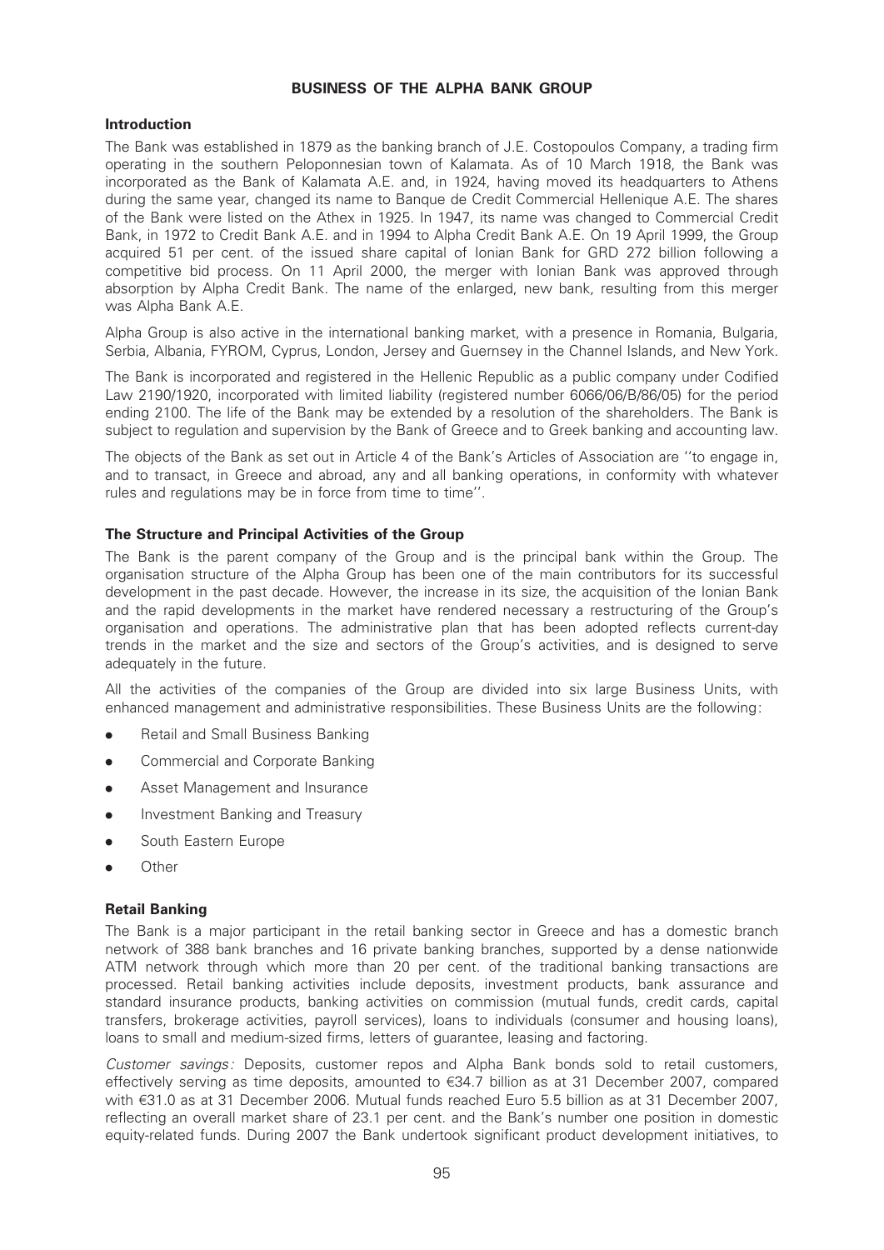## BUSINESS OF THE ALPHA BANK GROUP

# Introduction

The Bank was established in 1879 as the banking branch of J.E. Costopoulos Company, a trading firm operating in the southern Peloponnesian town of Kalamata. As of 10 March 1918, the Bank was incorporated as the Bank of Kalamata A.E. and, in 1924, having moved its headquarters to Athens during the same year, changed its name to Banque de Credit Commercial Hellenique A.E. The shares of the Bank were listed on the Athex in 1925. In 1947, its name was changed to Commercial Credit Bank, in 1972 to Credit Bank A.E. and in 1994 to Alpha Credit Bank A.E. On 19 April 1999, the Group acquired 51 per cent. of the issued share capital of Ionian Bank for GRD 272 billion following a competitive bid process. On 11 April 2000, the merger with Ionian Bank was approved through absorption by Alpha Credit Bank. The name of the enlarged, new bank, resulting from this merger was Alpha Bank A.E.

Alpha Group is also active in the international banking market, with a presence in Romania, Bulgaria, Serbia, Albania, FYROM, Cyprus, London, Jersey and Guernsey in the Channel Islands, and New York.

The Bank is incorporated and registered in the Hellenic Republic as a public company under Codified Law 2190/1920, incorporated with limited liability (registered number 6066/06/B/86/05) for the period ending 2100. The life of the Bank may be extended by a resolution of the shareholders. The Bank is subject to regulation and supervision by the Bank of Greece and to Greek banking and accounting law.

The objects of the Bank as set out in Article 4 of the Bank's Articles of Association are ''to engage in, and to transact, in Greece and abroad, any and all banking operations, in conformity with whatever rules and regulations may be in force from time to time''.

# The Structure and Principal Activities of the Group

The Bank is the parent company of the Group and is the principal bank within the Group. The organisation structure of the Alpha Group has been one of the main contributors for its successful development in the past decade. However, the increase in its size, the acquisition of the Ionian Bank and the rapid developments in the market have rendered necessary a restructuring of the Group's organisation and operations. The administrative plan that has been adopted reflects current-day trends in the market and the size and sectors of the Group's activities, and is designed to serve adequately in the future.

All the activities of the companies of the Group are divided into six large Business Units, with enhanced management and administrative responsibilities. These Business Units are the following:

- . Retail and Small Business Banking
- **•** Commercial and Corporate Banking
- . Asset Management and Insurance
- **.** Investment Banking and Treasury
- . South Eastern Europe
- . Other

#### Retail Banking

The Bank is a major participant in the retail banking sector in Greece and has a domestic branch network of 388 bank branches and 16 private banking branches, supported by a dense nationwide ATM network through which more than 20 per cent. of the traditional banking transactions are processed. Retail banking activities include deposits, investment products, bank assurance and standard insurance products, banking activities on commission (mutual funds, credit cards, capital transfers, brokerage activities, payroll services), loans to individuals (consumer and housing loans), loans to small and medium-sized firms, letters of guarantee, leasing and factoring.

Customer savings: Deposits, customer repos and Alpha Bank bonds sold to retail customers, effectively serving as time deposits, amounted to  $€34.7$  billion as at 31 December 2007, compared with e31.0 as at 31 December 2006. Mutual funds reached Euro 5.5 billion as at 31 December 2007, reflecting an overall market share of 23.1 per cent. and the Bank's number one position in domestic equity-related funds. During 2007 the Bank undertook significant product development initiatives, to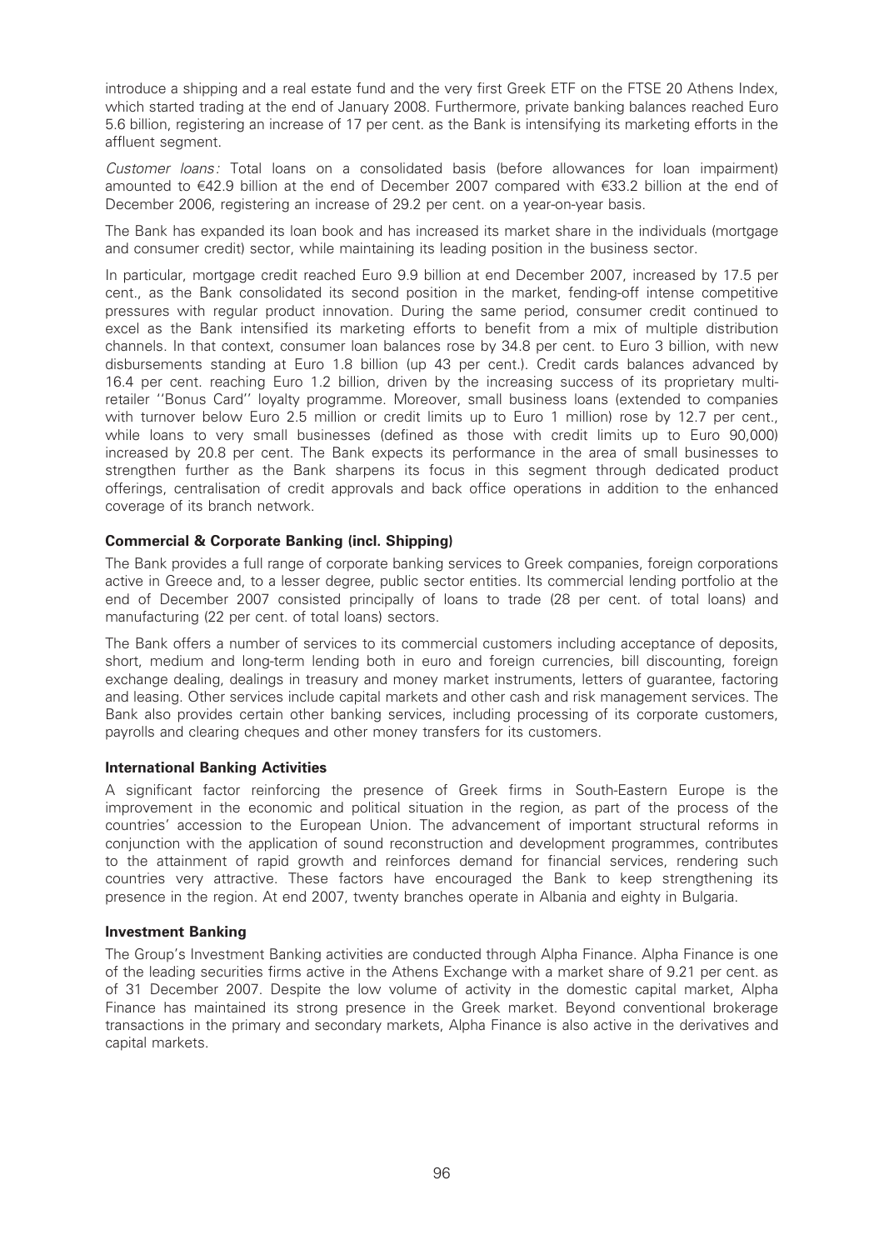introduce a shipping and a real estate fund and the very first Greek ETF on the FTSE 20 Athens Index, which started trading at the end of January 2008. Furthermore, private banking balances reached Euro 5.6 billion, registering an increase of 17 per cent. as the Bank is intensifying its marketing efforts in the affluent segment.

Customer loans: Total loans on a consolidated basis (before allowances for loan impairment) amounted to €42.9 billion at the end of December 2007 compared with €33.2 billion at the end of December 2006, registering an increase of 29.2 per cent. on a year-on-year basis.

The Bank has expanded its loan book and has increased its market share in the individuals (mortgage and consumer credit) sector, while maintaining its leading position in the business sector.

In particular, mortgage credit reached Euro 9.9 billion at end December 2007, increased by 17.5 per cent., as the Bank consolidated its second position in the market, fending-off intense competitive pressures with regular product innovation. During the same period, consumer credit continued to excel as the Bank intensified its marketing efforts to benefit from a mix of multiple distribution channels. In that context, consumer loan balances rose by 34.8 per cent. to Euro 3 billion, with new disbursements standing at Euro 1.8 billion (up 43 per cent.). Credit cards balances advanced by 16.4 per cent. reaching Euro 1.2 billion, driven by the increasing success of its proprietary multiretailer ''Bonus Card'' loyalty programme. Moreover, small business loans (extended to companies with turnover below Euro 2.5 million or credit limits up to Euro 1 million) rose by 12.7 per cent., while loans to very small businesses (defined as those with credit limits up to Euro 90,000) increased by 20.8 per cent. The Bank expects its performance in the area of small businesses to strengthen further as the Bank sharpens its focus in this segment through dedicated product offerings, centralisation of credit approvals and back office operations in addition to the enhanced coverage of its branch network.

## Commercial & Corporate Banking (incl. Shipping)

The Bank provides a full range of corporate banking services to Greek companies, foreign corporations active in Greece and, to a lesser degree, public sector entities. Its commercial lending portfolio at the end of December 2007 consisted principally of loans to trade (28 per cent. of total loans) and manufacturing (22 per cent. of total loans) sectors.

The Bank offers a number of services to its commercial customers including acceptance of deposits, short, medium and long-term lending both in euro and foreign currencies, bill discounting, foreign exchange dealing, dealings in treasury and money market instruments, letters of guarantee, factoring and leasing. Other services include capital markets and other cash and risk management services. The Bank also provides certain other banking services, including processing of its corporate customers, payrolls and clearing cheques and other money transfers for its customers.

#### International Banking Activities

A significant factor reinforcing the presence of Greek firms in South-Eastern Europe is the improvement in the economic and political situation in the region, as part of the process of the countries' accession to the European Union. The advancement of important structural reforms in conjunction with the application of sound reconstruction and development programmes, contributes to the attainment of rapid growth and reinforces demand for financial services, rendering such countries very attractive. These factors have encouraged the Bank to keep strengthening its presence in the region. At end 2007, twenty branches operate in Albania and eighty in Bulgaria.

#### Investment Banking

The Group's Investment Banking activities are conducted through Alpha Finance. Alpha Finance is one of the leading securities firms active in the Athens Exchange with a market share of 9.21 per cent. as of 31 December 2007. Despite the low volume of activity in the domestic capital market, Alpha Finance has maintained its strong presence in the Greek market. Beyond conventional brokerage transactions in the primary and secondary markets, Alpha Finance is also active in the derivatives and capital markets.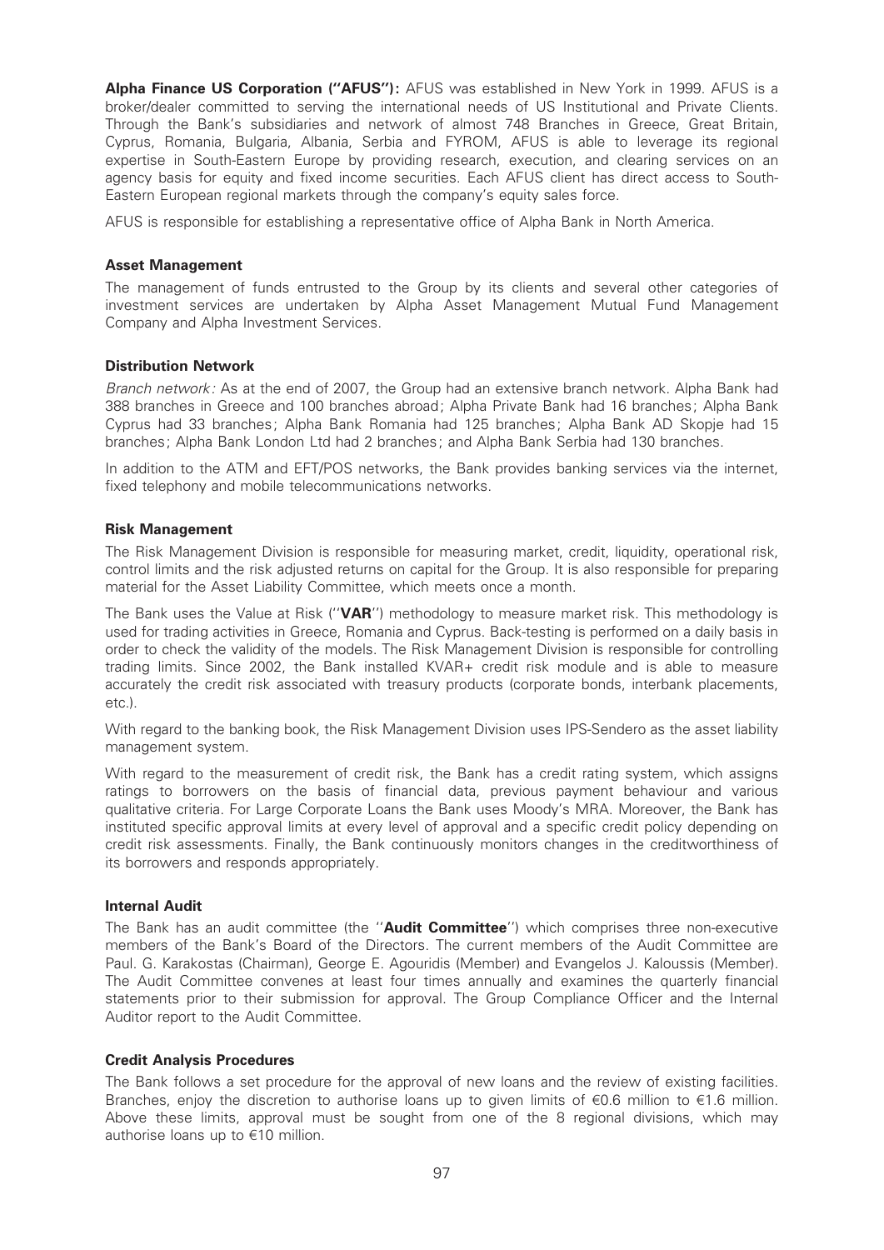Alpha Finance US Corporation ("AFUS"): AFUS was established in New York in 1999. AFUS is a broker/dealer committed to serving the international needs of US Institutional and Private Clients. Through the Bank's subsidiaries and network of almost 748 Branches in Greece, Great Britain, Cyprus, Romania, Bulgaria, Albania, Serbia and FYROM, AFUS is able to leverage its regional expertise in South-Eastern Europe by providing research, execution, and clearing services on an agency basis for equity and fixed income securities. Each AFUS client has direct access to South-Eastern European regional markets through the company's equity sales force.

AFUS is responsible for establishing a representative office of Alpha Bank in North America.

## Asset Management

The management of funds entrusted to the Group by its clients and several other categories of investment services are undertaken by Alpha Asset Management Mutual Fund Management Company and Alpha Investment Services.

## Distribution Network

Branch network: As at the end of 2007, the Group had an extensive branch network. Alpha Bank had 388 branches in Greece and 100 branches abroad; Alpha Private Bank had 16 branches; Alpha Bank Cyprus had 33 branches; Alpha Bank Romania had 125 branches; Alpha Bank AD Skopje had 15 branches; Alpha Bank London Ltd had 2 branches; and Alpha Bank Serbia had 130 branches.

In addition to the ATM and EFT/POS networks, the Bank provides banking services via the internet, fixed telephony and mobile telecommunications networks.

## Risk Management

The Risk Management Division is responsible for measuring market, credit, liquidity, operational risk, control limits and the risk adjusted returns on capital for the Group. It is also responsible for preparing material for the Asset Liability Committee, which meets once a month.

The Bank uses the Value at Risk ("VAR") methodology to measure market risk. This methodology is used for trading activities in Greece, Romania and Cyprus. Back-testing is performed on a daily basis in order to check the validity of the models. The Risk Management Division is responsible for controlling trading limits. Since 2002, the Bank installed KVAR+ credit risk module and is able to measure accurately the credit risk associated with treasury products (corporate bonds, interbank placements, etc.).

With regard to the banking book, the Risk Management Division uses IPS-Sendero as the asset liability management system.

With regard to the measurement of credit risk, the Bank has a credit rating system, which assigns ratings to borrowers on the basis of financial data, previous payment behaviour and various qualitative criteria. For Large Corporate Loans the Bank uses Moody's MRA. Moreover, the Bank has instituted specific approval limits at every level of approval and a specific credit policy depending on credit risk assessments. Finally, the Bank continuously monitors changes in the creditworthiness of its borrowers and responds appropriately.

## Internal Audit

The Bank has an audit committee (the "**Audit Committee**") which comprises three non-executive members of the Bank's Board of the Directors. The current members of the Audit Committee are Paul. G. Karakostas (Chairman), George E. Agouridis (Member) and Evangelos J. Kaloussis (Member). The Audit Committee convenes at least four times annually and examines the quarterly financial statements prior to their submission for approval. The Group Compliance Officer and the Internal Auditor report to the Audit Committee.

# Credit Analysis Procedures

The Bank follows a set procedure for the approval of new loans and the review of existing facilities. Branches, enjoy the discretion to authorise loans up to given limits of  $\epsilon$ 0.6 million to  $\epsilon$ 1.6 million. Above these limits, approval must be sought from one of the 8 regional divisions, which may authorise loans up to  $\epsilon$ 10 million.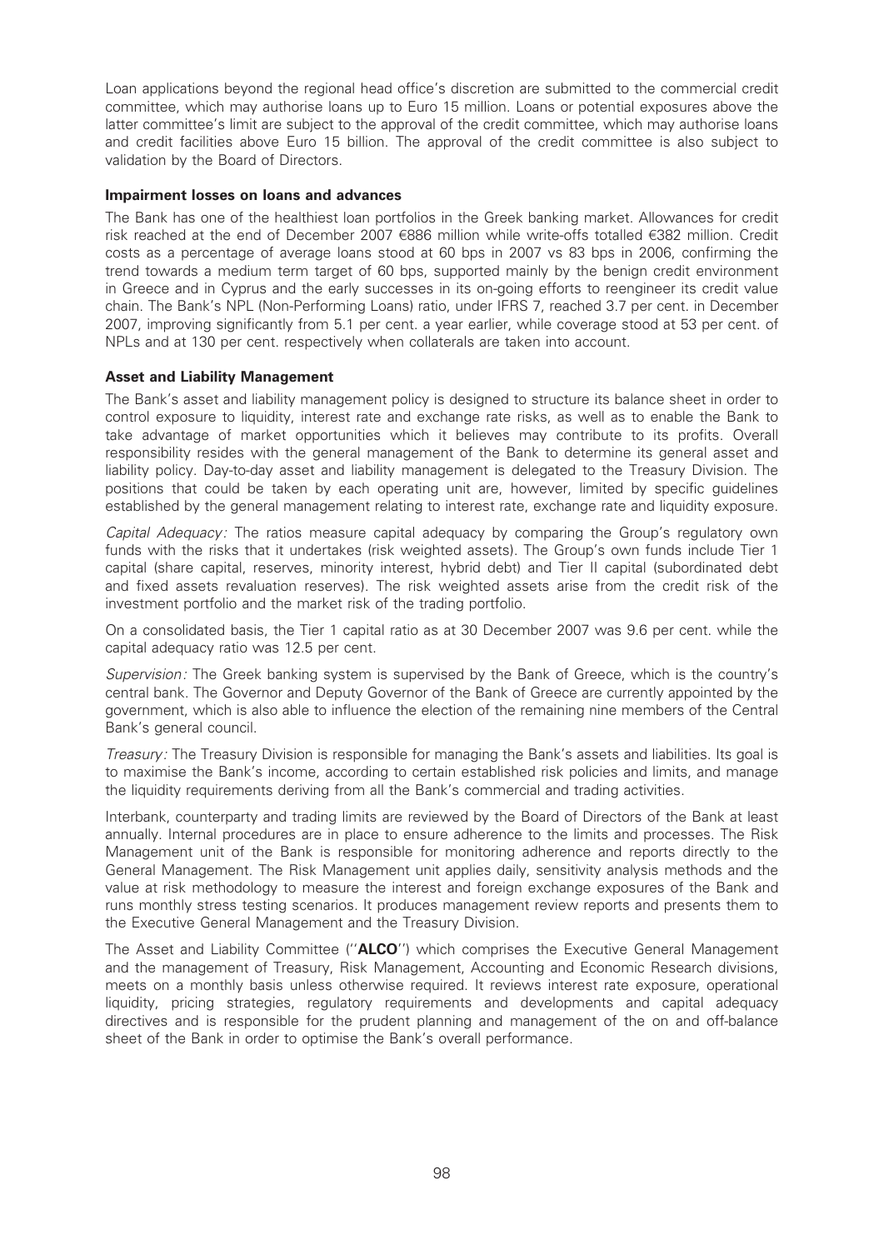Loan applications beyond the regional head office's discretion are submitted to the commercial credit committee, which may authorise loans up to Euro 15 million. Loans or potential exposures above the latter committee's limit are subject to the approval of the credit committee, which may authorise loans and credit facilities above Euro 15 billion. The approval of the credit committee is also subject to validation by the Board of Directors.

## Impairment losses on loans and advances

The Bank has one of the healthiest loan portfolios in the Greek banking market. Allowances for credit risk reached at the end of December 2007 €886 million while write-offs totalled €382 million. Credit costs as a percentage of average loans stood at 60 bps in 2007 vs 83 bps in 2006, confirming the trend towards a medium term target of 60 bps, supported mainly by the benign credit environment in Greece and in Cyprus and the early successes in its on-going efforts to reengineer its credit value chain. The Bank's NPL (Non-Performing Loans) ratio, under IFRS 7, reached 3.7 per cent. in December 2007, improving significantly from 5.1 per cent. a year earlier, while coverage stood at 53 per cent. of NPLs and at 130 per cent. respectively when collaterals are taken into account.

## Asset and Liability Management

The Bank's asset and liability management policy is designed to structure its balance sheet in order to control exposure to liquidity, interest rate and exchange rate risks, as well as to enable the Bank to take advantage of market opportunities which it believes may contribute to its profits. Overall responsibility resides with the general management of the Bank to determine its general asset and liability policy. Day-to-day asset and liability management is delegated to the Treasury Division. The positions that could be taken by each operating unit are, however, limited by specific guidelines established by the general management relating to interest rate, exchange rate and liquidity exposure.

Capital Adequacy: The ratios measure capital adequacy by comparing the Group's regulatory own funds with the risks that it undertakes (risk weighted assets). The Group's own funds include Tier 1 capital (share capital, reserves, minority interest, hybrid debt) and Tier II capital (subordinated debt and fixed assets revaluation reserves). The risk weighted assets arise from the credit risk of the investment portfolio and the market risk of the trading portfolio.

On a consolidated basis, the Tier 1 capital ratio as at 30 December 2007 was 9.6 per cent. while the capital adequacy ratio was 12.5 per cent.

Supervision: The Greek banking system is supervised by the Bank of Greece, which is the country's central bank. The Governor and Deputy Governor of the Bank of Greece are currently appointed by the government, which is also able to influence the election of the remaining nine members of the Central Bank's general council.

Treasury: The Treasury Division is responsible for managing the Bank's assets and liabilities. Its goal is to maximise the Bank's income, according to certain established risk policies and limits, and manage the liquidity requirements deriving from all the Bank's commercial and trading activities.

Interbank, counterparty and trading limits are reviewed by the Board of Directors of the Bank at least annually. Internal procedures are in place to ensure adherence to the limits and processes. The Risk Management unit of the Bank is responsible for monitoring adherence and reports directly to the General Management. The Risk Management unit applies daily, sensitivity analysis methods and the value at risk methodology to measure the interest and foreign exchange exposures of the Bank and runs monthly stress testing scenarios. It produces management review reports and presents them to the Executive General Management and the Treasury Division.

The Asset and Liability Committee ("ALCO") which comprises the Executive General Management and the management of Treasury, Risk Management, Accounting and Economic Research divisions, meets on a monthly basis unless otherwise required. It reviews interest rate exposure, operational liquidity, pricing strategies, regulatory requirements and developments and capital adequacy directives and is responsible for the prudent planning and management of the on and off-balance sheet of the Bank in order to optimise the Bank's overall performance.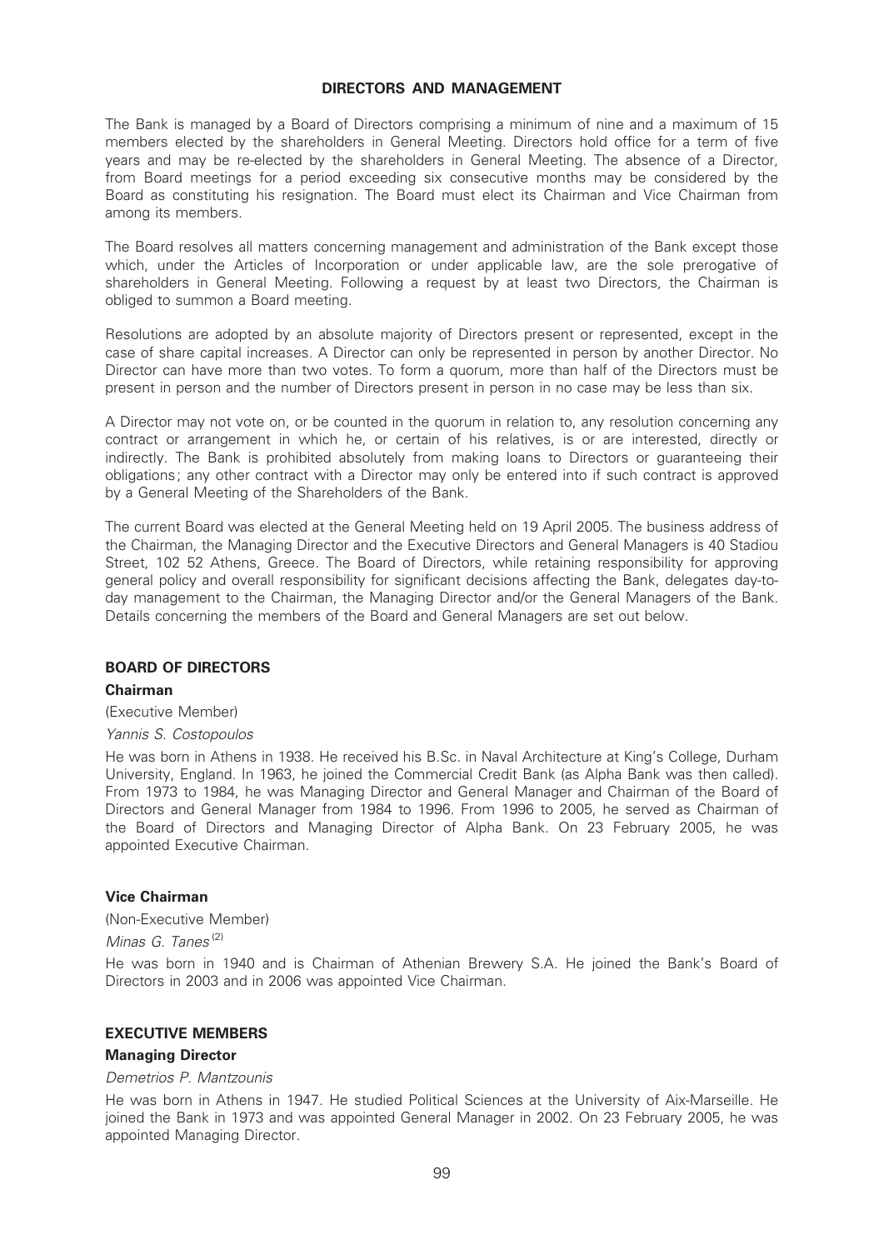#### DIRECTORS AND MANAGEMENT

The Bank is managed by a Board of Directors comprising a minimum of nine and a maximum of 15 members elected by the shareholders in General Meeting. Directors hold office for a term of five years and may be re-elected by the shareholders in General Meeting. The absence of a Director, from Board meetings for a period exceeding six consecutive months may be considered by the Board as constituting his resignation. The Board must elect its Chairman and Vice Chairman from among its members.

The Board resolves all matters concerning management and administration of the Bank except those which, under the Articles of Incorporation or under applicable law, are the sole prerogative of shareholders in General Meeting. Following a request by at least two Directors, the Chairman is obliged to summon a Board meeting.

Resolutions are adopted by an absolute majority of Directors present or represented, except in the case of share capital increases. A Director can only be represented in person by another Director. No Director can have more than two votes. To form a quorum, more than half of the Directors must be present in person and the number of Directors present in person in no case may be less than six.

A Director may not vote on, or be counted in the quorum in relation to, any resolution concerning any contract or arrangement in which he, or certain of his relatives, is or are interested, directly or indirectly. The Bank is prohibited absolutely from making loans to Directors or guaranteeing their obligations; any other contract with a Director may only be entered into if such contract is approved by a General Meeting of the Shareholders of the Bank.

The current Board was elected at the General Meeting held on 19 April 2005. The business address of the Chairman, the Managing Director and the Executive Directors and General Managers is 40 Stadiou Street, 102 52 Athens, Greece. The Board of Directors, while retaining responsibility for approving general policy and overall responsibility for significant decisions affecting the Bank, delegates day-today management to the Chairman, the Managing Director and/or the General Managers of the Bank. Details concerning the members of the Board and General Managers are set out below.

# BOARD OF DIRECTORS

# Chairman

(Executive Member)

#### Yannis S. Costopoulos

He was born in Athens in 1938. He received his B.Sc. in Naval Architecture at King's College, Durham University, England. In 1963, he joined the Commercial Credit Bank (as Alpha Bank was then called). From 1973 to 1984, he was Managing Director and General Manager and Chairman of the Board of Directors and General Manager from 1984 to 1996. From 1996 to 2005, he served as Chairman of the Board of Directors and Managing Director of Alpha Bank. On 23 February 2005, he was appointed Executive Chairman.

#### Vice Chairman

(Non-Executive Member)

Minas G. Tanes<sup>(2)</sup>

He was born in 1940 and is Chairman of Athenian Brewery S.A. He joined the Bank's Board of Directors in 2003 and in 2006 was appointed Vice Chairman.

#### EXECUTIVE MEMBERS

#### Managing Director

#### Demetrios P. Mantzounis

He was born in Athens in 1947. He studied Political Sciences at the University of Aix-Marseille. He joined the Bank in 1973 and was appointed General Manager in 2002. On 23 February 2005, he was appointed Managing Director.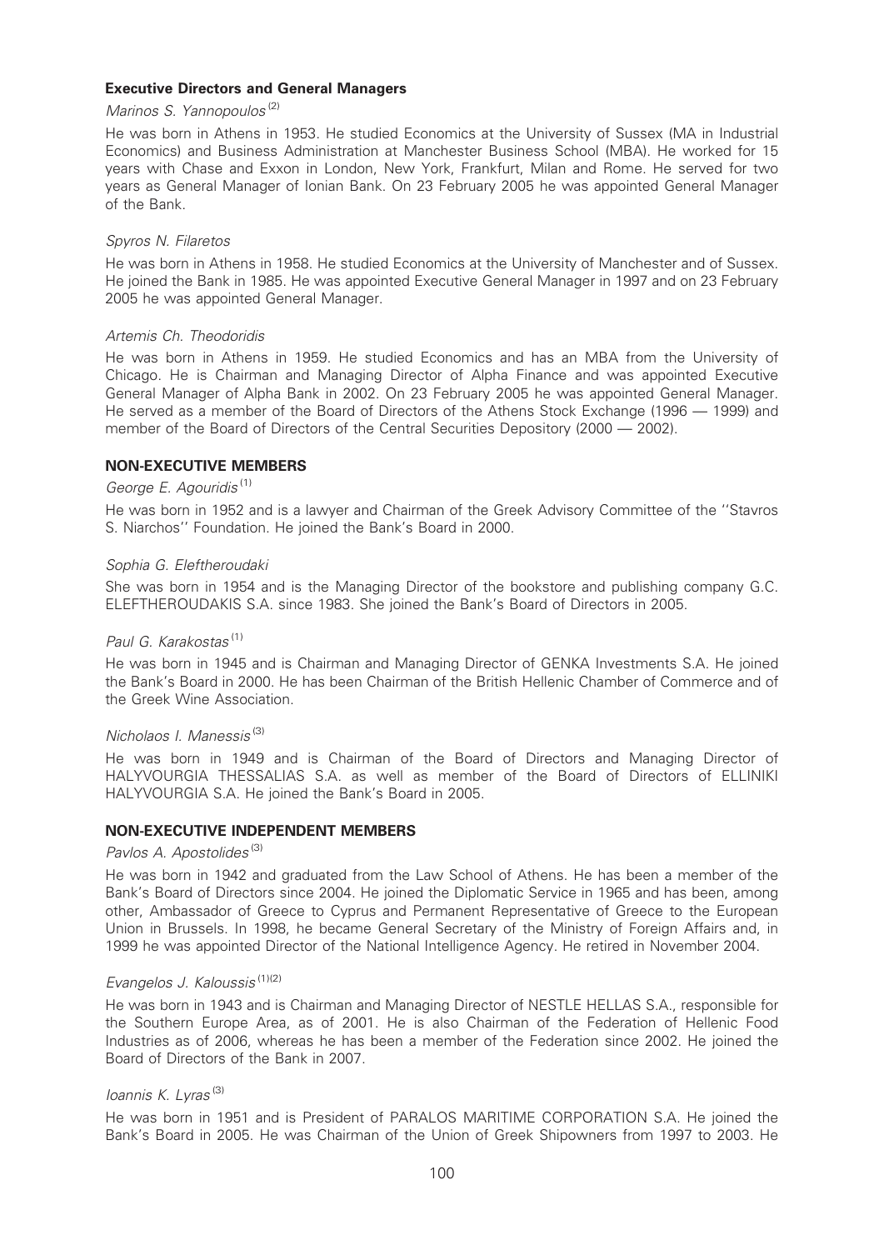## Executive Directors and General Managers

## Marinos S. Yannopoulos (2)

He was born in Athens in 1953. He studied Economics at the University of Sussex (MA in Industrial Economics) and Business Administration at Manchester Business School (MBA). He worked for 15 years with Chase and Exxon in London, New York, Frankfurt, Milan and Rome. He served for two years as General Manager of Ionian Bank. On 23 February 2005 he was appointed General Manager of the Bank.

#### Spyros N. Filaretos

He was born in Athens in 1958. He studied Economics at the University of Manchester and of Sussex. He joined the Bank in 1985. He was appointed Executive General Manager in 1997 and on 23 February 2005 he was appointed General Manager.

#### Artemis Ch. Theodoridis

He was born in Athens in 1959. He studied Economics and has an MBA from the University of Chicago. He is Chairman and Managing Director of Alpha Finance and was appointed Executive General Manager of Alpha Bank in 2002. On 23 February 2005 he was appointed General Manager. He served as a member of the Board of Directors of the Athens Stock Exchange (1996 – 1999) and member of the Board of Directors of the Central Securities Depository (2000 - 2002).

## NON-EXECUTIVE MEMBERS

# George E. Agouridis<sup>(1)</sup>

He was born in 1952 and is a lawyer and Chairman of the Greek Advisory Committee of the ''Stavros S. Niarchos'' Foundation. He joined the Bank's Board in 2000.

#### Sophia G. Eleftheroudaki

She was born in 1954 and is the Managing Director of the bookstore and publishing company G.C. ELEFTHEROUDAKIS S.A. since 1983. She joined the Bank's Board of Directors in 2005.

#### Paul G. Karakostas<sup>(1)</sup>

He was born in 1945 and is Chairman and Managing Director of GENKA Investments S.A. He joined the Bank's Board in 2000. He has been Chairman of the British Hellenic Chamber of Commerce and of the Greek Wine Association.

# Nicholaos I. Manessis<sup>(3)</sup>

He was born in 1949 and is Chairman of the Board of Directors and Managing Director of HALYVOURGIA THESSALIAS S.A. as well as member of the Board of Directors of ELLINIKI HALYVOURGIA S.A. He joined the Bank's Board in 2005.

## NON-EXECUTIVE INDEPENDENT MEMBERS

## Pavlos A. Apostolides<sup>(3)</sup>

He was born in 1942 and graduated from the Law School of Athens. He has been a member of the Bank's Board of Directors since 2004. He joined the Diplomatic Service in 1965 and has been, among other, Ambassador of Greece to Cyprus and Permanent Representative of Greece to the European Union in Brussels. In 1998, he became General Secretary of the Ministry of Foreign Affairs and, in 1999 he was appointed Director of the National Intelligence Agency. He retired in November 2004.

# Evangelos J. Kaloussis (1)(2)

He was born in 1943 and is Chairman and Managing Director of NESTLE HELLAS S.A., responsible for the Southern Europe Area, as of 2001. He is also Chairman of the Federation of Hellenic Food Industries as of 2006, whereas he has been a member of the Federation since 2002. He joined the Board of Directors of the Bank in 2007.

## Ioannis K. Lyras<sup>(3)</sup>

He was born in 1951 and is President of PARALOS MARITIME CORPORATION S.A. He joined the Bank's Board in 2005. He was Chairman of the Union of Greek Shipowners from 1997 to 2003. He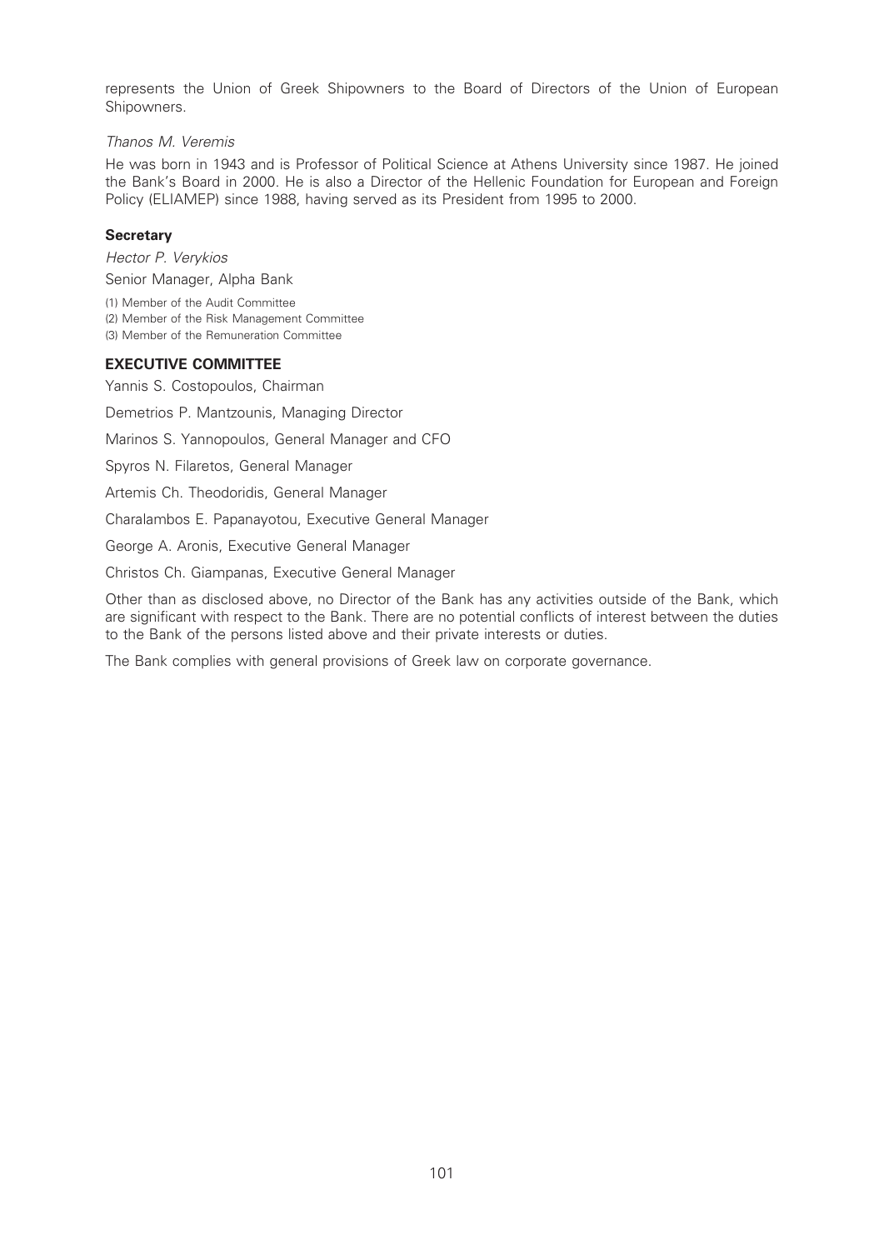represents the Union of Greek Shipowners to the Board of Directors of the Union of European Shipowners.

## Thanos M. Veremis

He was born in 1943 and is Professor of Political Science at Athens University since 1987. He joined the Bank's Board in 2000. He is also a Director of the Hellenic Foundation for European and Foreign Policy (ELIAMEP) since 1988, having served as its President from 1995 to 2000.

## **Secretary**

Hector P. Verykios

Senior Manager, Alpha Bank

(1) Member of the Audit Committee

(2) Member of the Risk Management Committee (3) Member of the Remuneration Committee

## EXECUTIVE COMMITTEE

Yannis S. Costopoulos, Chairman

Demetrios P. Mantzounis, Managing Director

Marinos S. Yannopoulos, General Manager and CFO

Spyros N. Filaretos, General Manager

Artemis Ch. Theodoridis, General Manager

Charalambos E. Papanayotou, Executive General Manager

George A. Aronis, Executive General Manager

Christos Ch. Giampanas, Executive General Manager

Other than as disclosed above, no Director of the Bank has any activities outside of the Bank, which are significant with respect to the Bank. There are no potential conflicts of interest between the duties to the Bank of the persons listed above and their private interests or duties.

The Bank complies with general provisions of Greek law on corporate governance.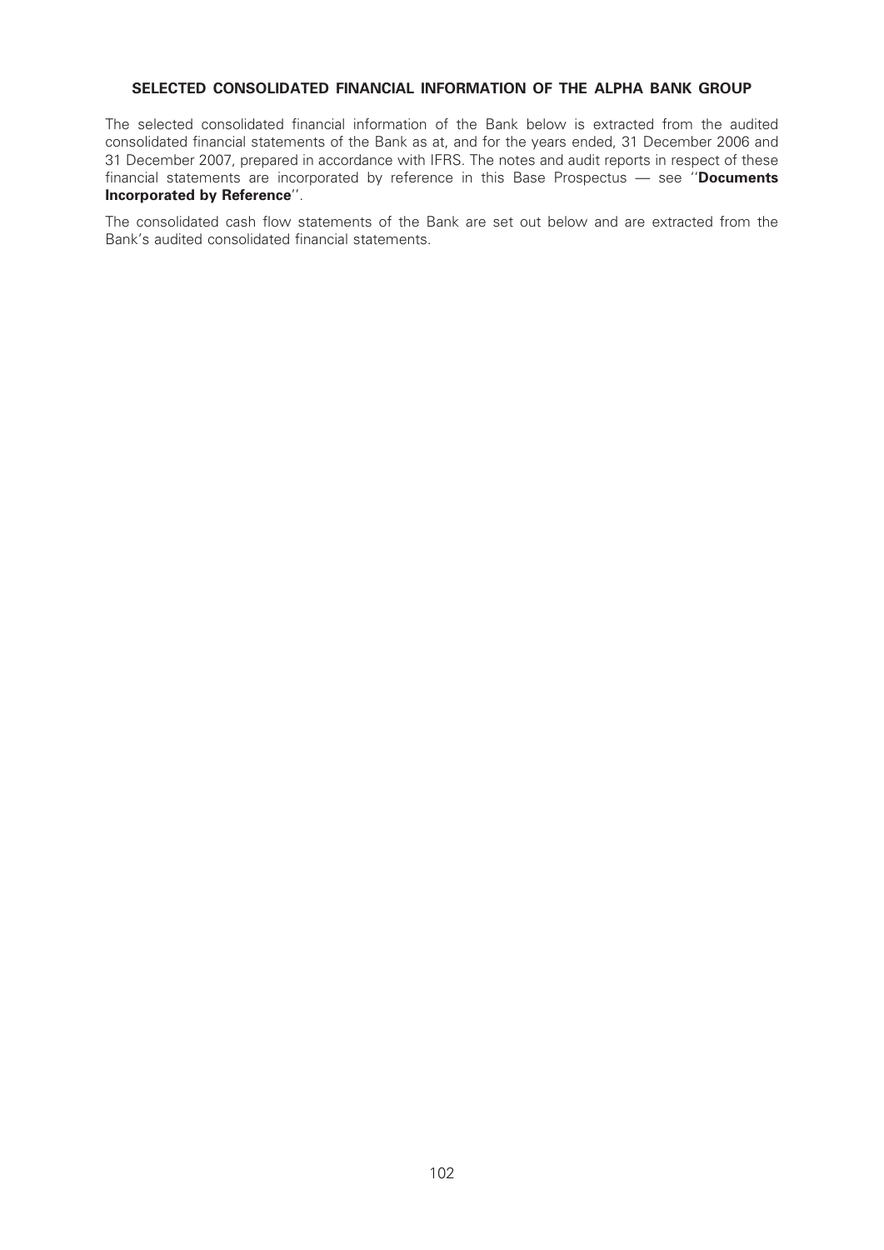# SELECTED CONSOLIDATED FINANCIAL INFORMATION OF THE ALPHA BANK GROUP

The selected consolidated financial information of the Bank below is extracted from the audited consolidated financial statements of the Bank as at, and for the years ended, 31 December 2006 and 31 December 2007, prepared in accordance with IFRS. The notes and audit reports in respect of these financial statements are incorporated by reference in this Base Prospectus  $-$  see "Documents Incorporated by Reference''.

The consolidated cash flow statements of the Bank are set out below and are extracted from the Bank's audited consolidated financial statements.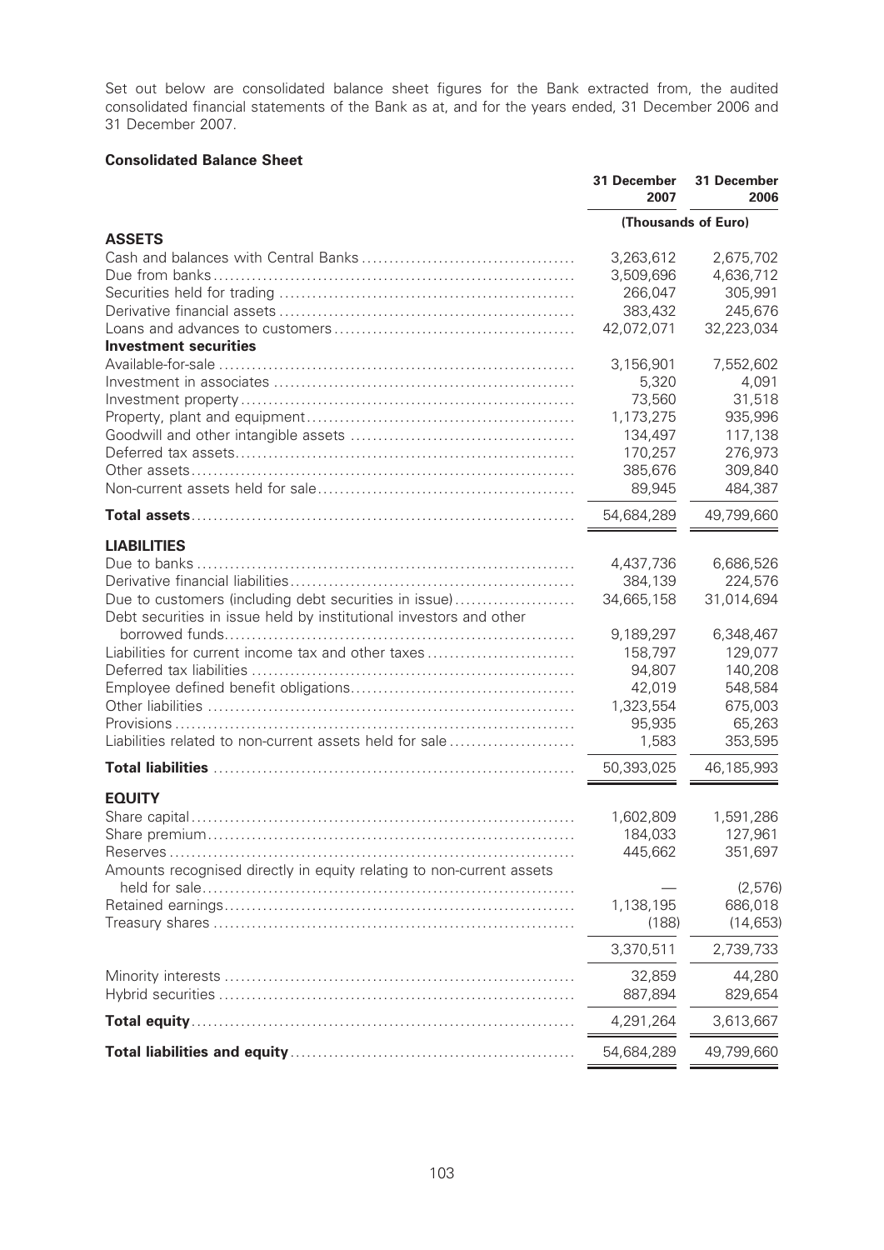Set out below are consolidated balance sheet figures for the Bank extracted from, the audited consolidated financial statements of the Bank as at, and for the years ended, 31 December 2006 and 31 December 2007.

# Consolidated Balance Sheet

|                                                                                                                             | 31 December<br>2007 | 31 December<br>2006 |
|-----------------------------------------------------------------------------------------------------------------------------|---------------------|---------------------|
|                                                                                                                             | (Thousands of Euro) |                     |
| <b>ASSETS</b>                                                                                                               |                     |                     |
|                                                                                                                             | 3,263,612           | 2,675,702           |
|                                                                                                                             | 3,509,696           | 4,636,712           |
|                                                                                                                             | 266,047             | 305,991             |
|                                                                                                                             | 383,432             | 245,676             |
| <b>Investment securities</b>                                                                                                | 42,072,071          | 32,223,034          |
|                                                                                                                             | 3,156,901           | 7,552,602           |
|                                                                                                                             | 5,320               | 4,091               |
|                                                                                                                             | 73,560              | 31,518              |
|                                                                                                                             | 1,173,275           | 935,996             |
|                                                                                                                             | 134,497             | 117,138             |
|                                                                                                                             | 170,257             | 276,973             |
|                                                                                                                             | 385,676             | 309,840             |
|                                                                                                                             | 89,945              | 484,387             |
|                                                                                                                             |                     |                     |
|                                                                                                                             | 54,684,289          | 49,799,660          |
| <b>LIABILITIES</b>                                                                                                          |                     |                     |
|                                                                                                                             | 4,437,736           | 6,686,526           |
|                                                                                                                             | 384,139             | 224,576             |
| Due to customers (including debt securities in issue)<br>Debt securities in issue held by institutional investors and other | 34,665,158          | 31,014,694          |
|                                                                                                                             | 9,189,297           | 6,348,467           |
| Liabilities for current income tax and other taxes                                                                          | 158,797             | 129,077             |
|                                                                                                                             | 94,807              | 140,208             |
|                                                                                                                             | 42,019              | 548,584             |
|                                                                                                                             | 1,323,554           | 675,003             |
|                                                                                                                             | 95,935              | 65,263              |
| Liabilities related to non-current assets held for sale                                                                     | 1,583               | 353,595             |
|                                                                                                                             | 50,393,025          | 46,185,993          |
| <b>EQUITY</b>                                                                                                               |                     |                     |
|                                                                                                                             | 1,602,809           | 1,591,286           |
|                                                                                                                             | 184,033             | 127,961             |
|                                                                                                                             | 445,662             | 351,697             |
| Amounts recognised directly in equity relating to non-current assets                                                        |                     | (2,576)             |
|                                                                                                                             | 1,138,195           | 686,018             |
|                                                                                                                             | (188)               | (14, 653)           |
|                                                                                                                             | 3,370,511           | 2,739,733           |
|                                                                                                                             | 32,859              | 44,280              |
|                                                                                                                             | 887,894             | 829,654             |
|                                                                                                                             | 4,291,264           | 3,613,667           |
|                                                                                                                             | 54,684,289          | 49,799,660          |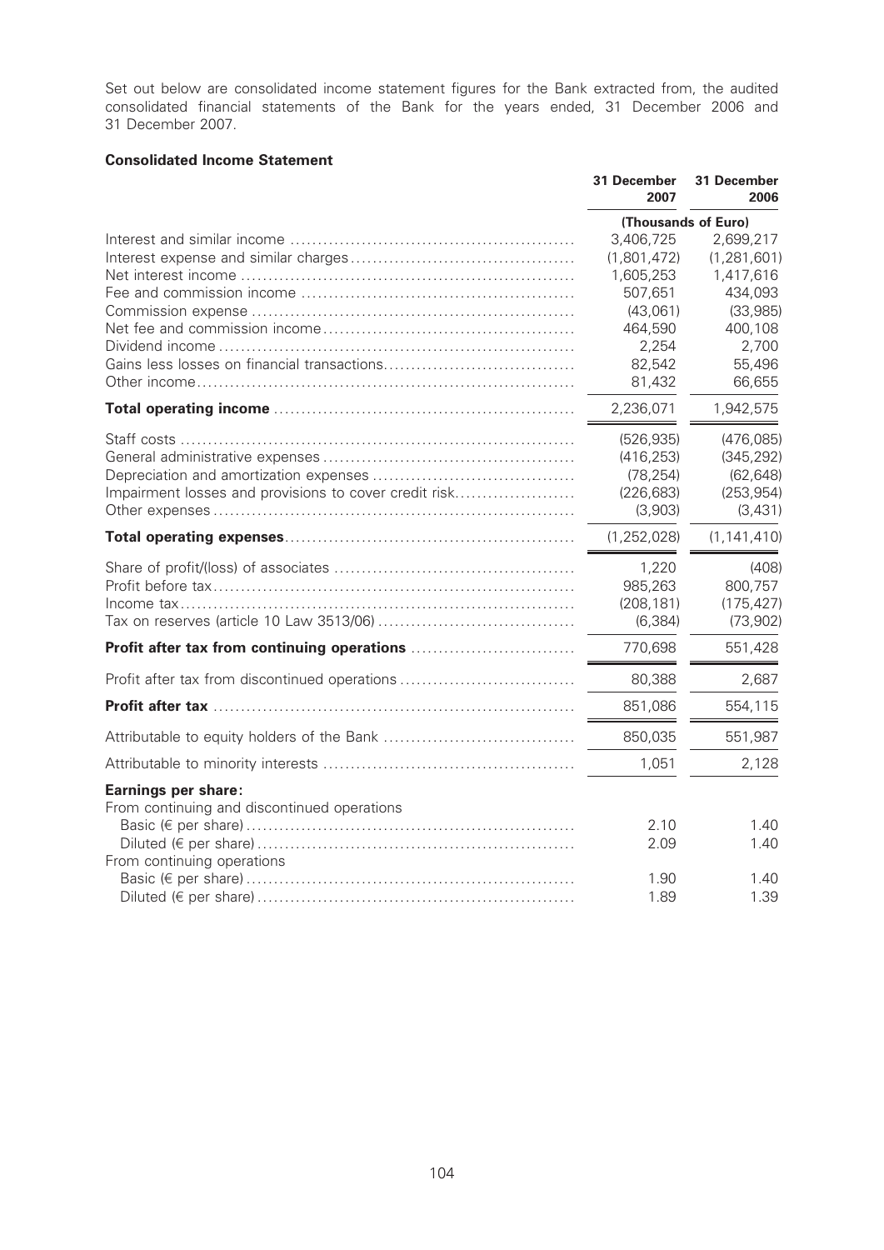Set out below are consolidated income statement figures for the Bank extracted from, the audited consolidated financial statements of the Bank for the years ended, 31 December 2006 and 31 December 2007.

# Consolidated Income Statement

|                                                                                                  | 31 December<br>2007                                                                                               | 31 December<br>2006                                                                                                  |
|--------------------------------------------------------------------------------------------------|-------------------------------------------------------------------------------------------------------------------|----------------------------------------------------------------------------------------------------------------------|
|                                                                                                  | (Thousands of Euro)                                                                                               |                                                                                                                      |
|                                                                                                  | 3,406,725<br>(1,801,472)<br>1,605,253<br>507,651<br>(43,061)<br>464,590<br>2,254<br>82,542<br>81,432<br>2,236,071 | 2,699,217<br>(1, 281, 601)<br>1,417,616<br>434,093<br>(33, 985)<br>400,108<br>2,700<br>55,496<br>66,655<br>1,942,575 |
| Impairment losses and provisions to cover credit risk                                            | (526, 935)<br>(416, 253)<br>(78, 254)<br>(226, 683)<br>(3,903)                                                    | (476,085)<br>(345, 292)<br>(62, 648)<br>(253, 954)<br>(3, 431)                                                       |
|                                                                                                  | (1, 252, 028)                                                                                                     | (1, 141, 410)                                                                                                        |
|                                                                                                  | 1,220<br>985,263<br>(208, 181)<br>(6, 384)                                                                        | (408)<br>800,757<br>(175, 427)<br>(73, 902)                                                                          |
|                                                                                                  | 770,698                                                                                                           | 551,428                                                                                                              |
| Profit after tax from discontinued operations                                                    | 80,388                                                                                                            | 2,687                                                                                                                |
|                                                                                                  | 851,086                                                                                                           | 554,115                                                                                                              |
|                                                                                                  | 850,035                                                                                                           | 551,987                                                                                                              |
|                                                                                                  | 1,051                                                                                                             | 2,128                                                                                                                |
| Earnings per share:<br>From continuing and discontinued operations<br>From continuing operations | 2.10<br>2.09                                                                                                      | 1.40<br>1.40                                                                                                         |
|                                                                                                  | 1.90<br>1.89                                                                                                      | 1.40<br>1.39                                                                                                         |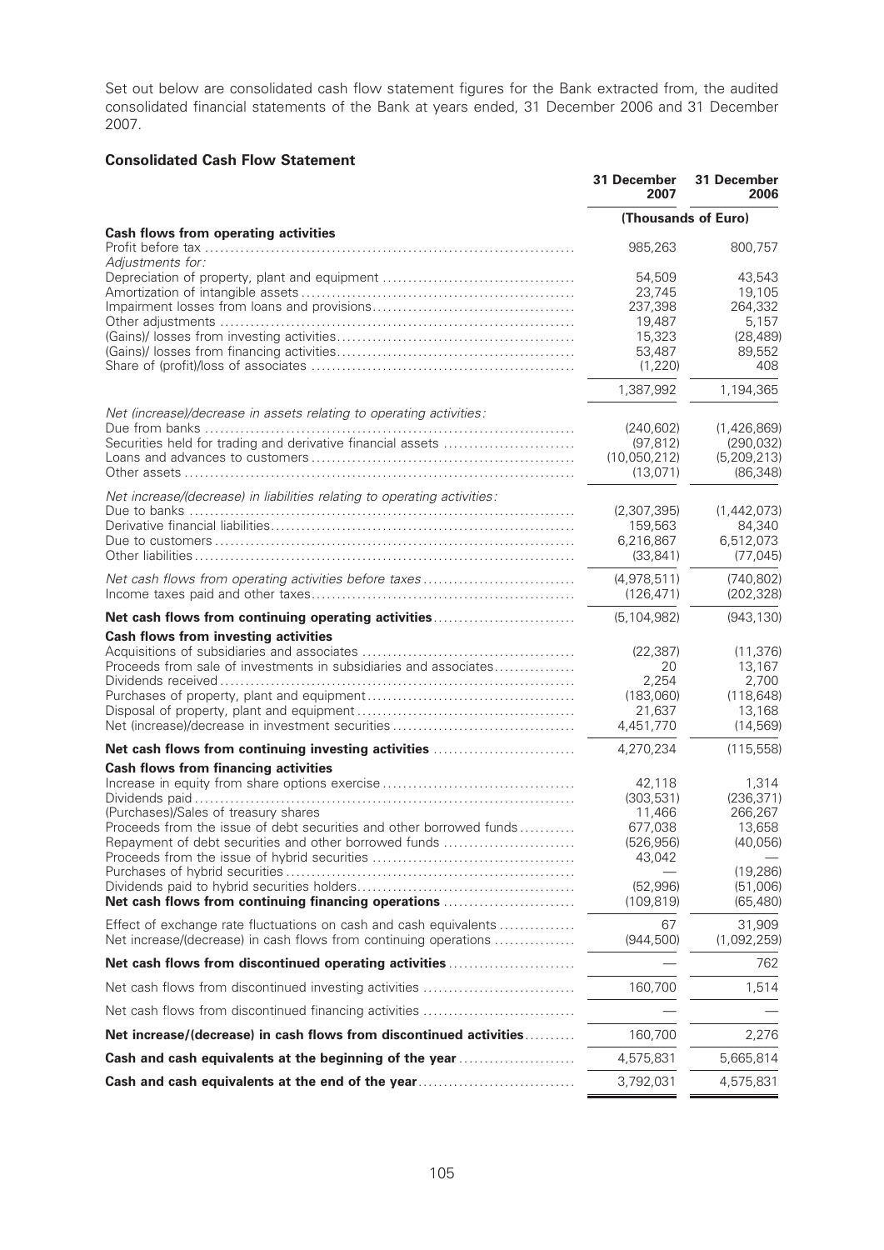Set out below are consolidated cash flow statement figures for the Bank extracted from, the audited consolidated financial statements of the Bank at years ended, 31 December 2006 and 31 December 2007.

# Consolidated Cash Flow Statement

|                                                                                                                                                                                                                     | 31 December<br>2007                                                   | 31 December<br>2006                                                |
|---------------------------------------------------------------------------------------------------------------------------------------------------------------------------------------------------------------------|-----------------------------------------------------------------------|--------------------------------------------------------------------|
|                                                                                                                                                                                                                     | (Thousands of Euro)                                                   |                                                                    |
| <b>Cash flows from operating activities</b>                                                                                                                                                                         | 985,263                                                               | 800,757                                                            |
| Adjustments for:                                                                                                                                                                                                    | 54,509<br>23,745<br>237,398<br>19,487<br>15,323<br>53,487<br>(1, 220) | 43,543<br>19,105<br>264,332<br>5,157<br>(28, 489)<br>89,552<br>408 |
|                                                                                                                                                                                                                     | 1,387,992                                                             | 1,194,365                                                          |
| Net (increase)/decrease in assets relating to operating activities:<br>Securities held for trading and derivative financial assets                                                                                  | (240, 602)<br>(97, 812)<br>(10,050,212)<br>(13,071)                   | (1,426,869)<br>(290, 032)<br>(5,209,213)<br>(86, 348)              |
| Net increase/(decrease) in liabilities relating to operating activities:                                                                                                                                            | (2,307,395)<br>159,563<br>6,216,867<br>(33, 841)                      | (1,442,073)<br>84,340<br>6,512,073<br>(77, 045)                    |
| Net cash flows from operating activities before taxes                                                                                                                                                               | (4,978,511)<br>(126, 471)                                             | (740, 802)<br>(202, 328)                                           |
| Net cash flows from continuing operating activities                                                                                                                                                                 | (5, 104, 982)                                                         | (943, 130)                                                         |
| <b>Cash flows from investing activities</b><br>Proceeds from sale of investments in subsidiaries and associates                                                                                                     | (22, 387)<br>20<br>2,254<br>(183,060)<br>21,637<br>4,451,770          | (11, 376)<br>13,167<br>2,700<br>(118, 648)<br>13,168<br>(14, 569)  |
| Net cash flows from continuing investing activities                                                                                                                                                                 | 4,270,234                                                             | (115, 558)                                                         |
| <b>Cash flows from financing activities</b><br>(Purchases)/Sales of treasury shares<br>Proceeds from the issue of debt securities and other borrowed funds<br>Repayment of debt securities and other borrowed funds | 42,118<br>(303, 531)<br>11,466<br>677,038<br>(526, 956)<br>43,042     | 1,314<br>(236, 371)<br>266,267<br>13,658<br>(40, 056)              |
| Net cash flows from continuing financing operations                                                                                                                                                                 | (52,996)<br>(109, 819)                                                | (19, 286)<br>(51,006)<br>(65, 480)                                 |
| Effect of exchange rate fluctuations on cash and cash equivalents<br>Net increase/(decrease) in cash flows from continuing operations                                                                               | 67<br>(944, 500)                                                      | 31,909<br>(1,092,259)                                              |
| Net cash flows from discontinued operating activities                                                                                                                                                               |                                                                       | 762                                                                |
| Net cash flows from discontinued investing activities                                                                                                                                                               | 160,700                                                               | 1,514                                                              |
| Net cash flows from discontinued financing activities                                                                                                                                                               |                                                                       |                                                                    |
| Net increase/(decrease) in cash flows from discontinued activities                                                                                                                                                  | 160,700                                                               | 2,276                                                              |
| Cash and cash equivalents at the beginning of the year                                                                                                                                                              | 4,575,831                                                             | 5,665,814                                                          |
| Cash and cash equivalents at the end of the year                                                                                                                                                                    | 3,792,031                                                             | 4,575,831                                                          |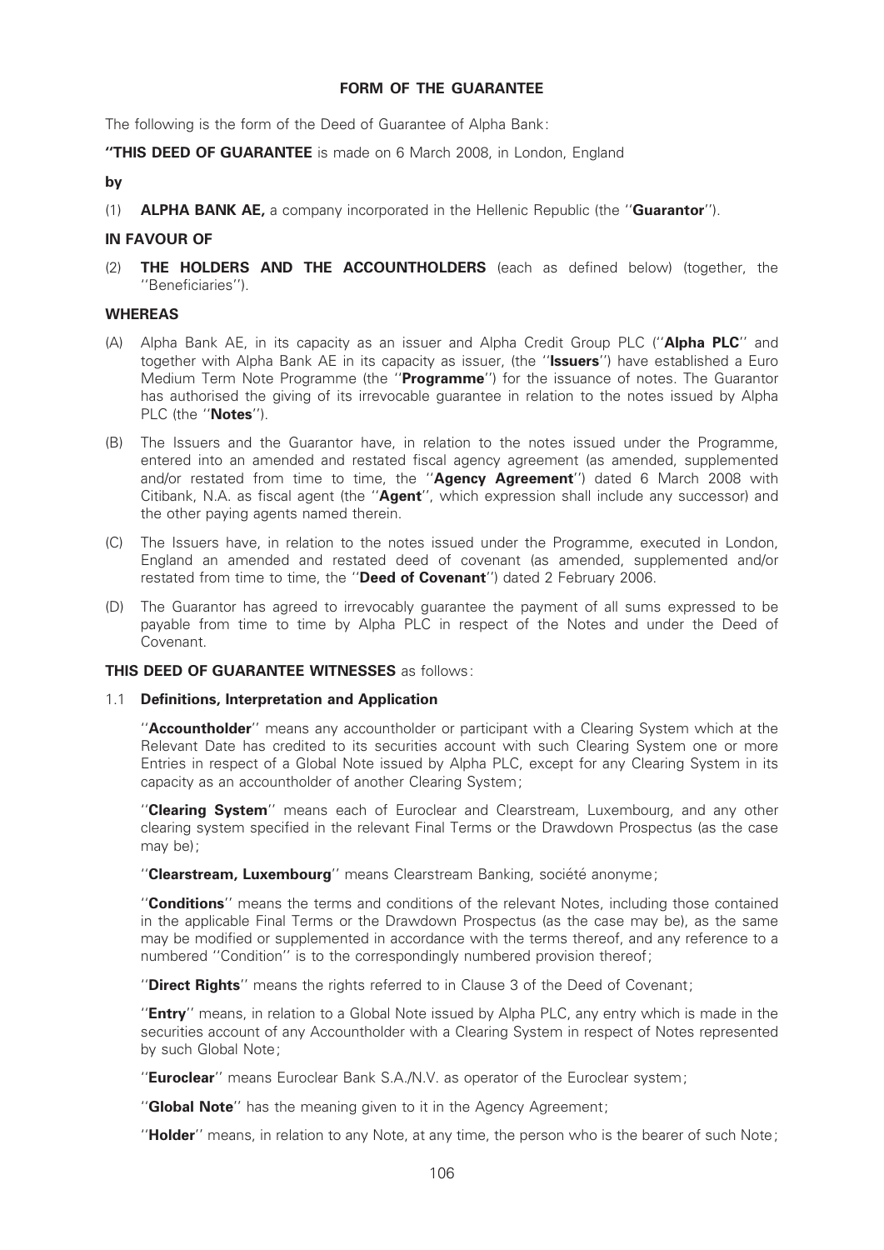## FORM OF THE GUARANTEE

The following is the form of the Deed of Guarantee of Alpha Bank:

"THIS DEED OF GUARANTEE is made on 6 March 2008, in London, England

# by

(1) **ALPHA BANK AE,** a company incorporated in the Hellenic Republic (the "**Guarantor**").

# IN FAVOUR OF

(2) **THE HOLDERS AND THE ACCOUNTHOLDERS** (each as defined below) (together, the "Beneficiaries").

# WHEREAS

- (A) Alpha Bank AE, in its capacity as an issuer and Alpha Credit Group PLC ("Alpha PLC" and together with Alpha Bank AE in its capacity as issuer, (the "Issuers") have established a Euro Medium Term Note Programme (the "Programme") for the issuance of notes. The Guarantor has authorised the giving of its irrevocable guarantee in relation to the notes issued by Alpha PLC (the "Notes").
- (B) The Issuers and the Guarantor have, in relation to the notes issued under the Programme, entered into an amended and restated fiscal agency agreement (as amended, supplemented and/or restated from time to time, the "Agency Agreement") dated 6 March 2008 with Citibank, N.A. as fiscal agent (the "Agent", which expression shall include any successor) and the other paying agents named therein.
- (C) The Issuers have, in relation to the notes issued under the Programme, executed in London, England an amended and restated deed of covenant (as amended, supplemented and/or restated from time to time, the "Deed of Covenant") dated 2 February 2006.
- (D) The Guarantor has agreed to irrevocably guarantee the payment of all sums expressed to be payable from time to time by Alpha PLC in respect of the Notes and under the Deed of Covenant.

# THIS DEED OF GUARANTEE WITNESSES as follows:

# 1.1 Definitions, Interpretation and Application

''Accountholder'' means any accountholder or participant with a Clearing System which at the Relevant Date has credited to its securities account with such Clearing System one or more Entries in respect of a Global Note issued by Alpha PLC, except for any Clearing System in its capacity as an accountholder of another Clearing System;

"Clearing System" means each of Euroclear and Clearstream, Luxembourg, and any other clearing system specified in the relevant Final Terms or the Drawdown Prospectus (as the case may be);

"Clearstream, Luxembourg" means Clearstream Banking, société anonyme;

''Conditions'' means the terms and conditions of the relevant Notes, including those contained in the applicable Final Terms or the Drawdown Prospectus (as the case may be), as the same may be modified or supplemented in accordance with the terms thereof, and any reference to a numbered ''Condition'' is to the correspondingly numbered provision thereof;

"Direct Rights" means the rights referred to in Clause 3 of the Deed of Covenant;

"**Entry**" means, in relation to a Global Note issued by Alpha PLC, any entry which is made in the securities account of any Accountholder with a Clearing System in respect of Notes represented by such Global Note;

"Euroclear" means Euroclear Bank S.A./N.V. as operator of the Euroclear system;

"**Global Note**" has the meaning given to it in the Agency Agreement;

"Holder" means, in relation to any Note, at any time, the person who is the bearer of such Note;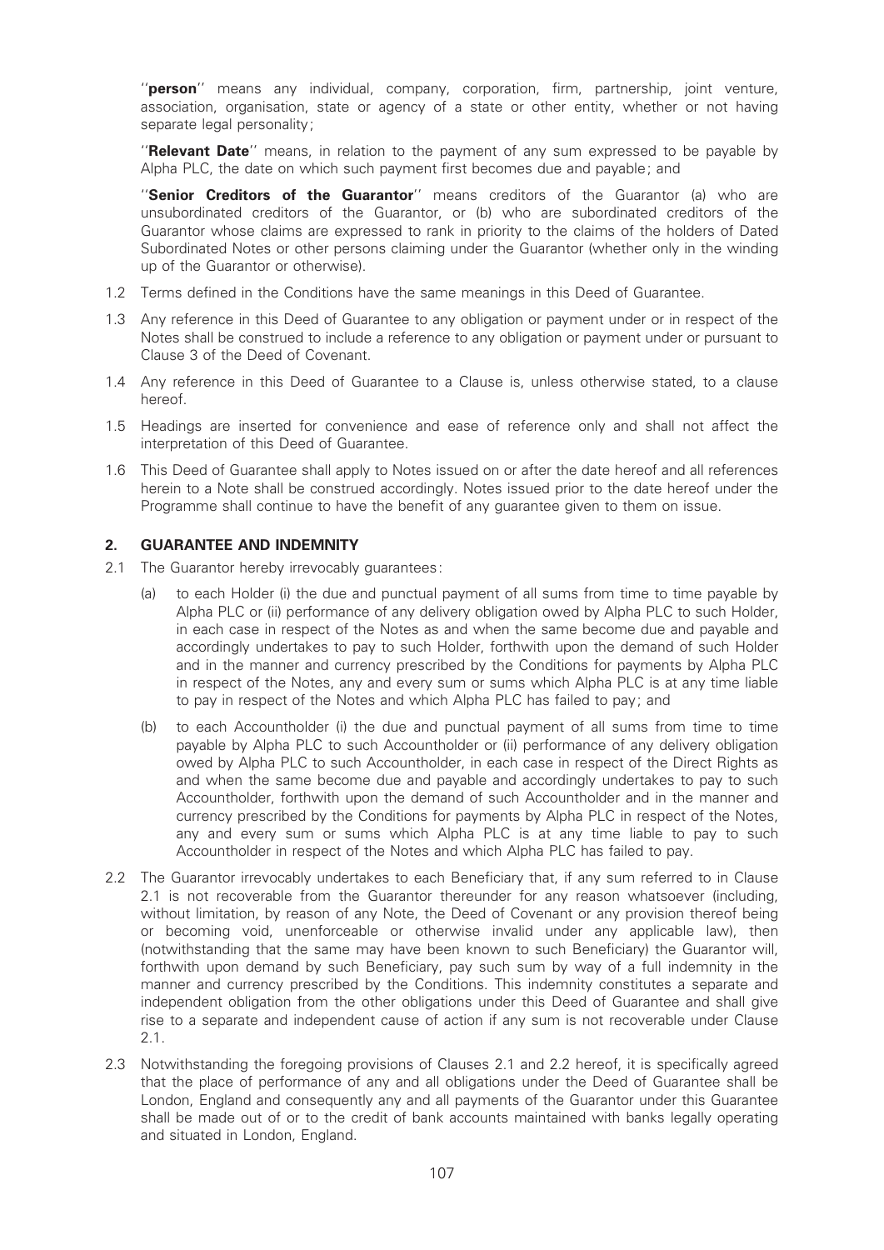"person" means any individual, company, corporation, firm, partnership, joint venture, association, organisation, state or agency of a state or other entity, whether or not having separate legal personality;

"Relevant Date" means, in relation to the payment of any sum expressed to be payable by Alpha PLC, the date on which such payment first becomes due and payable; and

"Senior Creditors of the Guarantor" means creditors of the Guarantor (a) who are unsubordinated creditors of the Guarantor, or (b) who are subordinated creditors of the Guarantor whose claims are expressed to rank in priority to the claims of the holders of Dated Subordinated Notes or other persons claiming under the Guarantor (whether only in the winding up of the Guarantor or otherwise).

- 1.2 Terms defined in the Conditions have the same meanings in this Deed of Guarantee.
- 1.3 Any reference in this Deed of Guarantee to any obligation or payment under or in respect of the Notes shall be construed to include a reference to any obligation or payment under or pursuant to Clause 3 of the Deed of Covenant.
- 1.4 Any reference in this Deed of Guarantee to a Clause is, unless otherwise stated, to a clause hereof.
- 1.5 Headings are inserted for convenience and ease of reference only and shall not affect the interpretation of this Deed of Guarantee.
- 1.6 This Deed of Guarantee shall apply to Notes issued on or after the date hereof and all references herein to a Note shall be construed accordingly. Notes issued prior to the date hereof under the Programme shall continue to have the benefit of any guarantee given to them on issue.

# 2. GUARANTEE AND INDEMNITY

- 2.1 The Guarantor hereby irrevocably quarantees:
	- (a) to each Holder (i) the due and punctual payment of all sums from time to time payable by Alpha PLC or (ii) performance of any delivery obligation owed by Alpha PLC to such Holder, in each case in respect of the Notes as and when the same become due and payable and accordingly undertakes to pay to such Holder, forthwith upon the demand of such Holder and in the manner and currency prescribed by the Conditions for payments by Alpha PLC in respect of the Notes, any and every sum or sums which Alpha PLC is at any time liable to pay in respect of the Notes and which Alpha PLC has failed to pay; and
	- (b) to each Accountholder (i) the due and punctual payment of all sums from time to time payable by Alpha PLC to such Accountholder or (ii) performance of any delivery obligation owed by Alpha PLC to such Accountholder, in each case in respect of the Direct Rights as and when the same become due and payable and accordingly undertakes to pay to such Accountholder, forthwith upon the demand of such Accountholder and in the manner and currency prescribed by the Conditions for payments by Alpha PLC in respect of the Notes, any and every sum or sums which Alpha PLC is at any time liable to pay to such Accountholder in respect of the Notes and which Alpha PLC has failed to pay.
- 2.2 The Guarantor irrevocably undertakes to each Beneficiary that, if any sum referred to in Clause 2.1 is not recoverable from the Guarantor thereunder for any reason whatsoever (including, without limitation, by reason of any Note, the Deed of Covenant or any provision thereof being or becoming void, unenforceable or otherwise invalid under any applicable law), then (notwithstanding that the same may have been known to such Beneficiary) the Guarantor will, forthwith upon demand by such Beneficiary, pay such sum by way of a full indemnity in the manner and currency prescribed by the Conditions. This indemnity constitutes a separate and independent obligation from the other obligations under this Deed of Guarantee and shall give rise to a separate and independent cause of action if any sum is not recoverable under Clause 2.1.
- 2.3 Notwithstanding the foregoing provisions of Clauses 2.1 and 2.2 hereof, it is specifically agreed that the place of performance of any and all obligations under the Deed of Guarantee shall be London, England and consequently any and all payments of the Guarantor under this Guarantee shall be made out of or to the credit of bank accounts maintained with banks legally operating and situated in London, England.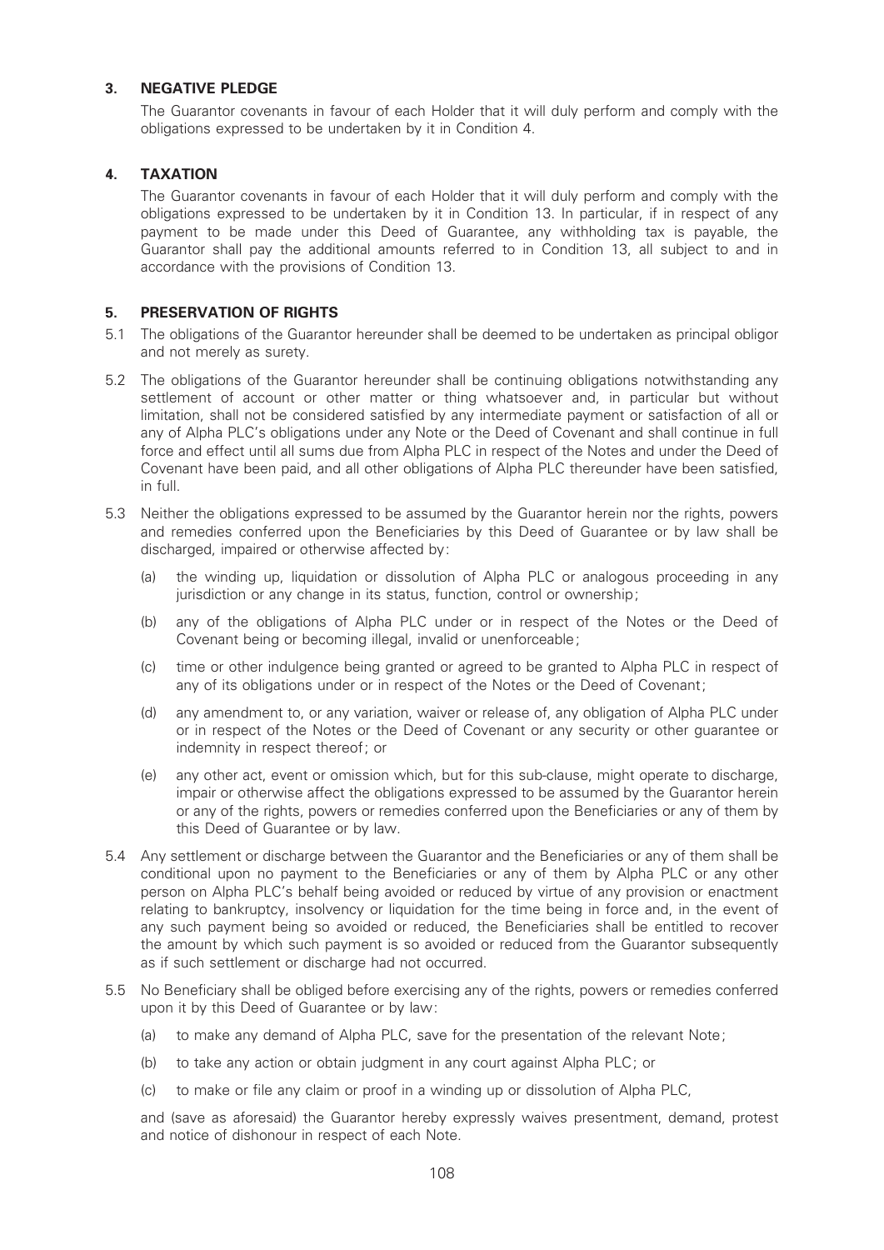# 3. NEGATIVE PLEDGE

The Guarantor covenants in favour of each Holder that it will duly perform and comply with the obligations expressed to be undertaken by it in Condition 4.

# 4. TAXATION

The Guarantor covenants in favour of each Holder that it will duly perform and comply with the obligations expressed to be undertaken by it in Condition 13. In particular, if in respect of any payment to be made under this Deed of Guarantee, any withholding tax is payable, the Guarantor shall pay the additional amounts referred to in Condition 13, all subject to and in accordance with the provisions of Condition 13.

# 5. PRESERVATION OF RIGHTS

- 5.1 The obligations of the Guarantor hereunder shall be deemed to be undertaken as principal obligor and not merely as surety.
- 5.2 The obligations of the Guarantor hereunder shall be continuing obligations notwithstanding any settlement of account or other matter or thing whatsoever and, in particular but without limitation, shall not be considered satisfied by any intermediate payment or satisfaction of all or any of Alpha PLC's obligations under any Note or the Deed of Covenant and shall continue in full force and effect until all sums due from Alpha PLC in respect of the Notes and under the Deed of Covenant have been paid, and all other obligations of Alpha PLC thereunder have been satisfied, in full.
- 5.3 Neither the obligations expressed to be assumed by the Guarantor herein nor the rights, powers and remedies conferred upon the Beneficiaries by this Deed of Guarantee or by law shall be discharged, impaired or otherwise affected by:
	- (a) the winding up, liquidation or dissolution of Alpha PLC or analogous proceeding in any jurisdiction or any change in its status, function, control or ownership;
	- (b) any of the obligations of Alpha PLC under or in respect of the Notes or the Deed of Covenant being or becoming illegal, invalid or unenforceable;
	- (c) time or other indulgence being granted or agreed to be granted to Alpha PLC in respect of any of its obligations under or in respect of the Notes or the Deed of Covenant;
	- (d) any amendment to, or any variation, waiver or release of, any obligation of Alpha PLC under or in respect of the Notes or the Deed of Covenant or any security or other guarantee or indemnity in respect thereof; or
	- (e) any other act, event or omission which, but for this sub-clause, might operate to discharge, impair or otherwise affect the obligations expressed to be assumed by the Guarantor herein or any of the rights, powers or remedies conferred upon the Beneficiaries or any of them by this Deed of Guarantee or by law.
- 5.4 Any settlement or discharge between the Guarantor and the Beneficiaries or any of them shall be conditional upon no payment to the Beneficiaries or any of them by Alpha PLC or any other person on Alpha PLC's behalf being avoided or reduced by virtue of any provision or enactment relating to bankruptcy, insolvency or liquidation for the time being in force and, in the event of any such payment being so avoided or reduced, the Beneficiaries shall be entitled to recover the amount by which such payment is so avoided or reduced from the Guarantor subsequently as if such settlement or discharge had not occurred.
- 5.5 No Bene¢ciary shall be obliged before exercising any of the rights, powers or remedies conferred upon it by this Deed of Guarantee or by law:
	- (a) to make any demand of Alpha PLC, save for the presentation of the relevant Note;
	- (b) to take any action or obtain judgment in any court against Alpha PLC; or
	- (c) to make or ¢le any claim or proof in a winding up or dissolution of Alpha PLC,

and (save as aforesaid) the Guarantor hereby expressly waives presentment, demand, protest and notice of dishonour in respect of each Note.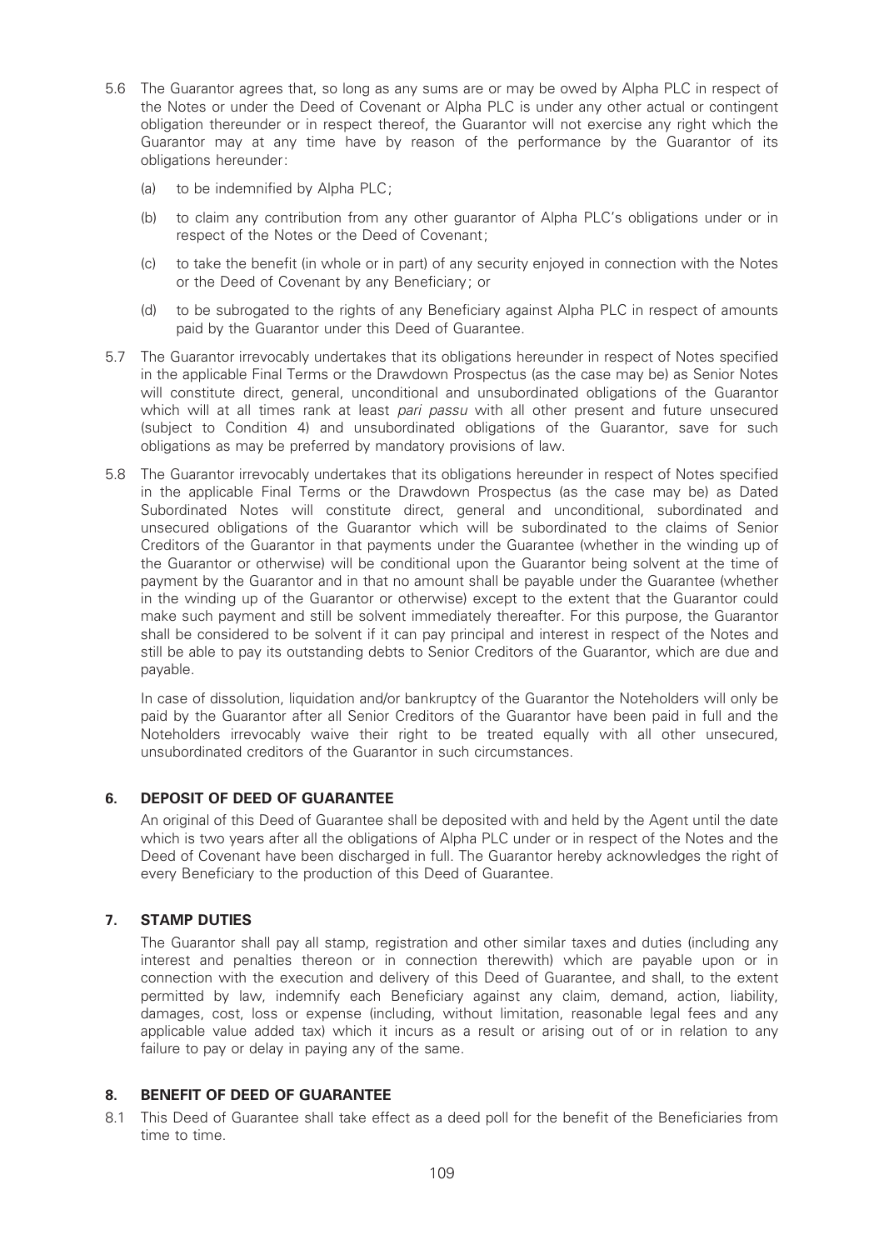- 5.6 The Guarantor agrees that, so long as any sums are or may be owed by Alpha PLC in respect of the Notes or under the Deed of Covenant or Alpha PLC is under any other actual or contingent obligation thereunder or in respect thereof, the Guarantor will not exercise any right which the Guarantor may at any time have by reason of the performance by the Guarantor of its obligations hereunder:
	- (a) to be indemnified by Alpha PLC;
	- (b) to claim any contribution from any other guarantor of Alpha PLC's obligations under or in respect of the Notes or the Deed of Covenant;
	- (c) to take the benefit (in whole or in part) of any security enjoyed in connection with the Notes or the Deed of Covenant by any Beneficiary; or
	- (d) to be subrogated to the rights of any Bene¢ciary against Alpha PLC in respect of amounts paid by the Guarantor under this Deed of Guarantee.
- 5.7 The Guarantor irrevocably undertakes that its obligations hereunder in respect of Notes specified in the applicable Final Terms or the Drawdown Prospectus (as the case may be) as Senior Notes will constitute direct, general, unconditional and unsubordinated obligations of the Guarantor which will at all times rank at least pari passu with all other present and future unsecured (subject to Condition 4) and unsubordinated obligations of the Guarantor, save for such obligations as may be preferred by mandatory provisions of law.
- 5.8 The Guarantor irrevocably undertakes that its obligations hereunder in respect of Notes specified in the applicable Final Terms or the Drawdown Prospectus (as the case may be) as Dated Subordinated Notes will constitute direct, general and unconditional, subordinated and unsecured obligations of the Guarantor which will be subordinated to the claims of Senior Creditors of the Guarantor in that payments under the Guarantee (whether in the winding up of the Guarantor or otherwise) will be conditional upon the Guarantor being solvent at the time of payment by the Guarantor and in that no amount shall be payable under the Guarantee (whether in the winding up of the Guarantor or otherwise) except to the extent that the Guarantor could make such payment and still be solvent immediately thereafter. For this purpose, the Guarantor shall be considered to be solvent if it can pay principal and interest in respect of the Notes and still be able to pay its outstanding debts to Senior Creditors of the Guarantor, which are due and payable.

In case of dissolution, liquidation and/or bankruptcy of the Guarantor the Noteholders will only be paid by the Guarantor after all Senior Creditors of the Guarantor have been paid in full and the Noteholders irrevocably waive their right to be treated equally with all other unsecured, unsubordinated creditors of the Guarantor in such circumstances.

## 6. DEPOSIT OF DEED OF GUARANTEE

An original of this Deed of Guarantee shall be deposited with and held by the Agent until the date which is two years after all the obligations of Alpha PLC under or in respect of the Notes and the Deed of Covenant have been discharged in full. The Guarantor hereby acknowledges the right of every Beneficiary to the production of this Deed of Guarantee.

# 7. STAMP DUTIES

The Guarantor shall pay all stamp, registration and other similar taxes and duties (including any interest and penalties thereon or in connection therewith) which are payable upon or in connection with the execution and delivery of this Deed of Guarantee, and shall, to the extent permitted by law, indemnify each Beneficiary against any claim, demand, action, liability, damages, cost, loss or expense (including, without limitation, reasonable legal fees and any applicable value added tax) which it incurs as a result or arising out of or in relation to any failure to pay or delay in paying any of the same.

## 8. BENEFIT OF DEED OF GUARANTEE

8.1 This Deed of Guarantee shall take effect as a deed poll for the benefit of the Beneficiaries from time to time.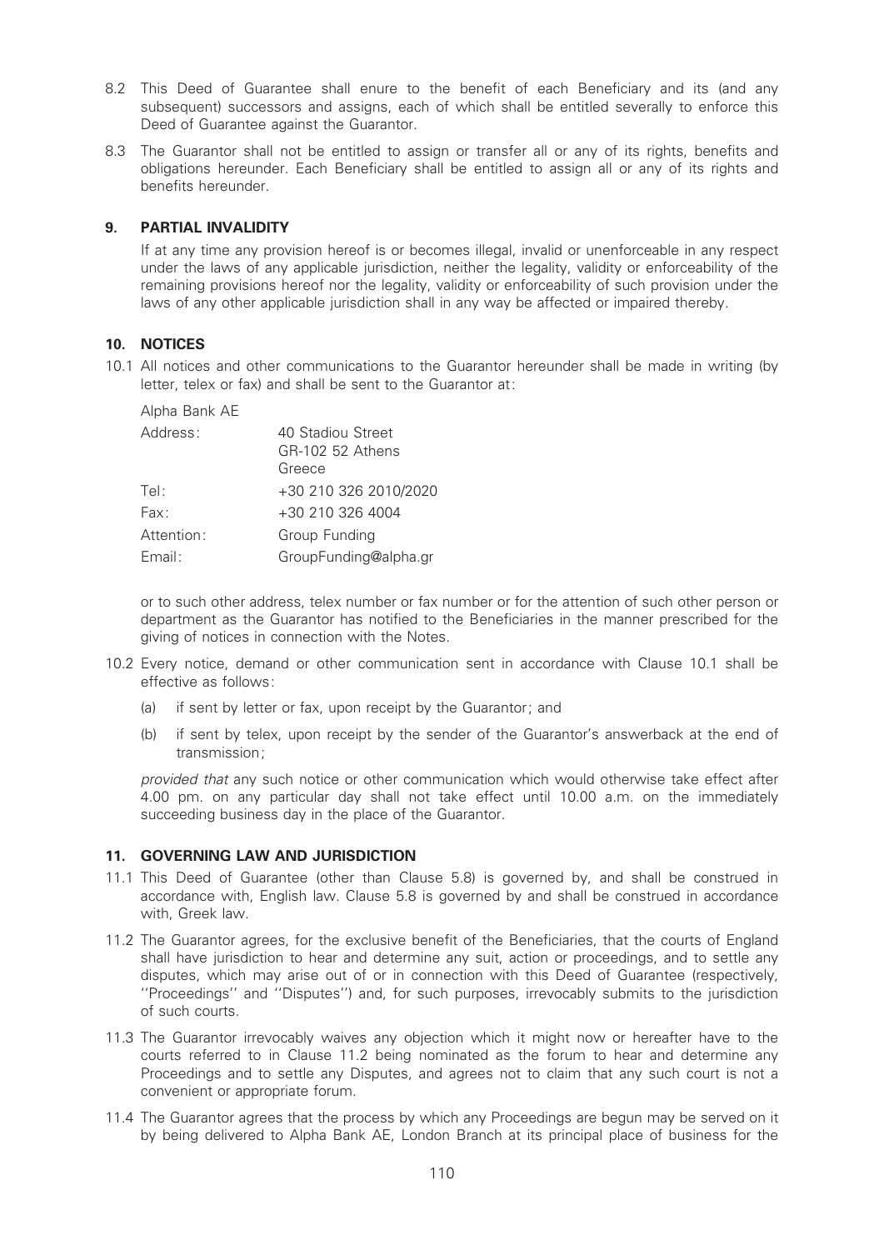- 8.2 This Deed of Guarantee shall enure to the benefit of each Beneficiary and its (and any subsequent) successors and assigns, each of which shall be entitled severally to enforce this Deed of Guarantee against the Guarantor.
- 8.3 The Guarantor shall not be entitled to assign or transfer all or any of its rights, benefits and obligations hereunder. Each Beneficiary shall be entitled to assign all or any of its rights and benefits hereunder.

## 9. PARTIAL INVALIDITY

If at any time any provision hereof is or becomes illegal, invalid or unenforceable in any respect under the laws of any applicable jurisdiction, neither the legality, validity or enforceability of the remaining provisions hereof nor the legality, validity or enforceability of such provision under the laws of any other applicable jurisdiction shall in any way be affected or impaired thereby.

## 10. NOTICES

10.1 All notices and other communications to the Guarantor hereunder shall be made in writing (by letter, telex or fax) and shall be sent to the Guarantor at:

Alpha Bank AE

| Address:   | 40 Stadiou Street<br>GR-102 52 Athens<br>Greece |
|------------|-------------------------------------------------|
| Tel:       | +30 210 326 2010/2020                           |
| Fax:       | +30 210 326 4004                                |
| Attention: | Group Funding                                   |
| Email:     | GroupFunding@alpha.gr                           |

or to such other address, telex number or fax number or for the attention of such other person or department as the Guarantor has notified to the Beneficiaries in the manner prescribed for the giving of notices in connection with the Notes.

- 10.2 Every notice, demand or other communication sent in accordance with Clause 10.1 shall be effective as follows:
	- (a) if sent by letter or fax, upon receipt by the Guarantor; and
	- (b) if sent by telex, upon receipt by the sender of the Guarantor's answerback at the end of transmission;

provided that any such notice or other communication which would otherwise take effect after 4.00 pm. on any particular day shall not take effect until 10.00 a.m. on the immediately succeeding business day in the place of the Guarantor.

## 11. GOVERNING LAW AND JURISDICTION

- 11.1 This Deed of Guarantee (other than Clause 5.8) is governed by, and shall be construed in accordance with, English law. Clause 5.8 is governed by and shall be construed in accordance with, Greek law.
- 11.2 The Guarantor agrees, for the exclusive benefit of the Beneficiaries, that the courts of England shall have jurisdiction to hear and determine any suit, action or proceedings, and to settle any disputes, which may arise out of or in connection with this Deed of Guarantee (respectively, ''Proceedings'' and ''Disputes'') and, for such purposes, irrevocably submits to the jurisdiction of such courts.
- 11.3 The Guarantor irrevocably waives any objection which it might now or hereafter have to the courts referred to in Clause 11.2 being nominated as the forum to hear and determine any Proceedings and to settle any Disputes, and agrees not to claim that any such court is not a convenient or appropriate forum.
- 11.4 The Guarantor agrees that the process by which any Proceedings are begun may be served on it by being delivered to Alpha Bank AE, London Branch at its principal place of business for the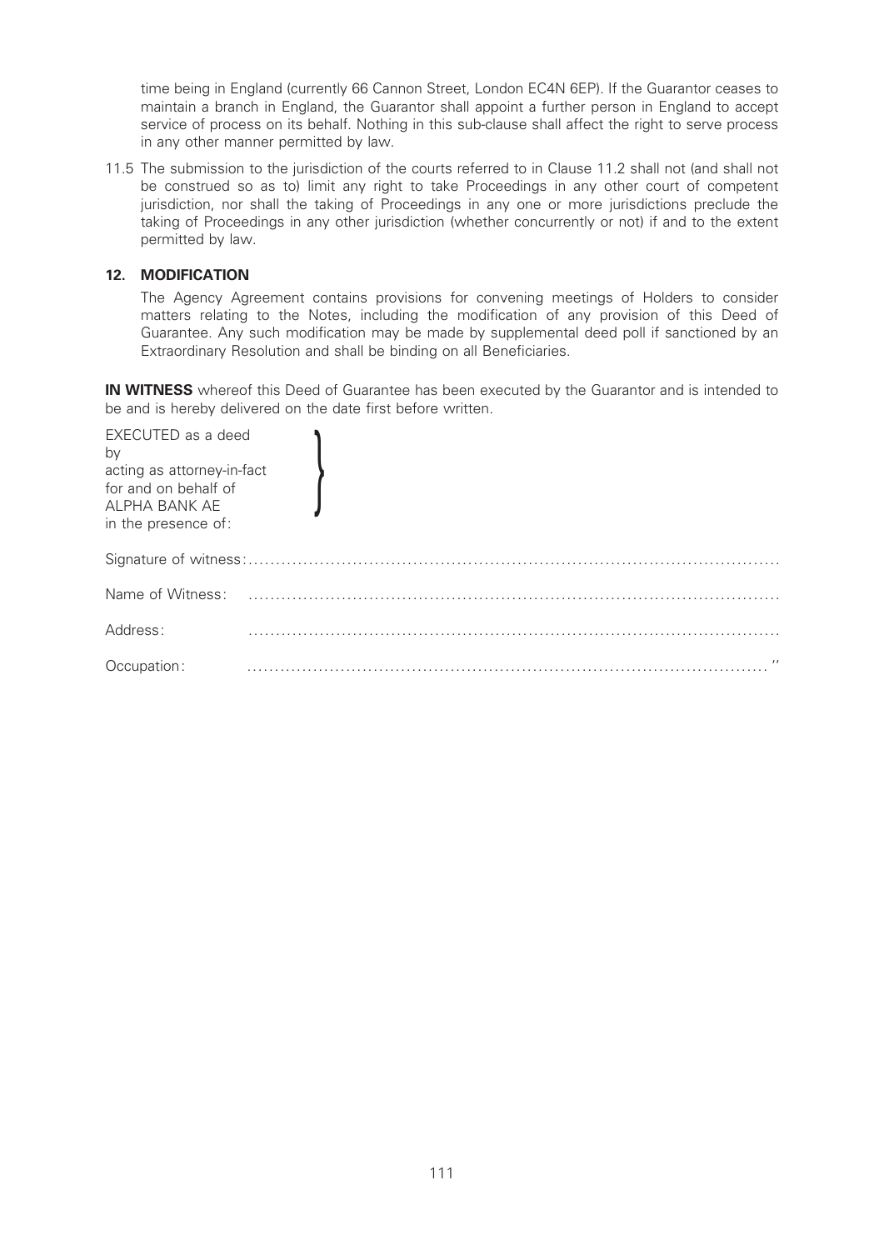time being in England (currently 66 Cannon Street, London EC4N 6EP). If the Guarantor ceases to maintain a branch in England, the Guarantor shall appoint a further person in England to accept service of process on its behalf. Nothing in this sub-clause shall affect the right to serve process in any other manner permitted by law.

11.5 The submission to the jurisdiction of the courts referred to in Clause 11.2 shall not (and shall not be construed so as to) limit any right to take Proceedings in any other court of competent jurisdiction, nor shall the taking of Proceedings in any one or more jurisdictions preclude the taking of Proceedings in any other jurisdiction (whether concurrently or not) if and to the extent permitted by law.

## 12. MODIFICATION

The Agency Agreement contains provisions for convening meetings of Holders to consider matters relating to the Notes, including the modification of any provision of this Deed of Guarantee. Any such modification may be made by supplemental deed poll if sanctioned by an Extraordinary Resolution and shall be binding on all Beneficiaries.

**IN WITNESS** whereof this Deed of Guarantee has been executed by the Guarantor and is intended to be and is hereby delivered on the date first before written.

| EXECUTED as a deed<br>by<br>acting as attorney-in-fact<br>for and on behalf of<br>ALPHA BANK AE<br>in the presence of: |              |  |
|------------------------------------------------------------------------------------------------------------------------|--------------|--|
|                                                                                                                        |              |  |
| Name of Witness:                                                                                                       |              |  |
| Address:                                                                                                               |              |  |
| Occupation:                                                                                                            | $\mathbf{r}$ |  |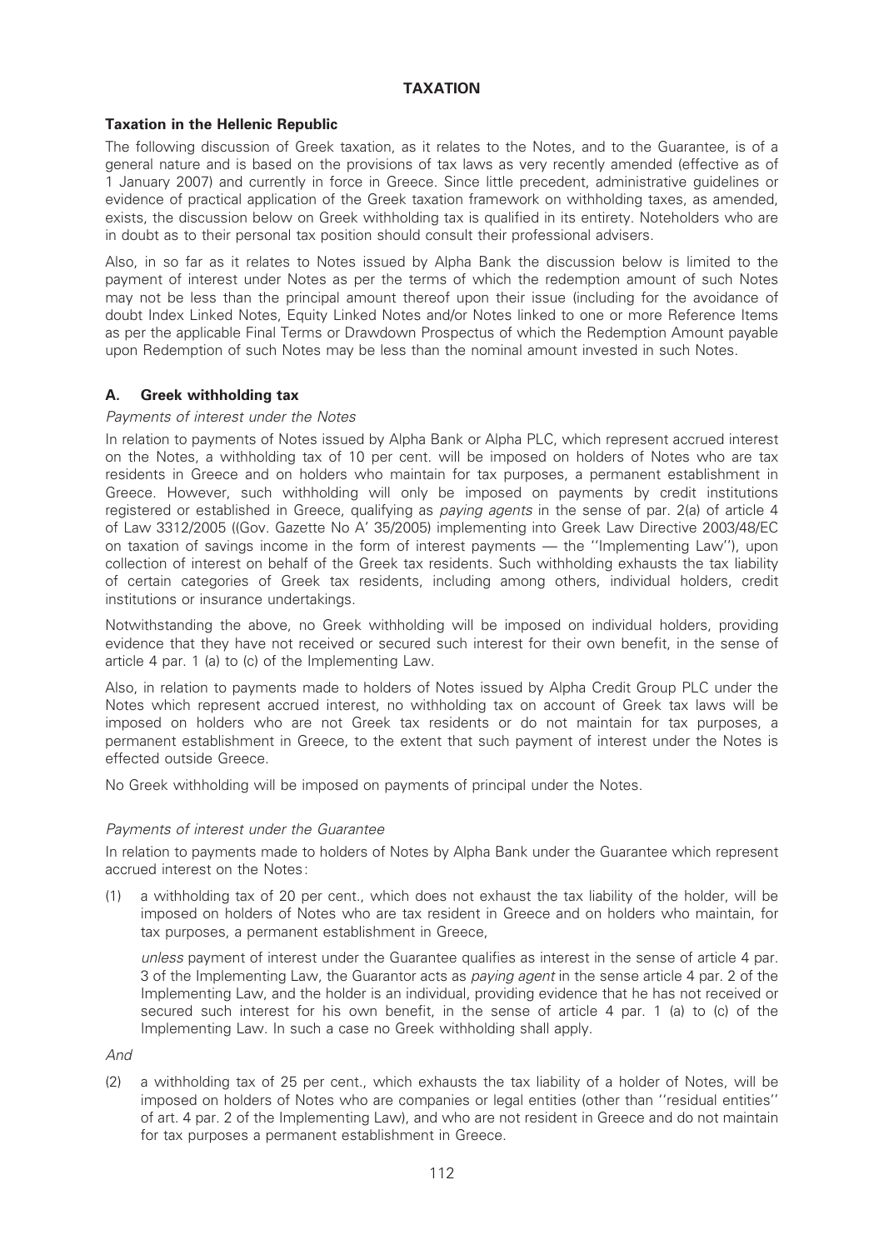## TAXATION

## Taxation in the Hellenic Republic

The following discussion of Greek taxation, as it relates to the Notes, and to the Guarantee, is of a general nature and is based on the provisions of tax laws as very recently amended (effective as of 1 January 2007) and currently in force in Greece. Since little precedent, administrative guidelines or evidence of practical application of the Greek taxation framework on withholding taxes, as amended, exists, the discussion below on Greek withholding tax is qualified in its entirety. Noteholders who are in doubt as to their personal tax position should consult their professional advisers.

Also, in so far as it relates to Notes issued by Alpha Bank the discussion below is limited to the payment of interest under Notes as per the terms of which the redemption amount of such Notes may not be less than the principal amount thereof upon their issue (including for the avoidance of doubt Index Linked Notes, Equity Linked Notes and/or Notes linked to one or more Reference Items as per the applicable Final Terms or Drawdown Prospectus of which the Redemption Amount payable upon Redemption of such Notes may be less than the nominal amount invested in such Notes.

## A. Greek withholding tax

## Payments of interest under the Notes

In relation to payments of Notes issued by Alpha Bank or Alpha PLC, which represent accrued interest on the Notes, a withholding tax of 10 per cent. will be imposed on holders of Notes who are tax residents in Greece and on holders who maintain for tax purposes, a permanent establishment in Greece. However, such withholding will only be imposed on payments by credit institutions registered or established in Greece, qualifying as paying agents in the sense of par. 2(a) of article 4 of Law 3312/2005 ((Gov. Gazette No A' 35/2005) implementing into Greek Law Directive 2003/48/EC on taxation of savings income in the form of interest payments  $-$  the "Implementing Law"), upon collection of interest on behalf of the Greek tax residents. Such withholding exhausts the tax liability of certain categories of Greek tax residents, including among others, individual holders, credit institutions or insurance undertakings.

Notwithstanding the above, no Greek withholding will be imposed on individual holders, providing evidence that they have not received or secured such interest for their own benefit, in the sense of article 4 par. 1 (a) to (c) of the Implementing Law.

Also, in relation to payments made to holders of Notes issued by Alpha Credit Group PLC under the Notes which represent accrued interest, no withholding tax on account of Greek tax laws will be imposed on holders who are not Greek tax residents or do not maintain for tax purposes, a permanent establishment in Greece, to the extent that such payment of interest under the Notes is effected outside Greece.

No Greek withholding will be imposed on payments of principal under the Notes.

#### Payments of interest under the Guarantee

In relation to payments made to holders of Notes by Alpha Bank under the Guarantee which represent accrued interest on the Notes:

(1) a withholding tax of 20 per cent., which does not exhaust the tax liability of the holder, will be imposed on holders of Notes who are tax resident in Greece and on holders who maintain, for tax purposes, a permanent establishment in Greece,

unless payment of interest under the Guarantee qualifies as interest in the sense of article 4 par. 3 of the Implementing Law, the Guarantor acts as *paying agent* in the sense article 4 par. 2 of the Implementing Law, and the holder is an individual, providing evidence that he has not received or secured such interest for his own benefit, in the sense of article 4 par. 1 (a) to (c) of the Implementing Law. In such a case no Greek withholding shall apply.

And

(2) a withholding tax of 25 per cent., which exhausts the tax liability of a holder of Notes, will be imposed on holders of Notes who are companies or legal entities (other than ''residual entities'' of art. 4 par. 2 of the Implementing Law), and who are not resident in Greece and do not maintain for tax purposes a permanent establishment in Greece.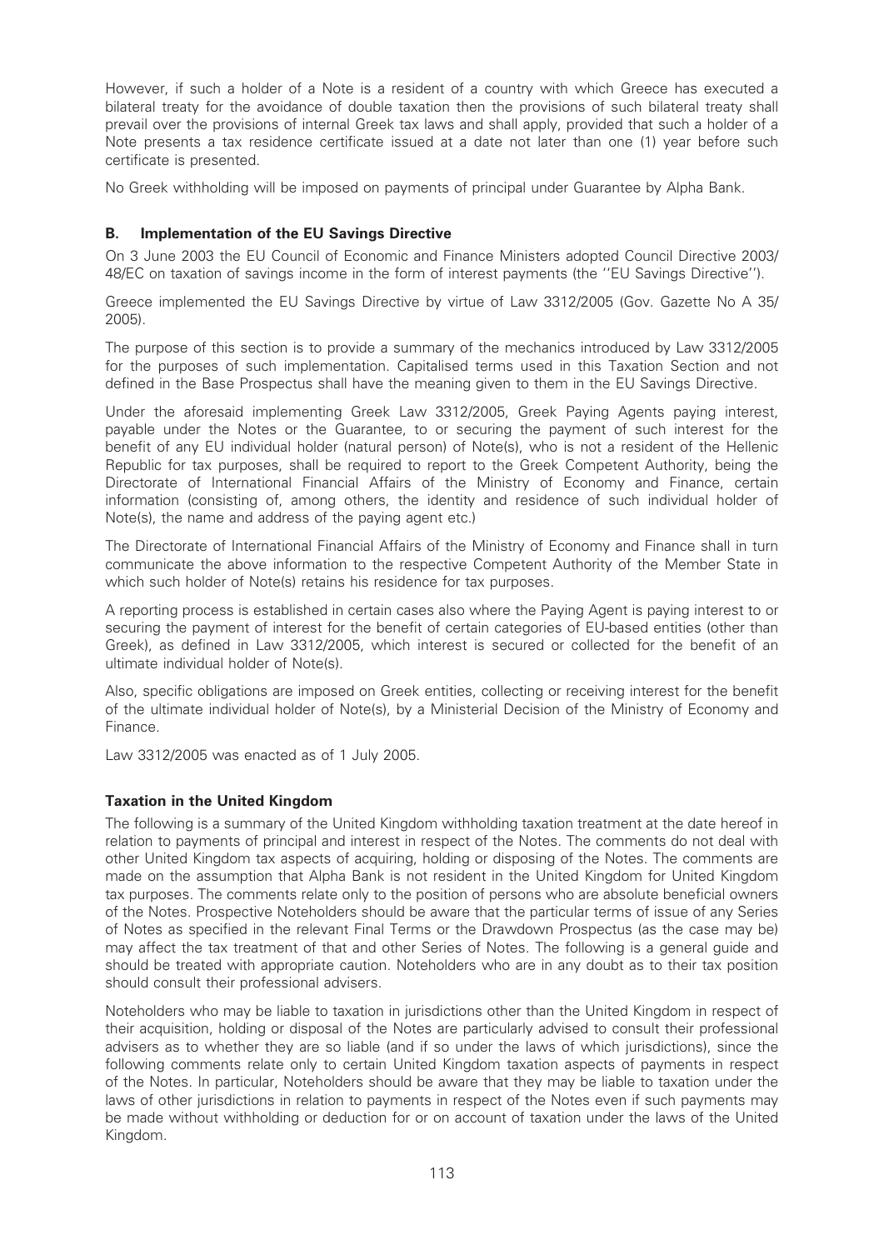However, if such a holder of a Note is a resident of a country with which Greece has executed a bilateral treaty for the avoidance of double taxation then the provisions of such bilateral treaty shall prevail over the provisions of internal Greek tax laws and shall apply, provided that such a holder of a Note presents a tax residence certificate issued at a date not later than one (1) year before such certificate is presented.

No Greek withholding will be imposed on payments of principal under Guarantee by Alpha Bank.

## B. Implementation of the EU Savings Directive

On 3 June 2003 the EU Council of Economic and Finance Ministers adopted Council Directive 2003/ 48/EC on taxation of savings income in the form of interest payments (the ''EU Savings Directive'').

Greece implemented the EU Savings Directive by virtue of Law 3312/2005 (Gov. Gazette No A 35/ 2005).

The purpose of this section is to provide a summary of the mechanics introduced by Law 3312/2005 for the purposes of such implementation. Capitalised terms used in this Taxation Section and not defined in the Base Prospectus shall have the meaning given to them in the EU Savings Directive.

Under the aforesaid implementing Greek Law 3312/2005, Greek Paying Agents paying interest, payable under the Notes or the Guarantee, to or securing the payment of such interest for the benefit of any EU individual holder (natural person) of Note(s), who is not a resident of the Hellenic Republic for tax purposes, shall be required to report to the Greek Competent Authority, being the Directorate of International Financial Affairs of the Ministry of Economy and Finance, certain information (consisting of, among others, the identity and residence of such individual holder of Note(s), the name and address of the paying agent etc.)

The Directorate of International Financial Affairs of the Ministry of Economy and Finance shall in turn communicate the above information to the respective Competent Authority of the Member State in which such holder of Note(s) retains his residence for tax purposes.

A reporting process is established in certain cases also where the Paying Agent is paying interest to or securing the payment of interest for the benefit of certain categories of EU-based entities (other than Greek), as defined in Law 3312/2005, which interest is secured or collected for the benefit of an ultimate individual holder of Note(s).

Also, specific obligations are imposed on Greek entities, collecting or receiving interest for the benefit of the ultimate individual holder of Note(s), by a Ministerial Decision of the Ministry of Economy and Finance.

Law 3312/2005 was enacted as of 1 July 2005.

## Taxation in the United Kingdom

The following is a summary of the United Kingdom withholding taxation treatment at the date hereof in relation to payments of principal and interest in respect of the Notes. The comments do not deal with other United Kingdom tax aspects of acquiring, holding or disposing of the Notes. The comments are made on the assumption that Alpha Bank is not resident in the United Kingdom for United Kingdom tax purposes. The comments relate only to the position of persons who are absolute beneficial owners of the Notes. Prospective Noteholders should be aware that the particular terms of issue of any Series of Notes as specified in the relevant Final Terms or the Drawdown Prospectus (as the case may be) may affect the tax treatment of that and other Series of Notes. The following is a general guide and should be treated with appropriate caution. Noteholders who are in any doubt as to their tax position should consult their professional advisers.

Noteholders who may be liable to taxation in jurisdictions other than the United Kingdom in respect of their acquisition, holding or disposal of the Notes are particularly advised to consult their professional advisers as to whether they are so liable (and if so under the laws of which jurisdictions), since the following comments relate only to certain United Kingdom taxation aspects of payments in respect of the Notes. In particular, Noteholders should be aware that they may be liable to taxation under the laws of other jurisdictions in relation to payments in respect of the Notes even if such payments may be made without withholding or deduction for or on account of taxation under the laws of the United Kingdom.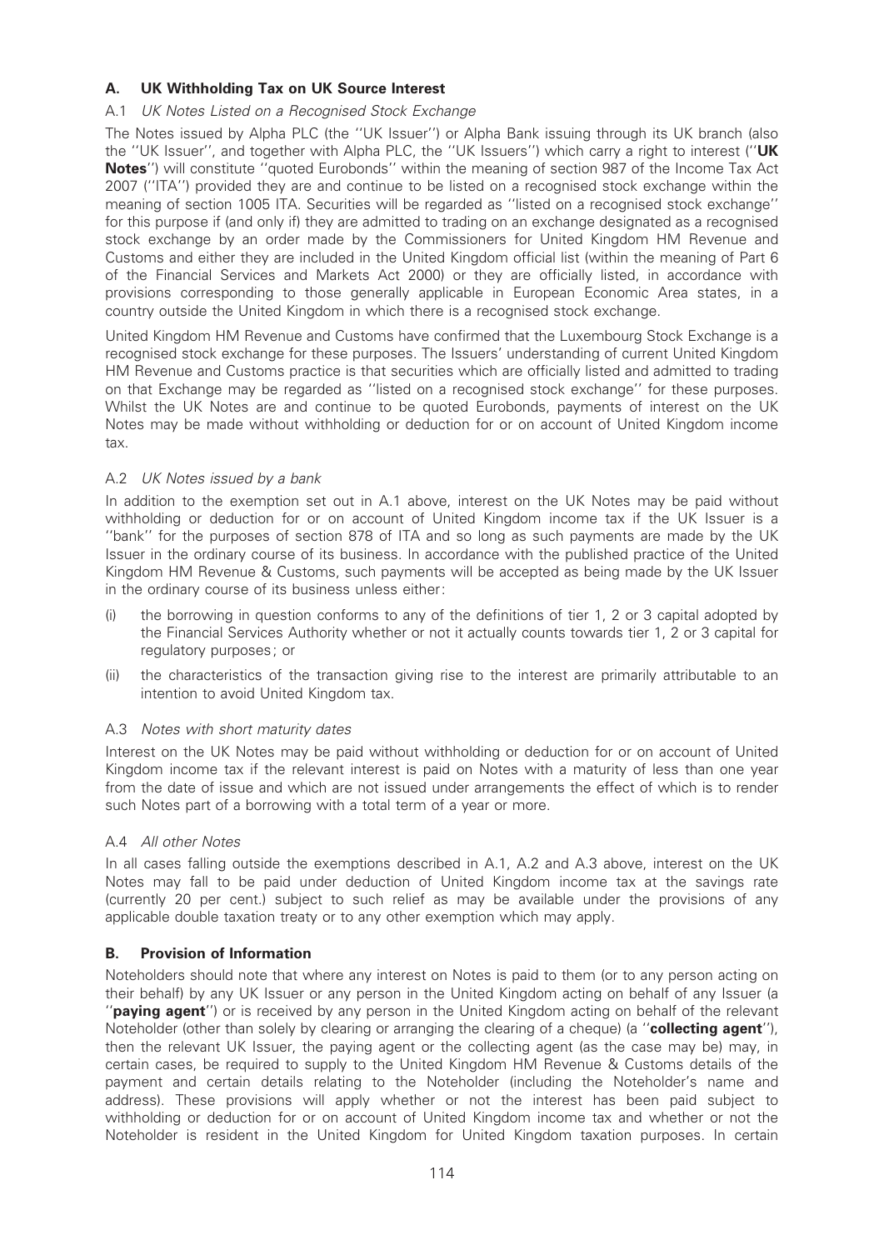# A. UK Withholding Tax on UK Source Interest

## A.1 UK Notes Listed on a Recognised Stock Exchange

The Notes issued by Alpha PLC (the ''UK Issuer'') or Alpha Bank issuing through its UK branch (also the ''UK Issuer'', and together with Alpha PLC, the ''UK Issuers'') which carry a right to interest (''UK Notes'') will constitute "quoted Eurobonds" within the meaning of section 987 of the Income Tax Act 2007 (''ITA'') provided they are and continue to be listed on a recognised stock exchange within the meaning of section 1005 ITA. Securities will be regarded as ''listed on a recognised stock exchange'' for this purpose if (and only if) they are admitted to trading on an exchange designated as a recognised stock exchange by an order made by the Commissioners for United Kingdom HM Revenue and Customs and either they are included in the United Kingdom official list (within the meaning of Part 6 of the Financial Services and Markets Act 2000) or they are officially listed, in accordance with provisions corresponding to those generally applicable in European Economic Area states, in a country outside the United Kingdom in which there is a recognised stock exchange.

United Kingdom HM Revenue and Customs have confirmed that the Luxembourg Stock Exchange is a recognised stock exchange for these purposes. The Issuers' understanding of current United Kingdom HM Revenue and Customs practice is that securities which are officially listed and admitted to trading on that Exchange may be regarded as ''listed on a recognised stock exchange'' for these purposes. Whilst the UK Notes are and continue to be quoted Eurobonds, payments of interest on the UK Notes may be made without withholding or deduction for or on account of United Kingdom income tax.

## A.2 UK Notes issued by a bank

In addition to the exemption set out in A.1 above, interest on the UK Notes may be paid without withholding or deduction for or on account of United Kingdom income tax if the UK Issuer is a ''bank'' for the purposes of section 878 of ITA and so long as such payments are made by the UK Issuer in the ordinary course of its business. In accordance with the published practice of the United Kingdom HM Revenue & Customs, such payments will be accepted as being made by the UK Issuer in the ordinary course of its business unless either:

- $(i)$  the borrowing in question conforms to any of the definitions of tier 1, 2 or 3 capital adopted by the Financial Services Authority whether or not it actually counts towards tier 1, 2 or 3 capital for regulatory purposes; or
- (ii) the characteristics of the transaction giving rise to the interest are primarily attributable to an intention to avoid United Kingdom tax.

## A.3 Notes with short maturity dates

Interest on the UK Notes may be paid without withholding or deduction for or on account of United Kingdom income tax if the relevant interest is paid on Notes with a maturity of less than one year from the date of issue and which are not issued under arrangements the effect of which is to render such Notes part of a borrowing with a total term of a year or more.

## A.4 All other Notes

In all cases falling outside the exemptions described in A.1, A.2 and A.3 above, interest on the UK Notes may fall to be paid under deduction of United Kingdom income tax at the savings rate (currently 20 per cent.) subject to such relief as may be available under the provisions of any applicable double taxation treaty or to any other exemption which may apply.

## B. Provision of Information

Noteholders should note that where any interest on Notes is paid to them (or to any person acting on their behalf) by any UK Issuer or any person in the United Kingdom acting on behalf of any Issuer (a "**paying agent**") or is received by any person in the United Kingdom acting on behalf of the relevant Noteholder (other than solely by clearing or arranging the clearing of a cheque) (a "collecting agent"), then the relevant UK Issuer, the paying agent or the collecting agent (as the case may be) may, in certain cases, be required to supply to the United Kingdom HM Revenue & Customs details of the payment and certain details relating to the Noteholder (including the Noteholder's name and address). These provisions will apply whether or not the interest has been paid subject to withholding or deduction for or on account of United Kingdom income tax and whether or not the Noteholder is resident in the United Kingdom for United Kingdom taxation purposes. In certain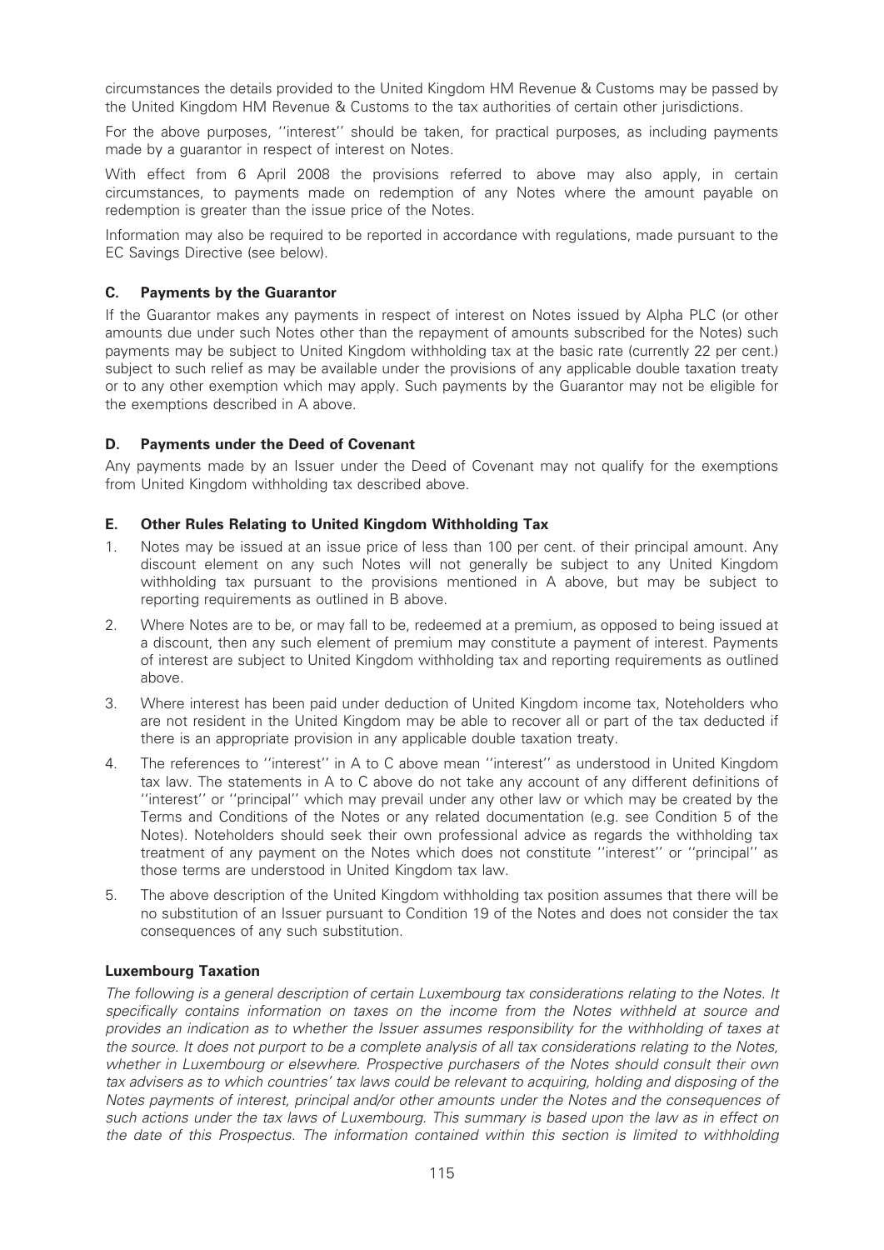circumstances the details provided to the United Kingdom HM Revenue & Customs may be passed by the United Kingdom HM Revenue & Customs to the tax authorities of certain other jurisdictions.

For the above purposes, ''interest'' should be taken, for practical purposes, as including payments made by a guarantor in respect of interest on Notes.

With effect from 6 April 2008 the provisions referred to above may also apply, in certain circumstances, to payments made on redemption of any Notes where the amount payable on redemption is greater than the issue price of the Notes.

Information may also be required to be reported in accordance with regulations, made pursuant to the EC Savings Directive (see below).

## C. Payments by the Guarantor

If the Guarantor makes any payments in respect of interest on Notes issued by Alpha PLC (or other amounts due under such Notes other than the repayment of amounts subscribed for the Notes) such payments may be subject to United Kingdom withholding tax at the basic rate (currently 22 per cent.) subject to such relief as may be available under the provisions of any applicable double taxation treaty or to any other exemption which may apply. Such payments by the Guarantor may not be eligible for the exemptions described in A above.

## D. Payments under the Deed of Covenant

Any payments made by an Issuer under the Deed of Covenant may not qualify for the exemptions from United Kingdom withholding tax described above.

## E. Other Rules Relating to United Kingdom Withholding Tax

- 1. Notes may be issued at an issue price of less than 100 per cent. of their principal amount. Any discount element on any such Notes will not generally be subject to any United Kingdom withholding tax pursuant to the provisions mentioned in A above, but may be subject to reporting requirements as outlined in B above.
- 2. Where Notes are to be, or may fall to be, redeemed at a premium, as opposed to being issued at a discount, then any such element of premium may constitute a payment of interest. Payments of interest are subject to United Kingdom withholding tax and reporting requirements as outlined above.
- 3. Where interest has been paid under deduction of United Kingdom income tax, Noteholders who are not resident in the United Kingdom may be able to recover all or part of the tax deducted if there is an appropriate provision in any applicable double taxation treaty.
- 4. The references to ''interest'' in A to C above mean ''interest'' as understood in United Kingdom tax law. The statements in A to C above do not take any account of any different definitions of ''interest'' or ''principal'' which may prevail under any other law or which may be created by the Terms and Conditions of the Notes or any related documentation (e.g. see Condition 5 of the Notes). Noteholders should seek their own professional advice as regards the withholding tax treatment of any payment on the Notes which does not constitute ''interest'' or ''principal'' as those terms are understood in United Kingdom tax law.
- 5. The above description of the United Kingdom withholding tax position assumes that there will be no substitution of an Issuer pursuant to Condition 19 of the Notes and does not consider the tax consequences of any such substitution.

## Luxembourg Taxation

The following is a general description of certain Luxembourg tax considerations relating to the Notes. It specifically contains information on taxes on the income from the Notes withheld at source and provides an indication as to whether the Issuer assumes responsibility for the withholding of taxes at the source. It does not purport to be a complete analysis of all tax considerations relating to the Notes, whether in Luxembourg or elsewhere. Prospective purchasers of the Notes should consult their own tax advisers as to which countries' tax laws could be relevant to acquiring, holding and disposing of the Notes payments of interest, principal and/or other amounts under the Notes and the consequences of such actions under the tax laws of Luxembourg. This summary is based upon the law as in effect on the date of this Prospectus. The information contained within this section is limited to withholding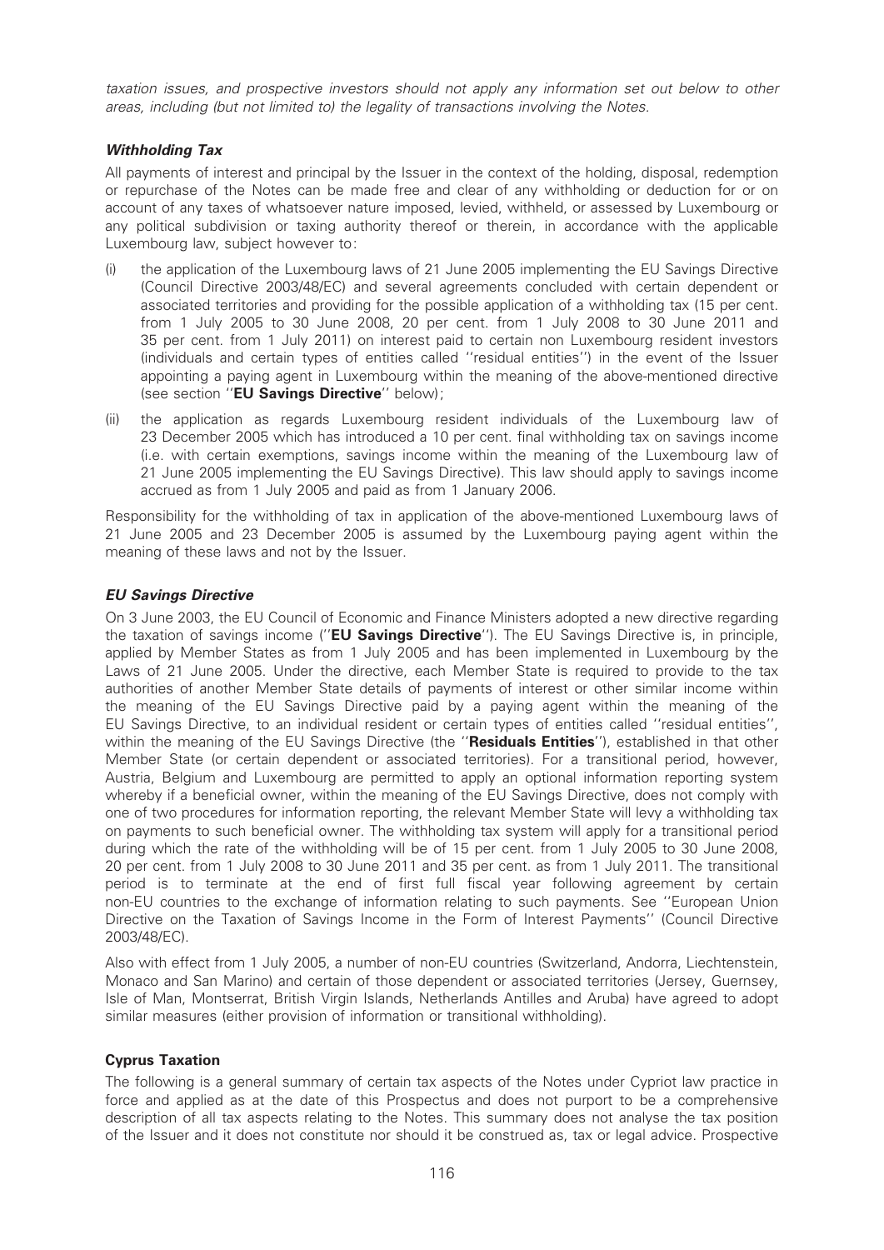taxation issues, and prospective investors should not apply any information set out below to other areas, including (but not limited to) the legality of transactions involving the Notes.

# Withholding Tax

All payments of interest and principal by the Issuer in the context of the holding, disposal, redemption or repurchase of the Notes can be made free and clear of any withholding or deduction for or on account of any taxes of whatsoever nature imposed, levied, withheld, or assessed by Luxembourg or any political subdivision or taxing authority thereof or therein, in accordance with the applicable Luxembourg law, subject however to:

- (i) the application of the Luxembourg laws of 21 June 2005 implementing the EU Savings Directive (Council Directive 2003/48/EC) and several agreements concluded with certain dependent or associated territories and providing for the possible application of a withholding tax (15 per cent. from 1 July 2005 to 30 June 2008, 20 per cent. from 1 July 2008 to 30 June 2011 and 35 per cent. from 1 July 2011) on interest paid to certain non Luxembourg resident investors (individuals and certain types of entities called ''residual entities'') in the event of the Issuer appointing a paying agent in Luxembourg within the meaning of the above-mentioned directive (see section ''EU Savings Directive'' below);
- (ii) the application as regards Luxembourg resident individuals of the Luxembourg law of 23 December 2005 which has introduced a 10 per cent, final withholding tax on savings income (i.e. with certain exemptions, savings income within the meaning of the Luxembourg law of 21 June 2005 implementing the EU Savings Directive). This law should apply to savings income accrued as from 1 July 2005 and paid as from 1 January 2006.

Responsibility for the withholding of tax in application of the above-mentioned Luxembourg laws of 21 June 2005 and 23 December 2005 is assumed by the Luxembourg paying agent within the meaning of these laws and not by the Issuer.

## EU Savings Directive

On 3 June 2003, the EU Council of Economic and Finance Ministers adopted a new directive regarding the taxation of savings income ("**EU Savings Directive**"). The EU Savings Directive is, in principle, applied by Member States as from 1 July 2005 and has been implemented in Luxembourg by the Laws of 21 June 2005. Under the directive, each Member State is required to provide to the tax authorities of another Member State details of payments of interest or other similar income within the meaning of the EU Savings Directive paid by a paying agent within the meaning of the EU Savings Directive, to an individual resident or certain types of entities called ''residual entities'', within the meaning of the EU Savings Directive (the "Residuals Entities"), established in that other Member State (or certain dependent or associated territories). For a transitional period, however, Austria, Belgium and Luxembourg are permitted to apply an optional information reporting system whereby if a beneficial owner, within the meaning of the EU Savings Directive, does not comply with one of two procedures for information reporting, the relevant Member State will levy a withholding tax on payments to such beneficial owner. The withholding tax system will apply for a transitional period during which the rate of the withholding will be of 15 per cent. from 1 July 2005 to 30 June 2008, 20 per cent. from 1 July 2008 to 30 June 2011 and 35 per cent. as from 1 July 2011. The transitional period is to terminate at the end of first full fiscal year following agreement by certain non-EU countries to the exchange of information relating to such payments. See ''European Union Directive on the Taxation of Savings Income in the Form of Interest Payments'' (Council Directive 2003/48/EC).

Also with effect from 1 July 2005, a number of non-EU countries (Switzerland, Andorra, Liechtenstein, Monaco and San Marino) and certain of those dependent or associated territories (Jersey, Guernsey, Isle of Man, Montserrat, British Virgin Islands, Netherlands Antilles and Aruba) have agreed to adopt similar measures (either provision of information or transitional withholding).

## Cyprus Taxation

The following is a general summary of certain tax aspects of the Notes under Cypriot law practice in force and applied as at the date of this Prospectus and does not purport to be a comprehensive description of all tax aspects relating to the Notes. This summary does not analyse the tax position of the Issuer and it does not constitute nor should it be construed as, tax or legal advice. Prospective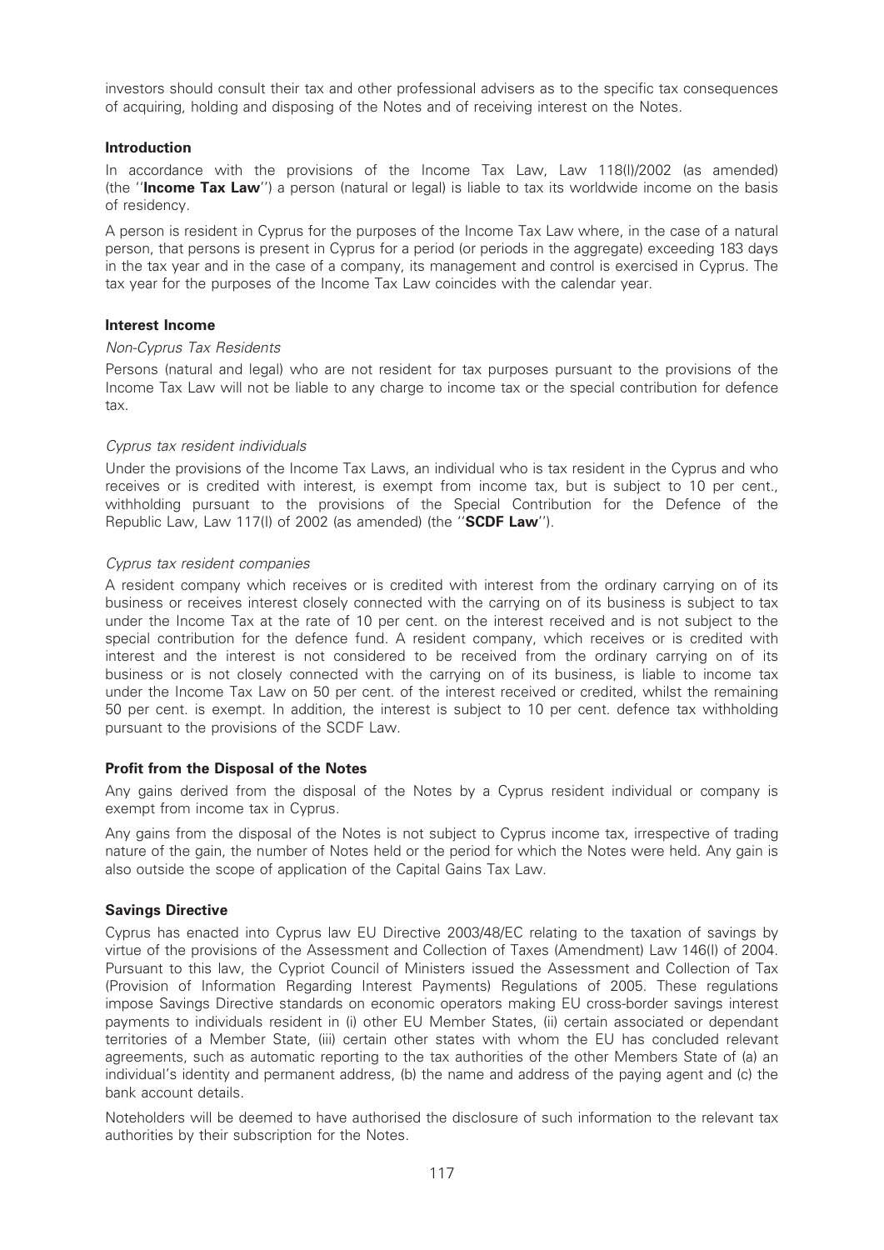investors should consult their tax and other professional advisers as to the specific tax consequences of acquiring, holding and disposing of the Notes and of receiving interest on the Notes.

## Introduction

In accordance with the provisions of the Income Tax Law, Law 118(I)/2002 (as amended) (the "Income Tax Law") a person (natural or legal) is liable to tax its worldwide income on the basis of residency.

A person is resident in Cyprus for the purposes of the Income Tax Law where, in the case of a natural person, that persons is present in Cyprus for a period (or periods in the aggregate) exceeding 183 days in the tax year and in the case of a company, its management and control is exercised in Cyprus. The tax year for the purposes of the Income Tax Law coincides with the calendar year.

## Interest Income

## Non-Cyprus Tax Residents

Persons (natural and legal) who are not resident for tax purposes pursuant to the provisions of the Income Tax Law will not be liable to any charge to income tax or the special contribution for defence tax.

## Cyprus tax resident individuals

Under the provisions of the Income Tax Laws, an individual who is tax resident in the Cyprus and who receives or is credited with interest, is exempt from income tax, but is subject to 10 per cent., withholding pursuant to the provisions of the Special Contribution for the Defence of the Republic Law, Law 117(I) of 2002 (as amended) (the "SCDF Law").

## Cyprus tax resident companies

A resident company which receives or is credited with interest from the ordinary carrying on of its business or receives interest closely connected with the carrying on of its business is subject to tax under the Income Tax at the rate of 10 per cent. on the interest received and is not subject to the special contribution for the defence fund. A resident company, which receives or is credited with interest and the interest is not considered to be received from the ordinary carrying on of its business or is not closely connected with the carrying on of its business, is liable to income tax under the Income Tax Law on 50 per cent. of the interest received or credited, whilst the remaining 50 per cent. is exempt. In addition, the interest is subject to 10 per cent. defence tax withholding pursuant to the provisions of the SCDF Law.

#### Profit from the Disposal of the Notes

Any gains derived from the disposal of the Notes by a Cyprus resident individual or company is exempt from income tax in Cyprus.

Any gains from the disposal of the Notes is not subject to Cyprus income tax, irrespective of trading nature of the gain, the number of Notes held or the period for which the Notes were held. Any gain is also outside the scope of application of the Capital Gains Tax Law.

## Savings Directive

Cyprus has enacted into Cyprus law EU Directive 2003/48/EC relating to the taxation of savings by virtue of the provisions of the Assessment and Collection of Taxes (Amendment) Law 146(I) of 2004. Pursuant to this law, the Cypriot Council of Ministers issued the Assessment and Collection of Tax (Provision of Information Regarding Interest Payments) Regulations of 2005. These regulations impose Savings Directive standards on economic operators making EU cross-border savings interest payments to individuals resident in (i) other EU Member States, (ii) certain associated or dependant territories of a Member State, (iii) certain other states with whom the EU has concluded relevant agreements, such as automatic reporting to the tax authorities of the other Members State of (a) an individual's identity and permanent address, (b) the name and address of the paying agent and (c) the bank account details.

Noteholders will be deemed to have authorised the disclosure of such information to the relevant tax authorities by their subscription for the Notes.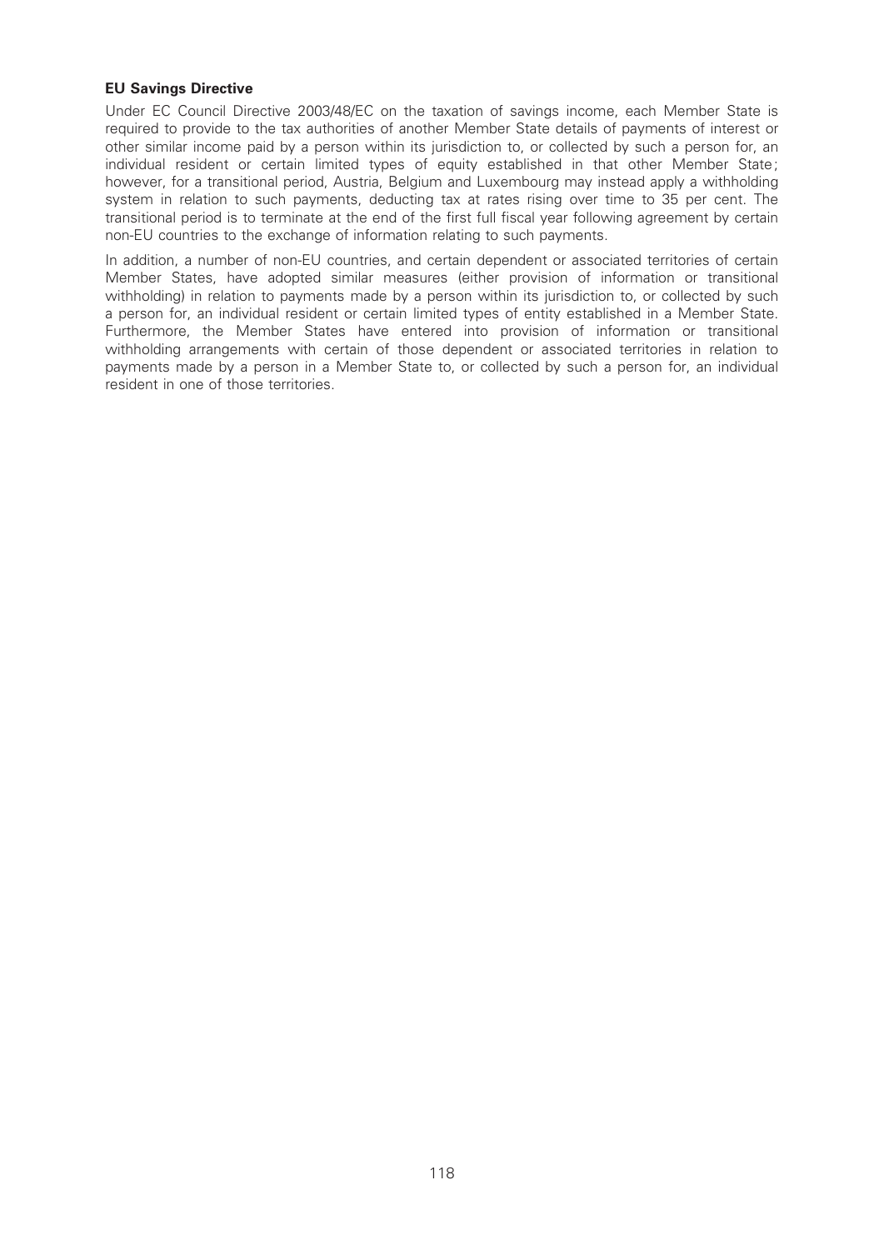## EU Savings Directive

Under EC Council Directive 2003/48/EC on the taxation of savings income, each Member State is required to provide to the tax authorities of another Member State details of payments of interest or other similar income paid by a person within its jurisdiction to, or collected by such a person for, an individual resident or certain limited types of equity established in that other Member State; however, for a transitional period, Austria, Belgium and Luxembourg may instead apply a withholding system in relation to such payments, deducting tax at rates rising over time to 35 per cent. The transitional period is to terminate at the end of the first full fiscal year following agreement by certain non-EU countries to the exchange of information relating to such payments.

In addition, a number of non-EU countries, and certain dependent or associated territories of certain Member States, have adopted similar measures (either provision of information or transitional withholding) in relation to payments made by a person within its jurisdiction to, or collected by such a person for, an individual resident or certain limited types of entity established in a Member State. Furthermore, the Member States have entered into provision of information or transitional withholding arrangements with certain of those dependent or associated territories in relation to payments made by a person in a Member State to, or collected by such a person for, an individual resident in one of those territories.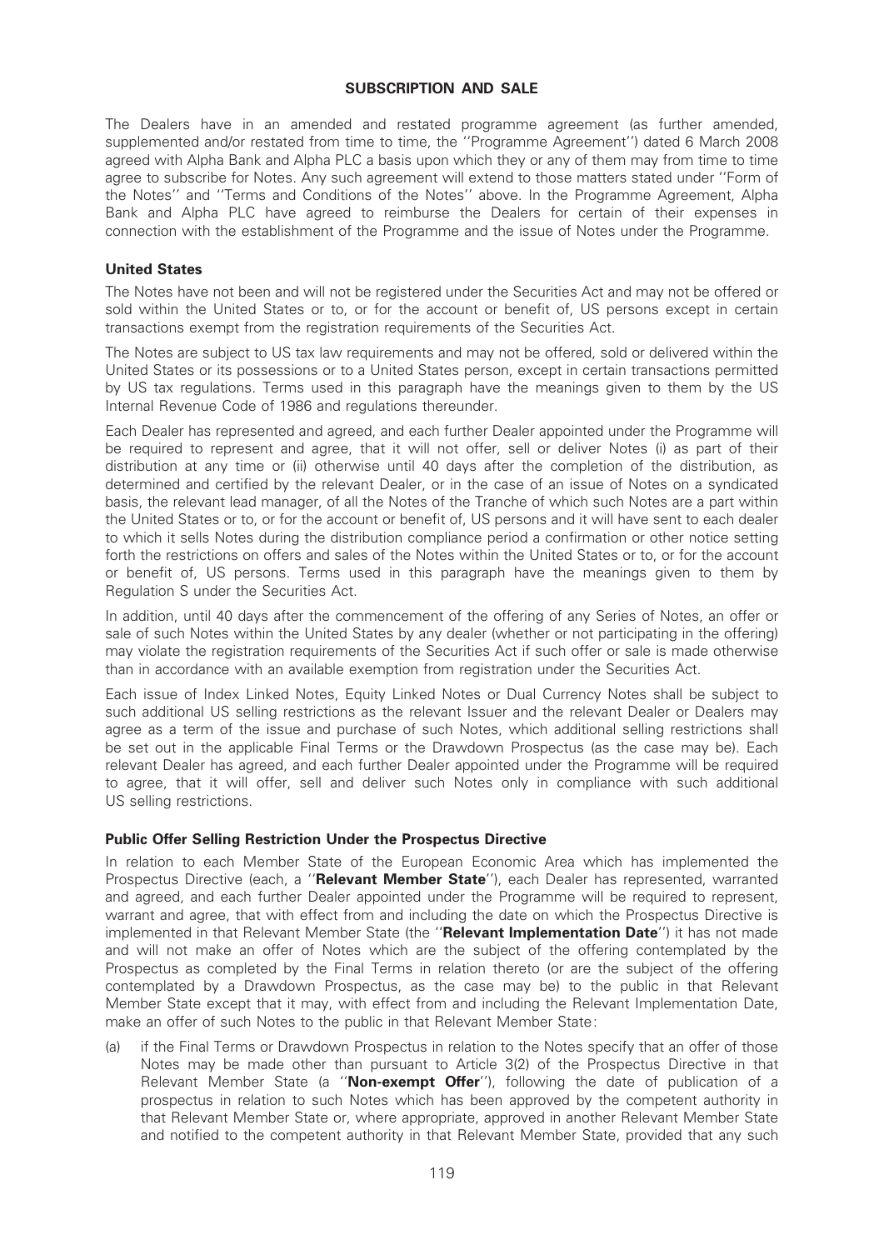## SUBSCRIPTION AND SALE

The Dealers have in an amended and restated programme agreement (as further amended, supplemented and/or restated from time to time, the ''Programme Agreement'') dated 6 March 2008 agreed with Alpha Bank and Alpha PLC a basis upon which they or any of them may from time to time agree to subscribe for Notes. Any such agreement will extend to those matters stated under ''Form of the Notes'' and ''Terms and Conditions of the Notes'' above. In the Programme Agreement, Alpha Bank and Alpha PLC have agreed to reimburse the Dealers for certain of their expenses in connection with the establishment of the Programme and the issue of Notes under the Programme.

## United States

The Notes have not been and will not be registered under the Securities Act and may not be offered or sold within the United States or to, or for the account or benefit of, US persons except in certain transactions exempt from the registration requirements of the Securities Act.

The Notes are subject to US tax law requirements and may not be offered, sold or delivered within the United States or its possessions or to a United States person, except in certain transactions permitted by US tax regulations. Terms used in this paragraph have the meanings given to them by the US Internal Revenue Code of 1986 and regulations thereunder.

Each Dealer has represented and agreed, and each further Dealer appointed under the Programme will be required to represent and agree, that it will not offer, sell or deliver Notes (i) as part of their distribution at any time or (ii) otherwise until 40 days after the completion of the distribution, as determined and certified by the relevant Dealer, or in the case of an issue of Notes on a syndicated basis, the relevant lead manager, of all the Notes of the Tranche of which such Notes are a part within the United States or to, or for the account or benefit of, US persons and it will have sent to each dealer to which it sells Notes during the distribution compliance period a confirmation or other notice setting forth the restrictions on offers and sales of the Notes within the United States or to, or for the account or bene¢t of, US persons. Terms used in this paragraph have the meanings given to them by Regulation S under the Securities Act.

In addition, until 40 days after the commencement of the offering of any Series of Notes, an offer or sale of such Notes within the United States by any dealer (whether or not participating in the offering) may violate the registration requirements of the Securities Act if such offer or sale is made otherwise than in accordance with an available exemption from registration under the Securities Act.

Each issue of Index Linked Notes, Equity Linked Notes or Dual Currency Notes shall be subject to such additional US selling restrictions as the relevant Issuer and the relevant Dealer or Dealers may agree as a term of the issue and purchase of such Notes, which additional selling restrictions shall be set out in the applicable Final Terms or the Drawdown Prospectus (as the case may be). Each relevant Dealer has agreed, and each further Dealer appointed under the Programme will be required to agree, that it will offer, sell and deliver such Notes only in compliance with such additional US selling restrictions.

#### Public Offer Selling Restriction Under the Prospectus Directive

In relation to each Member State of the European Economic Area which has implemented the Prospectus Directive (each, a "Relevant Member State"), each Dealer has represented, warranted and agreed, and each further Dealer appointed under the Programme will be required to represent, warrant and agree, that with effect from and including the date on which the Prospectus Directive is implemented in that Relevant Member State (the "Relevant Implementation Date") it has not made and will not make an offer of Notes which are the subject of the offering contemplated by the Prospectus as completed by the Final Terms in relation thereto (or are the subject of the offering contemplated by a Drawdown Prospectus, as the case may be) to the public in that Relevant Member State except that it may, with effect from and including the Relevant Implementation Date, make an offer of such Notes to the public in that Relevant Member State:

(a) if the Final Terms or Drawdown Prospectus in relation to the Notes specify that an offer of those Notes may be made other than pursuant to Article 3(2) of the Prospectus Directive in that Relevant Member State (a "Non-exempt Offer"), following the date of publication of a prospectus in relation to such Notes which has been approved by the competent authority in that Relevant Member State or, where appropriate, approved in another Relevant Member State and notified to the competent authority in that Relevant Member State, provided that any such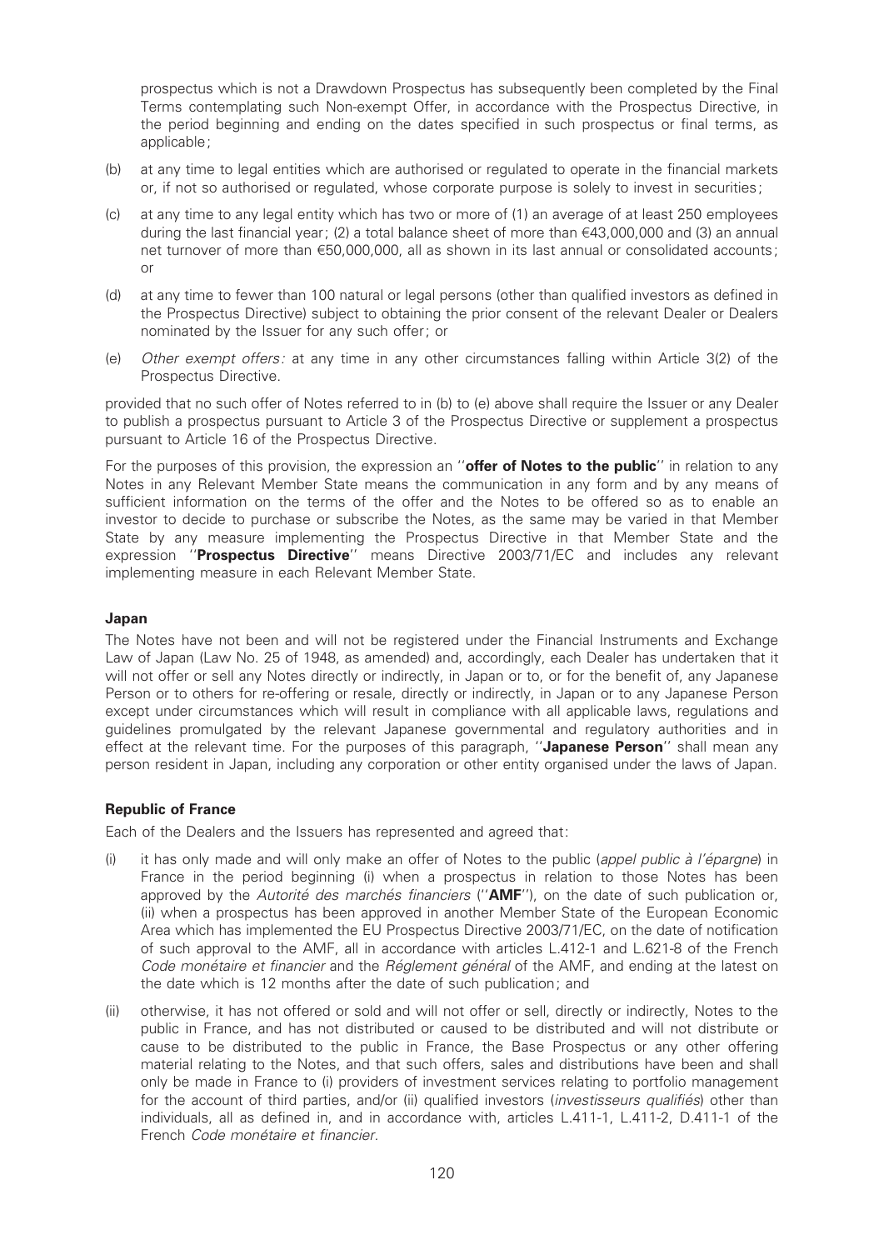prospectus which is not a Drawdown Prospectus has subsequently been completed by the Final Terms contemplating such Non-exempt Offer, in accordance with the Prospectus Directive, in the period beginning and ending on the dates specified in such prospectus or final terms, as applicable;

- (b) at any time to legal entities which are authorised or regulated to operate in the financial markets or, if not so authorised or regulated, whose corporate purpose is solely to invest in securities;
- (c) at any time to any legal entity which has two or more of (1) an average of at least 250 employees during the last financial year; (2) a total balance sheet of more than  $\epsilon$ 43,000,000 and (3) an annual net turnover of more than €50,000,000, all as shown in its last annual or consolidated accounts; or
- (d) at any time to fewer than 100 natural or legal persons (other than qualified investors as defined in the Prospectus Directive) subject to obtaining the prior consent of the relevant Dealer or Dealers nominated by the Issuer for any such offer; or
- (e) Other exempt offers: at any time in any other circumstances falling within Article 3(2) of the Prospectus Directive.

provided that no such offer of Notes referred to in (b) to (e) above shall require the Issuer or any Dealer to publish a prospectus pursuant to Article 3 of the Prospectus Directive or supplement a prospectus pursuant to Article 16 of the Prospectus Directive.

For the purposes of this provision, the expression an "offer of Notes to the public" in relation to any Notes in any Relevant Member State means the communication in any form and by any means of sufficient information on the terms of the offer and the Notes to be offered so as to enable an investor to decide to purchase or subscribe the Notes, as the same may be varied in that Member State by any measure implementing the Prospectus Directive in that Member State and the expression "Prospectus Directive" means Directive 2003/71/EC and includes any relevant implementing measure in each Relevant Member State.

#### Japan

The Notes have not been and will not be registered under the Financial Instruments and Exchange Law of Japan (Law No. 25 of 1948, as amended) and, accordingly, each Dealer has undertaken that it will not offer or sell any Notes directly or indirectly, in Japan or to, or for the benefit of, any Japanese Person or to others for re-offering or resale, directly or indirectly, in Japan or to any Japanese Person except under circumstances which will result in compliance with all applicable laws, regulations and guidelines promulgated by the relevant Japanese governmental and regulatory authorities and in effect at the relevant time. For the purposes of this paragraph, "Japanese Person" shall mean any person resident in Japan, including any corporation or other entity organised under the laws of Japan.

#### Republic of France

Each of the Dealers and the Issuers has represented and agreed that:

- (i) it has only made and will only make an offer of Notes to the public (appel public  $\dot{a}$  l'épargne) in France in the period beginning (i) when a prospectus in relation to those Notes has been approved by the Autorité des marchés financiers (" $\Delta M$ F"), on the date of such publication or, (ii) when a prospectus has been approved in another Member State of the European Economic Area which has implemented the EU Prospectus Directive 2003/71/EC, on the date of notification of such approval to the AMF, all in accordance with articles L.412-1 and L.621-8 of the French Code monétaire et financier and the Réglement général of the AMF, and ending at the latest on the date which is 12 months after the date of such publication; and
- (ii) otherwise, it has not offered or sold and will not offer or sell, directly or indirectly, Notes to the public in France, and has not distributed or caused to be distributed and will not distribute or cause to be distributed to the public in France, the Base Prospectus or any other offering material relating to the Notes, and that such offers, sales and distributions have been and shall only be made in France to (i) providers of investment services relating to portfolio management for the account of third parties, and/or (ii) qualified investors (investisseurs qualifiés) other than individuals, all as defined in, and in accordance with, articles L.411-1, L.411-2, D.411-1 of the French Code monétaire et financier.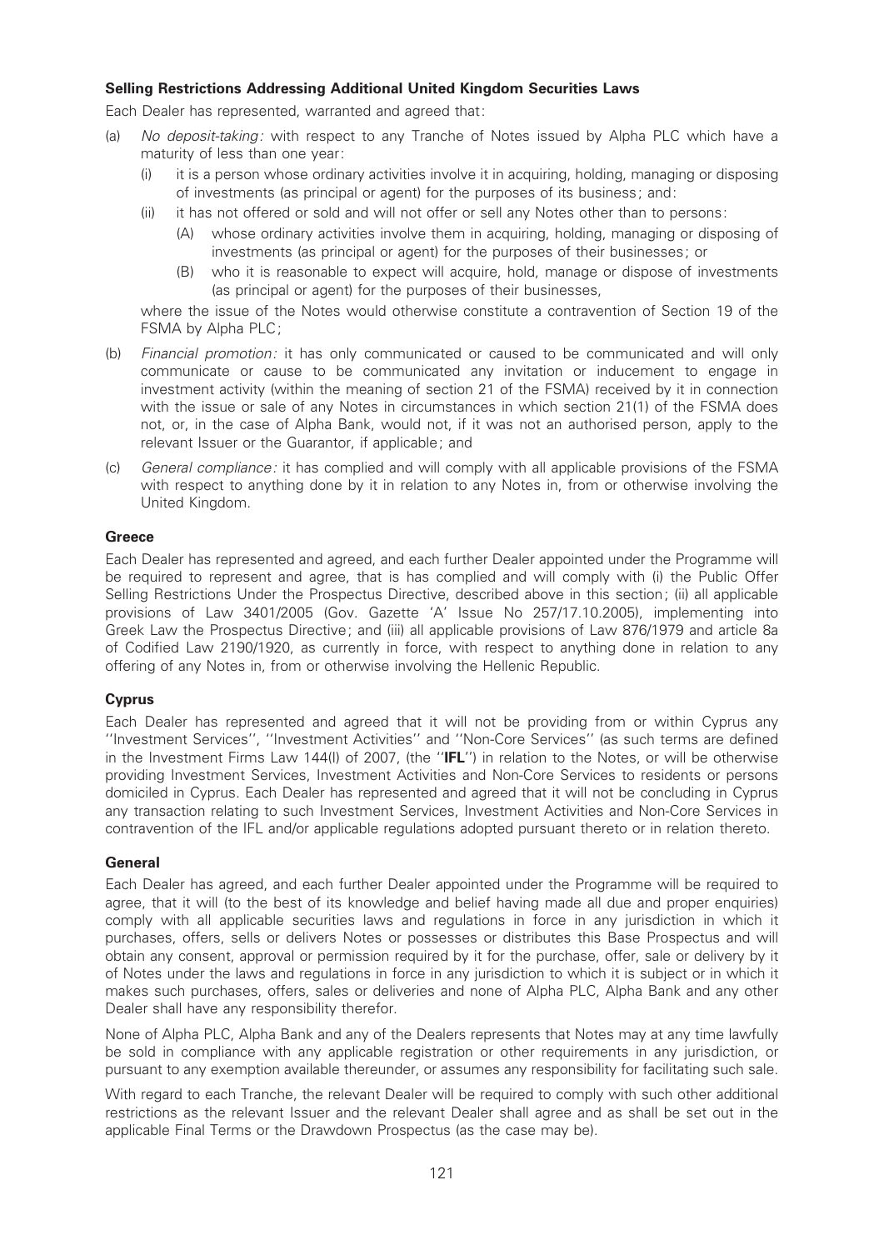## Selling Restrictions Addressing Additional United Kingdom Securities Laws

Each Dealer has represented, warranted and agreed that:

- (a) No deposit-taking: with respect to any Tranche of Notes issued by Alpha PLC which have a maturity of less than one year:
	- it is a person whose ordinary activities involve it in acquiring, holding, managing or disposing of investments (as principal or agent) for the purposes of its business; and:
	- (ii) it has not offered or sold and will not offer or sell any Notes other than to persons:
		- (A) whose ordinary activities involve them in acquiring, holding, managing or disposing of investments (as principal or agent) for the purposes of their businesses; or
		- (B) who it is reasonable to expect will acquire, hold, manage or dispose of investments (as principal or agent) for the purposes of their businesses,

where the issue of the Notes would otherwise constitute a contravention of Section 19 of the FSMA by Alpha PLC;

- (b) Financial promotion: it has only communicated or caused to be communicated and will only communicate or cause to be communicated any invitation or inducement to engage in investment activity (within the meaning of section 21 of the FSMA) received by it in connection with the issue or sale of any Notes in circumstances in which section 21(1) of the FSMA does not, or, in the case of Alpha Bank, would not, if it was not an authorised person, apply to the relevant Issuer or the Guarantor, if applicable; and
- (c) General compliance: it has complied and will comply with all applicable provisions of the FSMA with respect to anything done by it in relation to any Notes in, from or otherwise involving the United Kingdom.

## **Greece**

Each Dealer has represented and agreed, and each further Dealer appointed under the Programme will be required to represent and agree, that is has complied and will comply with (i) the Public Offer Selling Restrictions Under the Prospectus Directive, described above in this section; (ii) all applicable provisions of Law 3401/2005 (Gov. Gazette 'A' Issue No 257/17.10.2005), implementing into Greek Law the Prospectus Directive; and (iii) all applicable provisions of Law 876/1979 and article 8a of Codified Law 2190/1920, as currently in force, with respect to anything done in relation to any offering of any Notes in, from or otherwise involving the Hellenic Republic.

## **Cyprus**

Each Dealer has represented and agreed that it will not be providing from or within Cyprus any ''Investment Services'', ''Investment Activities'' and ''Non-Core Services'' (as such terms are de¢ned in the Investment Firms Law 144(I) of 2007, (the ''IFL'') in relation to the Notes, or will be otherwise providing Investment Services, Investment Activities and Non-Core Services to residents or persons domiciled in Cyprus. Each Dealer has represented and agreed that it will not be concluding in Cyprus any transaction relating to such Investment Services, Investment Activities and Non-Core Services in contravention of the IFL and/or applicable regulations adopted pursuant thereto or in relation thereto.

## **General**

Each Dealer has agreed, and each further Dealer appointed under the Programme will be required to agree, that it will (to the best of its knowledge and belief having made all due and proper enquiries) comply with all applicable securities laws and regulations in force in any jurisdiction in which it purchases, offers, sells or delivers Notes or possesses or distributes this Base Prospectus and will obtain any consent, approval or permission required by it for the purchase, offer, sale or delivery by it of Notes under the laws and regulations in force in any jurisdiction to which it is subject or in which it makes such purchases, offers, sales or deliveries and none of Alpha PLC, Alpha Bank and any other Dealer shall have any responsibility therefor.

None of Alpha PLC, Alpha Bank and any of the Dealers represents that Notes may at any time lawfully be sold in compliance with any applicable registration or other requirements in any jurisdiction, or pursuant to any exemption available thereunder, or assumes any responsibility for facilitating such sale.

With regard to each Tranche, the relevant Dealer will be required to comply with such other additional restrictions as the relevant Issuer and the relevant Dealer shall agree and as shall be set out in the applicable Final Terms or the Drawdown Prospectus (as the case may be).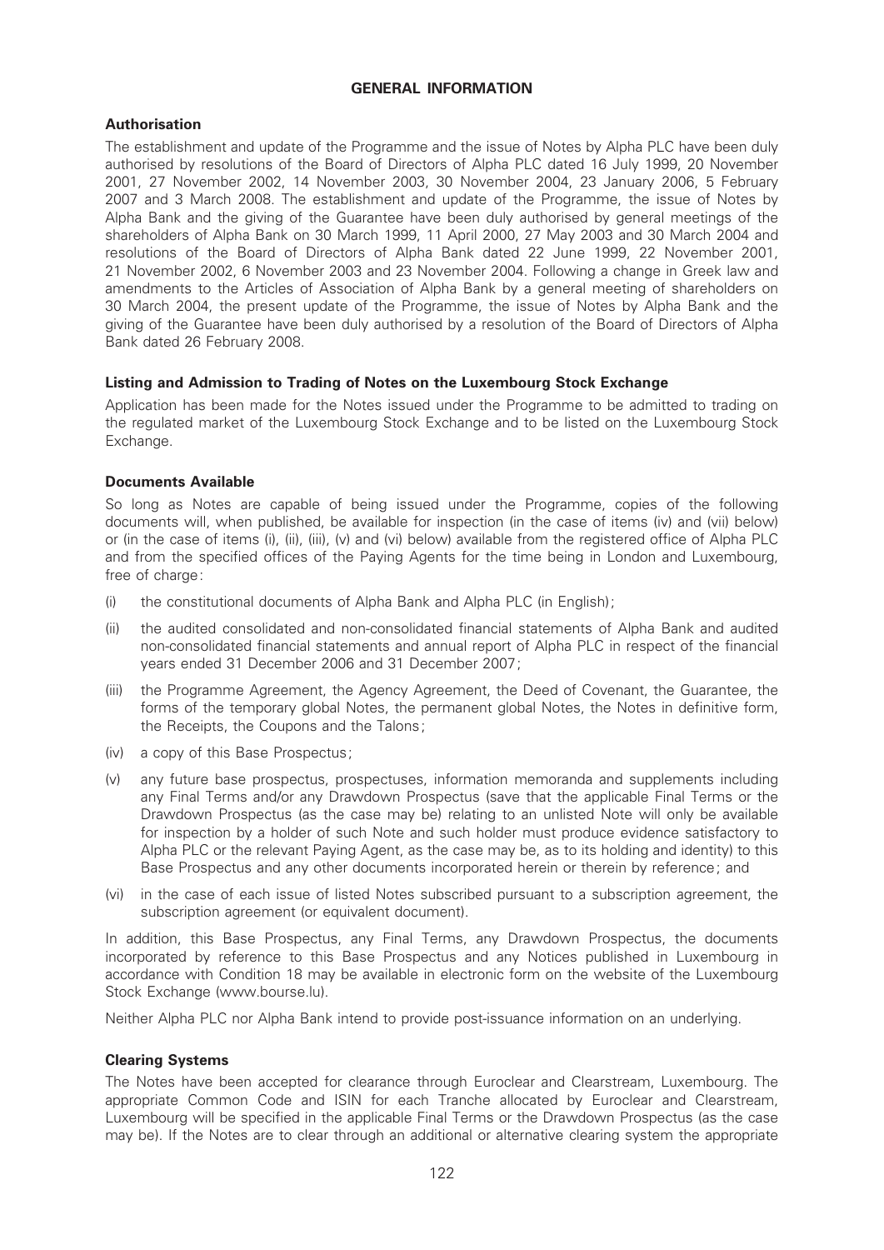## GENERAL INFORMATION

# Authorisation

The establishment and update of the Programme and the issue of Notes by Alpha PLC have been duly authorised by resolutions of the Board of Directors of Alpha PLC dated 16 July 1999, 20 November 2001, 27 November 2002, 14 November 2003, 30 November 2004, 23 January 2006, 5 February 2007 and 3 March 2008. The establishment and update of the Programme, the issue of Notes by Alpha Bank and the giving of the Guarantee have been duly authorised by general meetings of the shareholders of Alpha Bank on 30 March 1999, 11 April 2000, 27 May 2003 and 30 March 2004 and resolutions of the Board of Directors of Alpha Bank dated 22 June 1999, 22 November 2001, 21 November 2002, 6 November 2003 and 23 November 2004. Following a change in Greek law and amendments to the Articles of Association of Alpha Bank by a general meeting of shareholders on 30 March 2004, the present update of the Programme, the issue of Notes by Alpha Bank and the giving of the Guarantee have been duly authorised by a resolution of the Board of Directors of Alpha Bank dated 26 February 2008.

# Listing and Admission to Trading of Notes on the Luxembourg Stock Exchange

Application has been made for the Notes issued under the Programme to be admitted to trading on the regulated market of the Luxembourg Stock Exchange and to be listed on the Luxembourg Stock Exchange.

# Documents Available

So long as Notes are capable of being issued under the Programme, copies of the following documents will, when published, be available for inspection (in the case of items (iv) and (vii) below) or (in the case of items (i), (iii), (iii), (v) and (vi) below) available from the registered office of Alpha PLC and from the specified offices of the Paying Agents for the time being in London and Luxembourg, free of charge:

- (i) the constitutional documents of Alpha Bank and Alpha PLC (in English);
- (ii) the audited consolidated and non-consolidated ¢nancial statements of Alpha Bank and audited non-consolidated financial statements and annual report of Alpha PLC in respect of the financial years ended 31 December 2006 and 31 December 2007;
- (iii) the Programme Agreement, the Agency Agreement, the Deed of Covenant, the Guarantee, the forms of the temporary global Notes, the permanent global Notes, the Notes in definitive form, the Receipts, the Coupons and the Talons;
- (iv) a copy of this Base Prospectus;
- (v) any future base prospectus, prospectuses, information memoranda and supplements including any Final Terms and/or any Drawdown Prospectus (save that the applicable Final Terms or the Drawdown Prospectus (as the case may be) relating to an unlisted Note will only be available for inspection by a holder of such Note and such holder must produce evidence satisfactory to Alpha PLC or the relevant Paying Agent, as the case may be, as to its holding and identity) to this Base Prospectus and any other documents incorporated herein or therein by reference; and
- (vi) in the case of each issue of listed Notes subscribed pursuant to a subscription agreement, the subscription agreement (or equivalent document).

In addition, this Base Prospectus, any Final Terms, any Drawdown Prospectus, the documents incorporated by reference to this Base Prospectus and any Notices published in Luxembourg in accordance with Condition 18 may be available in electronic form on the website of the Luxembourg Stock Exchange (www.bourse.lu).

Neither Alpha PLC nor Alpha Bank intend to provide post-issuance information on an underlying.

## Clearing Systems

The Notes have been accepted for clearance through Euroclear and Clearstream, Luxembourg. The appropriate Common Code and ISIN for each Tranche allocated by Euroclear and Clearstream, Luxembourg will be specified in the applicable Final Terms or the Drawdown Prospectus (as the case may be). If the Notes are to clear through an additional or alternative clearing system the appropriate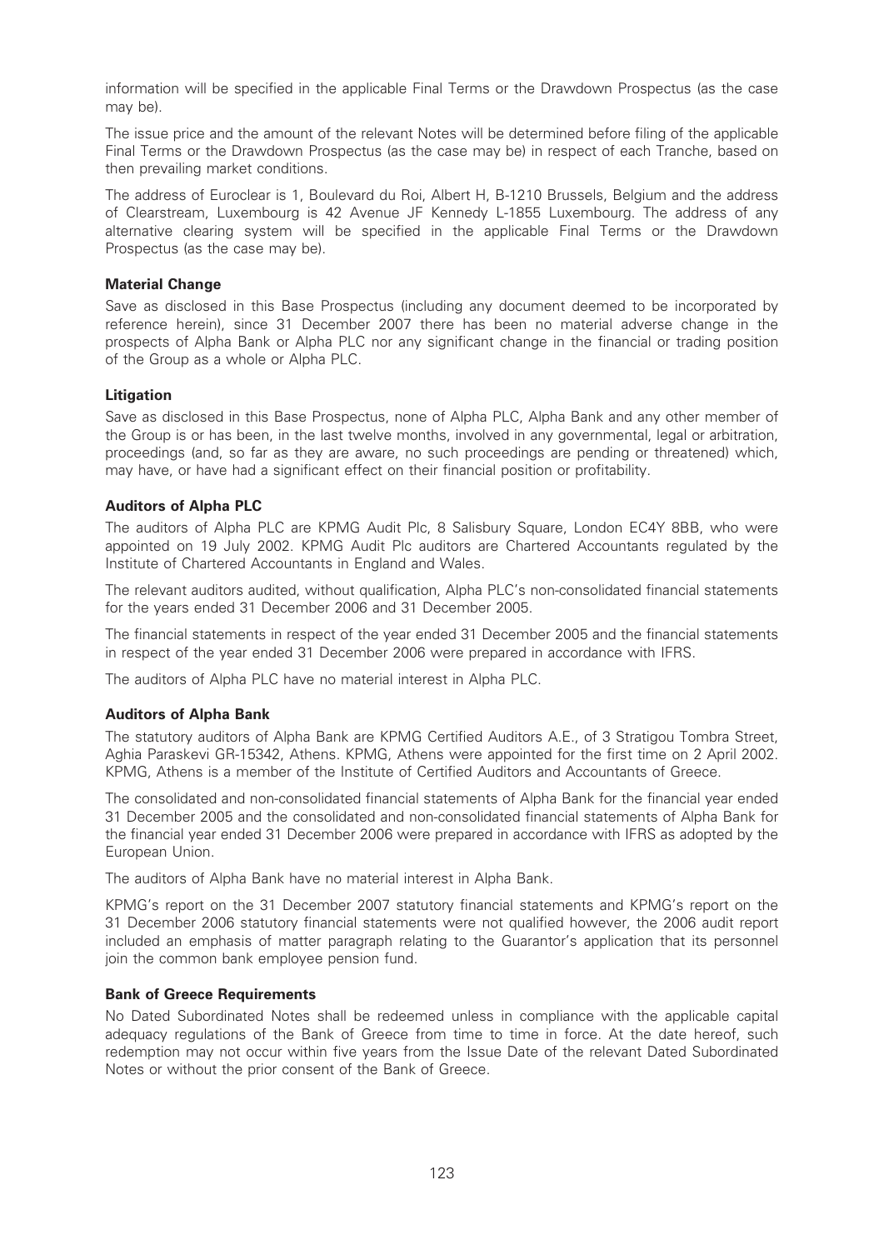information will be specified in the applicable Final Terms or the Drawdown Prospectus (as the case may be).

The issue price and the amount of the relevant Notes will be determined before ¢ling of the applicable Final Terms or the Drawdown Prospectus (as the case may be) in respect of each Tranche, based on then prevailing market conditions.

The address of Euroclear is 1, Boulevard du Roi, Albert H, B-1210 Brussels, Belgium and the address of Clearstream, Luxembourg is 42 Avenue JF Kennedy L-1855 Luxembourg. The address of any alternative clearing system will be specified in the applicable Final Terms or the Drawdown Prospectus (as the case may be).

## Material Change

Save as disclosed in this Base Prospectus (including any document deemed to be incorporated by reference herein), since 31 December 2007 there has been no material adverse change in the prospects of Alpha Bank or Alpha PLC nor any significant change in the financial or trading position of the Group as a whole or Alpha PLC.

## Litigation

Save as disclosed in this Base Prospectus, none of Alpha PLC, Alpha Bank and any other member of the Group is or has been, in the last twelve months, involved in any governmental, legal or arbitration, proceedings (and, so far as they are aware, no such proceedings are pending or threatened) which, may have, or have had a significant effect on their financial position or profitability.

## Auditors of Alpha PLC

The auditors of Alpha PLC are KPMG Audit Plc, 8 Salisbury Square, London EC4Y 8BB, who were appointed on 19 July 2002. KPMG Audit Plc auditors are Chartered Accountants regulated by the Institute of Chartered Accountants in England and Wales.

The relevant auditors audited, without qualification, Alpha PLC's non-consolidated financial statements for the years ended 31 December 2006 and 31 December 2005.

The financial statements in respect of the year ended 31 December 2005 and the financial statements in respect of the year ended 31 December 2006 were prepared in accordance with IFRS.

The auditors of Alpha PLC have no material interest in Alpha PLC.

#### Auditors of Alpha Bank

The statutory auditors of Alpha Bank are KPMG Certified Auditors A.E., of 3 Stratigou Tombra Street, Aghia Paraskevi GR-15342, Athens. KPMG, Athens were appointed for the first time on 2 April 2002. KPMG, Athens is a member of the Institute of Certified Auditors and Accountants of Greece.

The consolidated and non-consolidated financial statements of Alpha Bank for the financial year ended 31 December 2005 and the consolidated and non-consolidated financial statements of Alpha Bank for the financial year ended 31 December 2006 were prepared in accordance with IFRS as adopted by the European Union.

The auditors of Alpha Bank have no material interest in Alpha Bank.

KPMG's report on the 31 December 2007 statutory financial statements and KPMG's report on the 31 December 2006 statutory financial statements were not qualified however, the 2006 audit report included an emphasis of matter paragraph relating to the Guarantor's application that its personnel join the common bank employee pension fund.

#### Bank of Greece Requirements

No Dated Subordinated Notes shall be redeemed unless in compliance with the applicable capital adequacy regulations of the Bank of Greece from time to time in force. At the date hereof, such redemption may not occur within five years from the Issue Date of the relevant Dated Subordinated Notes or without the prior consent of the Bank of Greece.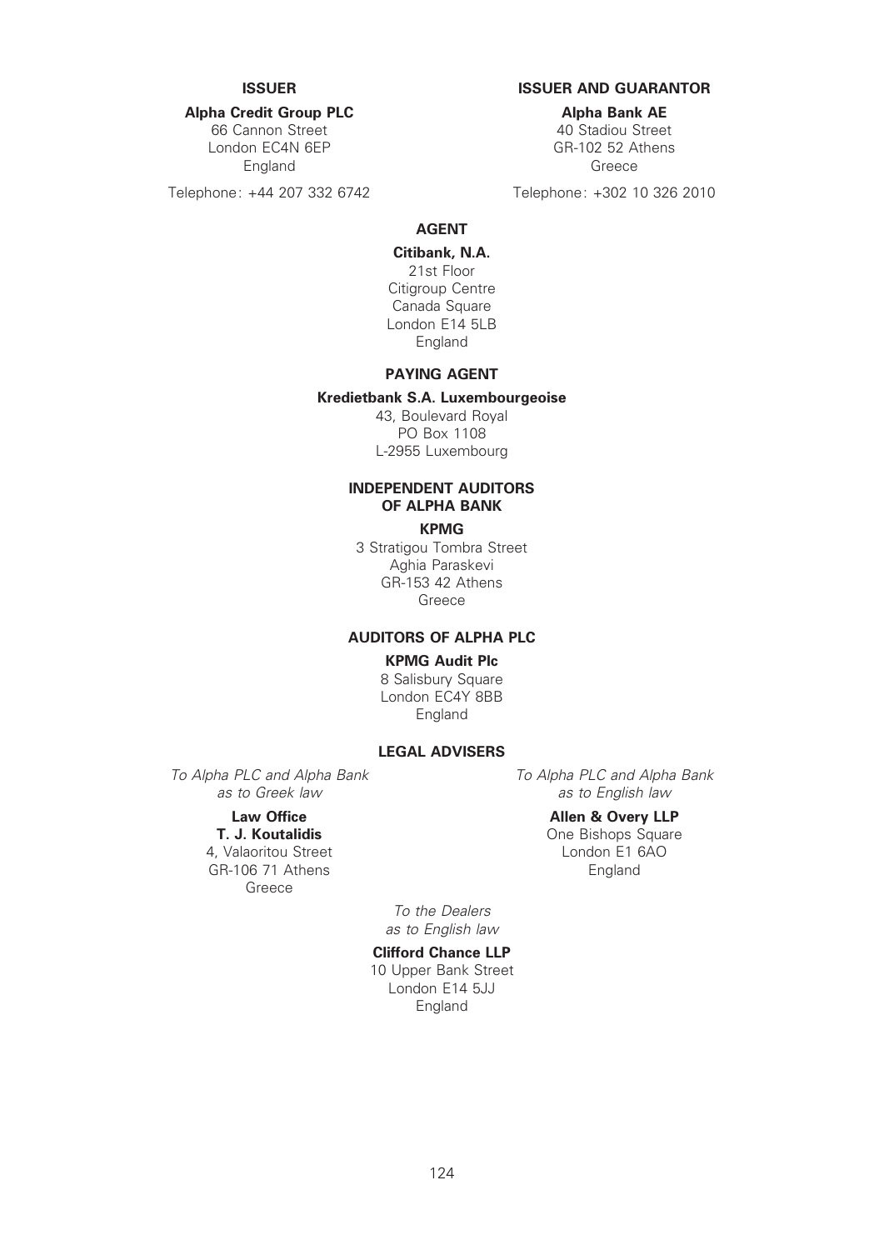## Alpha Credit Group PLC

66 Cannon Street London EC4N 6EP England

Telephone: +44 207 332 6742

## ISSUER ISSUER AND GUARANTOR

Alpha Bank AE

40 Stadiou Street GR-102 52 Athens Greece

Telephone: +302 10 326 2010

#### AGENT

#### Citibank, N.A.

21st Floor Citigroup Centre Canada Square London E14 5LB England

# PAYING AGENT

#### Kredietbank S.A. Luxembourgeoise

43, Boulevard Royal PO Box 1108 L-2955 Luxembourg

# INDEPENDENT AUDITORS OF ALPHA BANK

#### KPMG

3 Stratigou Tombra Street Aghia Paraskevi GR-153 42 Athens Greece

## AUDITORS OF ALPHA PLC

## KPMG Audit Plc

8 Salisbury Square London EC4Y 8BB England

#### LEGAL ADVISERS

To Alpha PLC and Alpha Bank as to Greek law

## Law Office

T. J. Koutalidis 4, Valaoritou Street GR-106 71 Athens Greece

To Alpha PLC and Alpha Bank as to English law

#### Allen & Overy LLP

One Bishops Square London E1 6AO England

To the Dealers as to English law

# Clifford Chance LLP

10 Upper Bank Street London E14 5JJ England